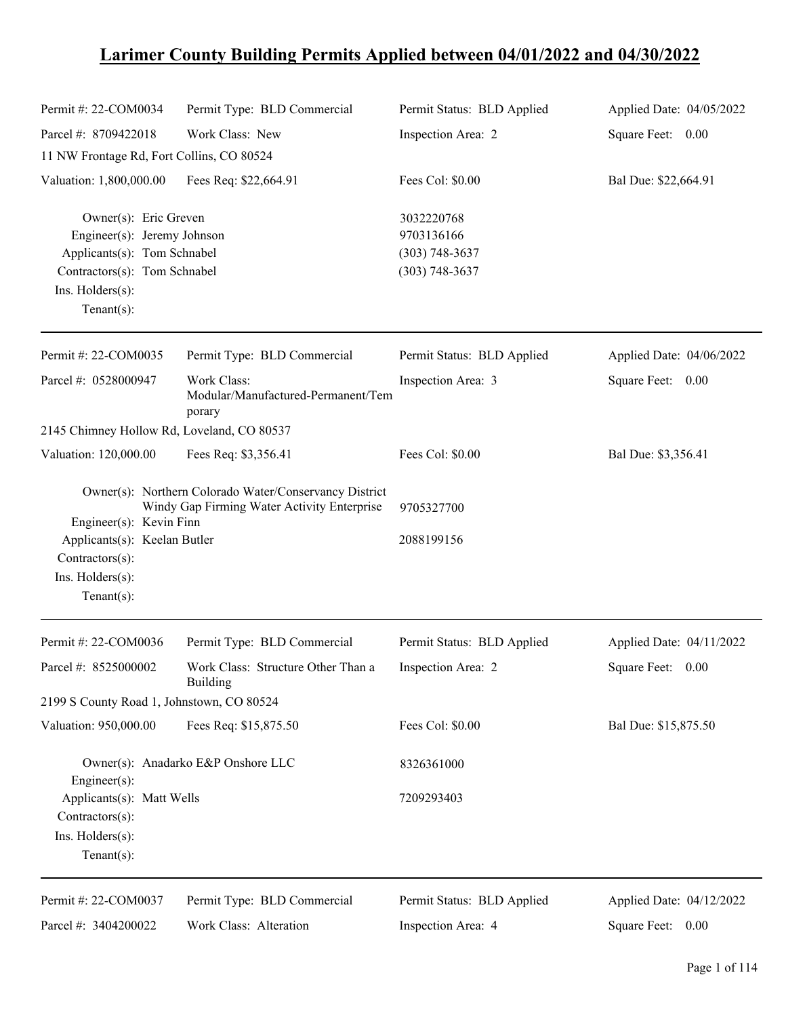# **Larimer County Building Permits Applied between 04/01/2022 and 04/30/2022**

| Permit #: 22-COM0034                                                                                                                                             | Permit Type: BLD Commercial                                                                           | Permit Status: BLD Applied                                           | Applied Date: 04/05/2022 |
|------------------------------------------------------------------------------------------------------------------------------------------------------------------|-------------------------------------------------------------------------------------------------------|----------------------------------------------------------------------|--------------------------|
| Parcel #: 8709422018                                                                                                                                             | Work Class: New                                                                                       | Inspection Area: 2                                                   | Square Feet: 0.00        |
| 11 NW Frontage Rd, Fort Collins, CO 80524                                                                                                                        |                                                                                                       |                                                                      |                          |
| Valuation: 1,800,000.00                                                                                                                                          | Fees Req: \$22,664.91                                                                                 | Fees Col: \$0.00                                                     | Bal Due: \$22,664.91     |
| Owner(s): Eric Greven<br>Engineer(s): Jeremy Johnson<br>Applicants(s): Tom Schnabel<br>Contractors(s): Tom Schnabel<br>Ins. $H$ olders $(s)$ :<br>Tenant $(s)$ : |                                                                                                       | 3032220768<br>9703136166<br>$(303) 748 - 3637$<br>$(303) 748 - 3637$ |                          |
| Permit #: 22-COM0035                                                                                                                                             | Permit Type: BLD Commercial                                                                           | Permit Status: BLD Applied                                           | Applied Date: 04/06/2022 |
| Parcel #: 0528000947                                                                                                                                             | Work Class:<br>Modular/Manufactured-Permanent/Tem<br>porary                                           | Inspection Area: 3                                                   | Square Feet: 0.00        |
| 2145 Chimney Hollow Rd, Loveland, CO 80537                                                                                                                       |                                                                                                       |                                                                      |                          |
| Valuation: 120,000.00                                                                                                                                            | Fees Req: \$3,356.41                                                                                  | Fees Col: \$0.00                                                     | Bal Due: \$3,356.41      |
| Engineer(s): Kevin Finn<br>Applicants(s): Keelan Butler<br>Contractors(s):<br>Ins. Holders(s):<br>Tenant $(s)$ :                                                 | Owner(s): Northern Colorado Water/Conservancy District<br>Windy Gap Firming Water Activity Enterprise | 9705327700<br>2088199156                                             |                          |
| Permit #: 22-COM0036                                                                                                                                             | Permit Type: BLD Commercial                                                                           | Permit Status: BLD Applied                                           | Applied Date: 04/11/2022 |
| Parcel #: 8525000002                                                                                                                                             | Work Class: Structure Other Than a<br>Building                                                        | Inspection Area: 2                                                   | Square Feet: 0.00        |
| 2199 S County Road 1, Johnstown, CO 80524                                                                                                                        |                                                                                                       |                                                                      |                          |
| Valuation: 950,000.00                                                                                                                                            | Fees Req: \$15,875.50                                                                                 | Fees Col: \$0.00                                                     | Bal Due: \$15,875.50     |
| Engineer $(s)$ :                                                                                                                                                 | Owner(s): Anadarko E&P Onshore LLC                                                                    | 8326361000                                                           |                          |
| Applicants(s): Matt Wells<br>Contractors(s):<br>Ins. Holders(s):<br>Tenant(s):                                                                                   |                                                                                                       | 7209293403                                                           |                          |
| Permit #: 22-COM0037                                                                                                                                             | Permit Type: BLD Commercial                                                                           | Permit Status: BLD Applied                                           | Applied Date: 04/12/2022 |
| Parcel #: 3404200022                                                                                                                                             | Work Class: Alteration                                                                                | Inspection Area: 4                                                   | Square Feet:<br>0.00     |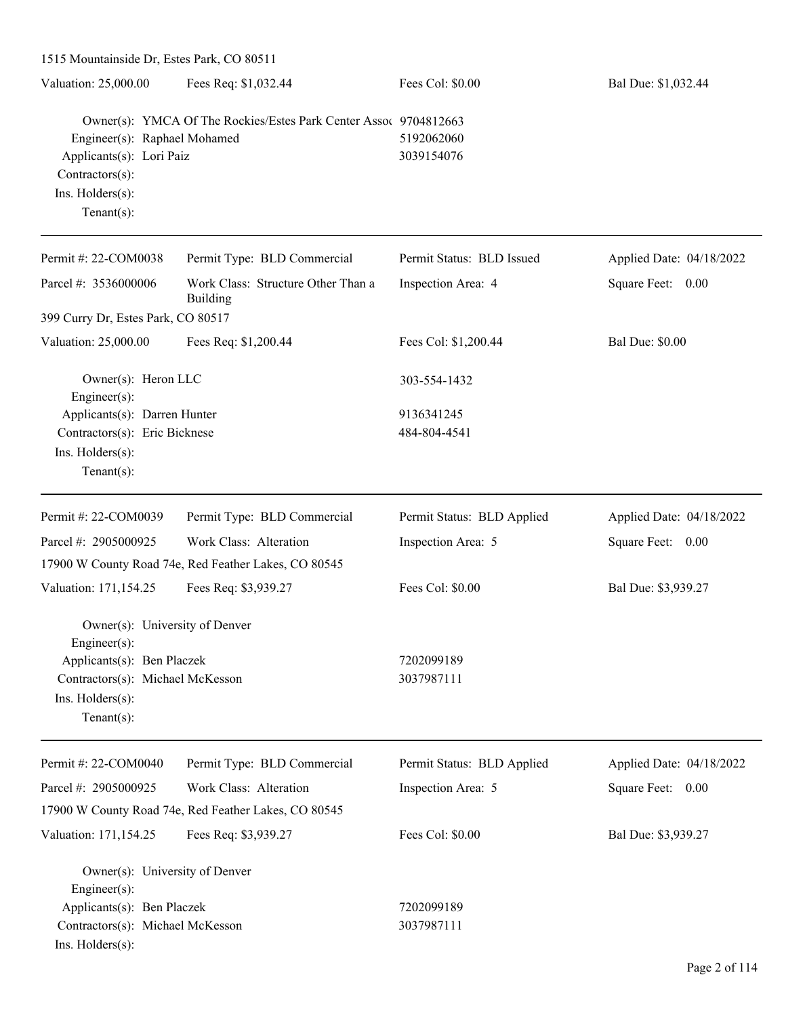| 1515 Mountainside Dr, Estes Park, CO 80511                                                                                                                   |                                                                  |                            |                          |
|--------------------------------------------------------------------------------------------------------------------------------------------------------------|------------------------------------------------------------------|----------------------------|--------------------------|
| Valuation: 25,000.00                                                                                                                                         | Fees Req: \$1,032.44                                             | Fees Col: \$0.00           | Bal Due: \$1,032.44      |
| Engineer(s): Raphael Mohamed<br>Applicants(s): Lori Paiz<br>Contractors(s):<br>Ins. Holders(s):<br>Tenant $(s)$ :                                            | Owner(s): YMCA Of The Rockies/Estes Park Center Assoc 9704812663 | 5192062060<br>3039154076   |                          |
| Permit #: 22-COM0038                                                                                                                                         | Permit Type: BLD Commercial                                      | Permit Status: BLD Issued  | Applied Date: 04/18/2022 |
| Parcel #: 3536000006                                                                                                                                         | Work Class: Structure Other Than a<br>Building                   | Inspection Area: 4         | Square Feet: 0.00        |
| 399 Curry Dr, Estes Park, CO 80517                                                                                                                           |                                                                  |                            |                          |
| Valuation: 25,000.00                                                                                                                                         | Fees Req: \$1,200.44                                             | Fees Col: \$1,200.44       | <b>Bal Due: \$0.00</b>   |
| Owner(s): Heron LLC<br>$Engineering(s)$ :                                                                                                                    |                                                                  | 303-554-1432               |                          |
| Applicants(s): Darren Hunter                                                                                                                                 |                                                                  | 9136341245                 |                          |
| Contractors(s): Eric Bicknese<br>Ins. Holders(s):<br>Tenant $(s)$ :                                                                                          |                                                                  | 484-804-4541               |                          |
| Permit #: 22-COM0039                                                                                                                                         | Permit Type: BLD Commercial                                      | Permit Status: BLD Applied | Applied Date: 04/18/2022 |
| Parcel #: 2905000925                                                                                                                                         | Work Class: Alteration                                           | Inspection Area: 5         | Square Feet: 0.00        |
|                                                                                                                                                              | 17900 W County Road 74e, Red Feather Lakes, CO 80545             |                            |                          |
| Valuation: 171,154.25                                                                                                                                        | Fees Req: \$3,939.27                                             | Fees Col: \$0.00           | Bal Due: \$3,939.27      |
| Owner(s): University of Denver<br>$Engineering(s)$ :<br>Applicants(s): Ben Placzek<br>Contractors(s): Michael McKesson<br>Ins. Holders(s):<br>Tenant $(s)$ : |                                                                  | 7202099189<br>3037987111   |                          |
| Permit #: 22-COM0040                                                                                                                                         | Permit Type: BLD Commercial                                      | Permit Status: BLD Applied | Applied Date: 04/18/2022 |
| Parcel #: 2905000925                                                                                                                                         | Work Class: Alteration                                           | Inspection Area: 5         | Square Feet: 0.00        |
|                                                                                                                                                              | 17900 W County Road 74e, Red Feather Lakes, CO 80545             |                            |                          |
| Valuation: 171,154.25                                                                                                                                        | Fees Req: \$3,939.27                                             | Fees Col: \$0.00           | Bal Due: \$3,939.27      |
| Owner(s): University of Denver<br>Engineer(s):                                                                                                               |                                                                  |                            |                          |
| Applicants(s): Ben Placzek                                                                                                                                   |                                                                  | 7202099189<br>3037987111   |                          |
| Contractors(s): Michael McKesson<br>Ins. Holders(s):                                                                                                         |                                                                  |                            |                          |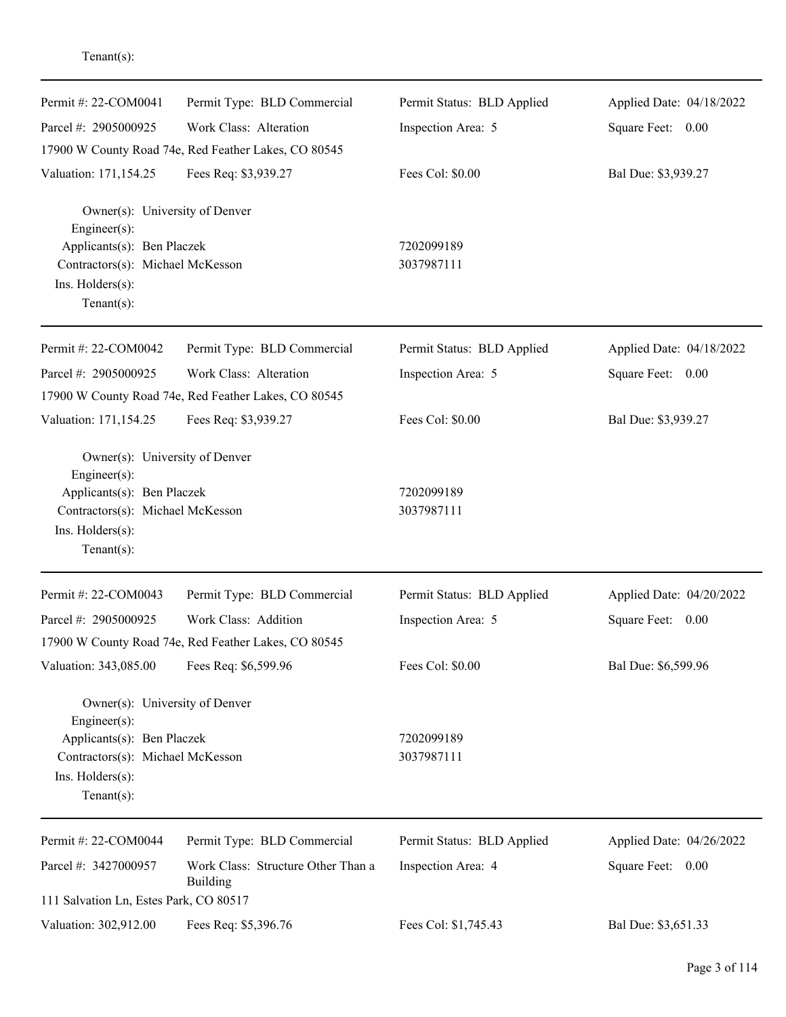| Permit #: 22-COM0041<br>Parcel #: 2905000925                                                                                                                 | Permit Type: BLD Commercial<br>Work Class: Alteration | Permit Status: BLD Applied<br>Inspection Area: 5 | Applied Date: 04/18/2022<br>Square Feet: 0.00 |
|--------------------------------------------------------------------------------------------------------------------------------------------------------------|-------------------------------------------------------|--------------------------------------------------|-----------------------------------------------|
|                                                                                                                                                              | 17900 W County Road 74e, Red Feather Lakes, CO 80545  |                                                  |                                               |
| Valuation: 171,154.25                                                                                                                                        | Fees Req: \$3,939.27                                  | Fees Col: \$0.00                                 | Bal Due: \$3,939.27                           |
| Owner(s): University of Denver<br>Engineer(s):<br>Applicants(s): Ben Placzek<br>Contractors(s): Michael McKesson<br>Ins. Holders(s):<br>Tenant $(s)$ :       |                                                       | 7202099189<br>3037987111                         |                                               |
| Permit #: 22-COM0042                                                                                                                                         | Permit Type: BLD Commercial                           | Permit Status: BLD Applied                       | Applied Date: 04/18/2022                      |
| Parcel #: 2905000925                                                                                                                                         | Work Class: Alteration                                | Inspection Area: 5                               | Square Feet: 0.00                             |
|                                                                                                                                                              | 17900 W County Road 74e, Red Feather Lakes, CO 80545  |                                                  |                                               |
| Valuation: 171,154.25                                                                                                                                        | Fees Req: \$3,939.27                                  | Fees Col: \$0.00                                 | Bal Due: \$3,939.27                           |
| Owner(s): University of Denver<br>Engineer(s):<br>Applicants(s): Ben Placzek<br>Contractors(s): Michael McKesson<br>Ins. Holders(s):<br>Tenant $(s)$ :       |                                                       | 7202099189<br>3037987111                         |                                               |
| Permit #: 22-COM0043                                                                                                                                         | Permit Type: BLD Commercial                           | Permit Status: BLD Applied                       | Applied Date: 04/20/2022                      |
| Parcel #: 2905000925                                                                                                                                         | Work Class: Addition                                  | Inspection Area: 5                               | Square Feet: 0.00                             |
|                                                                                                                                                              | 17900 W County Road 74e, Red Feather Lakes, CO 80545  |                                                  |                                               |
| Valuation: 343,085.00                                                                                                                                        | Fees Req: \$6,599.96                                  | Fees Col: \$0.00                                 | Bal Due: \$6,599.96                           |
| Owner(s): University of Denver<br>Engineer(s):<br>Applicants(s): Ben Placzek<br>Contractors(s): Michael McKesson<br>$Ins.$ Holders $(s)$ :<br>Tenant $(s)$ : |                                                       | 7202099189<br>3037987111                         |                                               |
| Permit #: 22-COM0044                                                                                                                                         | Permit Type: BLD Commercial                           | Permit Status: BLD Applied                       | Applied Date: 04/26/2022                      |
| Parcel #: 3427000957                                                                                                                                         | Work Class: Structure Other Than a<br><b>Building</b> | Inspection Area: 4                               | Square Feet: 0.00                             |
| 111 Salvation Ln, Estes Park, CO 80517                                                                                                                       |                                                       |                                                  |                                               |
| Valuation: 302,912.00                                                                                                                                        | Fees Req: \$5,396.76                                  | Fees Col: \$1,745.43                             | Bal Due: \$3,651.33                           |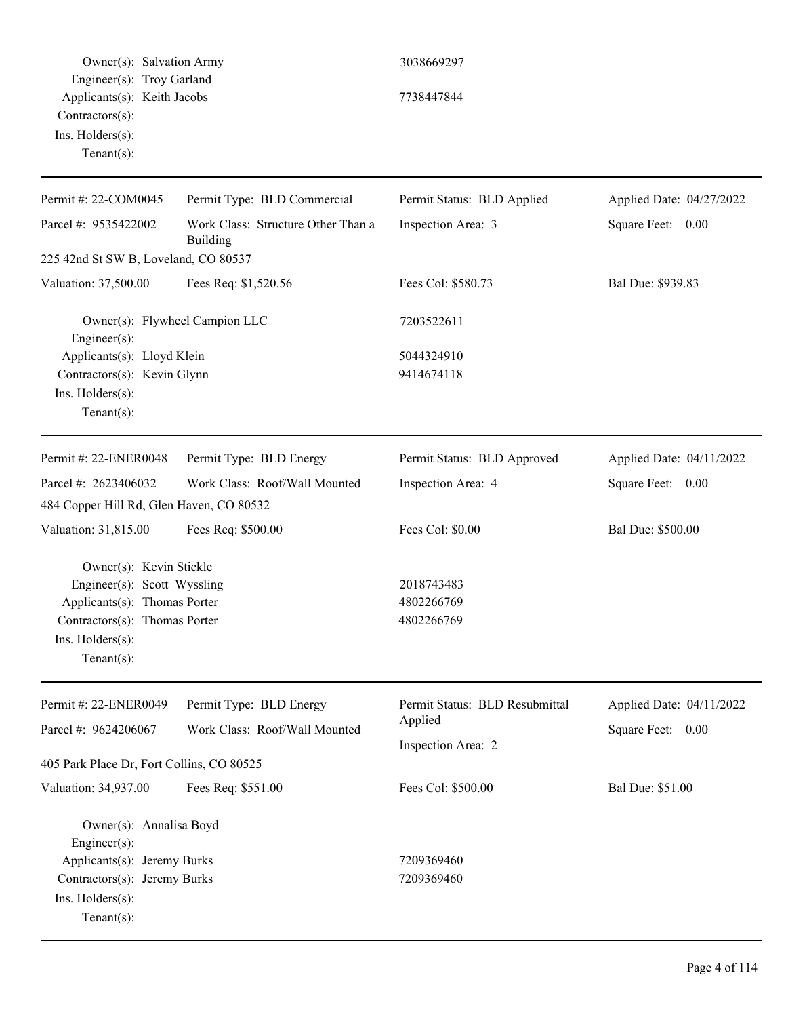| Owner(s): Salvation Army<br>Engineer(s): Troy Garland<br>Applicants(s): Keith Jacobs                                                                          |                                                       | 3038669297<br>7738447844               |                          |
|---------------------------------------------------------------------------------------------------------------------------------------------------------------|-------------------------------------------------------|----------------------------------------|--------------------------|
| Contractors(s):<br>Ins. Holders(s):<br>Tenant $(s)$ :                                                                                                         |                                                       |                                        |                          |
| Permit #: 22-COM0045                                                                                                                                          | Permit Type: BLD Commercial                           | Permit Status: BLD Applied             | Applied Date: 04/27/2022 |
| Parcel #: 9535422002                                                                                                                                          | Work Class: Structure Other Than a<br><b>Building</b> | Inspection Area: 3                     | Square Feet: 0.00        |
| 225 42nd St SW B, Loveland, CO 80537                                                                                                                          |                                                       |                                        |                          |
| Valuation: 37,500.00                                                                                                                                          | Fees Req: \$1,520.56                                  | Fees Col: \$580.73                     | Bal Due: \$939.83        |
| Owner(s): Flywheel Campion LLC<br>Engineer(s):                                                                                                                |                                                       | 7203522611                             |                          |
| Applicants(s): Lloyd Klein<br>Contractors(s): Kevin Glynn<br>Ins. $H$ olders $(s)$ :<br>Tenant $(s)$ :                                                        |                                                       | 5044324910<br>9414674118               |                          |
| Permit #: 22-ENER0048                                                                                                                                         | Permit Type: BLD Energy                               | Permit Status: BLD Approved            | Applied Date: 04/11/2022 |
| Parcel #: 2623406032                                                                                                                                          | Work Class: Roof/Wall Mounted                         | Inspection Area: 4                     | Square Feet: 0.00        |
| 484 Copper Hill Rd, Glen Haven, CO 80532                                                                                                                      |                                                       |                                        |                          |
| Valuation: 31,815.00                                                                                                                                          | Fees Req: \$500.00                                    | Fees Col: \$0.00                       | Bal Due: \$500.00        |
| Owner(s): Kevin Stickle<br>Engineer(s): Scott Wyssling<br>Applicants(s): Thomas Porter<br>Contractors(s): Thomas Porter<br>Ins. Holders(s):<br>Tenant $(s)$ : |                                                       | 2018743483<br>4802266769<br>4802266769 |                          |
| Permit #: 22-ENER0049                                                                                                                                         | Permit Type: BLD Energy                               | Permit Status: BLD Resubmittal         | Applied Date: 04/11/2022 |
| Parcel #: 9624206067                                                                                                                                          | Work Class: Roof/Wall Mounted                         | Applied<br>Inspection Area: 2          | Square Feet: 0.00        |
| 405 Park Place Dr, Fort Collins, CO 80525                                                                                                                     |                                                       |                                        |                          |
| Valuation: 34,937.00                                                                                                                                          | Fees Req: \$551.00                                    | Fees Col: \$500.00                     | Bal Due: \$51.00         |
| Owner(s): Annalisa Boyd<br>Engineer(s):                                                                                                                       |                                                       |                                        |                          |
| Applicants(s): Jeremy Burks<br>Contractors(s): Jeremy Burks<br>Ins. Holders(s):<br>Tenant $(s)$ :                                                             |                                                       | 7209369460<br>7209369460               |                          |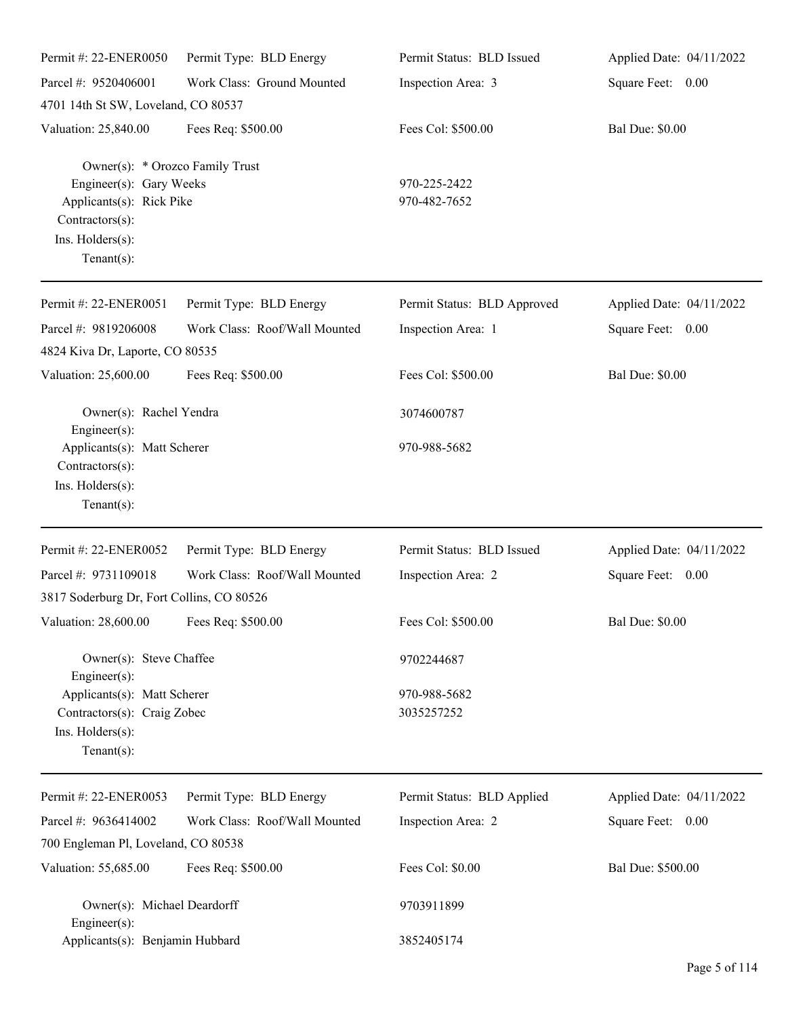| Permit #: 22-ENER0050                                                                                                                           | Permit Type: BLD Energy       | Permit Status: BLD Issued    | Applied Date: 04/11/2022 |
|-------------------------------------------------------------------------------------------------------------------------------------------------|-------------------------------|------------------------------|--------------------------|
| Parcel #: 9520406001                                                                                                                            | Work Class: Ground Mounted    | Inspection Area: 3           | Square Feet: 0.00        |
| 4701 14th St SW, Loveland, CO 80537                                                                                                             |                               |                              |                          |
| Valuation: 25,840.00                                                                                                                            | Fees Req: \$500.00            | Fees Col: \$500.00           | <b>Bal Due: \$0.00</b>   |
| Owner(s): * Orozco Family Trust<br>Engineer(s): Gary Weeks<br>Applicants(s): Rick Pike<br>Contractors(s):<br>Ins. Holders(s):<br>Tenant $(s)$ : |                               | 970-225-2422<br>970-482-7652 |                          |
| Permit #: 22-ENER0051                                                                                                                           | Permit Type: BLD Energy       | Permit Status: BLD Approved  | Applied Date: 04/11/2022 |
| Parcel #: 9819206008<br>4824 Kiva Dr, Laporte, CO 80535                                                                                         | Work Class: Roof/Wall Mounted | Inspection Area: 1           | Square Feet: 0.00        |
| Valuation: 25,600.00                                                                                                                            | Fees Req: \$500.00            | Fees Col: \$500.00           | <b>Bal Due: \$0.00</b>   |
| Owner(s): Rachel Yendra                                                                                                                         |                               | 3074600787                   |                          |
| $Engineering(s)$ :<br>Applicants(s): Matt Scherer<br>Contractors(s):<br>Ins. Holders(s):<br>Tenant $(s)$ :                                      |                               | 970-988-5682                 |                          |
| Permit #: 22-ENER0052                                                                                                                           | Permit Type: BLD Energy       | Permit Status: BLD Issued    | Applied Date: 04/11/2022 |
| Parcel #: 9731109018<br>3817 Soderburg Dr, Fort Collins, CO 80526                                                                               | Work Class: Roof/Wall Mounted | Inspection Area: 2           | Square Feet: 0.00        |
| Valuation: 28,600.00 Fees Req: \$500.00                                                                                                         |                               | Fees Col: \$500.00           | <b>Bal Due: \$0.00</b>   |
| Owner(s): Steve Chaffee<br>Engineer $(s)$ :                                                                                                     |                               | 9702244687                   |                          |
| Applicants(s): Matt Scherer<br>Contractors(s): Craig Zobec<br>Ins. Holders(s):<br>Tenant $(s)$ :                                                |                               | 970-988-5682<br>3035257252   |                          |
| Permit #: 22-ENER0053                                                                                                                           | Permit Type: BLD Energy       | Permit Status: BLD Applied   | Applied Date: 04/11/2022 |
| Parcel #: 9636414002                                                                                                                            | Work Class: Roof/Wall Mounted | Inspection Area: 2           | Square Feet: 0.00        |
| 700 Engleman Pl, Loveland, CO 80538                                                                                                             |                               |                              |                          |
| Valuation: 55,685.00                                                                                                                            | Fees Req: \$500.00            | Fees Col: \$0.00             | Bal Due: \$500.00        |
| Owner(s): Michael Deardorff<br>Engineer(s):                                                                                                     |                               | 9703911899                   |                          |
| Applicants(s): Benjamin Hubbard                                                                                                                 |                               | 3852405174                   |                          |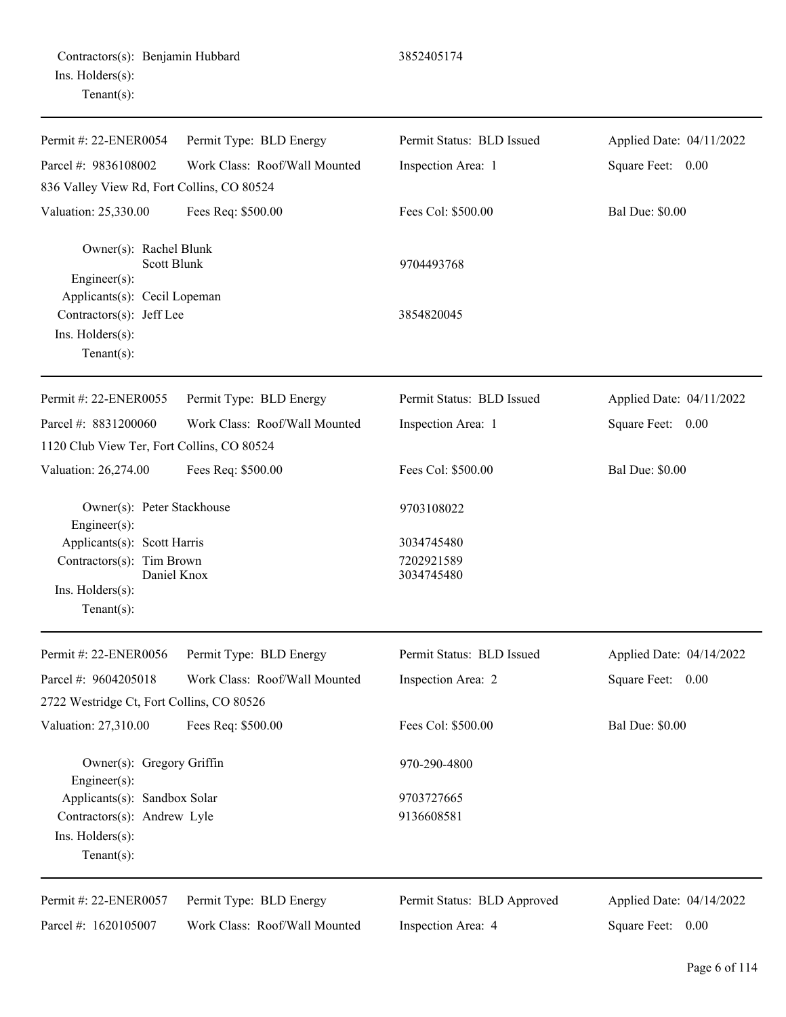|                  | Contractors(s): Benjamin Hubbard |
|------------------|----------------------------------|
| Ins. Holders(s): |                                  |
| $Tenant(s)$ :    |                                  |

Parcel #: 8831200060

| Permit #: 22-ENER0054                      | Permit Type: BLD Energy       | Permit Status: BLD Issued | Applied Date: 04/11/2022 |
|--------------------------------------------|-------------------------------|---------------------------|--------------------------|
| Parcel #: $9836108002$                     | Work Class: Roof/Wall Mounted | Inspection Area: 1        | Square Feet:<br>0.00     |
| 836 Valley View Rd, Fort Collins, CO 80524 |                               |                           |                          |
| Valuation: 25,330.00                       | Fees Req: \$500.00            | Fees Col: \$500.00        | <b>Bal Due: \$0.00</b>   |
| Owner(s): Rachel Blunk                     |                               |                           |                          |
| Scott Blunk<br>$Engineering(s)$ :          |                               | 9704493768                |                          |
| Applicants(s): Cecil Lopeman               |                               |                           |                          |
| Contractors $(s)$ : Jeff Lee               |                               | 3854820045                |                          |
| $Ins.$ Holders $(s)$ :                     |                               |                           |                          |
| Tenant $(s)$ :                             |                               |                           |                          |
| Permit #: 22-ENER0055                      | Permit Type: BLD Energy       | Permit Status: BLD Issued | Applied Date: 04/11/2022 |
|                                            |                               |                           |                          |

Inspection Area: 1

3034745480 7202921589 3034745480

3852405174

1120 Club View Ter, Fort Collins, CO 80524 Valuation: 26,274.00 Fees Req: \$500.00 Fees Col: \$500.00 Bal Due: \$0.00 Owner(s): Peter Stackhouse 9703108022

Work Class: Roof/Wall Mounted

| $Engineering(s)$ :            |             |
|-------------------------------|-------------|
| Applicants(s): Scott Harris   |             |
| Contractors $(s)$ : Tim Brown | Daniel Knox |
| $Ins.$ Holders $(s)$ :        |             |
| $Tenant(s)$ :                 |             |
|                               |             |

Permit #: 22-ENER0056 Parcel #: 9604205018 Permit Type: BLD Energy Work Class: Roof/Wall Mounted Permit Status: BLD Issued Inspection Area: 2 Applied Date: 04/14/2022 Square Feet: 0.00 2722 Westridge Ct, Fort Collins, CO 80526 Valuation: 27,310.00 Fees Req: \$500.00 Fees Col: \$500.00 Bal Due: \$0.00 Owner(s): Gregory Griffin 970-290-4800 Engineer(s): Applicants(s): Sandbox Solar 9703727665 Contractors(s): Andrew Lyle 9136608581 Ins. Holders(s): Tenant(s): Permit #: 22-ENER0057 Permit Type: BLD Energy Permit Status: BLD Approved Applied Date: 04/14/2022

Parcel #: 1620105007

Work Class: Roof/Wall Mounted

Inspection Area: 4

Square Feet: 0.00

Square Feet: 0.00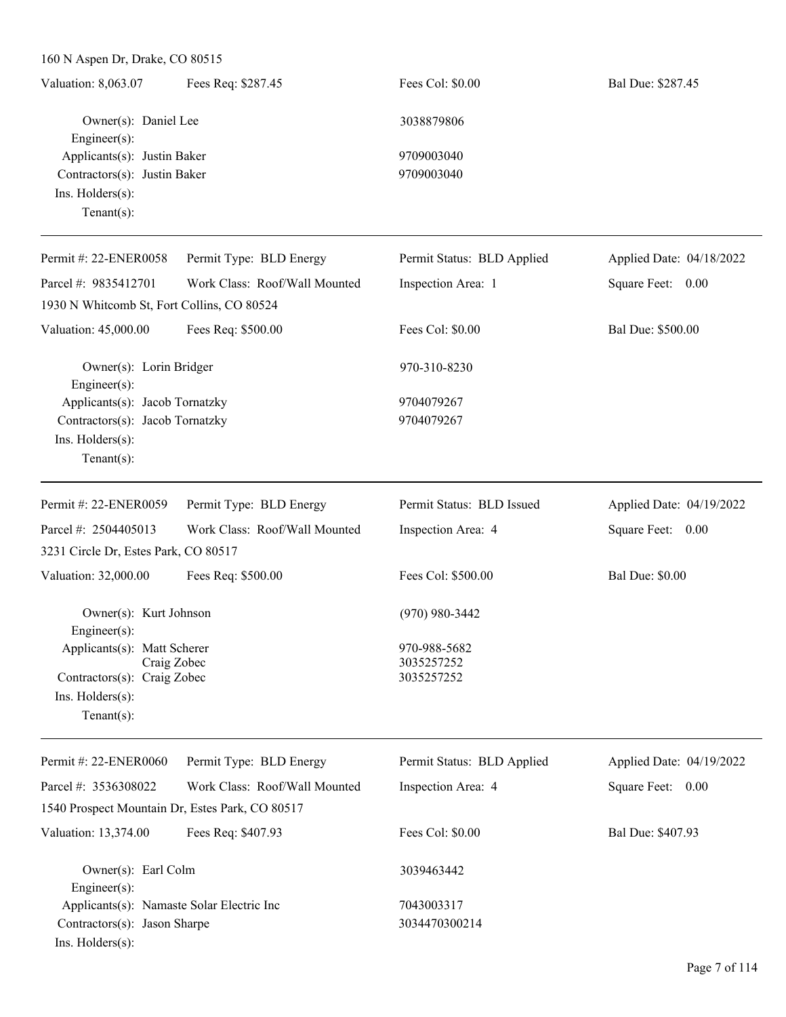| 160 N Aspen Dr, Drake, CO 80515                             |                               |                            |                          |  |  |
|-------------------------------------------------------------|-------------------------------|----------------------------|--------------------------|--|--|
| Valuation: 8,063.07                                         | Fees Req: \$287.45            | Fees Col: \$0.00           | Bal Due: \$287.45        |  |  |
| Owner(s): Daniel Lee<br>Engineer(s):                        |                               | 3038879806                 |                          |  |  |
| Applicants(s): Justin Baker<br>Contractors(s): Justin Baker |                               | 9709003040                 |                          |  |  |
|                                                             |                               | 9709003040                 |                          |  |  |
| Ins. Holders(s):                                            |                               |                            |                          |  |  |
| Tenant $(s)$ :                                              |                               |                            |                          |  |  |
| Permit #: 22-ENER0058                                       | Permit Type: BLD Energy       | Permit Status: BLD Applied | Applied Date: 04/18/2022 |  |  |
| Parcel #: 9835412701                                        | Work Class: Roof/Wall Mounted | Inspection Area: 1         | Square Feet: 0.00        |  |  |
| 1930 N Whitcomb St, Fort Collins, CO 80524                  |                               |                            |                          |  |  |
| Valuation: 45,000.00                                        | Fees Req: \$500.00            | Fees Col: \$0.00           | Bal Due: \$500.00        |  |  |
| Owner(s): Lorin Bridger<br>Engineer(s):                     |                               | 970-310-8230               |                          |  |  |
| Applicants(s): Jacob Tornatzky                              |                               | 9704079267                 |                          |  |  |
| Contractors(s): Jacob Tornatzky                             |                               | 9704079267                 |                          |  |  |
| Ins. Holders(s):                                            |                               |                            |                          |  |  |
| Tenant $(s)$ :                                              |                               |                            |                          |  |  |
| Permit #: 22-ENER0059                                       | Permit Type: BLD Energy       | Permit Status: BLD Issued  | Applied Date: 04/19/2022 |  |  |
| Parcel #: 2504405013                                        | Work Class: Roof/Wall Mounted | Inspection Area: 4         | Square Feet: 0.00        |  |  |
| 3231 Circle Dr, Estes Park, CO 80517                        |                               |                            |                          |  |  |
| Valuation: 32,000.00                                        | Fees Req: \$500.00            | Fees Col: \$500.00         | <b>Bal Due: \$0.00</b>   |  |  |
| Owner(s): Kurt Johnson<br>Engineer(s):                      |                               | $(970)$ 980-3442           |                          |  |  |
| Applicants(s): Matt Scherer                                 |                               | 970-988-5682               |                          |  |  |
| Craig Zobec                                                 |                               | 3035257252<br>3035257252   |                          |  |  |
| Contractors(s): Craig Zobec<br>$Ins.$ Holders $(s)$ :       |                               |                            |                          |  |  |
| Tenant $(s)$ :                                              |                               |                            |                          |  |  |
| Permit #: 22-ENER0060                                       | Permit Type: BLD Energy       | Permit Status: BLD Applied | Applied Date: 04/19/2022 |  |  |
| Parcel #: 3536308022                                        | Work Class: Roof/Wall Mounted | Inspection Area: 4         | Square Feet: 0.00        |  |  |
| 1540 Prospect Mountain Dr, Estes Park, CO 80517             |                               |                            |                          |  |  |
| Valuation: 13,374.00                                        | Fees Req: \$407.93            | Fees Col: \$0.00           | Bal Due: \$407.93        |  |  |
| Owner(s): Earl Colm<br>Engineer(s):                         |                               | 3039463442                 |                          |  |  |
| Applicants(s): Namaste Solar Electric Inc                   |                               | 7043003317                 |                          |  |  |
| Contractors(s): Jason Sharpe                                |                               | 3034470300214              |                          |  |  |

Ins. Holders(s):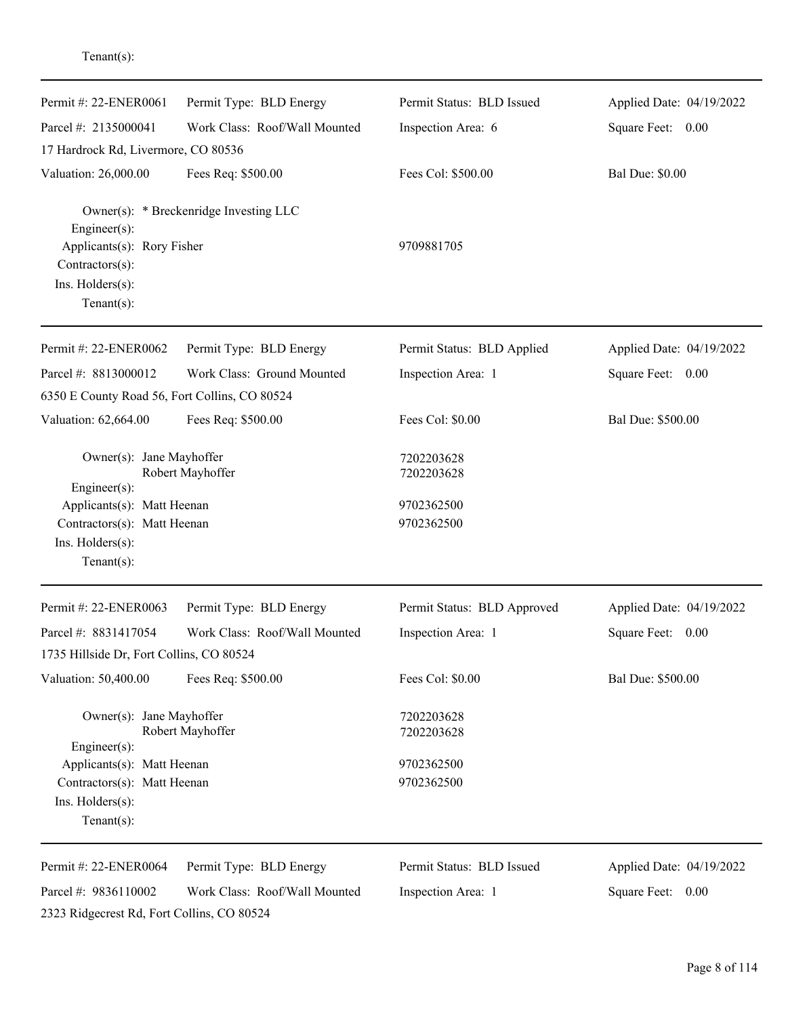| Permit #: 22-ENER0061                                                                         | Permit Type: BLD Energy                | Permit Status: BLD Issued   | Applied Date: 04/19/2022 |
|-----------------------------------------------------------------------------------------------|----------------------------------------|-----------------------------|--------------------------|
| Parcel #: 2135000041                                                                          | Work Class: Roof/Wall Mounted          | Inspection Area: 6          | Square Feet: 0.00        |
| 17 Hardrock Rd, Livermore, CO 80536                                                           |                                        |                             |                          |
| Valuation: 26,000.00                                                                          | Fees Req: \$500.00                     | Fees Col: \$500.00          | <b>Bal Due: \$0.00</b>   |
| Engineer(s):                                                                                  | Owner(s): * Breckenridge Investing LLC |                             |                          |
| Applicants(s): Rory Fisher                                                                    |                                        | 9709881705                  |                          |
| Contractors(s):                                                                               |                                        |                             |                          |
| Ins. Holders(s):                                                                              |                                        |                             |                          |
| Tenant $(s)$ :                                                                                |                                        |                             |                          |
| Permit #: 22-ENER0062                                                                         | Permit Type: BLD Energy                | Permit Status: BLD Applied  | Applied Date: 04/19/2022 |
| Parcel #: 8813000012                                                                          | Work Class: Ground Mounted             | Inspection Area: 1          | Square Feet: 0.00        |
| 6350 E County Road 56, Fort Collins, CO 80524                                                 |                                        |                             |                          |
| Valuation: 62,664.00                                                                          | Fees Req: \$500.00                     | Fees Col: \$0.00            | Bal Due: \$500.00        |
| Owner(s): Jane Mayhoffer                                                                      |                                        | 7202203628                  |                          |
| Robert Mayhoffer<br>Engineer(s):<br>Applicants(s): Matt Heenan<br>Contractors(s): Matt Heenan |                                        | 7202203628                  |                          |
|                                                                                               |                                        | 9702362500                  |                          |
|                                                                                               |                                        | 9702362500                  |                          |
| Ins. Holders(s):                                                                              |                                        |                             |                          |
| Tenant $(s)$ :                                                                                |                                        |                             |                          |
| Permit #: 22-ENER0063                                                                         | Permit Type: BLD Energy                | Permit Status: BLD Approved | Applied Date: 04/19/2022 |
| Parcel #: 8831417054                                                                          | Work Class: Roof/Wall Mounted          | Inspection Area: 1          | Square Feet:<br>0.00     |
| 1735 Hillside Dr, Fort Collins, CO 80524                                                      |                                        |                             |                          |
| Valuation: 50,400.00                                                                          | Fees Req: \$500.00                     | Fees Col: \$0.00            | Bal Due: \$500.00        |
| Owner(s): Jane Mayhoffer                                                                      |                                        | 7202203628                  |                          |
| Engineer(s):                                                                                  | Robert Mayhoffer                       | 7202203628                  |                          |
| Applicants(s): Matt Heenan                                                                    |                                        | 9702362500                  |                          |
| Contractors(s): Matt Heenan                                                                   |                                        | 9702362500                  |                          |
| Ins. Holders(s):                                                                              |                                        |                             |                          |
| Tenant $(s)$ :                                                                                |                                        |                             |                          |
| Permit #: 22-ENER0064                                                                         | Permit Type: BLD Energy                | Permit Status: BLD Issued   | Applied Date: 04/19/2022 |
| Parcel #: 9836110002                                                                          | Work Class: Roof/Wall Mounted          | Inspection Area: 1          | Square Feet: 0.00        |
| 2323 Ridgecrest Rd, Fort Collins, CO 80524                                                    |                                        |                             |                          |

Tenant(s):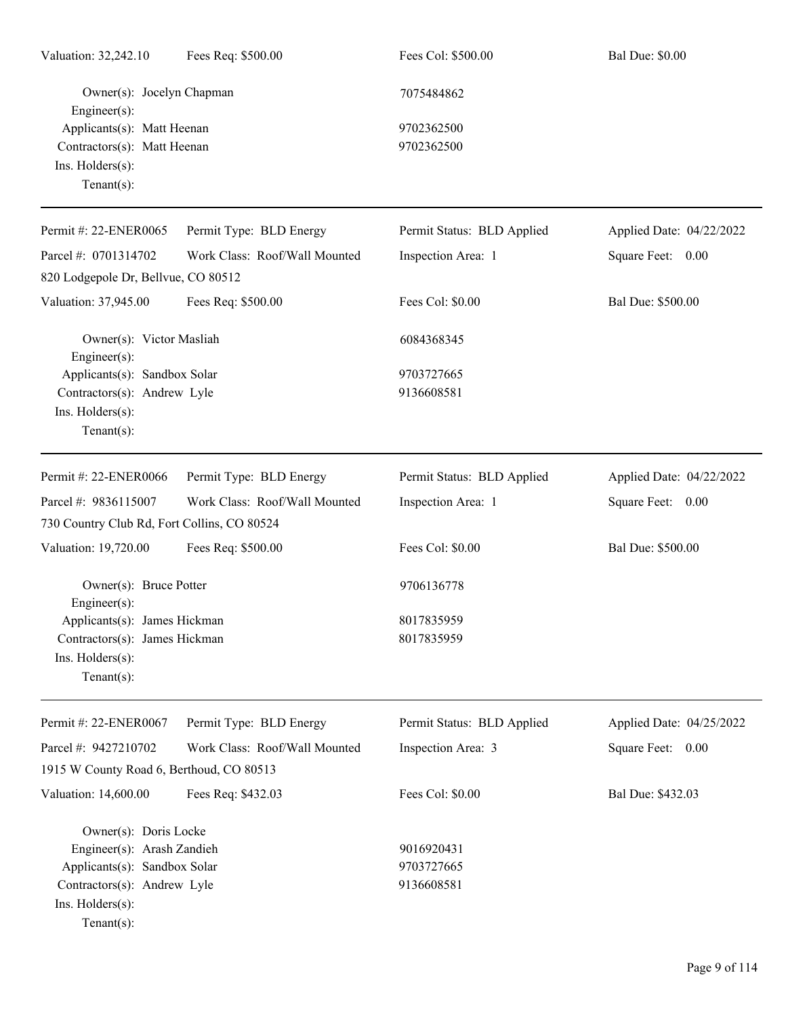| Valuation: 32,242.10                                                                                                                                    | Fees Req: \$500.00            | Fees Col: \$500.00                     | <b>Bal Due: \$0.00</b>   |
|---------------------------------------------------------------------------------------------------------------------------------------------------------|-------------------------------|----------------------------------------|--------------------------|
| Owner(s): Jocelyn Chapman<br>Engineer(s):                                                                                                               |                               | 7075484862                             |                          |
| Applicants(s): Matt Heenan<br>Contractors(s): Matt Heenan<br>Ins. Holders(s):<br>$Tenant(s)$ :                                                          |                               | 9702362500<br>9702362500               |                          |
| Permit #: 22-ENER0065                                                                                                                                   | Permit Type: BLD Energy       | Permit Status: BLD Applied             | Applied Date: 04/22/2022 |
| Parcel #: 0701314702                                                                                                                                    | Work Class: Roof/Wall Mounted | Inspection Area: 1                     | Square Feet: 0.00        |
| 820 Lodgepole Dr, Bellvue, CO 80512                                                                                                                     |                               |                                        |                          |
| Valuation: 37,945.00                                                                                                                                    | Fees Req: \$500.00            | Fees Col: \$0.00                       | Bal Due: \$500.00        |
| Owner(s): Victor Masliah<br>Engineer(s):                                                                                                                |                               | 6084368345                             |                          |
| Applicants(s): Sandbox Solar<br>Contractors(s): Andrew Lyle<br>Ins. Holders(s):<br>$Tenant(s)$ :                                                        |                               | 9703727665<br>9136608581               |                          |
| Permit #: 22-ENER0066                                                                                                                                   | Permit Type: BLD Energy       | Permit Status: BLD Applied             | Applied Date: 04/22/2022 |
| Parcel #: 9836115007<br>730 Country Club Rd, Fort Collins, CO 80524                                                                                     | Work Class: Roof/Wall Mounted | Inspection Area: 1                     | Square Feet: 0.00        |
| Valuation: 19,720.00                                                                                                                                    | Fees Req: \$500.00            | Fees Col: \$0.00                       | Bal Due: \$500.00        |
| Owner(s): Bruce Potter<br>Engineer(s):                                                                                                                  |                               | 9706136778                             |                          |
| Applicants(s): James Hickman<br>Contractors(s): James Hickman<br>Ins. Holders(s):<br>$Tenant(s)$ :                                                      |                               | 8017835959<br>8017835959               |                          |
| Permit #: 22-ENER0067                                                                                                                                   | Permit Type: BLD Energy       | Permit Status: BLD Applied             | Applied Date: 04/25/2022 |
| Parcel #: 9427210702                                                                                                                                    | Work Class: Roof/Wall Mounted | Inspection Area: 3                     | Square Feet: 0.00        |
| 1915 W County Road 6, Berthoud, CO 80513                                                                                                                |                               |                                        |                          |
| Valuation: 14,600.00                                                                                                                                    | Fees Req: \$432.03            | Fees Col: \$0.00                       | Bal Due: \$432.03        |
| Owner(s): Doris Locke<br>Engineer(s): Arash Zandieh<br>Applicants(s): Sandbox Solar<br>Contractors(s): Andrew Lyle<br>Ins. Holders(s):<br>$Tenant(s)$ : |                               | 9016920431<br>9703727665<br>9136608581 |                          |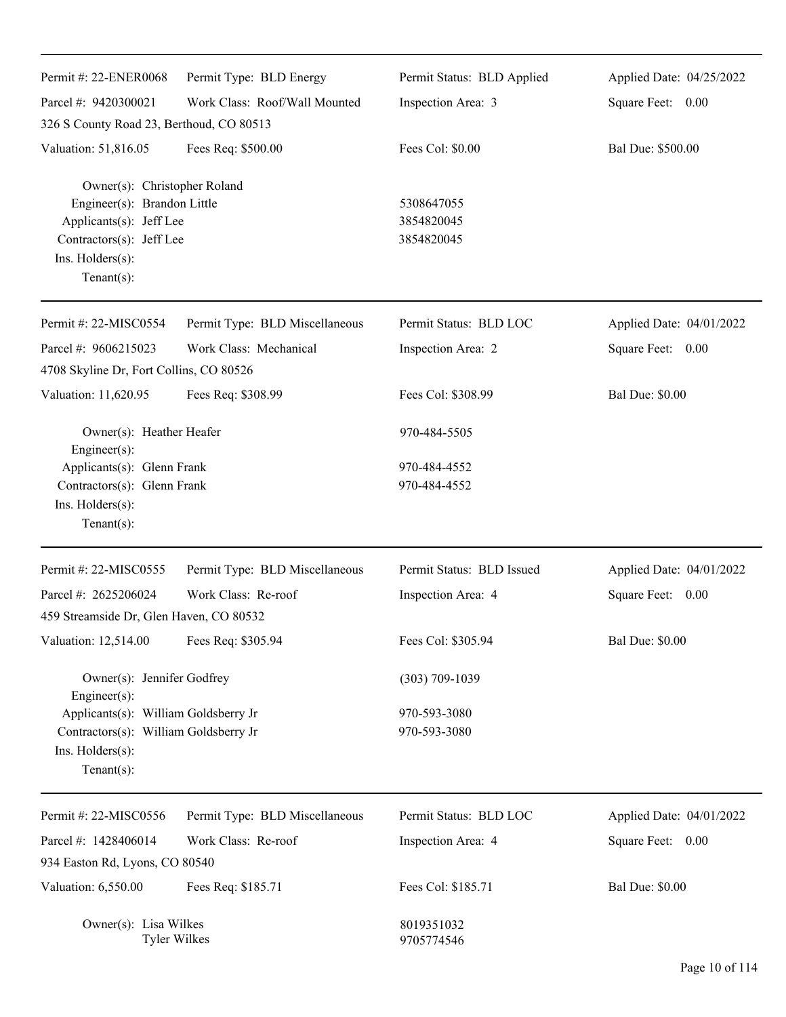| Permit #: 22-ENER0068                                                                                                                                    | Permit Type: BLD Energy        | Permit Status: BLD Applied             | Applied Date: 04/25/2022 |
|----------------------------------------------------------------------------------------------------------------------------------------------------------|--------------------------------|----------------------------------------|--------------------------|
| Parcel #: 9420300021                                                                                                                                     | Work Class: Roof/Wall Mounted  | Inspection Area: 3                     | Square Feet: 0.00        |
| 326 S County Road 23, Berthoud, CO 80513                                                                                                                 |                                |                                        |                          |
| Valuation: 51,816.05                                                                                                                                     | Fees Req: \$500.00             | Fees Col: \$0.00                       | Bal Due: \$500.00        |
| Owner(s): Christopher Roland<br>Engineer(s): Brandon Little<br>Applicants(s): Jeff Lee<br>Contractors(s): Jeff Lee<br>Ins. Holders(s):<br>Tenant $(s)$ : |                                | 5308647055<br>3854820045<br>3854820045 |                          |
| Permit #: 22-MISC0554                                                                                                                                    | Permit Type: BLD Miscellaneous | Permit Status: BLD LOC                 | Applied Date: 04/01/2022 |
| Parcel #: 9606215023                                                                                                                                     | Work Class: Mechanical         | Inspection Area: 2                     | Square Feet: 0.00        |
| 4708 Skyline Dr, Fort Collins, CO 80526                                                                                                                  |                                |                                        |                          |
| Valuation: 11,620.95                                                                                                                                     | Fees Req: \$308.99             | Fees Col: \$308.99                     | <b>Bal Due: \$0.00</b>   |
| Owner(s): Heather Heafer<br>Engineer(s):                                                                                                                 |                                | 970-484-5505                           |                          |
| Applicants(s): Glenn Frank                                                                                                                               |                                | 970-484-4552                           |                          |
| Contractors(s): Glenn Frank<br>Ins. Holders(s):<br>$Tenant(s)$ :                                                                                         |                                | 970-484-4552                           |                          |
| Permit #: 22-MISC0555                                                                                                                                    | Permit Type: BLD Miscellaneous | Permit Status: BLD Issued              | Applied Date: 04/01/2022 |
| Parcel #: 2625206024                                                                                                                                     | Work Class: Re-roof            | Inspection Area: 4                     | Square Feet: 0.00        |
| 459 Streamside Dr, Glen Haven, CO 80532                                                                                                                  |                                |                                        |                          |
| Valuation: 12,514.00                                                                                                                                     | Fees Req: \$305.94             | Fees Col: \$305.94                     | <b>Bal Due: \$0.00</b>   |
| Owner(s): Jennifer Godfrey<br>Engineer(s):                                                                                                               |                                | $(303)$ 709-1039                       |                          |
| Applicants(s): William Goldsberry Jr                                                                                                                     |                                | 970-593-3080                           |                          |
| Contractors(s): William Goldsberry Jr<br>Ins. Holders(s):<br>Tenant $(s)$ :                                                                              |                                | 970-593-3080                           |                          |
| Permit #: 22-MISC0556                                                                                                                                    | Permit Type: BLD Miscellaneous | Permit Status: BLD LOC                 | Applied Date: 04/01/2022 |
| Parcel #: 1428406014                                                                                                                                     | Work Class: Re-roof            | Inspection Area: 4                     | Square Feet: 0.00        |
| 934 Easton Rd, Lyons, CO 80540                                                                                                                           |                                |                                        |                          |
| Valuation: 6,550.00                                                                                                                                      | Fees Req: \$185.71             | Fees Col: \$185.71                     | <b>Bal Due: \$0.00</b>   |
| Owner(s): Lisa Wilkes<br><b>Tyler Wilkes</b>                                                                                                             |                                | 8019351032<br>9705774546               |                          |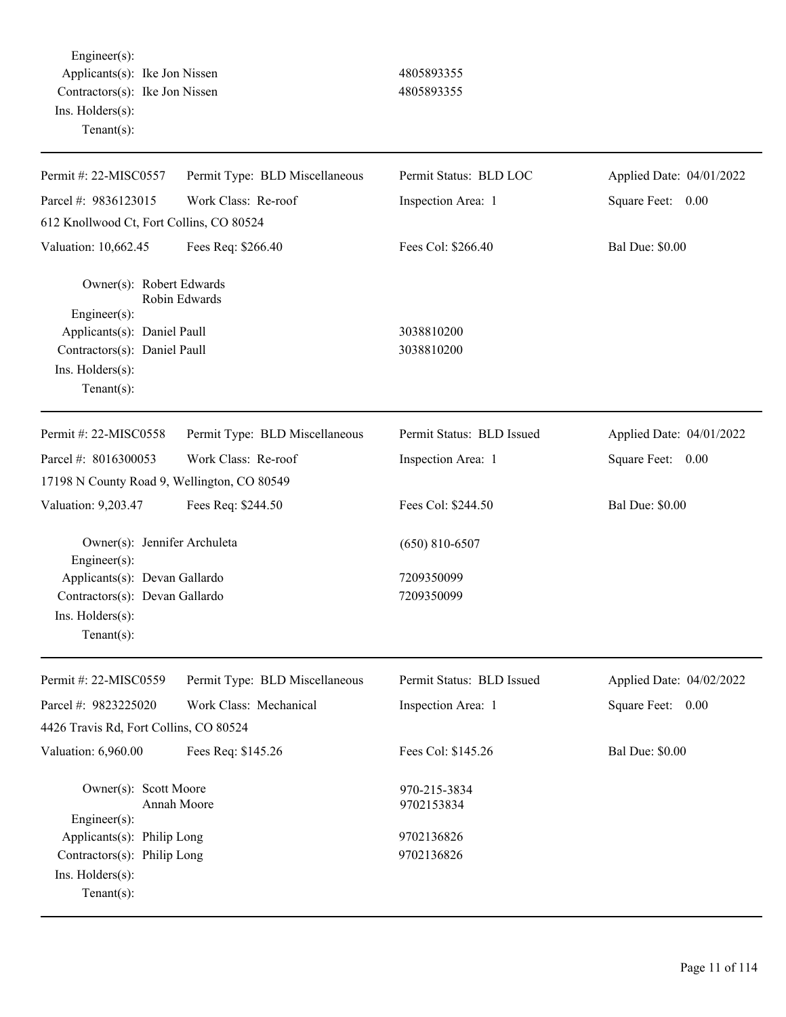Engineer(s): Applicants(s): Ike Jon Nissen 4805893355 Contractors(s): Ike Jon Nissen 4805893355 Ins. Holders(s): Tenant(s):

| Permit #: 22-MISC0557                            | Permit Type: BLD Miscellaneous | Permit Status: BLD LOC    | Applied Date: 04/01/2022 |
|--------------------------------------------------|--------------------------------|---------------------------|--------------------------|
| Parcel #: 9836123015                             | Work Class: Re-roof            | Inspection Area: 1        | Square Feet:<br>0.00     |
| 612 Knollwood Ct, Fort Collins, CO 80524         |                                |                           |                          |
| Valuation: 10,662.45                             | Fees Req: \$266.40             | Fees Col: \$266.40        | <b>Bal Due: \$0.00</b>   |
| Owner(s): Robert Edwards<br>$Engineering(s)$ :   | Robin Edwards                  |                           |                          |
| Applicants(s): Daniel Paull                      |                                | 3038810200                |                          |
| Contractors(s): Daniel Paull                     |                                | 3038810200                |                          |
| Ins. Holders(s):<br>Tenant $(s)$ :               |                                |                           |                          |
|                                                  |                                |                           |                          |
| Permit #: 22-MISC0558                            | Permit Type: BLD Miscellaneous | Permit Status: BLD Issued | Applied Date: 04/01/2022 |
| Parcel #: 8016300053                             | Work Class: Re-roof            | Inspection Area: 1        | Square Feet: 0.00        |
| 17198 N County Road 9, Wellington, CO 80549      |                                |                           |                          |
| Valuation: 9,203.47                              | Fees Req: \$244.50             | Fees Col: \$244.50        | <b>Bal Due: \$0.00</b>   |
| Owner(s): Jennifer Archuleta<br>Engineer(s):     |                                | $(650)$ 810-6507          |                          |
| Applicants(s): Devan Gallardo                    |                                | 7209350099                |                          |
| Contractors(s): Devan Gallardo                   |                                | 7209350099                |                          |
| Ins. Holders(s):                                 |                                |                           |                          |
| $Tenant(s)$ :                                    |                                |                           |                          |
| Permit #: 22-MISC0559                            | Permit Type: BLD Miscellaneous | Permit Status: BLD Issued | Applied Date: 04/02/2022 |
| Parcel #: 9823225020                             | Work Class: Mechanical         | Inspection Area: 1        | Square Feet:<br>0.00     |
| 4426 Travis Rd, Fort Collins, CO 80524           |                                |                           |                          |
| Valuation: 6,960.00                              | Fees Req: \$145.26             | Fees Col: \$145.26        | <b>Bal Due: \$0.00</b>   |
| Owner(s): Scott Moore                            |                                | 970-215-3834              |                          |
|                                                  | Annah Moore                    | 9702153834                |                          |
| $Engineering(s)$ :<br>Applicants(s): Philip Long |                                | 9702136826                |                          |
| Contractors(s): Philip Long                      |                                | 9702136826                |                          |
| Ins. Holders(s):                                 |                                |                           |                          |
| Tenant $(s)$ :                                   |                                |                           |                          |
|                                                  |                                |                           |                          |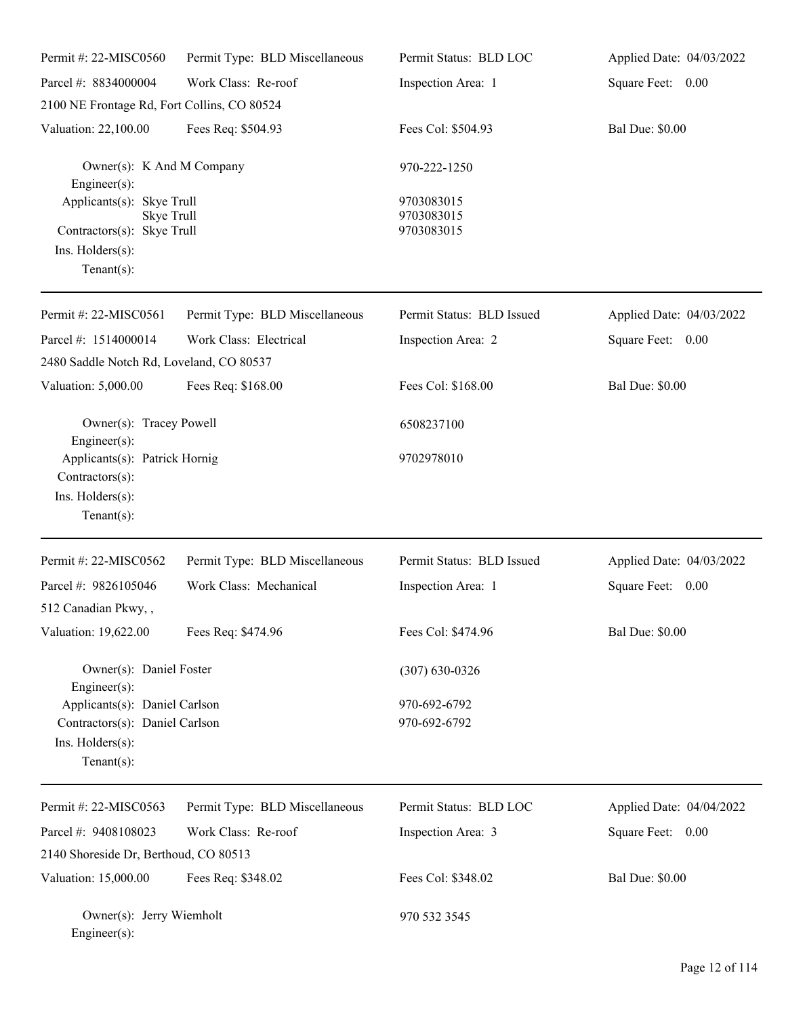| Permit #: 22-MISC0560                                                                                       | Permit Type: BLD Miscellaneous | Permit Status: BLD LOC                 | Applied Date: 04/03/2022 |
|-------------------------------------------------------------------------------------------------------------|--------------------------------|----------------------------------------|--------------------------|
| Parcel #: 8834000004                                                                                        | Work Class: Re-roof            | Inspection Area: 1                     | Square Feet: 0.00        |
| 2100 NE Frontage Rd, Fort Collins, CO 80524                                                                 |                                |                                        |                          |
| Valuation: 22,100.00                                                                                        | Fees Req: \$504.93             | Fees Col: \$504.93                     | <b>Bal Due: \$0.00</b>   |
| Owner(s): K And M Company<br>Engineer(s):                                                                   |                                | 970-222-1250                           |                          |
| Applicants(s): Skye Trull<br>Skye Trull<br>Contractors(s): Skye Trull<br>Ins. Holders(s):<br>Tenant $(s)$ : |                                | 9703083015<br>9703083015<br>9703083015 |                          |
| Permit #: 22-MISC0561                                                                                       | Permit Type: BLD Miscellaneous | Permit Status: BLD Issued              | Applied Date: 04/03/2022 |
| Parcel #: 1514000014                                                                                        | Work Class: Electrical         | Inspection Area: 2                     | Square Feet: 0.00        |
| 2480 Saddle Notch Rd, Loveland, CO 80537                                                                    |                                |                                        |                          |
| Valuation: 5,000.00                                                                                         | Fees Req: \$168.00             | Fees Col: \$168.00                     | <b>Bal Due: \$0.00</b>   |
| Owner(s): Tracey Powell<br>Engineer $(s)$ :                                                                 |                                | 6508237100                             |                          |
| Applicants(s): Patrick Hornig<br>Contractors(s):<br>Ins. Holders(s):<br>Tenant $(s)$ :                      |                                | 9702978010                             |                          |
| Permit #: 22-MISC0562                                                                                       | Permit Type: BLD Miscellaneous | Permit Status: BLD Issued              | Applied Date: 04/03/2022 |
| Parcel #: 9826105046<br>512 Canadian Pkwy,,                                                                 | Work Class: Mechanical         | Inspection Area: 1                     | Square Feet: 0.00        |
| Valuation: 19,622.00                                                                                        | Fees Req: \$474.96             | Fees Col: \$474.96                     | <b>Bal Due: \$0.00</b>   |
| Owner(s): Daniel Foster<br>$Engineering(s)$ :                                                               |                                | $(307) 630 - 0326$                     |                          |
| Applicants(s): Daniel Carlson<br>Contractors(s): Daniel Carlson<br>Ins. Holders(s):<br>Tenant $(s)$ :       |                                | 970-692-6792<br>970-692-6792           |                          |
| Permit #: 22-MISC0563                                                                                       | Permit Type: BLD Miscellaneous | Permit Status: BLD LOC                 | Applied Date: 04/04/2022 |
| Parcel #: 9408108023                                                                                        | Work Class: Re-roof            | Inspection Area: 3                     | Square Feet: 0.00        |
| 2140 Shoreside Dr, Berthoud, CO 80513                                                                       |                                |                                        |                          |
| Valuation: 15,000.00                                                                                        | Fees Req: \$348.02             | Fees Col: \$348.02                     | <b>Bal Due: \$0.00</b>   |
| Owner(s): Jerry Wiemholt<br>$Engineer(s)$ :                                                                 |                                | 970 532 3545                           |                          |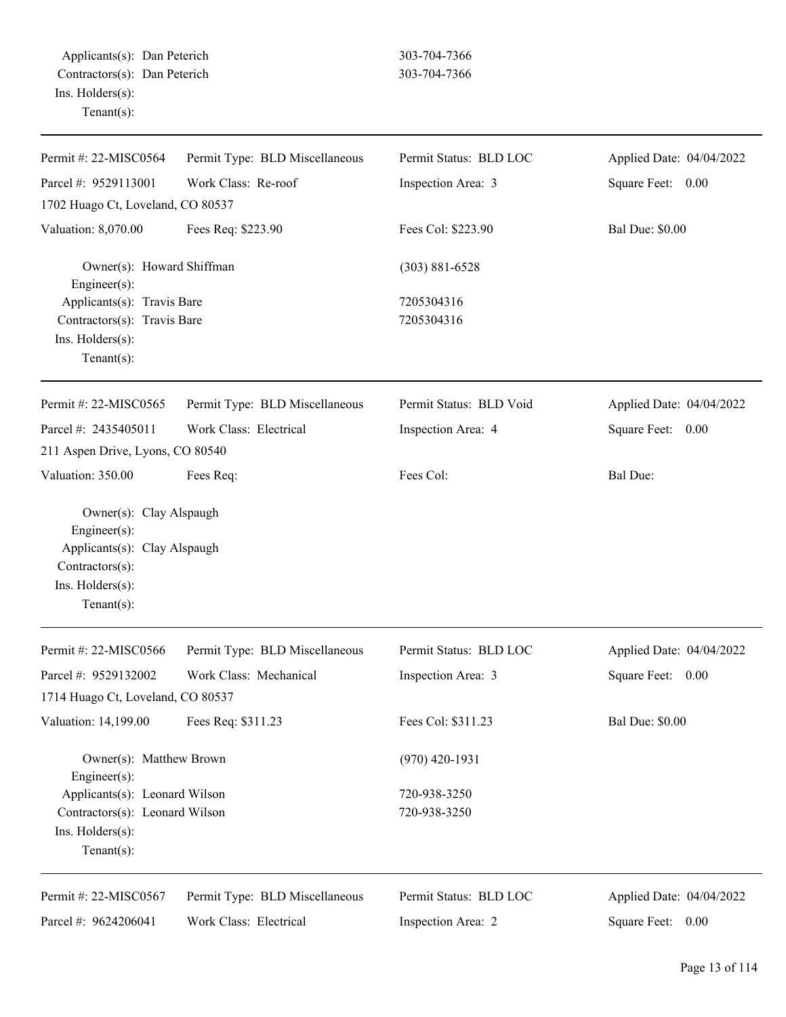| Permit #: 22-MISC0564                                                                                                           | Permit Type: BLD Miscellaneous | Permit Status: BLD LOC   | Applied Date: 04/04/2022 |
|---------------------------------------------------------------------------------------------------------------------------------|--------------------------------|--------------------------|--------------------------|
| Parcel #: 9529113001                                                                                                            | Work Class: Re-roof            | Inspection Area: 3       | Square Feet: 0.00        |
| 1702 Huago Ct, Loveland, CO 80537                                                                                               |                                |                          |                          |
| Valuation: 8,070.00                                                                                                             | Fees Req: \$223.90             | Fees Col: \$223.90       | <b>Bal Due: \$0.00</b>   |
| Owner(s): Howard Shiffman<br>Engineer $(s)$ :                                                                                   |                                | $(303) 881 - 6528$       |                          |
| Applicants(s): Travis Bare<br>Contractors(s): Travis Bare<br>Ins. Holders(s):<br>Tenant $(s)$ :                                 |                                | 7205304316<br>7205304316 |                          |
| Permit #: 22-MISC0565                                                                                                           | Permit Type: BLD Miscellaneous | Permit Status: BLD Void  | Applied Date: 04/04/2022 |
| Parcel #: 2435405011                                                                                                            | Work Class: Electrical         | Inspection Area: 4       | Square Feet: 0.00        |
| 211 Aspen Drive, Lyons, CO 80540                                                                                                |                                |                          |                          |
| Valuation: 350.00                                                                                                               | Fees Req:                      | Fees Col:                | <b>Bal Due:</b>          |
| Owner(s): Clay Alspaugh<br>Engineer(s):<br>Applicants(s): Clay Alspaugh<br>Contractors(s):<br>Ins. Holders(s):<br>$Tenant(s)$ : |                                |                          |                          |
| Permit #: 22-MISC0566                                                                                                           | Permit Type: BLD Miscellaneous | Permit Status: BLD LOC   | Applied Date: 04/04/2022 |
| Parcel #: 9529132002                                                                                                            | Work Class: Mechanical         | Inspection Area: 3       | Square Feet: 0.00        |
| 1714 Huago Ct, Loveland, CO 80537                                                                                               |                                |                          |                          |
| Valuation: 14,199.00                                                                                                            | Fees Req: \$311.23             | Fees Col: \$311.23       | <b>Bal Due: \$0.00</b>   |
| Owner(s): Matthew Brown<br>Engineer(s):                                                                                         |                                | $(970)$ 420-1931         |                          |
| Applicants(s): Leonard Wilson                                                                                                   |                                | 720-938-3250             |                          |
| Contractors(s): Leonard Wilson<br>Ins. Holders(s):<br>$Tenant(s)$ :                                                             |                                | 720-938-3250             |                          |
| Permit #: 22-MISC0567                                                                                                           | Permit Type: BLD Miscellaneous | Permit Status: BLD LOC   | Applied Date: 04/04/2022 |
| Parcel #: 9624206041                                                                                                            | Work Class: Electrical         | Inspection Area: 2       | Square Feet: 0.00        |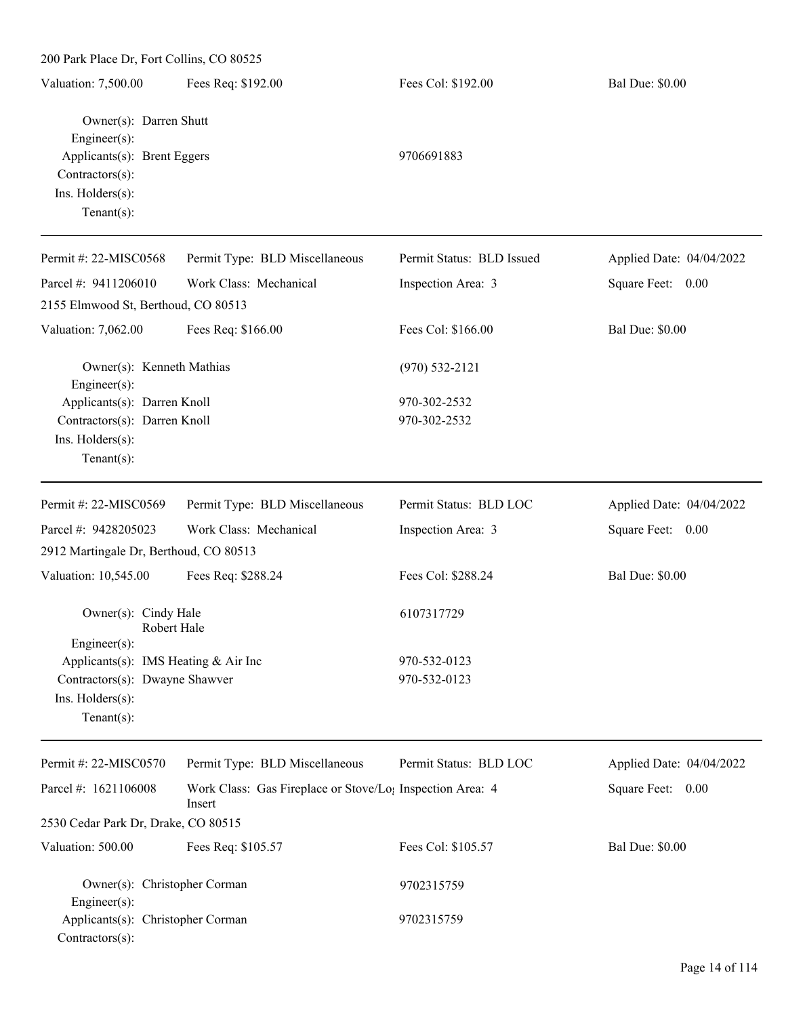| 200 Park Place Dr, Fort Collins, CO 80525                                                                                      |                                                                                 |                              |                          |
|--------------------------------------------------------------------------------------------------------------------------------|---------------------------------------------------------------------------------|------------------------------|--------------------------|
| Valuation: 7,500.00                                                                                                            | Fees Req: \$192.00                                                              | Fees Col: \$192.00           | <b>Bal Due: \$0.00</b>   |
| Owner(s): Darren Shutt<br>Engineer(s):<br>Applicants(s): Brent Eggers<br>Contractors(s):<br>Ins. Holders(s):<br>Tenant $(s)$ : |                                                                                 | 9706691883                   |                          |
| Permit #: 22-MISC0568                                                                                                          | Permit Type: BLD Miscellaneous                                                  | Permit Status: BLD Issued    | Applied Date: 04/04/2022 |
| Parcel #: 9411206010                                                                                                           | Work Class: Mechanical                                                          | Inspection Area: 3           | Square Feet: 0.00        |
| 2155 Elmwood St, Berthoud, CO 80513                                                                                            |                                                                                 |                              |                          |
| Valuation: 7,062.00                                                                                                            | Fees Req: \$166.00                                                              | Fees Col: \$166.00           | <b>Bal Due: \$0.00</b>   |
| Owner(s): Kenneth Mathias<br>Engineer(s):                                                                                      |                                                                                 | $(970)$ 532-2121             |                          |
| Applicants(s): Darren Knoll<br>Contractors(s): Darren Knoll<br>Ins. Holders(s):<br>$Tenant(s)$ :                               |                                                                                 | 970-302-2532<br>970-302-2532 |                          |
| Permit #: 22-MISC0569                                                                                                          | Permit Type: BLD Miscellaneous                                                  | Permit Status: BLD LOC       | Applied Date: 04/04/2022 |
| Parcel #: 9428205023                                                                                                           | Work Class: Mechanical                                                          | Inspection Area: 3           | Square Feet: 0.00        |
| 2912 Martingale Dr, Berthoud, CO 80513                                                                                         |                                                                                 |                              |                          |
| Valuation: 10,545.00                                                                                                           | Fees Req: \$288.24                                                              | Fees Col: \$288.24           | <b>Bal Due: \$0.00</b>   |
| Owner(s): Cindy Hale<br>Robert Hale                                                                                            |                                                                                 | 6107317729                   |                          |
| Engineer(s):<br>Applicants(s): IMS Heating & Air Inc<br>Contractors(s): Dwayne Shawver<br>Ins. Holders(s):<br>Tenant $(s)$ :   |                                                                                 | 970-532-0123<br>970-532-0123 |                          |
| Permit #: 22-MISC0570                                                                                                          | Permit Type: BLD Miscellaneous                                                  | Permit Status: BLD LOC       | Applied Date: 04/04/2022 |
| Parcel #: 1621106008                                                                                                           | Work Class: Gas Fireplace or Stove/Lo <sub>1</sub> Inspection Area: 4<br>Insert |                              | Square Feet: 0.00        |
| 2530 Cedar Park Dr, Drake, CO 80515                                                                                            |                                                                                 |                              |                          |
| Valuation: 500.00                                                                                                              | Fees Req: \$105.57                                                              | Fees Col: \$105.57           | <b>Bal Due: \$0.00</b>   |
| Owner(s): Christopher Corman<br>Engineer(s):                                                                                   |                                                                                 | 9702315759<br>9702315759     |                          |
| Applicants(s): Christopher Corman<br>Contractors(s):                                                                           |                                                                                 |                              |                          |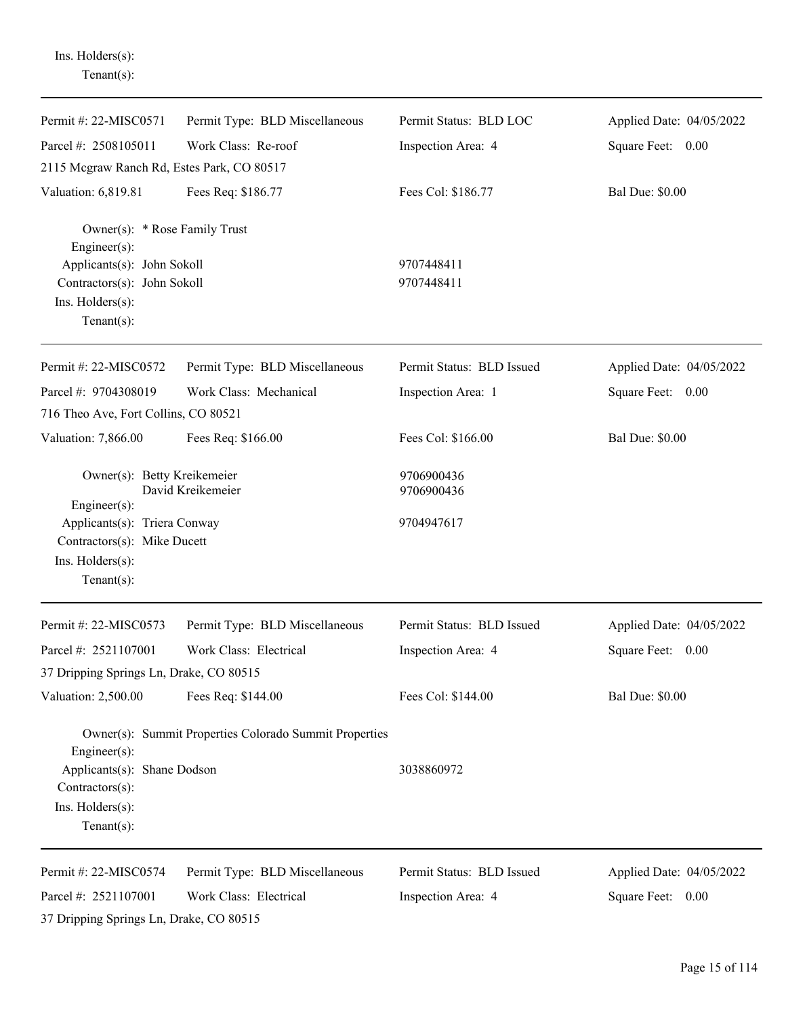| $Tenant(s)$ :                                                                                                                                         |                                                        |                           |                          |
|-------------------------------------------------------------------------------------------------------------------------------------------------------|--------------------------------------------------------|---------------------------|--------------------------|
| Permit #: 22-MISC0571                                                                                                                                 | Permit Type: BLD Miscellaneous                         | Permit Status: BLD LOC    | Applied Date: 04/05/2022 |
| Parcel #: 2508105011                                                                                                                                  | Work Class: Re-roof                                    | Inspection Area: 4        | Square Feet: 0.00        |
| 2115 Mcgraw Ranch Rd, Estes Park, CO 80517                                                                                                            |                                                        |                           |                          |
| Valuation: 6,819.81                                                                                                                                   | Fees Req: \$186.77                                     | Fees Col: \$186.77        | <b>Bal Due: \$0.00</b>   |
| Owner(s): * Rose Family Trust<br>$Engineering(s)$ :<br>Applicants(s): John Sokoll<br>Contractors(s): John Sokoll<br>Ins. Holders(s):<br>$Tenant(s)$ : |                                                        | 9707448411<br>9707448411  |                          |
| Permit #: 22-MISC0572                                                                                                                                 | Permit Type: BLD Miscellaneous                         | Permit Status: BLD Issued | Applied Date: 04/05/2022 |
| Parcel #: 9704308019                                                                                                                                  | Work Class: Mechanical                                 | Inspection Area: 1        | Square Feet: 0.00        |
| 716 Theo Ave, Fort Collins, CO 80521                                                                                                                  |                                                        |                           |                          |
| Valuation: 7,866.00                                                                                                                                   | Fees Req: \$166.00                                     | Fees Col: \$166.00        | <b>Bal Due: \$0.00</b>   |
| Owner(s): Betty Kreikemeier<br>Engineer(s):                                                                                                           | David Kreikemeier                                      | 9706900436<br>9706900436  |                          |
| Applicants(s): Triera Conway<br>Contractors(s): Mike Ducett<br>Ins. Holders(s):<br>$Tenant(s)$ :                                                      |                                                        | 9704947617                |                          |
| Permit #: 22-MISC0573                                                                                                                                 | Permit Type: BLD Miscellaneous                         | Permit Status: BLD Issued | Applied Date: 04/05/2022 |
| Parcel #: 2521107001                                                                                                                                  | Work Class: Electrical                                 | Inspection Area: 4        | Square Feet: 0.00        |
| 37 Dripping Springs Ln, Drake, CO 80515                                                                                                               |                                                        |                           |                          |
| Valuation: 2,500.00                                                                                                                                   | Fees Req: \$144.00                                     | Fees Col: \$144.00        | <b>Bal Due: \$0.00</b>   |
| Engineer(s):<br>Applicants(s): Shane Dodson<br>Contractors(s):<br>Ins. Holders(s):<br>Tenant $(s)$ :                                                  | Owner(s): Summit Properties Colorado Summit Properties | 3038860972                |                          |
| Permit #: 22-MISC0574                                                                                                                                 | Permit Type: BLD Miscellaneous                         | Permit Status: BLD Issued | Applied Date: 04/05/2022 |
| Parcel #: 2521107001                                                                                                                                  | Work Class: Electrical                                 | Inspection Area: 4        | Square Feet: 0.00        |
| 37 Dripping Springs Ln, Drake, CO 80515                                                                                                               |                                                        |                           |                          |

Ins. Holders(s):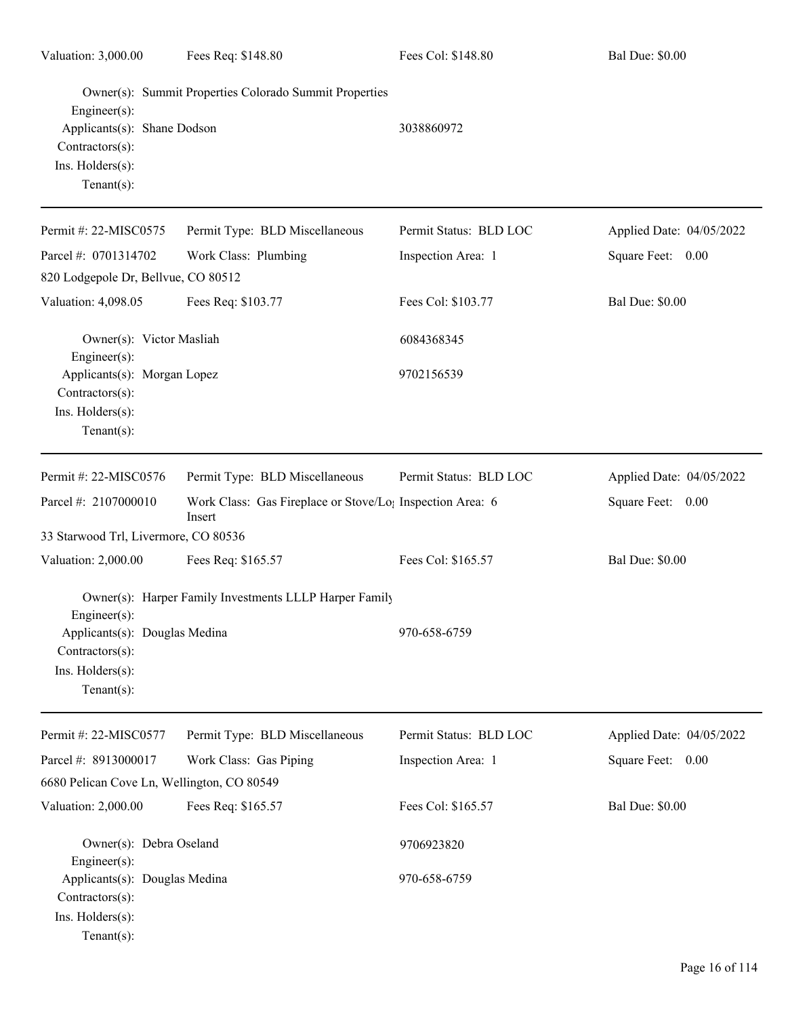| Engineer(s):<br>Applicants(s): Shane Dodson<br>Contractors(s):<br>Ins. Holders(s):<br>Tenant $(s)$ :   | Owner(s): Summit Properties Colorado Summit Properties                          | 3038860972             |                          |
|--------------------------------------------------------------------------------------------------------|---------------------------------------------------------------------------------|------------------------|--------------------------|
| Permit #: 22-MISC0575                                                                                  | Permit Type: BLD Miscellaneous                                                  | Permit Status: BLD LOC | Applied Date: 04/05/2022 |
| Parcel #: 0701314702                                                                                   | Work Class: Plumbing                                                            | Inspection Area: 1     | Square Feet: 0.00        |
| 820 Lodgepole Dr, Bellvue, CO 80512                                                                    |                                                                                 |                        |                          |
| Valuation: 4,098.05                                                                                    | Fees Req: \$103.77                                                              | Fees Col: \$103.77     | <b>Bal Due: \$0.00</b>   |
| Owner(s): Victor Masliah<br>Engineer(s):                                                               |                                                                                 | 6084368345             |                          |
| Applicants(s): Morgan Lopez<br>Contractors(s):<br>Ins. Holders(s):<br>Tenant $(s)$ :                   |                                                                                 | 9702156539             |                          |
| Permit #: 22-MISC0576                                                                                  | Permit Type: BLD Miscellaneous                                                  | Permit Status: BLD LOC | Applied Date: 04/05/2022 |
| Parcel #: 2107000010                                                                                   | Work Class: Gas Fireplace or Stove/Lo <sub>1</sub> Inspection Area: 6<br>Insert |                        | Square Feet: 0.00        |
| 33 Starwood Trl, Livermore, CO 80536                                                                   |                                                                                 |                        |                          |
| Valuation: 2,000.00                                                                                    | Fees Req: \$165.57                                                              | Fees Col: \$165.57     | <b>Bal Due: \$0.00</b>   |
| Engineer(s):<br>Applicants(s): Douglas Medina<br>Contractors(s):<br>Ins. Holders(s):<br>Tenant $(s)$ : | Owner(s): Harper Family Investments LLLP Harper Family                          | 970-658-6759           |                          |
| Permit #: 22-MISC0577                                                                                  | Permit Type: BLD Miscellaneous                                                  | Permit Status: BLD LOC | Applied Date: 04/05/2022 |
| Parcel #: 8913000017                                                                                   | Work Class: Gas Piping                                                          | Inspection Area: 1     | Square Feet: 0.00        |
| 6680 Pelican Cove Ln, Wellington, CO 80549                                                             |                                                                                 |                        |                          |
| Valuation: 2,000.00                                                                                    | Fees Req: \$165.57                                                              | Fees Col: \$165.57     | <b>Bal Due: \$0.00</b>   |
| Owner(s): Debra Oseland<br>Engineer(s):                                                                |                                                                                 | 9706923820             |                          |
| Applicants(s): Douglas Medina<br>Contractors(s):<br>Ins. Holders(s):<br>Tenant $(s)$ :                 |                                                                                 | 970-658-6759           |                          |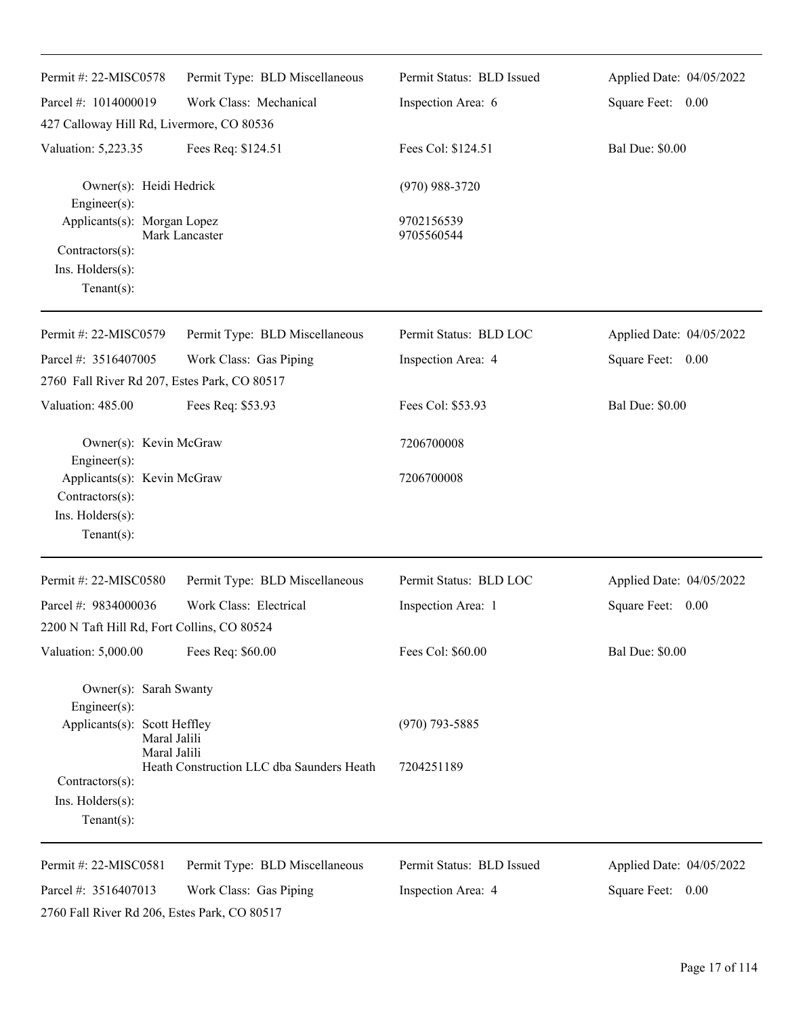| Permit #: 22-MISC0578                        | Permit Type: BLD Miscellaneous                            | Permit Status: BLD Issued | Applied Date: 04/05/2022 |
|----------------------------------------------|-----------------------------------------------------------|---------------------------|--------------------------|
| Parcel #: 1014000019                         | Work Class: Mechanical                                    | Inspection Area: 6        | Square Feet: 0.00        |
| 427 Calloway Hill Rd, Livermore, CO 80536    |                                                           |                           |                          |
| Valuation: 5,223.35                          | Fees Req: \$124.51                                        | Fees Col: \$124.51        | <b>Bal Due: \$0.00</b>   |
| Owner(s): Heidi Hedrick<br>Engineer(s):      |                                                           | $(970)$ 988-3720          |                          |
| Applicants(s): Morgan Lopez                  | Mark Lancaster                                            | 9702156539<br>9705560544  |                          |
| Contractors(s):                              |                                                           |                           |                          |
| Ins. Holders(s):                             |                                                           |                           |                          |
| $Tenant(s)$ :                                |                                                           |                           |                          |
| Permit #: 22-MISC0579                        | Permit Type: BLD Miscellaneous                            | Permit Status: BLD LOC    | Applied Date: 04/05/2022 |
| Parcel #: 3516407005                         | Work Class: Gas Piping                                    | Inspection Area: 4        | Square Feet: 0.00        |
| 2760 Fall River Rd 207, Estes Park, CO 80517 |                                                           |                           |                          |
| Valuation: 485.00                            | Fees Req: \$53.93                                         | Fees Col: \$53.93         | <b>Bal Due: \$0.00</b>   |
| Owner(s): Kevin McGraw                       |                                                           | 7206700008                |                          |
| Engineer(s):<br>Applicants(s): Kevin McGraw  |                                                           | 7206700008                |                          |
| Contractors(s):                              |                                                           |                           |                          |
| Ins. Holders(s):                             |                                                           |                           |                          |
| $Tenant(s)$ :                                |                                                           |                           |                          |
| Permit #: 22-MISC0580                        | Permit Type: BLD Miscellaneous                            | Permit Status: BLD LOC    | Applied Date: 04/05/2022 |
| Parcel #: 9834000036                         | Work Class: Electrical                                    | Inspection Area: 1        | Square Feet:<br>0.00     |
| 2200 N Taft Hill Rd, Fort Collins, CO 80524  |                                                           |                           |                          |
| Valuation: 5,000.00                          | Fees Req: \$60.00                                         | Fees Col: \$60.00         | <b>Bal Due: \$0.00</b>   |
| Owner(s): Sarah Swanty                       |                                                           |                           |                          |
| Engineer(s):<br>Applicants(s): Scott Heffley |                                                           | $(970)$ 793-5885          |                          |
|                                              | Maral Jalili                                              |                           |                          |
|                                              | Maral Jalili<br>Heath Construction LLC dba Saunders Heath | 7204251189                |                          |
| Contractors(s):                              |                                                           |                           |                          |
| Ins. Holders(s):                             |                                                           |                           |                          |
| $Tenant(s)$ :                                |                                                           |                           |                          |
| Permit #: 22-MISC0581                        | Permit Type: BLD Miscellaneous                            | Permit Status: BLD Issued | Applied Date: 04/05/2022 |
| Parcel #: 3516407013                         | Work Class: Gas Piping                                    | Inspection Area: 4        | Square Feet: 0.00        |
| 2760 Fall River Rd 206, Estes Park, CO 80517 |                                                           |                           |                          |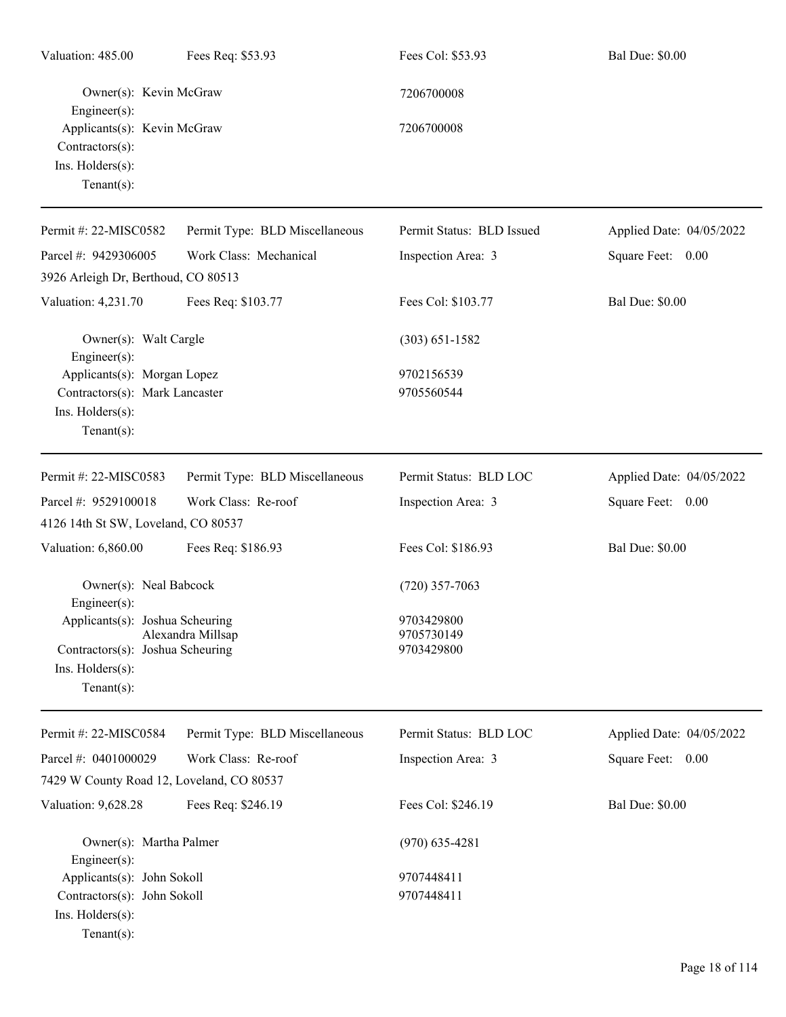| Valuation: 485.00                                                                                         | Fees Req: \$53.93              | Fees Col: \$53.93                      | <b>Bal Due: \$0.00</b>   |
|-----------------------------------------------------------------------------------------------------------|--------------------------------|----------------------------------------|--------------------------|
| Owner(s): Kevin McGraw<br>$Engineering(s)$ :                                                              |                                | 7206700008                             |                          |
| Applicants(s): Kevin McGraw<br>Contractors(s):<br>Ins. Holders(s):<br>$Tenant(s)$ :                       |                                | 7206700008                             |                          |
| Permit #: 22-MISC0582                                                                                     | Permit Type: BLD Miscellaneous | Permit Status: BLD Issued              | Applied Date: 04/05/2022 |
| Parcel #: 9429306005                                                                                      | Work Class: Mechanical         | Inspection Area: 3                     | Square Feet: 0.00        |
| 3926 Arleigh Dr, Berthoud, CO 80513                                                                       |                                |                                        |                          |
| Valuation: 4,231.70                                                                                       | Fees Req: \$103.77             | Fees Col: \$103.77                     | <b>Bal Due: \$0.00</b>   |
| Owner(s): Walt Cargle<br>Engineer $(s)$ :                                                                 |                                | $(303) 651 - 1582$                     |                          |
| Applicants(s): Morgan Lopez<br>Contractors(s): Mark Lancaster<br>Ins. Holders(s):<br>Tenant $(s)$ :       |                                | 9702156539<br>9705560544               |                          |
| Permit #: 22-MISC0583                                                                                     | Permit Type: BLD Miscellaneous | Permit Status: BLD LOC                 | Applied Date: 04/05/2022 |
| Parcel #: 9529100018                                                                                      | Work Class: Re-roof            | Inspection Area: 3                     | Square Feet: 0.00        |
| 4126 14th St SW, Loveland, CO 80537                                                                       |                                |                                        |                          |
| Valuation: 6,860.00                                                                                       | Fees Req: \$186.93             | Fees Col: \$186.93                     | <b>Bal Due: \$0.00</b>   |
| Owner(s): Neal Babcock<br>$Engineer(s)$ :                                                                 |                                | $(720)$ 357-7063                       |                          |
| Applicants(s): Joshua Scheuring<br>Contractors(s): Joshua Scheuring<br>Ins. Holders(s):<br>Tenant $(s)$ : | Alexandra Millsap              | 9703429800<br>9705730149<br>9703429800 |                          |
| Permit #: 22-MISC0584                                                                                     | Permit Type: BLD Miscellaneous | Permit Status: BLD LOC                 | Applied Date: 04/05/2022 |
| Parcel #: 0401000029                                                                                      | Work Class: Re-roof            | Inspection Area: 3                     | Square Feet: 0.00        |
| 7429 W County Road 12, Loveland, CO 80537                                                                 |                                |                                        |                          |
| Valuation: 9,628.28                                                                                       | Fees Req: \$246.19             | Fees Col: \$246.19                     | <b>Bal Due: \$0.00</b>   |
| Owner(s): Martha Palmer<br>$Engineering(s)$ :                                                             |                                | $(970)$ 635-4281                       |                          |
| Applicants(s): John Sokoll                                                                                |                                | 9707448411                             |                          |
| Contractors(s): John Sokoll<br>Ins. Holders(s):<br>Tenant $(s)$ :                                         |                                | 9707448411                             |                          |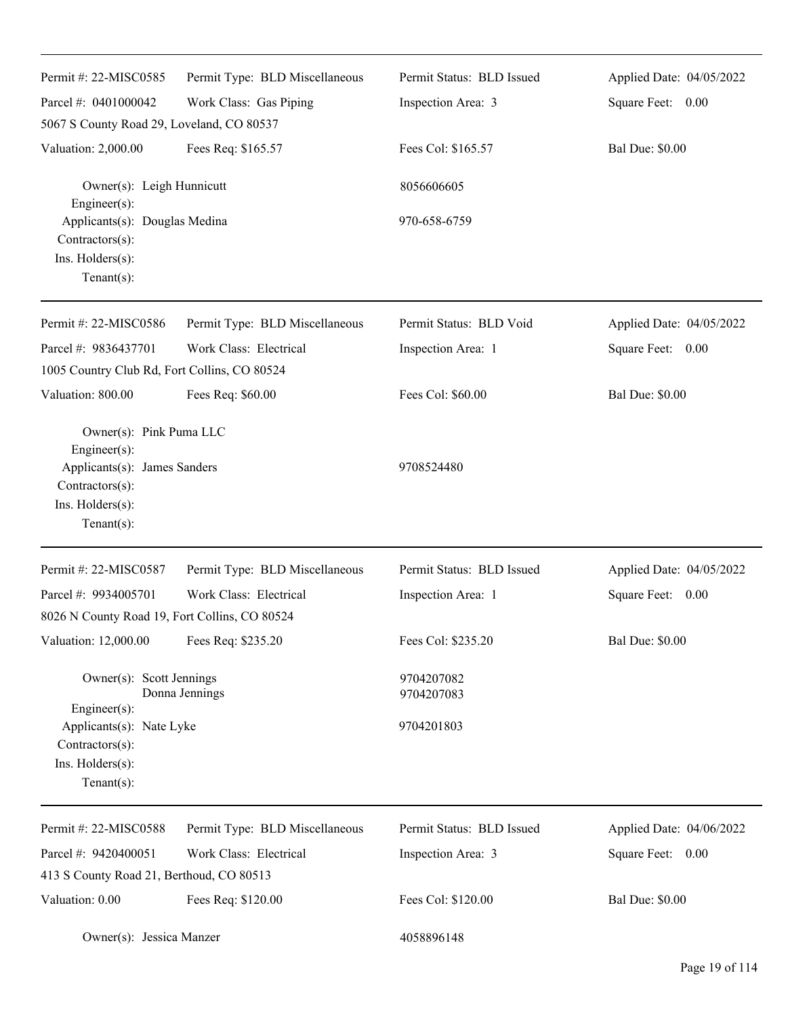| Permit #: 22-MISC0585                                                                                                           | Permit Type: BLD Miscellaneous | Permit Status: BLD Issued | Applied Date: 04/05/2022 |
|---------------------------------------------------------------------------------------------------------------------------------|--------------------------------|---------------------------|--------------------------|
| Parcel #: 0401000042                                                                                                            | Work Class: Gas Piping         | Inspection Area: 3        | Square Feet: 0.00        |
| 5067 S County Road 29, Loveland, CO 80537                                                                                       |                                |                           |                          |
| Valuation: 2,000.00                                                                                                             | Fees Req: \$165.57             | Fees Col: \$165.57        | <b>Bal Due: \$0.00</b>   |
| Owner(s): Leigh Hunnicutt<br>Engineer(s):                                                                                       |                                | 8056606605                |                          |
| Applicants(s): Douglas Medina<br>Contractors(s):<br>Ins. Holders(s):<br>Tenant $(s)$ :                                          |                                | 970-658-6759              |                          |
| Permit #: 22-MISC0586                                                                                                           | Permit Type: BLD Miscellaneous | Permit Status: BLD Void   | Applied Date: 04/05/2022 |
| Parcel #: 9836437701                                                                                                            | Work Class: Electrical         | Inspection Area: 1        | Square Feet: 0.00        |
| 1005 Country Club Rd, Fort Collins, CO 80524                                                                                    |                                |                           |                          |
| Valuation: 800.00                                                                                                               | Fees Req: \$60.00              | Fees Col: \$60.00         | <b>Bal Due: \$0.00</b>   |
| Owner(s): Pink Puma LLC<br>Engineer(s):<br>Applicants(s): James Sanders<br>Contractors(s):<br>Ins. Holders(s):<br>$Tenant(s)$ : |                                | 9708524480                |                          |
| Permit #: 22-MISC0587                                                                                                           | Permit Type: BLD Miscellaneous | Permit Status: BLD Issued | Applied Date: 04/05/2022 |
| Parcel #: 9934005701<br>8026 N County Road 19, Fort Collins, CO 80524                                                           | Work Class: Electrical         | Inspection Area: 1        | Square Feet: 0.00        |
| Valuation: 12,000.00                                                                                                            | Fees Req: \$235.20             | Fees Col: \$235.20        | <b>Bal Due: \$0.00</b>   |
| Owner(s): Scott Jennings<br>Engineer(s):                                                                                        | Donna Jennings                 | 9704207082<br>9704207083  |                          |
| Applicants(s): Nate Lyke<br>Contractors(s):<br>Ins. Holders(s):<br>$Tenant(s)$ :                                                |                                | 9704201803                |                          |
| Permit #: 22-MISC0588                                                                                                           | Permit Type: BLD Miscellaneous | Permit Status: BLD Issued | Applied Date: 04/06/2022 |
| Parcel #: 9420400051                                                                                                            | Work Class: Electrical         | Inspection Area: 3        | Square Feet: 0.00        |
| 413 S County Road 21, Berthoud, CO 80513                                                                                        |                                |                           |                          |
| Valuation: 0.00                                                                                                                 | Fees Req: \$120.00             | Fees Col: \$120.00        | <b>Bal Due: \$0.00</b>   |
| Owner(s): Jessica Manzer                                                                                                        |                                | 4058896148                |                          |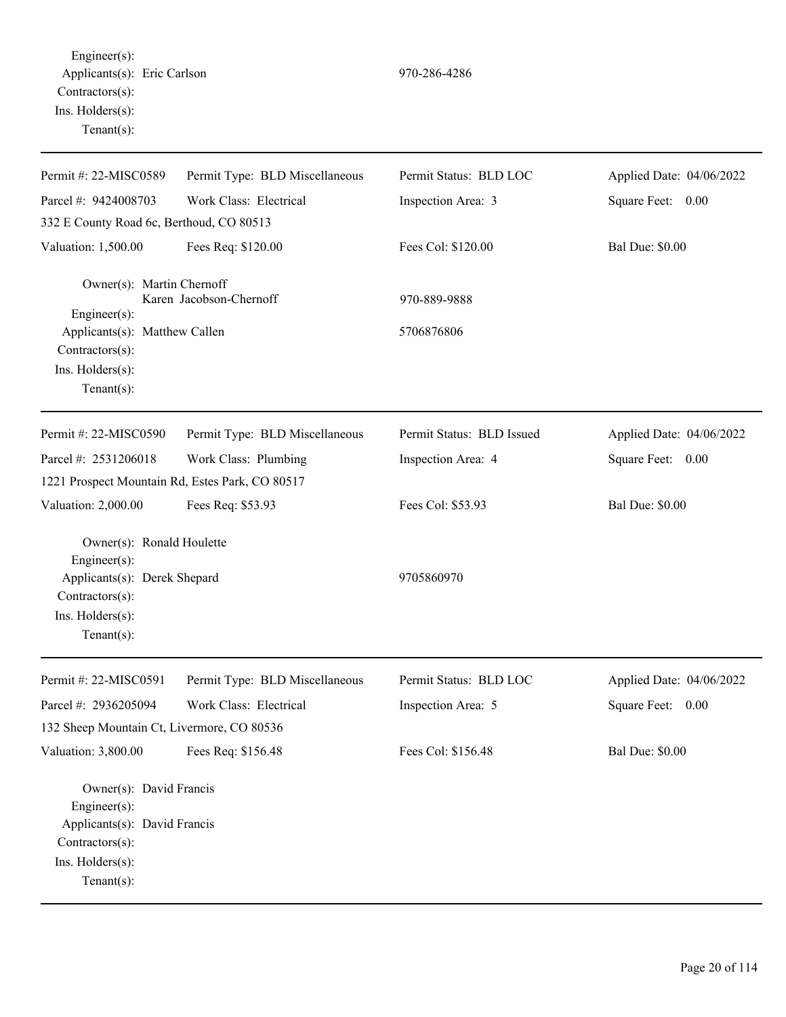Engineer(s): Applicants(s): Eric Carlson 970-286-4286 Contractors(s): Ins. Holders(s): Tenant(s):

Permit #: 22-MISC0589 Parcel #: 9424008703 Permit Type: BLD Miscellaneous Work Class: Electrical Permit Status: BLD LOC Inspection Area: 3 Applied Date: 04/06/2022 Square Feet: 0.00 332 E County Road 6c, Berthoud, CO 80513 Valuation: 1,500.00 Fees Req: \$120.00 Fees Col: \$120.00 Bal Due: \$0.00 Owner(s): Martin Chernoff Karen Jacobson-Chernoff 970-889-9888 Engineer(s): Applicants(s): Matthew Callen 5706876806 Contractors(s): Ins. Holders(s): Tenant(s): Permit #: 22-MISC0590 Parcel #: 2531206018 Permit Type: BLD Miscellaneous Work Class: Plumbing Permit Status: BLD Issued Inspection Area: 4 Applied Date: 04/06/2022 Square Feet: 0.00 1221 Prospect Mountain Rd, Estes Park, CO 80517 Valuation: 2,000.00 Fees Req: \$53.93 Fees Col: \$53.93 Bal Due: \$0.00 Owner(s): Ronald Houlette Engineer(s): Applicants(s): Derek Shepard 9705860970 Contractors(s): Ins. Holders(s): Tenant(s): Permit #: 22-MISC0591 Parcel #: 2936205094 Permit Type: BLD Miscellaneous Work Class: Electrical Permit Status: BLD LOC Inspection Area: 5 Applied Date: 04/06/2022 Square Feet: 0.00 132 Sheep Mountain Ct, Livermore, CO 80536 Valuation: 3,800.00 Fees Req: \$156.48 Fees Col: \$156.48 Bal Due: \$0.00 Owner(s): David Francis Engineer(s): Applicants(s): David Francis Contractors(s): Ins. Holders(s): Tenant(s):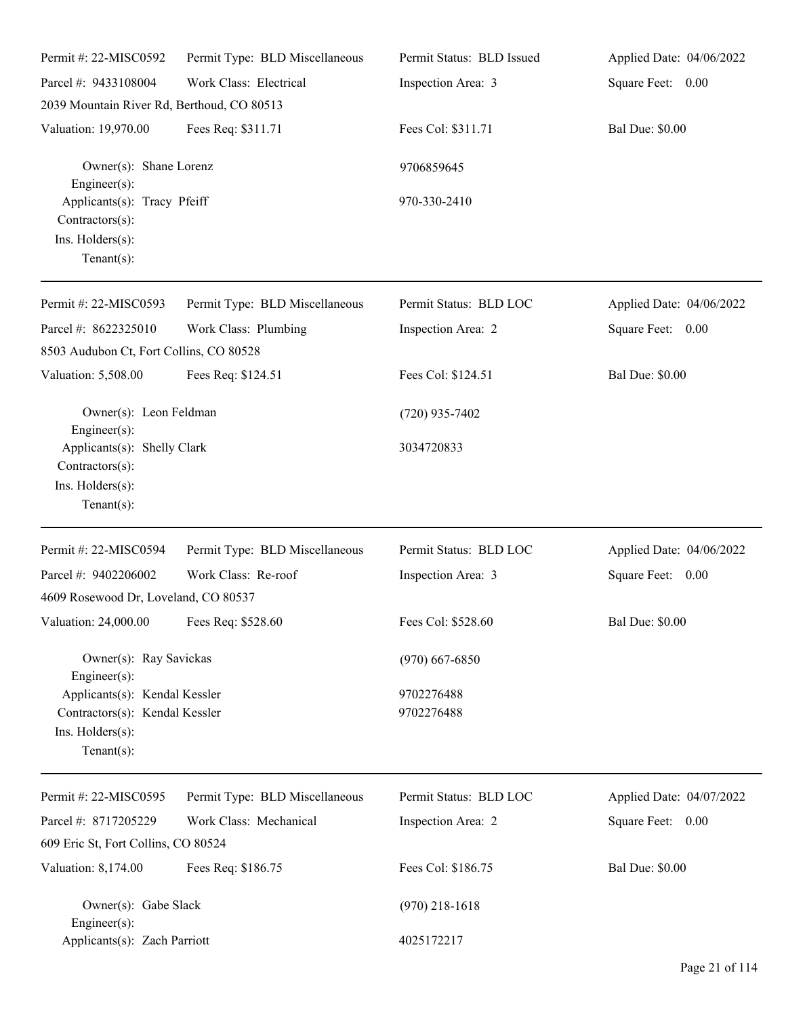| Permit #: 22-MISC0592                                                                                 | Permit Type: BLD Miscellaneous | Permit Status: BLD Issued | Applied Date: 04/06/2022 |
|-------------------------------------------------------------------------------------------------------|--------------------------------|---------------------------|--------------------------|
| Parcel #: 9433108004                                                                                  | Work Class: Electrical         | Inspection Area: 3        | Square Feet: 0.00        |
| 2039 Mountain River Rd, Berthoud, CO 80513                                                            |                                |                           |                          |
| Valuation: 19,970.00                                                                                  | Fees Req: \$311.71             | Fees Col: \$311.71        | <b>Bal Due: \$0.00</b>   |
| Owner(s): Shane Lorenz<br>Engineer $(s)$ :                                                            |                                | 9706859645                |                          |
| Applicants(s): Tracy Pfeiff<br>Contractors(s):<br>Ins. Holders(s):<br>$Tenant(s)$ :                   |                                | 970-330-2410              |                          |
| Permit #: 22-MISC0593                                                                                 | Permit Type: BLD Miscellaneous | Permit Status: BLD LOC    | Applied Date: 04/06/2022 |
| Parcel #: 8622325010<br>8503 Audubon Ct, Fort Collins, CO 80528                                       | Work Class: Plumbing           | Inspection Area: 2        | Square Feet: 0.00        |
| Valuation: 5,508.00                                                                                   | Fees Req: \$124.51             | Fees Col: \$124.51        | <b>Bal Due: \$0.00</b>   |
| Owner(s): Leon Feldman<br>Engineer(s):                                                                |                                | $(720)$ 935-7402          |                          |
| Applicants(s): Shelly Clark<br>Contractors(s):<br>Ins. Holders(s):<br>Tenant $(s)$ :                  |                                | 3034720833                |                          |
| Permit #: 22-MISC0594                                                                                 | Permit Type: BLD Miscellaneous | Permit Status: BLD LOC    | Applied Date: 04/06/2022 |
| Parcel #: 9402206002                                                                                  | Work Class: Re-roof            | Inspection Area: 3        | Square Feet: 0.00        |
| 4609 Rosewood Dr, Loveland, CO 80537                                                                  |                                |                           |                          |
| Valuation: 24,000.00                                                                                  | Fees Req: \$528.60             | Fees Col: \$528.60        | <b>Bal Due: \$0.00</b>   |
| Owner(s): Ray Savickas<br>Engineer(s):                                                                |                                | $(970)$ 667-6850          |                          |
| Applicants(s): Kendal Kessler<br>Contractors(s): Kendal Kessler<br>Ins. Holders(s):<br>Tenant $(s)$ : |                                | 9702276488<br>9702276488  |                          |
| Permit #: 22-MISC0595                                                                                 | Permit Type: BLD Miscellaneous | Permit Status: BLD LOC    | Applied Date: 04/07/2022 |
| Parcel #: 8717205229                                                                                  | Work Class: Mechanical         | Inspection Area: 2        | Square Feet: 0.00        |
| 609 Eric St, Fort Collins, CO 80524                                                                   |                                |                           |                          |
| Valuation: 8,174.00                                                                                   | Fees Req: \$186.75             | Fees Col: \$186.75        | <b>Bal Due: \$0.00</b>   |
| Owner(s): Gabe Slack<br>Engineer(s):                                                                  |                                | $(970)$ 218-1618          |                          |
| Applicants(s): Zach Parriott                                                                          |                                | 4025172217                |                          |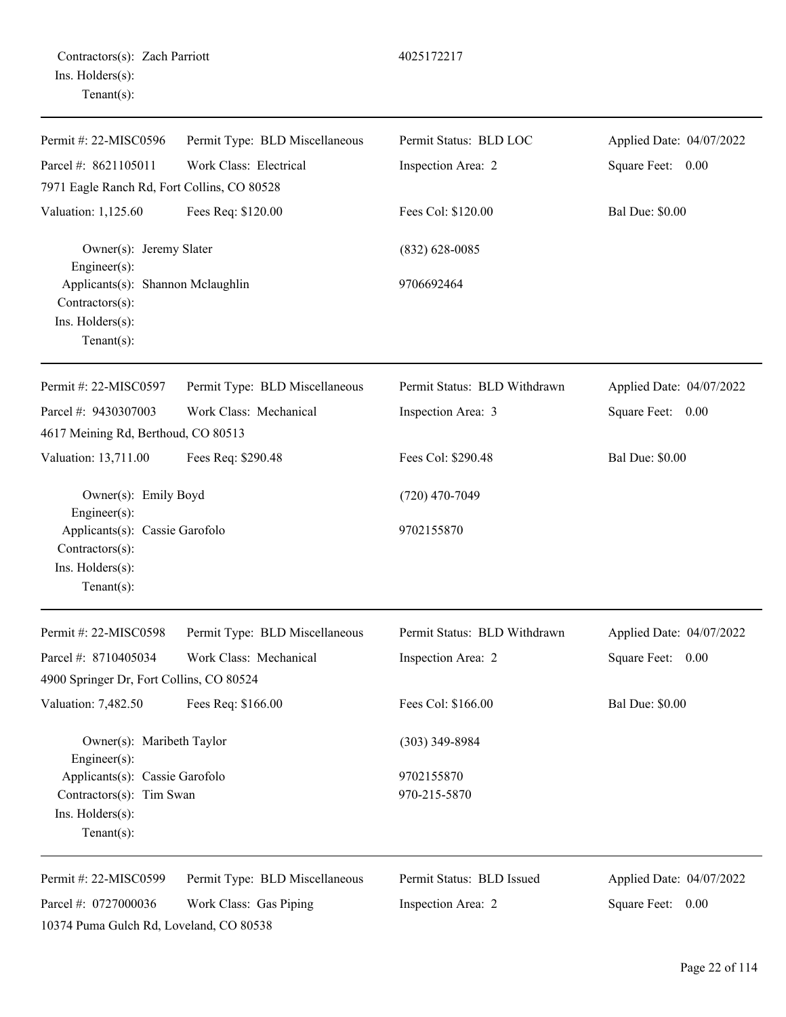| Permit #: 22-MISC0596                                   | Permit Type: BLD Miscellaneous | Permit Status: BLD LOC       | Applied Date: 04/07/2022 |
|---------------------------------------------------------|--------------------------------|------------------------------|--------------------------|
| Parcel #: 8621105011                                    | Work Class: Electrical         | Inspection Area: 2           | Square Feet: 0.00        |
| 7971 Eagle Ranch Rd, Fort Collins, CO 80528             |                                |                              |                          |
| Valuation: 1,125.60                                     | Fees Req: \$120.00             | Fees Col: \$120.00           | <b>Bal Due: \$0.00</b>   |
| Owner(s): Jeremy Slater<br>Engineer(s):                 |                                | $(832) 628 - 0085$           |                          |
| Applicants(s): Shannon Mclaughlin<br>$Contractors(s)$ : |                                | 9706692464                   |                          |
| Ins. Holders(s):<br>Tenant $(s)$ :                      |                                |                              |                          |
| Permit #: 22-MISC0597                                   | Permit Type: BLD Miscellaneous | Permit Status: BLD Withdrawn | Applied Date: 04/07/2022 |
| Parcel #: 9430307003                                    | Work Class: Mechanical         | Inspection Area: 3           | Square Feet: 0.00        |
| 4617 Meining Rd, Berthoud, CO 80513                     |                                |                              |                          |
| Valuation: 13,711.00                                    | Fees Req: \$290.48             | Fees Col: \$290.48           | <b>Bal Due: \$0.00</b>   |
| Owner(s): Emily Boyd<br>Engineer $(s)$ :                |                                | $(720)$ 470-7049             |                          |
| Applicants(s): Cassie Garofolo<br>Contractors(s):       |                                | 9702155870                   |                          |
| Ins. Holders(s):<br>Tenant $(s)$ :                      |                                |                              |                          |
| Permit #: 22-MISC0598                                   | Permit Type: BLD Miscellaneous | Permit Status: BLD Withdrawn | Applied Date: 04/07/2022 |
| Parcel #: 8710405034                                    | Work Class: Mechanical         | Inspection Area: 2           | Square Feet: 0.00        |
| 4900 Springer Dr, Fort Collins, CO 80524                |                                |                              |                          |
| Valuation: 7,482.50                                     | Fees Req: \$166.00             | Fees Col: \$166.00           | <b>Bal Due: \$0.00</b>   |
| Owner(s): Maribeth Taylor<br>$Engineering(s)$ :         |                                | $(303)$ 349-8984             |                          |
| Applicants(s): Cassie Garofolo                          |                                | 9702155870                   |                          |
| Contractors(s): Tim Swan                                |                                | 970-215-5870                 |                          |
| Ins. Holders(s):<br>Tenant $(s)$ :                      |                                |                              |                          |
| Permit #: 22-MISC0599                                   | Permit Type: BLD Miscellaneous | Permit Status: BLD Issued    | Applied Date: 04/07/2022 |
| Parcel #: 0727000036                                    | Work Class: Gas Piping         | Inspection Area: 2           | Square Feet: 0.00        |
| 10374 Puma Gulch Rd, Loveland, CO 80538                 |                                |                              |                          |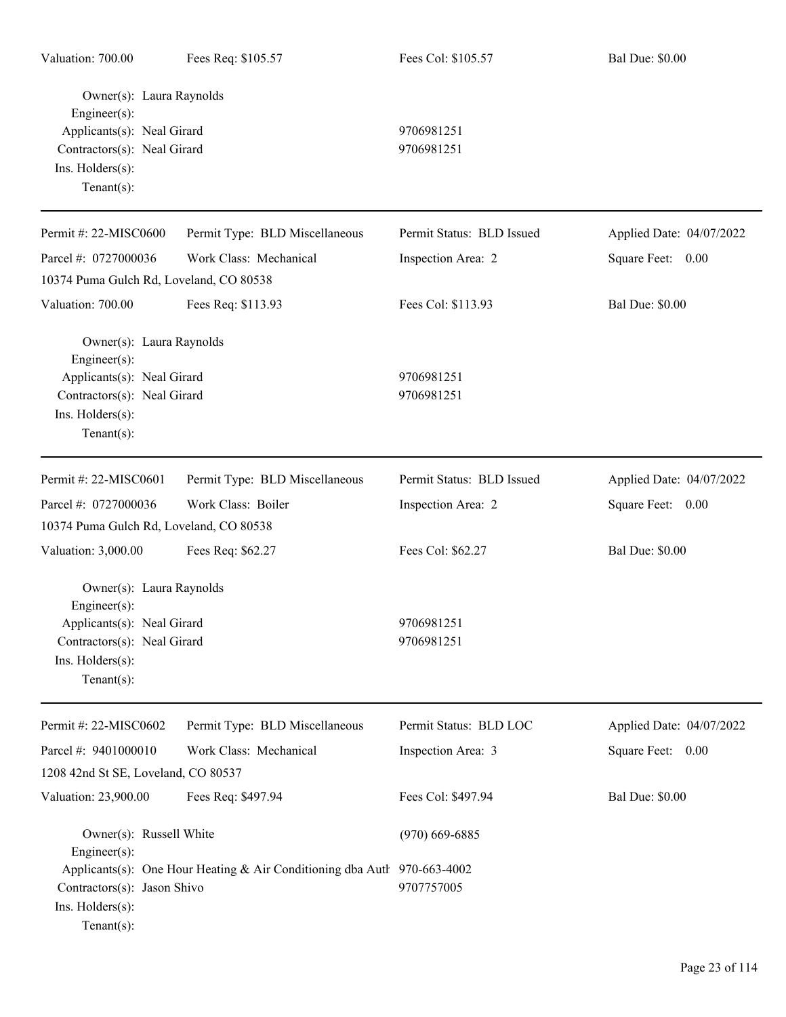| Valuation: 700.00                            | Fees Req: \$105.57                                                       | Fees Col: \$105.57        | <b>Bal Due: \$0.00</b>   |
|----------------------------------------------|--------------------------------------------------------------------------|---------------------------|--------------------------|
| Owner(s): Laura Raynolds<br>Engineer(s):     |                                                                          |                           |                          |
| Applicants(s): Neal Girard                   |                                                                          | 9706981251                |                          |
| Contractors(s): Neal Girard                  |                                                                          | 9706981251                |                          |
| Ins. Holders(s):                             |                                                                          |                           |                          |
| $Tenant(s)$ :                                |                                                                          |                           |                          |
| Permit #: 22-MISC0600                        | Permit Type: BLD Miscellaneous                                           | Permit Status: BLD Issued | Applied Date: 04/07/2022 |
| Parcel #: 0727000036                         | Work Class: Mechanical                                                   | Inspection Area: 2        | Square Feet: 0.00        |
| 10374 Puma Gulch Rd, Loveland, CO 80538      |                                                                          |                           |                          |
| Valuation: 700.00                            | Fees Req: \$113.93                                                       | Fees Col: \$113.93        | <b>Bal Due: \$0.00</b>   |
| Owner(s): Laura Raynolds<br>Engineer $(s)$ : |                                                                          |                           |                          |
| Applicants(s): Neal Girard                   |                                                                          | 9706981251                |                          |
| Contractors(s): Neal Girard                  |                                                                          | 9706981251                |                          |
| Ins. Holders(s):                             |                                                                          |                           |                          |
| Tenant $(s)$ :                               |                                                                          |                           |                          |
| Permit #: 22-MISC0601                        | Permit Type: BLD Miscellaneous                                           | Permit Status: BLD Issued | Applied Date: 04/07/2022 |
| Parcel #: 0727000036                         | Work Class: Boiler                                                       | Inspection Area: 2        | Square Feet: 0.00        |
| 10374 Puma Gulch Rd, Loveland, CO 80538      |                                                                          |                           |                          |
| Valuation: 3,000.00                          | Fees Req: \$62.27                                                        | Fees Col: \$62.27         | <b>Bal Due: \$0.00</b>   |
| Owner(s): Laura Raynolds<br>Engineer(s):     |                                                                          |                           |                          |
| Applicants(s): Neal Girard                   |                                                                          | 9706981251                |                          |
| Contractors(s): Neal Girard                  |                                                                          | 9706981251                |                          |
| Ins. Holders(s):                             |                                                                          |                           |                          |
| $Tenant(s)$ :                                |                                                                          |                           |                          |
| Permit #: 22-MISC0602                        | Permit Type: BLD Miscellaneous                                           | Permit Status: BLD LOC    | Applied Date: 04/07/2022 |
| Parcel #: 9401000010                         | Work Class: Mechanical                                                   | Inspection Area: 3        | Square Feet: 0.00        |
| 1208 42nd St SE, Loveland, CO 80537          |                                                                          |                           |                          |
|                                              |                                                                          |                           |                          |
| Valuation: 23,900.00                         | Fees Req: \$497.94                                                       | Fees Col: \$497.94        | <b>Bal Due: \$0.00</b>   |
| Owner(s): Russell White<br>Engineer(s):      |                                                                          | $(970)$ 669-6885          |                          |
|                                              | Applicants(s): One Hour Heating & Air Conditioning dba Autl 970-663-4002 |                           |                          |
| Contractors(s): Jason Shivo                  |                                                                          | 9707757005                |                          |
| Ins. Holders(s):                             |                                                                          |                           |                          |
| $Tenant(s)$ :                                |                                                                          |                           |                          |
|                                              |                                                                          |                           |                          |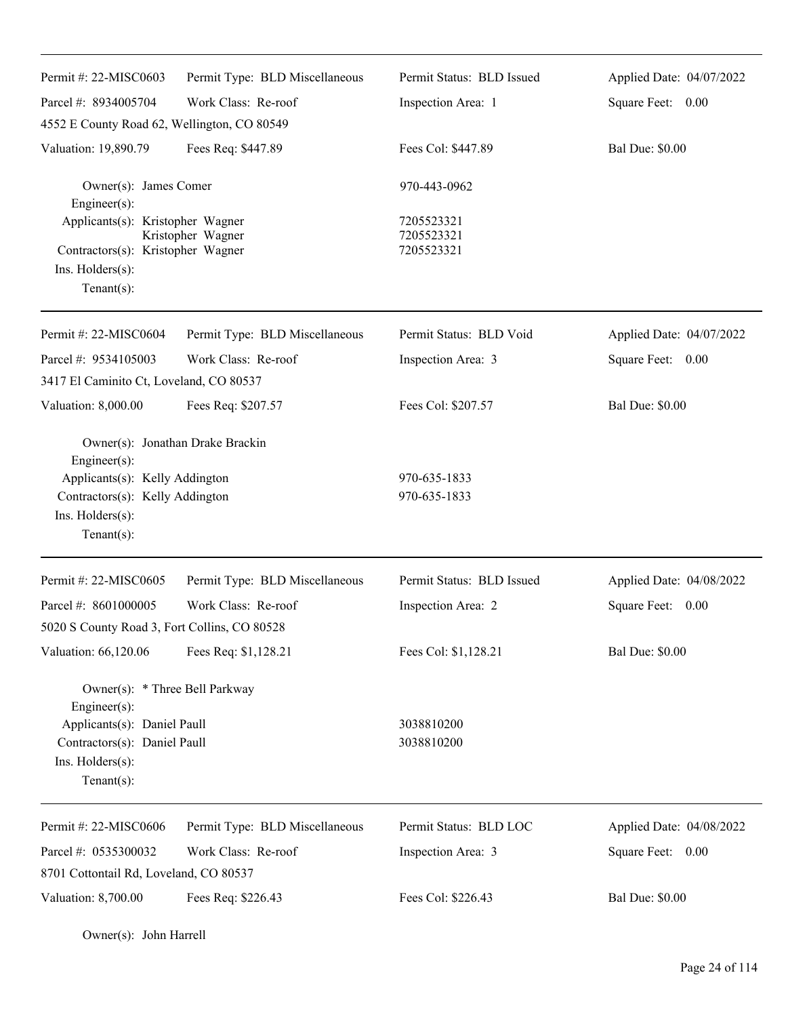| Permit #: 22-MISC0603                                                                                                                                       | Permit Type: BLD Miscellaneous | Permit Status: BLD Issued              | Applied Date: 04/07/2022 |
|-------------------------------------------------------------------------------------------------------------------------------------------------------------|--------------------------------|----------------------------------------|--------------------------|
| Parcel #: 8934005704                                                                                                                                        | Work Class: Re-roof            | Inspection Area: 1                     | Square Feet: 0.00        |
| 4552 E County Road 62, Wellington, CO 80549                                                                                                                 |                                |                                        |                          |
| Valuation: 19,890.79                                                                                                                                        | Fees Req: \$447.89             | Fees Col: \$447.89                     | <b>Bal Due: \$0.00</b>   |
| Owner(s): James Comer<br>Engineer(s):                                                                                                                       |                                | 970-443-0962                           |                          |
| Applicants(s): Kristopher Wagner<br>Contractors(s): Kristopher Wagner<br>$Ins.$ Holders $(s)$ :<br>Tenant $(s)$ :                                           | Kristopher Wagner              | 7205523321<br>7205523321<br>7205523321 |                          |
| Permit #: 22-MISC0604                                                                                                                                       | Permit Type: BLD Miscellaneous | Permit Status: BLD Void                | Applied Date: 04/07/2022 |
| Parcel #: 9534105003                                                                                                                                        | Work Class: Re-roof            | Inspection Area: 3                     | Square Feet: 0.00        |
| 3417 El Caminito Ct, Loveland, CO 80537                                                                                                                     |                                |                                        |                          |
| Valuation: 8,000.00                                                                                                                                         | Fees Req: \$207.57             | Fees Col: \$207.57                     | <b>Bal Due: \$0.00</b>   |
| Owner(s): Jonathan Drake Brackin<br>Engineer(s):<br>Applicants(s): Kelly Addington<br>Contractors(s): Kelly Addington<br>Ins. Holders(s):<br>Tenant $(s)$ : |                                | 970-635-1833<br>970-635-1833           |                          |
| Permit #: 22-MISC0605                                                                                                                                       | Permit Type: BLD Miscellaneous | Permit Status: BLD Issued              | Applied Date: 04/08/2022 |
| Parcel #: 8601000005                                                                                                                                        | Work Class: Re-roof            | Inspection Area: 2                     | Square Feet:<br>0.00     |
| 5020 S County Road 3, Fort Collins, CO 80528                                                                                                                |                                |                                        |                          |
| Valuation: 66,120.06                                                                                                                                        | Fees Req: \$1,128.21           | Fees Col: \$1,128.21                   | <b>Bal Due: \$0.00</b>   |
| Owner(s): * Three Bell Parkway<br>Engineer(s):<br>Applicants(s): Daniel Paull<br>Contractors(s): Daniel Paull<br>Ins. Holders(s):<br>Tenant $(s)$ :         |                                | 3038810200<br>3038810200               |                          |
| Permit #: 22-MISC0606                                                                                                                                       | Permit Type: BLD Miscellaneous | Permit Status: BLD LOC                 | Applied Date: 04/08/2022 |
| Parcel #: 0535300032                                                                                                                                        | Work Class: Re-roof            | Inspection Area: 3                     | Square Feet: 0.00        |
| 8701 Cottontail Rd, Loveland, CO 80537                                                                                                                      |                                |                                        |                          |
| Valuation: 8,700.00                                                                                                                                         | Fees Req: \$226.43             | Fees Col: \$226.43                     | <b>Bal Due: \$0.00</b>   |

Owner(s): John Harrell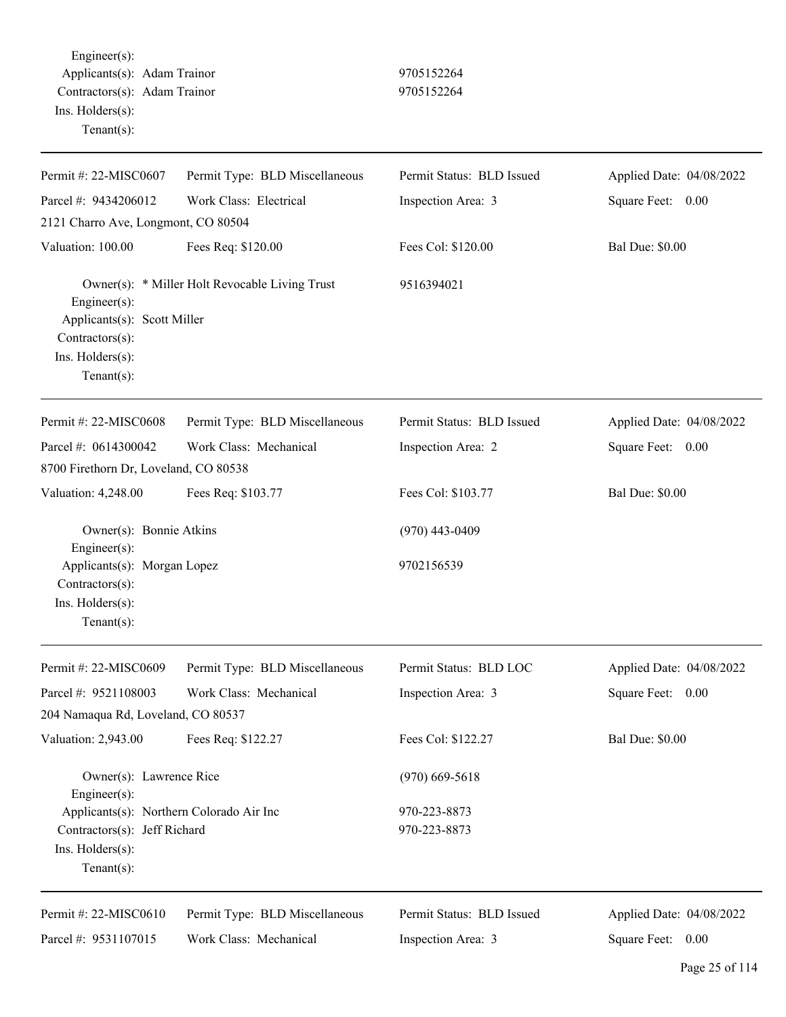Engineer(s): Applicants(s): Adam Trainor 9705152264 Contractors(s): Adam Trainor 9705152264 Ins. Holders(s): Tenant(s):

| Permit #: 22-MISC0607                                                                                          | Permit Type: BLD Miscellaneous                 | Permit Status: BLD Issued    | Applied Date: 04/08/2022 |
|----------------------------------------------------------------------------------------------------------------|------------------------------------------------|------------------------------|--------------------------|
| Parcel #: 9434206012                                                                                           | Work Class: Electrical                         | Inspection Area: 3           | Square Feet: 0.00        |
| 2121 Charro Ave, Longmont, CO 80504                                                                            |                                                |                              |                          |
| Valuation: 100.00                                                                                              | Fees Req: \$120.00                             | Fees Col: \$120.00           | <b>Bal Due: \$0.00</b>   |
| Engineer $(s)$ :<br>Applicants(s): Scott Miller<br>Contractors(s):<br>Ins. Holders(s):<br>$Tenant(s)$ :        | Owner(s): * Miller Holt Revocable Living Trust | 9516394021                   |                          |
| Permit #: 22-MISC0608                                                                                          | Permit Type: BLD Miscellaneous                 | Permit Status: BLD Issued    | Applied Date: 04/08/2022 |
| Parcel #: 0614300042<br>8700 Firethorn Dr, Loveland, CO 80538                                                  | Work Class: Mechanical                         | Inspection Area: 2           | Square Feet: 0.00        |
| Valuation: 4,248.00                                                                                            | Fees Req: \$103.77                             | Fees Col: \$103.77           | <b>Bal Due: \$0.00</b>   |
| Owner(s): Bonnie Atkins<br>Engineer(s):                                                                        |                                                | $(970)$ 443-0409             |                          |
| Applicants(s): Morgan Lopez<br>Contractors(s):<br>Ins. Holders(s):<br>Tenant $(s)$ :                           |                                                | 9702156539                   |                          |
| Permit #: 22-MISC0609                                                                                          | Permit Type: BLD Miscellaneous                 | Permit Status: BLD LOC       | Applied Date: 04/08/2022 |
| Parcel #: 9521108003                                                                                           | Work Class: Mechanical                         | Inspection Area: 3           | Square Feet:<br>0.00     |
| 204 Namaqua Rd, Loveland, CO 80537                                                                             |                                                |                              |                          |
| Valuation: 2,943.00                                                                                            | Fees Req: \$122.27                             | Fees Col: \$122.27           | <b>Bal Due: \$0.00</b>   |
| Owner(s): Lawrence Rice<br>Engineer(s):                                                                        |                                                | $(970)$ 669-5618             |                          |
| Applicants(s): Northern Colorado Air Inc<br>Contractors(s): Jeff Richard<br>Ins. Holders(s):<br>Tenant $(s)$ : |                                                | 970-223-8873<br>970-223-8873 |                          |
| Permit #: 22-MISC0610                                                                                          | Permit Type: BLD Miscellaneous                 | Permit Status: BLD Issued    | Applied Date: 04/08/2022 |
| Parcel #: 9531107015                                                                                           | Work Class: Mechanical                         | Inspection Area: 3           | Square Feet: 0.00        |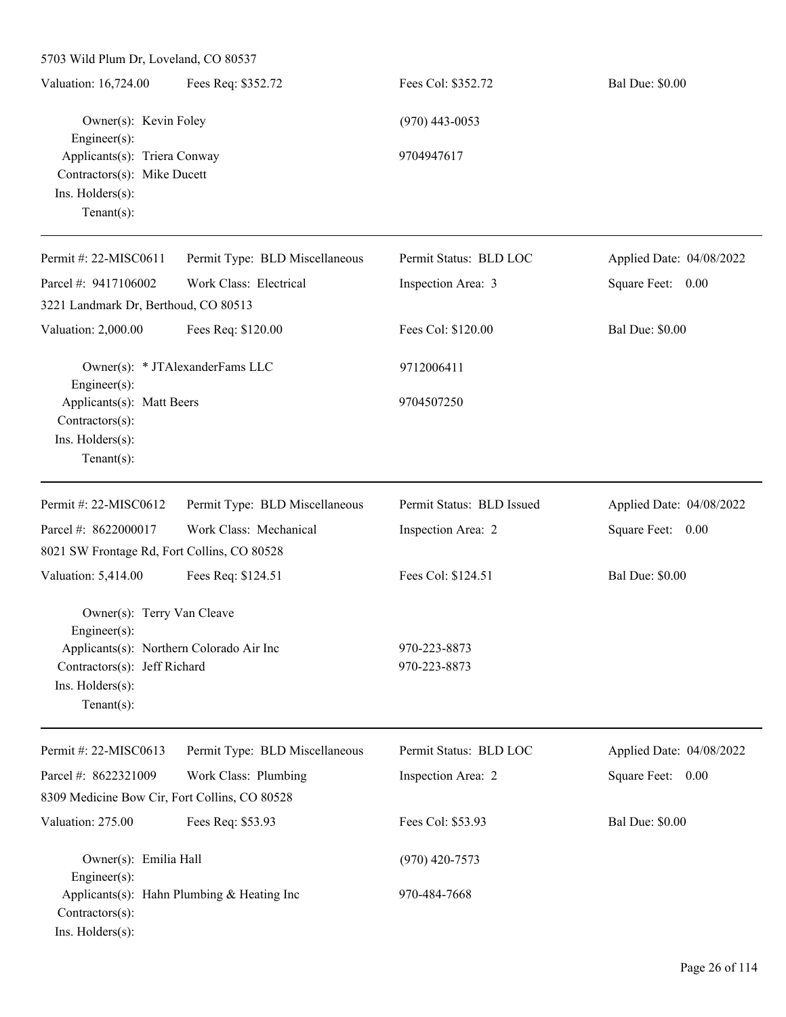| 5703 Wild Plum Dr, Loveland, CO 80537                                                                          |                                 |                              |                          |
|----------------------------------------------------------------------------------------------------------------|---------------------------------|------------------------------|--------------------------|
| Valuation: 16,724.00                                                                                           | Fees Req: \$352.72              | Fees Col: \$352.72           | <b>Bal Due: \$0.00</b>   |
| Owner(s): Kevin Foley<br>Engineer(s):<br>Applicants(s): Triera Conway<br>Contractors(s): Mike Ducett           |                                 | $(970)$ 443-0053             |                          |
|                                                                                                                |                                 | 9704947617                   |                          |
| Ins. Holders(s):<br>Tenant $(s)$ :                                                                             |                                 |                              |                          |
| Permit#: 22-MISC0611                                                                                           | Permit Type: BLD Miscellaneous  | Permit Status: BLD LOC       | Applied Date: 04/08/2022 |
| Parcel #: 9417106002                                                                                           | Work Class: Electrical          | Inspection Area: 3           | Square Feet: 0.00        |
| 3221 Landmark Dr, Berthoud, CO 80513                                                                           |                                 |                              |                          |
| Valuation: 2,000.00                                                                                            | Fees Req: \$120.00              | Fees Col: \$120.00           | <b>Bal Due: \$0.00</b>   |
| Engineer(s):                                                                                                   | Owner(s): * JTAlexanderFams LLC | 9712006411                   |                          |
| Applicants(s): Matt Beers<br>Contractors(s):<br>Ins. Holders(s):                                               |                                 | 9704507250                   |                          |
| Tenant $(s)$ :                                                                                                 |                                 |                              |                          |
| Permit #: 22-MISC0612                                                                                          | Permit Type: BLD Miscellaneous  | Permit Status: BLD Issued    | Applied Date: 04/08/2022 |
| Parcel #: 8622000017                                                                                           | Work Class: Mechanical          | Inspection Area: 2           | Square Feet: 0.00        |
| 8021 SW Frontage Rd, Fort Collins, CO 80528                                                                    |                                 |                              |                          |
| Valuation: 5,414.00                                                                                            | Fees Req: \$124.51              | Fees Col: \$124.51           | <b>Bal Due: \$0.00</b>   |
| Owner(s): Terry Van Cleave<br>$Enginer(s)$ :                                                                   |                                 |                              |                          |
| Applicants(s): Northern Colorado Air Inc<br>Contractors(s): Jeff Richard<br>Ins. Holders(s):<br>Tenant $(s)$ : |                                 | 970-223-8873<br>970-223-8873 |                          |
| Permit #: 22-MISC0613                                                                                          | Permit Type: BLD Miscellaneous  | Permit Status: BLD LOC       | Applied Date: 04/08/2022 |
| Parcel #: 8622321009                                                                                           | Work Class: Plumbing            | Inspection Area: 2           | Square Feet:<br>0.00     |
| 8309 Medicine Bow Cir, Fort Collins, CO 80528                                                                  |                                 |                              |                          |
| Valuation: 275.00                                                                                              | Fees Req: \$53.93               | Fees Col: \$53.93            | <b>Bal Due: \$0.00</b>   |
| Owner(s): Emilia Hall                                                                                          |                                 | $(970)$ 420-7573             |                          |
| Engineer(s):<br>Applicants(s): Hahn Plumbing & Heating Inc<br>Contractors(s):<br>Ins. Holders(s):              |                                 | 970-484-7668                 |                          |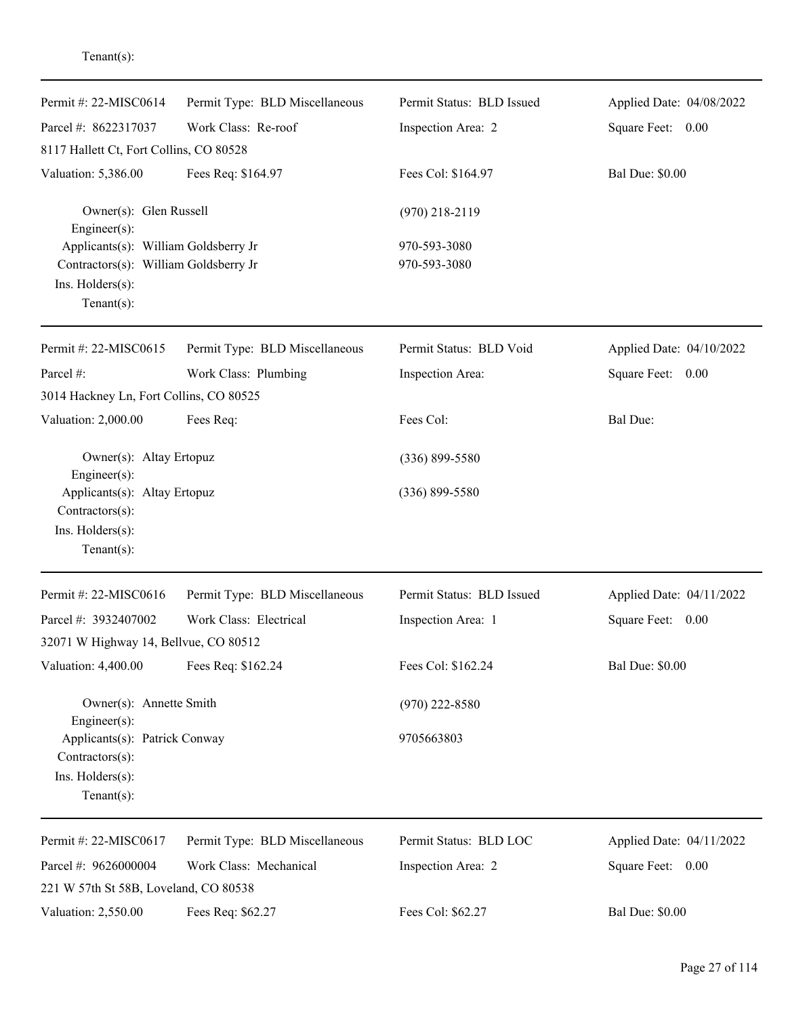| Permit #: 22-MISC0614                                                                                               | Permit Type: BLD Miscellaneous | Permit Status: BLD Issued    | Applied Date: 04/08/2022 |
|---------------------------------------------------------------------------------------------------------------------|--------------------------------|------------------------------|--------------------------|
| Parcel #: 8622317037                                                                                                | Work Class: Re-roof            | Inspection Area: 2           | Square Feet: 0.00        |
| 8117 Hallett Ct, Fort Collins, CO 80528                                                                             |                                |                              |                          |
| Valuation: 5,386.00                                                                                                 | Fees Req: \$164.97             | Fees Col: \$164.97           | <b>Bal Due: \$0.00</b>   |
| Owner(s): Glen Russell<br>Engineer(s):                                                                              |                                | $(970)$ 218-2119             |                          |
| Applicants(s): William Goldsberry Jr<br>Contractors(s): William Goldsberry Jr<br>Ins. Holders(s):<br>Tenant $(s)$ : |                                | 970-593-3080<br>970-593-3080 |                          |
| Permit #: 22-MISC0615                                                                                               | Permit Type: BLD Miscellaneous | Permit Status: BLD Void      | Applied Date: 04/10/2022 |
| Parcel #:                                                                                                           | Work Class: Plumbing           | Inspection Area:             | Square Feet: 0.00        |
| 3014 Hackney Ln, Fort Collins, CO 80525                                                                             |                                |                              |                          |
| Valuation: 2,000.00                                                                                                 | Fees Req:                      | Fees Col:                    | <b>Bal Due:</b>          |
| Owner(s): Altay Ertopuz<br>Engineer $(s)$ :                                                                         |                                | $(336) 899 - 5580$           |                          |
| Applicants(s): Altay Ertopuz<br>Contractors(s):<br>Ins. Holders(s):<br>Tenant $(s)$ :                               |                                | $(336) 899 - 5580$           |                          |
| Permit #: 22-MISC0616                                                                                               | Permit Type: BLD Miscellaneous | Permit Status: BLD Issued    | Applied Date: 04/11/2022 |
| Parcel #: 3932407002                                                                                                | Work Class: Electrical         | Inspection Area: 1           | Square Feet: 0.00        |
| 32071 W Highway 14, Bellvue, CO 80512                                                                               |                                |                              |                          |
| Valuation: 4,400.00                                                                                                 | Fees Req: \$162.24             | Fees Col: \$162.24           | <b>Bal Due: \$0.00</b>   |
| Owner(s): Annette Smith<br>Engineer $(s)$ :                                                                         |                                | $(970)$ 222-8580             |                          |
| Applicants(s): Patrick Conway<br>Contractors(s):<br>Ins. Holders(s):<br>Tenant $(s)$ :                              |                                | 9705663803                   |                          |
| Permit #: 22-MISC0617                                                                                               | Permit Type: BLD Miscellaneous | Permit Status: BLD LOC       | Applied Date: 04/11/2022 |
| Parcel #: 9626000004<br>221 W 57th St 58B, Loveland, CO 80538                                                       | Work Class: Mechanical         | Inspection Area: 2           | Square Feet: 0.00        |
| Valuation: 2,550.00                                                                                                 | Fees Req: \$62.27              | Fees Col: \$62.27            | <b>Bal Due: \$0.00</b>   |

Tenant(s):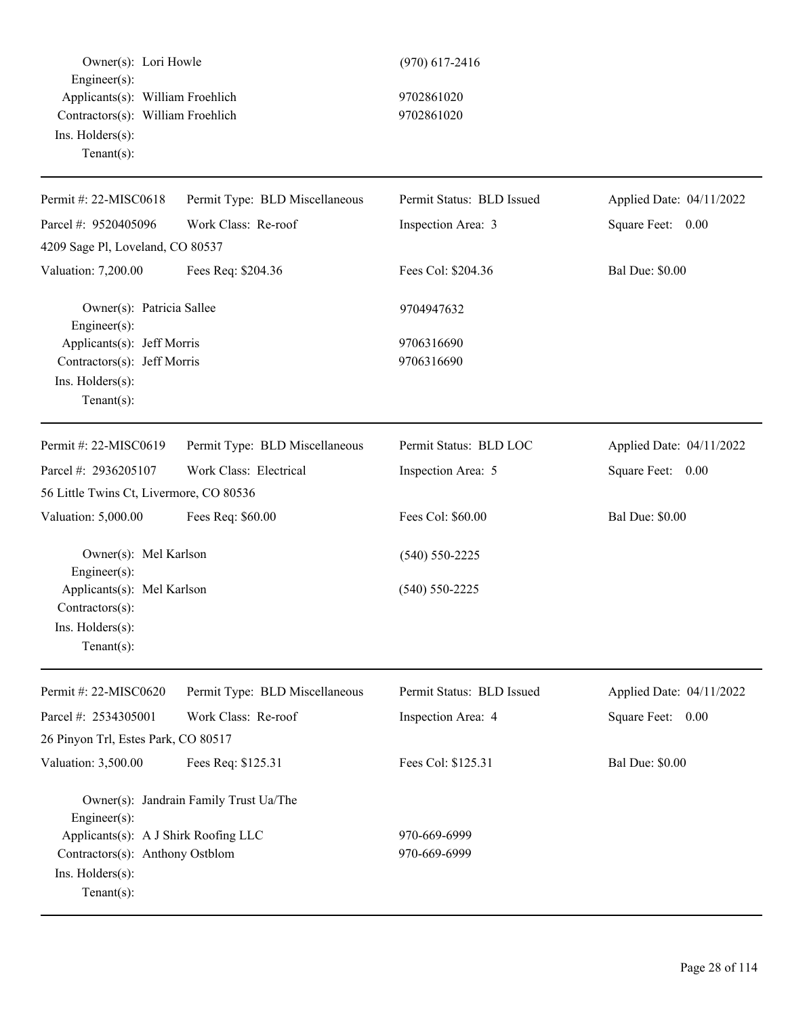Owner(s): Lori Howle (970) 617-2416 Engineer(s): Applicants(s): William Froehlich 9702861020 Contractors(s): William Froehlich 9702861020 Ins. Holders(s): Tenant(s):

| Permit #: 22-MISC0618                                                   | Permit Type: BLD Miscellaneous         | Permit Status: BLD Issued    | Applied Date: 04/11/2022 |
|-------------------------------------------------------------------------|----------------------------------------|------------------------------|--------------------------|
| Parcel #: 9520405096                                                    | Work Class: Re-roof                    | Inspection Area: 3           | Square Feet: 0.00        |
| 4209 Sage Pl, Loveland, CO 80537                                        |                                        |                              |                          |
| Valuation: 7,200.00                                                     | Fees Req: \$204.36                     | Fees Col: \$204.36           | <b>Bal Due: \$0.00</b>   |
| Owner(s): Patricia Sallee<br>$Engineering(s)$ :                         |                                        | 9704947632                   |                          |
| Applicants(s): Jeff Morris                                              |                                        | 9706316690                   |                          |
| Contractors(s): Jeff Morris                                             |                                        | 9706316690                   |                          |
| Ins. Holders(s):                                                        |                                        |                              |                          |
| Tenant $(s)$ :                                                          |                                        |                              |                          |
| Permit #: 22-MISC0619                                                   | Permit Type: BLD Miscellaneous         | Permit Status: BLD LOC       | Applied Date: 04/11/2022 |
| Parcel #: 2936205107                                                    | Work Class: Electrical                 | Inspection Area: 5           | Square Feet: 0.00        |
| 56 Little Twins Ct, Livermore, CO 80536                                 |                                        |                              |                          |
| Valuation: 5,000.00                                                     | Fees Req: \$60.00                      | Fees Col: \$60.00            | <b>Bal Due: \$0.00</b>   |
| Owner(s): Mel Karlson<br>$Engineering(s)$ :                             |                                        | $(540) 550 - 2225$           |                          |
| Applicants(s): Mel Karlson                                              |                                        | $(540) 550 - 2225$           |                          |
| Contractors(s):                                                         |                                        |                              |                          |
| Ins. Holders(s):                                                        |                                        |                              |                          |
| Tenant $(s)$ :                                                          |                                        |                              |                          |
| Permit #: 22-MISC0620                                                   | Permit Type: BLD Miscellaneous         | Permit Status: BLD Issued    | Applied Date: 04/11/2022 |
| Parcel #: 2534305001                                                    | Work Class: Re-roof                    | Inspection Area: 4           | Square Feet: 0.00        |
| 26 Pinyon Trl, Estes Park, CO 80517                                     |                                        |                              |                          |
| Valuation: 3,500.00                                                     | Fees Req: \$125.31                     | Fees Col: \$125.31           | <b>Bal Due: \$0.00</b>   |
|                                                                         | Owner(s): Jandrain Family Trust Ua/The |                              |                          |
| $Engineering(s)$ :                                                      |                                        |                              |                          |
| Applicants(s): A J Shirk Roofing LLC<br>Contractors(s): Anthony Ostblom |                                        | 970-669-6999<br>970-669-6999 |                          |
| Ins. Holders(s):                                                        |                                        |                              |                          |
| Tenant $(s)$ :                                                          |                                        |                              |                          |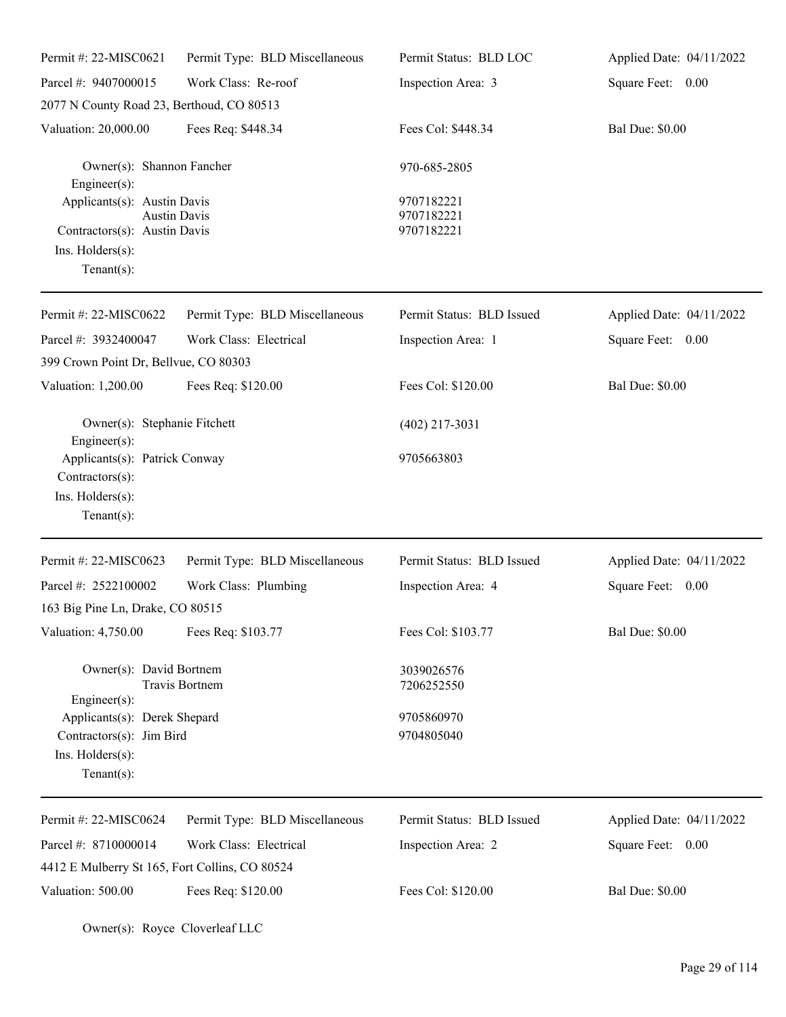| Permit #: 22-MISC0621                                                                                                    | Permit Type: BLD Miscellaneous | Permit Status: BLD LOC                 | Applied Date: 04/11/2022 |
|--------------------------------------------------------------------------------------------------------------------------|--------------------------------|----------------------------------------|--------------------------|
| Parcel #: 9407000015                                                                                                     | Work Class: Re-roof            | Inspection Area: 3                     | Square Feet: 0.00        |
| 2077 N County Road 23, Berthoud, CO 80513                                                                                |                                |                                        |                          |
| Valuation: 20,000.00                                                                                                     | Fees Req: \$448.34             | Fees Col: \$448.34                     | <b>Bal Due: \$0.00</b>   |
| Owner(s): Shannon Fancher<br>Engineer(s):                                                                                |                                | 970-685-2805                           |                          |
| Applicants(s): Austin Davis<br><b>Austin Davis</b><br>Contractors(s): Austin Davis<br>Ins. Holders(s):<br>Tenant $(s)$ : |                                | 9707182221<br>9707182221<br>9707182221 |                          |
| Permit #: 22-MISC0622                                                                                                    | Permit Type: BLD Miscellaneous | Permit Status: BLD Issued              | Applied Date: 04/11/2022 |
| Parcel #: 3932400047                                                                                                     | Work Class: Electrical         | Inspection Area: 1                     | Square Feet: 0.00        |
| 399 Crown Point Dr, Bellvue, CO 80303                                                                                    |                                |                                        |                          |
| Valuation: 1,200.00                                                                                                      | Fees Req: \$120.00             | Fees Col: \$120.00                     | <b>Bal Due: \$0.00</b>   |
| Owner(s): Stephanie Fitchett<br>Engineer(s):                                                                             |                                | $(402)$ 217-3031                       |                          |
| Applicants(s): Patrick Conway<br>Contractors(s):<br>Ins. Holders(s):<br>Tenant $(s)$ :                                   |                                | 9705663803                             |                          |
| Permit#: 22-MISC0623                                                                                                     | Permit Type: BLD Miscellaneous | Permit Status: BLD Issued              | Applied Date: 04/11/2022 |
| Parcel #: 2522100002                                                                                                     | Work Class: Plumbing           | Inspection Area: 4                     | Square Feet: 0.00        |
| 163 Big Pine Ln, Drake, CO 80515                                                                                         |                                |                                        |                          |
| <b>Valuation: 4,750.00</b>                                                                                               | Fees Req: \$103.77             | Fees Col: \$103.77                     | <b>Bal Due: \$0.00</b>   |
| Owner(s): David Bortnem<br>Engineer(s):                                                                                  | Travis Bortnem                 | 3039026576<br>7206252550               |                          |
| Applicants(s): Derek Shepard<br>Contractors(s): Jim Bird<br>Ins. Holders(s):<br>Tenant $(s)$ :                           |                                | 9705860970<br>9704805040               |                          |
| Permit #: 22-MISC0624                                                                                                    | Permit Type: BLD Miscellaneous | Permit Status: BLD Issued              | Applied Date: 04/11/2022 |
| Parcel #: 8710000014                                                                                                     | Work Class: Electrical         | Inspection Area: 2                     | Square Feet: 0.00        |
| 4412 E Mulberry St 165, Fort Collins, CO 80524                                                                           |                                |                                        |                          |
| Valuation: 500.00                                                                                                        | Fees Req: \$120.00             | Fees Col: \$120.00                     | <b>Bal Due: \$0.00</b>   |

Owner(s): Royce Cloverleaf LLC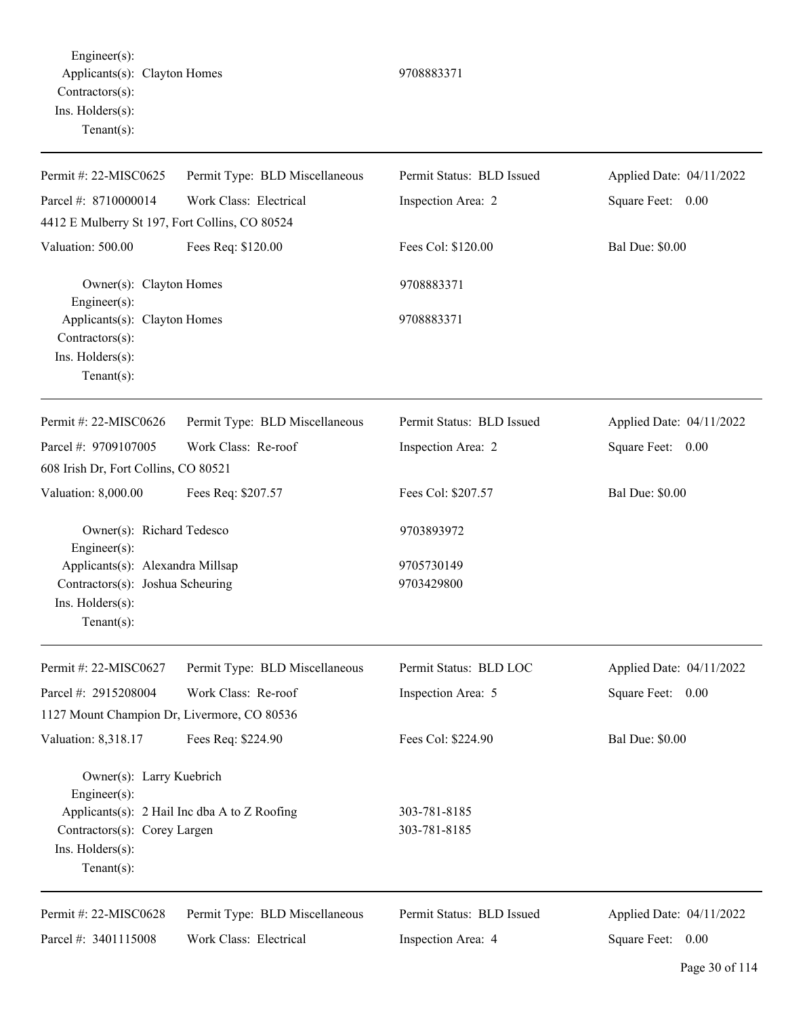Engineer(s): Applicants(s): Clayton Homes 9708883371 Contractors(s): Ins. Holders(s): Tenant(s):

| Permit #: 22-MISC0625                                                                                      | Permit Type: BLD Miscellaneous               | Permit Status: BLD Issued | Applied Date: 04/11/2022 |
|------------------------------------------------------------------------------------------------------------|----------------------------------------------|---------------------------|--------------------------|
| Parcel #: 8710000014                                                                                       | Work Class: Electrical                       | Inspection Area: 2        | Square Feet: 0.00        |
| 4412 E Mulberry St 197, Fort Collins, CO 80524                                                             |                                              |                           |                          |
| Valuation: 500.00                                                                                          | Fees Req: \$120.00                           | Fees Col: \$120.00        | <b>Bal Due: \$0.00</b>   |
| Owner(s): Clayton Homes<br>$Engineering(s)$ :                                                              |                                              | 9708883371                |                          |
| Applicants(s): Clayton Homes<br>Contractors(s):<br>Ins. Holders(s):<br>Tenant $(s)$ :                      |                                              | 9708883371                |                          |
| Permit #: 22-MISC0626                                                                                      | Permit Type: BLD Miscellaneous               | Permit Status: BLD Issued | Applied Date: 04/11/2022 |
| Parcel #: 9709107005                                                                                       | Work Class: Re-roof                          | Inspection Area: 2        | Square Feet: 0.00        |
| 608 Irish Dr, Fort Collins, CO 80521                                                                       |                                              |                           |                          |
| Valuation: 8,000.00                                                                                        | Fees Req: \$207.57                           | Fees Col: \$207.57        | <b>Bal Due: \$0.00</b>   |
| Owner(s): Richard Tedesco<br>$Engineering(s)$ :                                                            |                                              | 9703893972                |                          |
| Applicants(s): Alexandra Millsap<br>Contractors(s): Joshua Scheuring<br>Ins. Holders(s):<br>Tenant $(s)$ : |                                              | 9705730149<br>9703429800  |                          |
| Permit #: 22-MISC0627                                                                                      | Permit Type: BLD Miscellaneous               | Permit Status: BLD LOC    | Applied Date: 04/11/2022 |
| Parcel #: 2915208004                                                                                       | Work Class: Re-roof                          | Inspection Area: 5        | Square Feet: 0.00        |
| 1127 Mount Champion Dr, Livermore, CO 80536                                                                |                                              |                           |                          |
| Valuation: 8,318.17                                                                                        | Fees Req: \$224.90                           | Fees Col: \$224.90        | <b>Bal Due: \$0.00</b>   |
| Owner(s): Larry Kuebrich<br>$Engineering(s)$ :                                                             |                                              |                           |                          |
|                                                                                                            | Applicants(s): 2 Hail Inc dba A to Z Roofing | 303-781-8185              |                          |
| Contractors(s): Corey Largen<br>Ins. Holders(s):<br>Tenant $(s)$ :                                         |                                              | 303-781-8185              |                          |
| Permit #: 22-MISC0628                                                                                      | Permit Type: BLD Miscellaneous               | Permit Status: BLD Issued | Applied Date: 04/11/2022 |
| Parcel #: 3401115008                                                                                       | Work Class: Electrical                       | Inspection Area: 4        | Square Feet: 0.00        |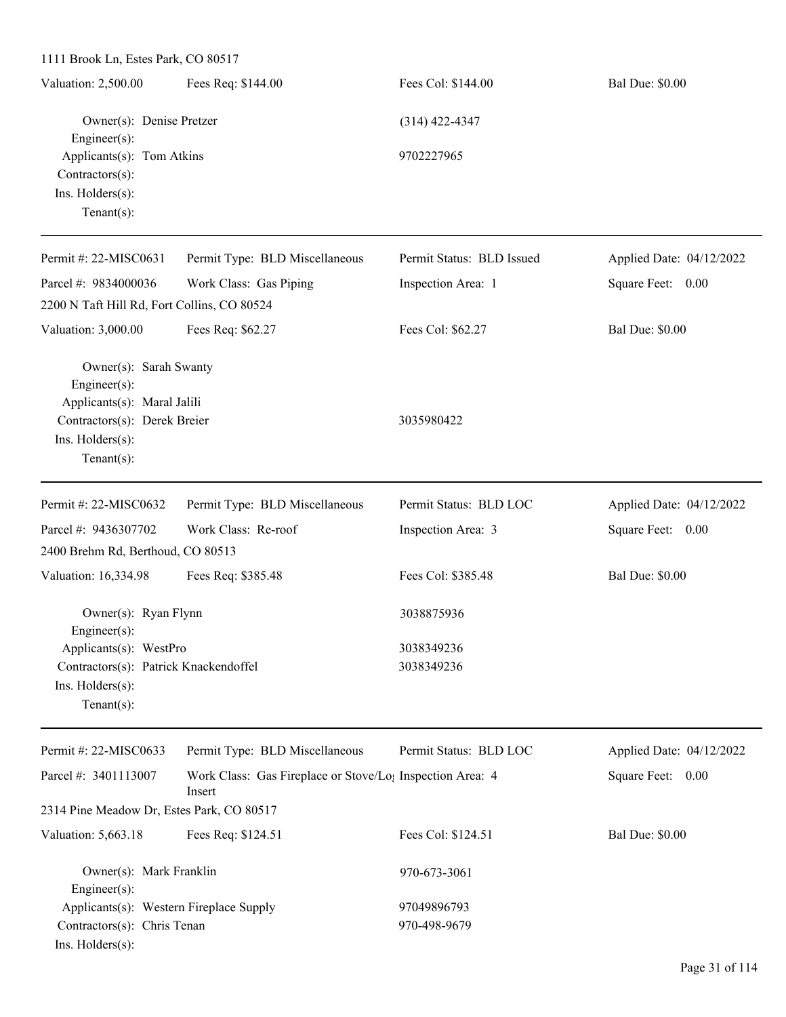1111 Brook Ln, Estes Park, CO 80517 Valuation: 2,500.00 Fees Req: \$144.00 Fees Col: \$144.00 Bal Due: \$0.00 Owner(s): Denise Pretzer (314) 422-4347 Engineer(s): Applicants(s): Tom Atkins 9702227965 Contractors(s): Ins. Holders(s): Tenant(s): Permit #: 22-MISC0631 Parcel #: 9834000036 Permit Type: BLD Miscellaneous Work Class: Gas Piping Permit Status: BLD Issued Inspection Area: 1 Applied Date: 04/12/2022 Square Feet: 0.00 2200 N Taft Hill Rd, Fort Collins, CO 80524 Valuation: 3,000.00 Fees Req: \$62.27 Fees Col: \$62.27 Bal Due: \$0.00 Owner(s): Sarah Swanty Engineer(s): Applicants(s): Maral Jalili Contractors(s): Derek Breier 3035980422 Ins. Holders(s): Tenant(s): Permit #: 22-MISC0632 Parcel #: 9436307702 Permit Type: BLD Miscellaneous Work Class: Re-roof Permit Status: BLD LOC Inspection Area: 3 Applied Date: 04/12/2022 Square Feet: 0.00 2400 Brehm Rd, Berthoud, CO 80513 Valuation: 16,334.98 Fees Req: \$385.48 Fees Col: \$385.48 Bal Due: \$0.00 Owner(s): Ryan Flynn 3038875936 Engineer(s): Applicants(s): WestPro 3038349236 Contractors(s): Patrick Knackendoffel 3038349236 Ins. Holders(s): Tenant(s): Permit #: 22-MISC0633 Parcel #: 3401113007 Permit Type: BLD Miscellaneous Work Class: Gas Fireplace or Stove/Lo<sub>1</sub> Inspection Area: 4 Insert Permit Status: BLD LOC Applied Date: 04/12/2022 Square Feet: 0.00 2314 Pine Meadow Dr, Estes Park, CO 80517 Valuation: 5,663.18 Fees Req: \$124.51 Fees Col: \$124.51 Bal Due: \$0.00 Owner(s): Mark Franklin 970-673-3061 Engineer(s): Applicants(s): Western Fireplace Supply 97049896793 Contractors(s): Chris Tenan 970-498-9679 Ins. Holders(s):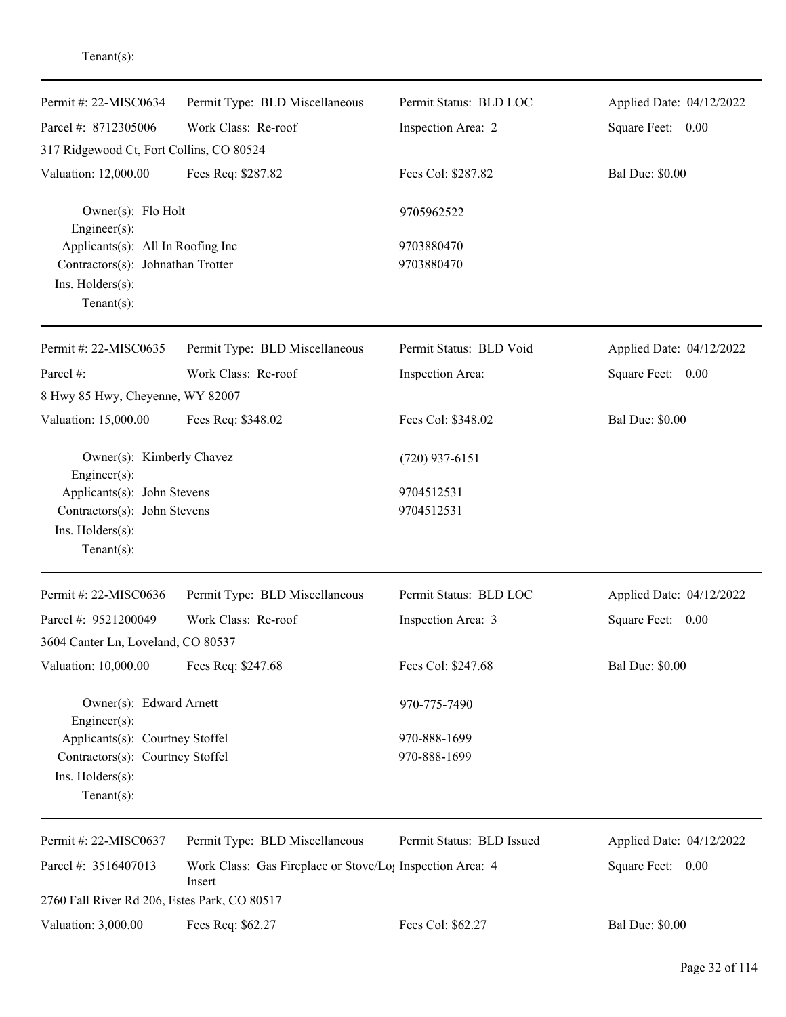| Permit #: 22-MISC0634                                                  | Permit Type: BLD Miscellaneous                                                  | Permit Status: BLD LOC    | Applied Date: 04/12/2022 |
|------------------------------------------------------------------------|---------------------------------------------------------------------------------|---------------------------|--------------------------|
| Parcel #: 8712305006                                                   | Work Class: Re-roof                                                             | Inspection Area: 2        | Square Feet: 0.00        |
| 317 Ridgewood Ct, Fort Collins, CO 80524                               |                                                                                 |                           |                          |
| Valuation: 12,000.00                                                   | Fees Req: \$287.82                                                              | Fees Col: \$287.82        | <b>Bal Due: \$0.00</b>   |
| Owner(s): Flo Holt<br>Engineer(s):                                     |                                                                                 | 9705962522                |                          |
| Applicants(s): All In Roofing Inc                                      |                                                                                 | 9703880470                |                          |
| Contractors(s): Johnathan Trotter<br>Ins. Holders(s):<br>$Tenant(s)$ : |                                                                                 | 9703880470                |                          |
| Permit #: 22-MISC0635                                                  | Permit Type: BLD Miscellaneous                                                  | Permit Status: BLD Void   | Applied Date: 04/12/2022 |
| Parcel #:                                                              | Work Class: Re-roof                                                             | Inspection Area:          | Square Feet: 0.00        |
| 8 Hwy 85 Hwy, Cheyenne, WY 82007                                       |                                                                                 |                           |                          |
| Valuation: 15,000.00                                                   | Fees Req: \$348.02                                                              | Fees Col: \$348.02        | <b>Bal Due: \$0.00</b>   |
| Owner(s): Kimberly Chavez<br>Engineer(s):                              |                                                                                 | $(720)$ 937-6151          |                          |
| Applicants(s): John Stevens                                            |                                                                                 | 9704512531                |                          |
| Contractors(s): John Stevens                                           |                                                                                 | 9704512531                |                          |
| Ins. Holders(s):<br>$Tenant(s)$ :                                      |                                                                                 |                           |                          |
|                                                                        |                                                                                 |                           |                          |
| Permit #: 22-MISC0636                                                  | Permit Type: BLD Miscellaneous                                                  | Permit Status: BLD LOC    | Applied Date: 04/12/2022 |
| Parcel #: 9521200049                                                   | Work Class: Re-roof                                                             | Inspection Area: 3        | Square Feet: 0.00        |
| 3604 Canter Ln, Loveland, CO 80537                                     |                                                                                 |                           |                          |
| Valuation: 10,000.00                                                   | Fees Req: \$247.68                                                              | Fees Col: \$247.68        | <b>Bal Due: \$0.00</b>   |
| Owner(s): Edward Arnett<br>Engineer(s):                                |                                                                                 | 970-775-7490              |                          |
| Applicants(s): Courtney Stoffel                                        |                                                                                 | 970-888-1699              |                          |
| Contractors(s): Courtney Stoffel                                       |                                                                                 | 970-888-1699              |                          |
| Ins. Holders(s):<br>$Tenant(s)$ :                                      |                                                                                 |                           |                          |
| Permit #: 22-MISC0637                                                  | Permit Type: BLD Miscellaneous                                                  | Permit Status: BLD Issued | Applied Date: 04/12/2022 |
| Parcel #: 3516407013                                                   | Work Class: Gas Fireplace or Stove/Lo <sub>!</sub> Inspection Area: 4<br>Insert |                           | Square Feet: 0.00        |
| 2760 Fall River Rd 206, Estes Park, CO 80517                           |                                                                                 |                           |                          |
| Valuation: 3,000.00                                                    | Fees Req: \$62.27                                                               | Fees Col: \$62.27         | <b>Bal Due: \$0.00</b>   |

## Tenant(s):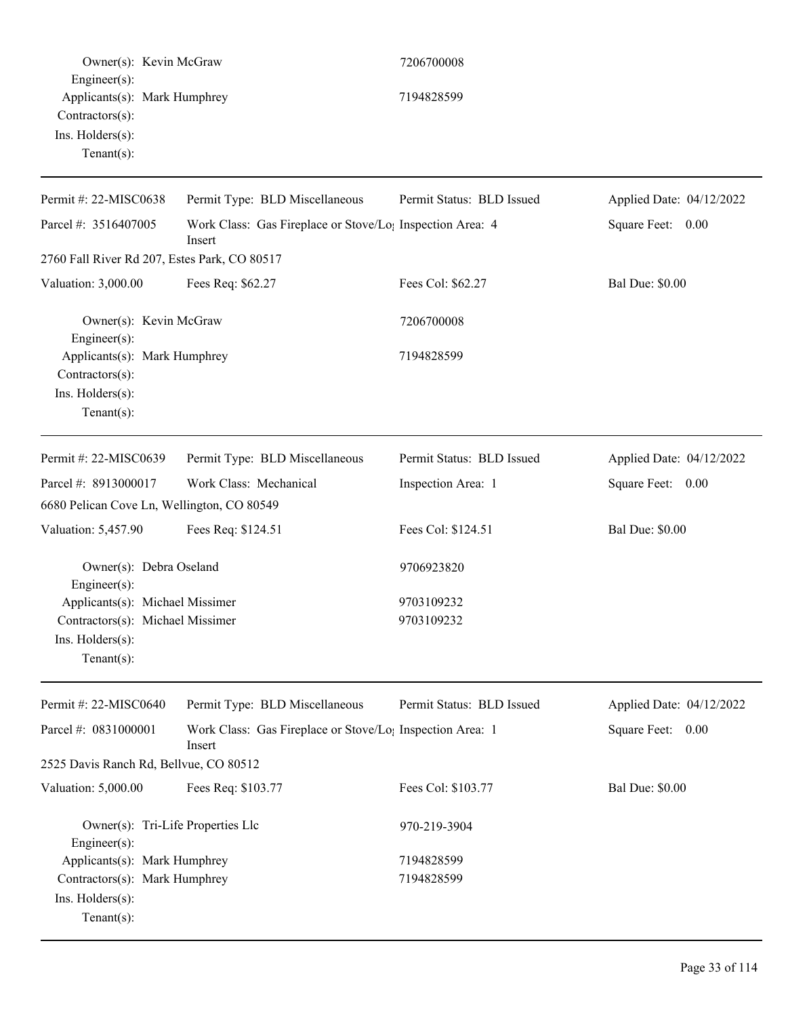| Owner(s): Kevin McGraw                                                                                          |                                                                                 | 7206700008                |                          |
|-----------------------------------------------------------------------------------------------------------------|---------------------------------------------------------------------------------|---------------------------|--------------------------|
| Engineer(s):<br>Applicants(s): Mark Humphrey<br>Contractors(s):<br>Ins. Holders(s):<br>Tenant $(s)$ :           |                                                                                 | 7194828599                |                          |
| Permit #: 22-MISC0638                                                                                           | Permit Type: BLD Miscellaneous                                                  | Permit Status: BLD Issued | Applied Date: 04/12/2022 |
| Parcel #: 3516407005                                                                                            | Work Class: Gas Fireplace or Stove/Lo <sub>1</sub> Inspection Area: 4<br>Insert |                           | Square Feet: 0.00        |
| 2760 Fall River Rd 207, Estes Park, CO 80517                                                                    |                                                                                 |                           |                          |
| Valuation: 3,000.00                                                                                             | Fees Req: \$62.27                                                               | Fees Col: \$62.27         | <b>Bal Due: \$0.00</b>   |
| Owner(s): Kevin McGraw<br>Engineer(s):                                                                          |                                                                                 | 7206700008                |                          |
| Applicants(s): Mark Humphrey<br>Contractors(s):<br>Ins. Holders(s):<br>Tenant $(s)$ :                           |                                                                                 | 7194828599                |                          |
| Permit #: 22-MISC0639                                                                                           | Permit Type: BLD Miscellaneous                                                  | Permit Status: BLD Issued | Applied Date: 04/12/2022 |
| Parcel #: 8913000017                                                                                            | Work Class: Mechanical                                                          | Inspection Area: 1        | Square Feet: 0.00        |
| 6680 Pelican Cove Ln, Wellington, CO 80549                                                                      |                                                                                 |                           |                          |
| Valuation: 5,457.90                                                                                             | Fees Req: \$124.51                                                              | Fees Col: \$124.51        | <b>Bal Due: \$0.00</b>   |
| Owner(s): Debra Oseland<br>Engineer(s):                                                                         |                                                                                 | 9706923820                |                          |
| Applicants(s): Michael Missimer<br>Contractors(s): Michael Missimer<br>$Ins.$ Holders $(s)$ :<br>Tenant $(s)$ : |                                                                                 | 9703109232<br>9703109232  |                          |
| Permit #: 22-MISC0640                                                                                           | Permit Type: BLD Miscellaneous                                                  | Permit Status: BLD Issued | Applied Date: 04/12/2022 |
| Parcel #: 0831000001                                                                                            | Work Class: Gas Fireplace or Stove/Lo <sub>1</sub> Inspection Area: 1<br>Insert |                           | Square Feet: 0.00        |
| 2525 Davis Ranch Rd, Bellvue, CO 80512                                                                          |                                                                                 |                           |                          |
| Valuation: 5,000.00                                                                                             | Fees Req: \$103.77                                                              | Fees Col: \$103.77        | <b>Bal Due: \$0.00</b>   |
| Owner(s): Tri-Life Properties Llc<br>Engineer $(s)$ :                                                           |                                                                                 | 970-219-3904              |                          |
| Applicants(s): Mark Humphrey<br>Contractors(s): Mark Humphrey<br>Ins. Holders(s):<br>$Tenant(s)$ :              |                                                                                 | 7194828599<br>7194828599  |                          |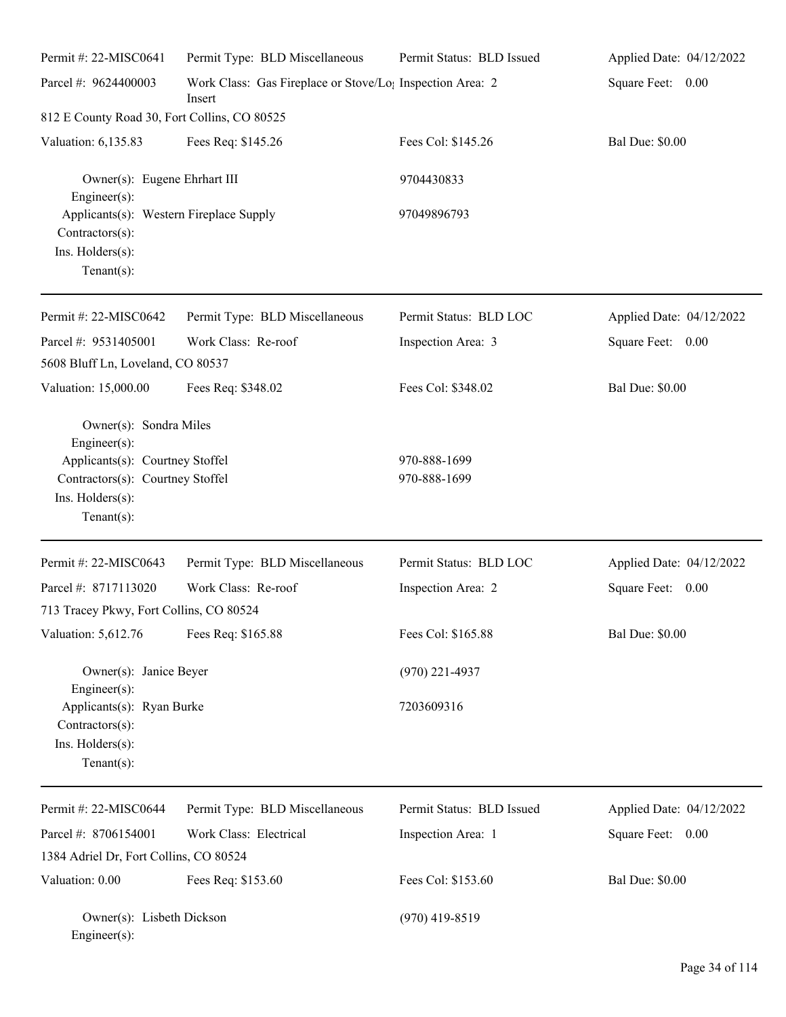| Permit #: 22-MISC0641                                                                                                                              | Permit Type: BLD Miscellaneous                                                  | Permit Status: BLD Issued    | Applied Date: 04/12/2022 |
|----------------------------------------------------------------------------------------------------------------------------------------------------|---------------------------------------------------------------------------------|------------------------------|--------------------------|
| Parcel #: 9624400003                                                                                                                               | Work Class: Gas Fireplace or Stove/Lo <sub>!</sub> Inspection Area: 2<br>Insert |                              | Square Feet: 0.00        |
| 812 E County Road 30, Fort Collins, CO 80525                                                                                                       |                                                                                 |                              |                          |
| Valuation: 6,135.83                                                                                                                                | Fees Req: \$145.26                                                              | Fees Col: \$145.26           | <b>Bal Due: \$0.00</b>   |
| Owner(s): Eugene Ehrhart III<br>Engineer $(s)$ :                                                                                                   |                                                                                 | 9704430833                   |                          |
| Applicants(s): Western Fireplace Supply<br>Contractors(s):<br>Ins. Holders(s):<br>Tenant $(s)$ :                                                   |                                                                                 | 97049896793                  |                          |
| Permit #: 22-MISC0642                                                                                                                              | Permit Type: BLD Miscellaneous                                                  | Permit Status: BLD LOC       | Applied Date: 04/12/2022 |
| Parcel #: 9531405001                                                                                                                               | Work Class: Re-roof                                                             | Inspection Area: 3           | Square Feet: 0.00        |
| 5608 Bluff Ln, Loveland, CO 80537                                                                                                                  |                                                                                 |                              |                          |
| Valuation: 15,000.00                                                                                                                               | Fees Req: \$348.02                                                              | Fees Col: \$348.02           | <b>Bal Due: \$0.00</b>   |
| Owner(s): Sondra Miles<br>Engineer(s):<br>Applicants(s): Courtney Stoffel<br>Contractors(s): Courtney Stoffel<br>Ins. Holders(s):<br>$Tenant(s)$ : |                                                                                 | 970-888-1699<br>970-888-1699 |                          |
| Permit #: 22-MISC0643                                                                                                                              | Permit Type: BLD Miscellaneous                                                  | Permit Status: BLD LOC       | Applied Date: 04/12/2022 |
| Parcel #: 8717113020                                                                                                                               | Work Class: Re-roof                                                             | Inspection Area: 2           | Square Feet: 0.00        |
| 713 Tracey Pkwy, Fort Collins, CO 80524                                                                                                            |                                                                                 |                              |                          |
| Valuation: 5,612.76                                                                                                                                | Fees Req: \$165.88                                                              | Fees Col: \$165.88           | <b>Bal Due: \$0.00</b>   |
| Owner(s): Janice Beyer<br>Engineer $(s)$ :                                                                                                         |                                                                                 | $(970)$ 221-4937             |                          |
| Applicants(s): Ryan Burke<br>Contractors(s):<br>Ins. Holders(s):<br>Tenant $(s)$ :                                                                 |                                                                                 | 7203609316                   |                          |
| Permit #: 22-MISC0644                                                                                                                              | Permit Type: BLD Miscellaneous                                                  | Permit Status: BLD Issued    | Applied Date: 04/12/2022 |
| Parcel #: 8706154001                                                                                                                               | Work Class: Electrical                                                          | Inspection Area: 1           | Square Feet: 0.00        |
| 1384 Adriel Dr, Fort Collins, CO 80524                                                                                                             |                                                                                 |                              |                          |
| Valuation: 0.00                                                                                                                                    | Fees Req: \$153.60                                                              | Fees Col: \$153.60           | <b>Bal Due: \$0.00</b>   |
| Owner(s): Lisbeth Dickson<br>$Engineer(s)$ :                                                                                                       |                                                                                 | $(970)$ 419-8519             |                          |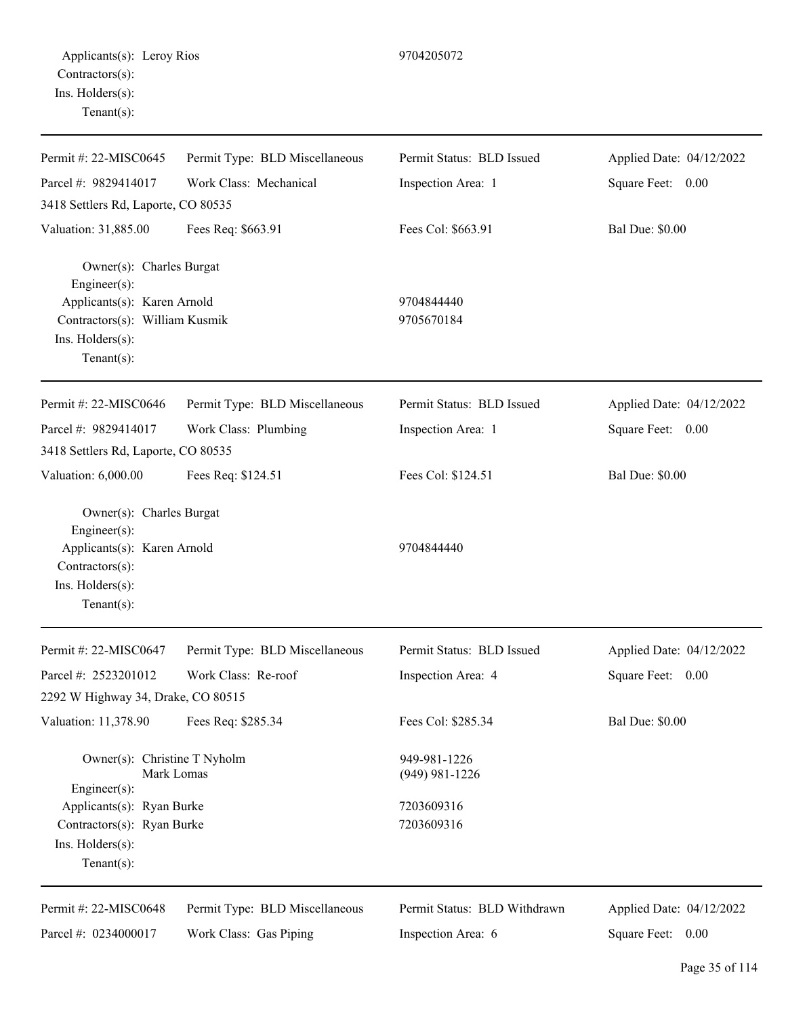| Permit #: 22-MISC0645                                                                                     | Permit Type: BLD Miscellaneous | Permit Status: BLD Issued        | Applied Date: 04/12/2022 |
|-----------------------------------------------------------------------------------------------------------|--------------------------------|----------------------------------|--------------------------|
| Parcel #: 9829414017                                                                                      | Work Class: Mechanical         | Inspection Area: 1               | Square Feet: 0.00        |
| 3418 Settlers Rd, Laporte, CO 80535                                                                       |                                |                                  |                          |
| Valuation: 31,885.00                                                                                      | Fees Req: \$663.91             | Fees Col: \$663.91               | <b>Bal Due: \$0.00</b>   |
| Owner(s): Charles Burgat<br>Engineer(s):<br>Applicants(s): Karen Arnold<br>Contractors(s): William Kusmik |                                | 9704844440<br>9705670184         |                          |
| Ins. Holders(s):<br>Tenant $(s)$ :                                                                        |                                |                                  |                          |
| Permit #: 22-MISC0646                                                                                     | Permit Type: BLD Miscellaneous | Permit Status: BLD Issued        | Applied Date: 04/12/2022 |
| Parcel #: 9829414017                                                                                      | Work Class: Plumbing           | Inspection Area: 1               | Square Feet: 0.00        |
| 3418 Settlers Rd, Laporte, CO 80535                                                                       |                                |                                  |                          |
| Valuation: 6,000.00                                                                                       | Fees Req: \$124.51             | Fees Col: \$124.51               | <b>Bal Due: \$0.00</b>   |
| Owner(s): Charles Burgat<br>Engineer(s):<br>Applicants(s): Karen Arnold<br>Contractors(s):                |                                | 9704844440                       |                          |
| Ins. Holders(s):<br>Tenant $(s)$ :                                                                        |                                |                                  |                          |
| Permit #: 22-MISC0647                                                                                     | Permit Type: BLD Miscellaneous | Permit Status: BLD Issued        | Applied Date: 04/12/2022 |
| Parcel #: 2523201012<br>2292 W Highway 34, Drake, CO 80515                                                | Work Class: Re-roof            | Inspection Area: 4               | Square Feet: 0.00        |
| Valuation: 11,378.90                                                                                      | Fees Req: \$285.34             | Fees Col: \$285.34               | <b>Bal Due: \$0.00</b>   |
| Owner(s): Christine T Nyholm<br>Engineer(s):                                                              | Mark Lomas                     | 949-981-1226<br>$(949)$ 981-1226 |                          |
| Applicants(s): Ryan Burke<br>Contractors(s): Ryan Burke<br>Ins. Holders(s):<br>$Tenant(s)$ :              |                                | 7203609316<br>7203609316         |                          |
| Permit #: 22-MISC0648                                                                                     | Permit Type: BLD Miscellaneous | Permit Status: BLD Withdrawn     | Applied Date: 04/12/2022 |
| Parcel #: 0234000017                                                                                      | Work Class: Gas Piping         | Inspection Area: 6               | Square Feet: 0.00        |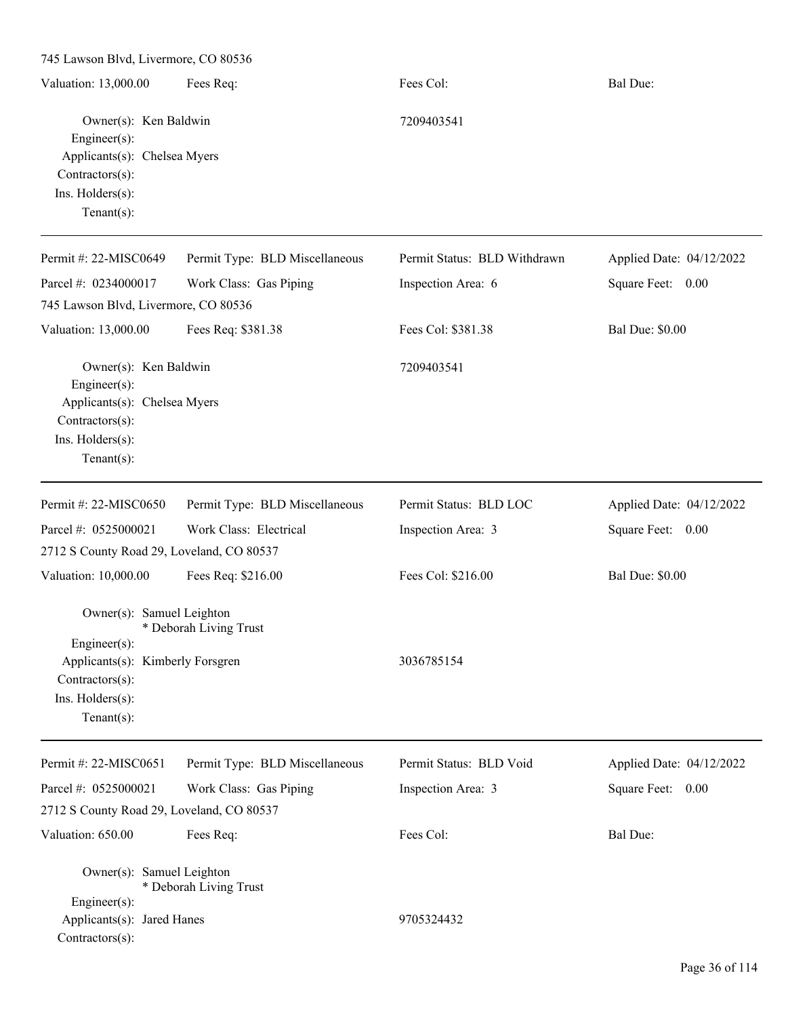745 Lawson Blvd, Livermore, CO 80536 Valuation: 13,000.00 Fees Req: Fees Col: Fees Col: Bal Due: Owner(s): Ken Baldwin 7209403541 Engineer(s): Applicants(s): Chelsea Myers Contractors(s): Ins. Holders(s): Tenant(s): Permit #: 22-MISC0649 Parcel #: 0234000017 Permit Type: BLD Miscellaneous Work Class: Gas Piping Permit Status: BLD Withdrawn Inspection Area: 6 Applied Date: 04/12/2022 Square Feet: 0.00 745 Lawson Blvd, Livermore, CO 80536 Valuation: 13,000.00 Fees Req: \$381.38 Fees Col: \$381.38 Bal Due: \$0.00 Owner(s): Ken Baldwin 7209403541 Engineer(s): Applicants(s): Chelsea Myers Contractors(s): Ins. Holders(s): Tenant(s): Permit #: 22-MISC0650 Parcel #: 0525000021 Permit Type: BLD Miscellaneous Work Class: Electrical Permit Status: BLD LOC Inspection Area: 3 Applied Date: 04/12/2022 Square Feet: 0.00 2712 S County Road 29, Loveland, CO 80537 Valuation: 10,000.00 Fees Req: \$216.00 Fees Col: \$216.00 Bal Due: \$0.00 Owner(s): Samuel Leighton \* Deborah Living Trust Engineer(s): Applicants(s): Kimberly Forsgren 3036785154 Contractors(s): Ins. Holders(s): Tenant(s): Permit #: 22-MISC0651 Parcel #: 0525000021 Permit Type: BLD Miscellaneous Work Class: Gas Piping Permit Status: BLD Void Inspection Area: 3 Applied Date: 04/12/2022 Square Feet: 0.00 2712 S County Road 29, Loveland, CO 80537 Valuation: 650.00 Fees Req: Fees Col: Fees Col: Bal Due: Owner(s): Samuel Leighton \* Deborah Living Trust Engineer(s): Applicants(s): Jared Hanes 9705324432 Contractors(s):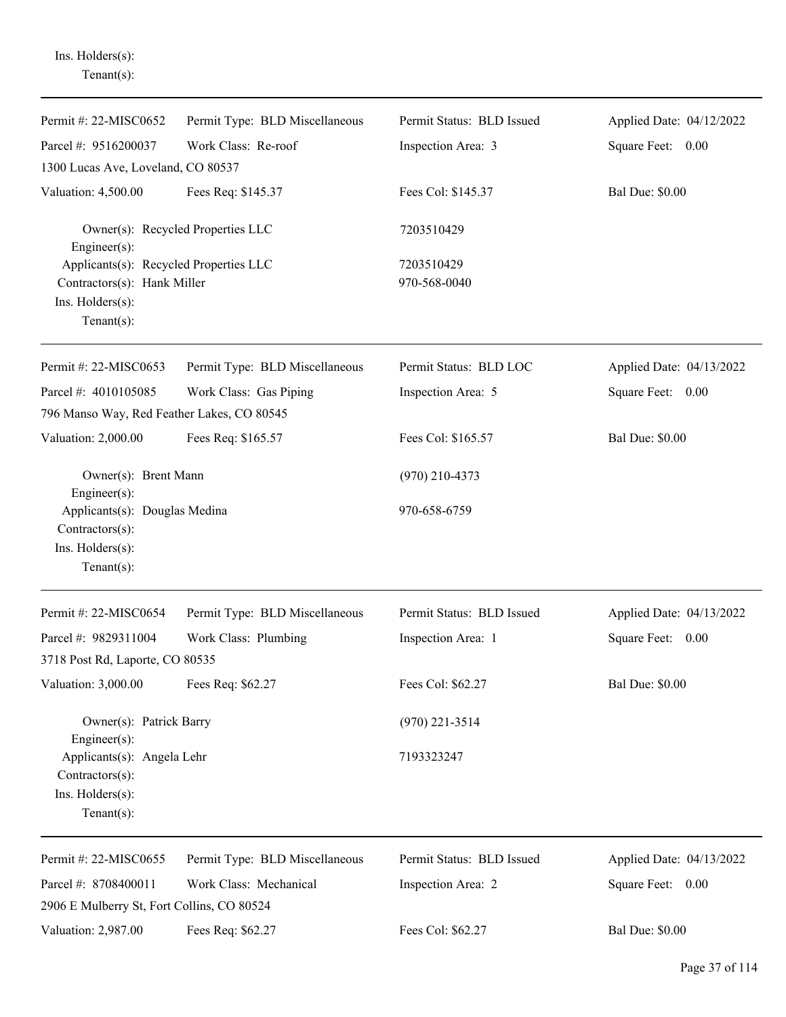| $Tenant(s)$ :                                                        |                                   |                           |                          |
|----------------------------------------------------------------------|-----------------------------------|---------------------------|--------------------------|
| Permit #: 22-MISC0652                                                | Permit Type: BLD Miscellaneous    | Permit Status: BLD Issued | Applied Date: 04/12/2022 |
| Parcel #: 9516200037                                                 | Work Class: Re-roof               | Inspection Area: 3        | Square Feet: 0.00        |
| 1300 Lucas Ave, Loveland, CO 80537                                   |                                   |                           |                          |
| Valuation: 4,500.00                                                  | Fees Req: \$145.37                | Fees Col: \$145.37        | <b>Bal Due: \$0.00</b>   |
| Engineer(s):                                                         | Owner(s): Recycled Properties LLC | 7203510429                |                          |
| Applicants(s): Recycled Properties LLC                               |                                   | 7203510429                |                          |
| Contractors(s): Hank Miller                                          |                                   | 970-568-0040              |                          |
| Ins. Holders(s):<br>Tenant $(s)$ :                                   |                                   |                           |                          |
| Permit #: 22-MISC0653                                                | Permit Type: BLD Miscellaneous    | Permit Status: BLD LOC    | Applied Date: 04/13/2022 |
| Parcel #: 4010105085                                                 | Work Class: Gas Piping            | Inspection Area: 5        | Square Feet: 0.00        |
| 796 Manso Way, Red Feather Lakes, CO 80545                           |                                   |                           |                          |
| Valuation: 2,000.00                                                  | Fees Req: \$165.57                | Fees Col: \$165.57        | <b>Bal Due: \$0.00</b>   |
| Owner(s): Brent Mann<br>Engineer(s):                                 |                                   | $(970)$ 210-4373          |                          |
| Applicants(s): Douglas Medina<br>Contractors(s):<br>Ins. Holders(s): |                                   | 970-658-6759              |                          |
| Tenant $(s)$ :                                                       |                                   |                           |                          |
| Permit #: 22-MISC0654                                                | Permit Type: BLD Miscellaneous    | Permit Status: BLD Issued | Applied Date: 04/13/2022 |
| Parcel #: 9829311004                                                 | Work Class: Plumbing              | Inspection Area: 1        | Square Feet: 0.00        |
| 3718 Post Rd, Laporte, CO 80535                                      |                                   |                           |                          |
| Valuation: 3,000.00                                                  | Fees Req: \$62.27                 | Fees Col: \$62.27         | <b>Bal Due: \$0.00</b>   |
| Owner(s): Patrick Barry<br>Engineer(s):                              |                                   | $(970)$ 221-3514          |                          |
| Applicants(s): Angela Lehr<br>Contractors(s):                        |                                   | 7193323247                |                          |
| Ins. Holders(s):                                                     |                                   |                           |                          |
| Tenant $(s)$ :                                                       |                                   |                           |                          |
| Permit #: 22-MISC0655                                                | Permit Type: BLD Miscellaneous    | Permit Status: BLD Issued | Applied Date: 04/13/2022 |
| Parcel #: 8708400011                                                 | Work Class: Mechanical            | Inspection Area: 2        | Square Feet: 0.00        |
| 2906 E Mulberry St, Fort Collins, CO 80524                           |                                   |                           |                          |
| Valuation: 2,987.00                                                  | Fees Req: \$62.27                 | Fees Col: \$62.27         | <b>Bal Due: \$0.00</b>   |

Ins. Holders(s):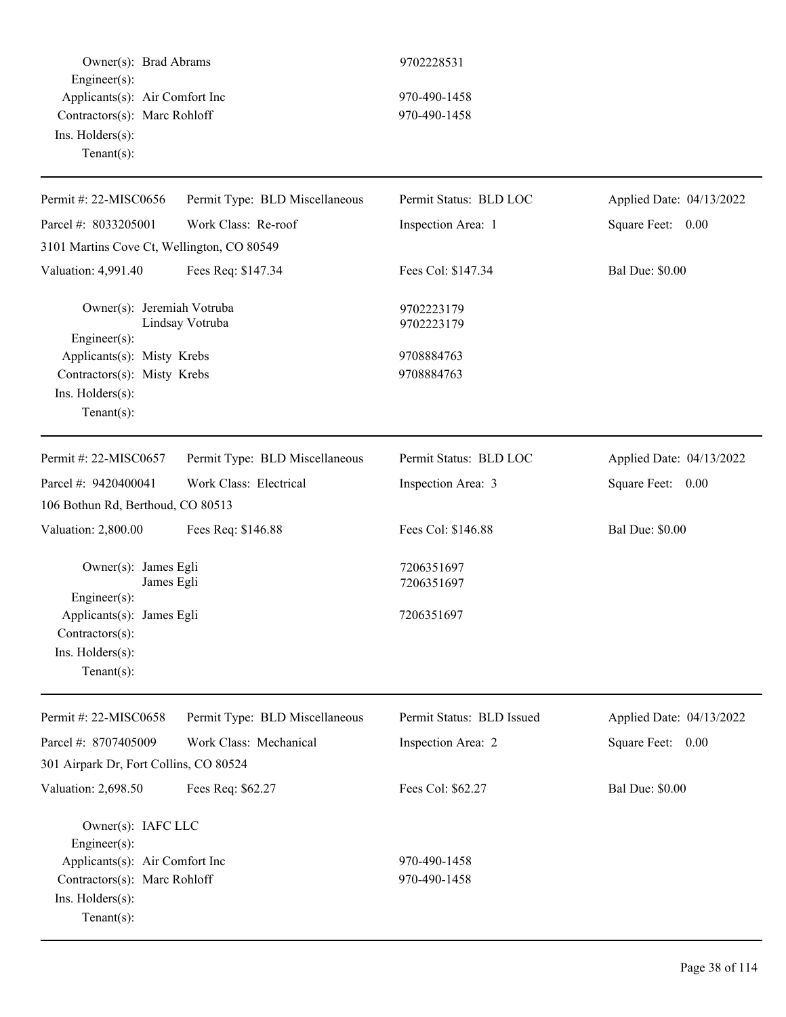Owner(s): Brad Abrams 9702228531 Engineer(s): Applicants(s): Air Comfort Inc 970-490-1458 Contractors(s): Marc Rohloff 970-490-1458 Ins. Holders(s): Tenant(s):

| Permit #: 22-MISC0656                              | Permit Type: BLD Miscellaneous | Permit Status: BLD LOC    | Applied Date: 04/13/2022 |
|----------------------------------------------------|--------------------------------|---------------------------|--------------------------|
| Parcel #: 8033205001                               | Work Class: Re-roof            | Inspection Area: 1        | Square Feet: 0.00        |
| 3101 Martins Cove Ct, Wellington, CO 80549         |                                |                           |                          |
| Valuation: 4,991.40                                | Fees Req: \$147.34             | Fees Col: \$147.34        | <b>Bal Due: \$0.00</b>   |
| Owner(s): Jeremiah Votruba<br>Engineer(s):         | Lindsay Votruba                | 9702223179<br>9702223179  |                          |
| Applicants(s): Misty Krebs                         |                                | 9708884763                |                          |
| Contractors(s): Misty Krebs                        |                                | 9708884763                |                          |
| Ins. Holders(s):                                   |                                |                           |                          |
| Tenant $(s)$ :                                     |                                |                           |                          |
| Permit #: 22-MISC0657                              | Permit Type: BLD Miscellaneous | Permit Status: BLD LOC    | Applied Date: 04/13/2022 |
| Parcel #: 9420400041                               | Work Class: Electrical         | Inspection Area: 3        | Square Feet:<br>0.00     |
| 106 Bothun Rd, Berthoud, CO 80513                  |                                |                           |                          |
| Valuation: 2,800.00                                | Fees Req: \$146.88             | Fees Col: \$146.88        | <b>Bal Due: \$0.00</b>   |
| Owner(s): James Egli<br>James Egli<br>Engineer(s): |                                | 7206351697<br>7206351697  |                          |
| Applicants(s): James Egli<br>Contractors(s):       |                                | 7206351697                |                          |
| Ins. Holders(s):                                   |                                |                           |                          |
| $Tenant(s)$ :                                      |                                |                           |                          |
| Permit #: 22-MISC0658                              | Permit Type: BLD Miscellaneous | Permit Status: BLD Issued | Applied Date: 04/13/2022 |
| Parcel #: 8707405009                               | Work Class: Mechanical         | Inspection Area: 2        | Square Feet:<br>0.00     |
| 301 Airpark Dr, Fort Collins, CO 80524             |                                |                           |                          |
| Valuation: 2,698.50                                | Fees Req: \$62.27              | Fees Col: \$62.27         | <b>Bal Due: \$0.00</b>   |
| Owner(s): IAFC LLC<br>Engineer(s):                 |                                |                           |                          |
| Applicants(s): Air Comfort Inc                     |                                | 970-490-1458              |                          |
| Contractors(s): Marc Rohloff                       |                                | 970-490-1458              |                          |
| Ins. Holders(s):                                   |                                |                           |                          |
| Tenant $(s)$ :                                     |                                |                           |                          |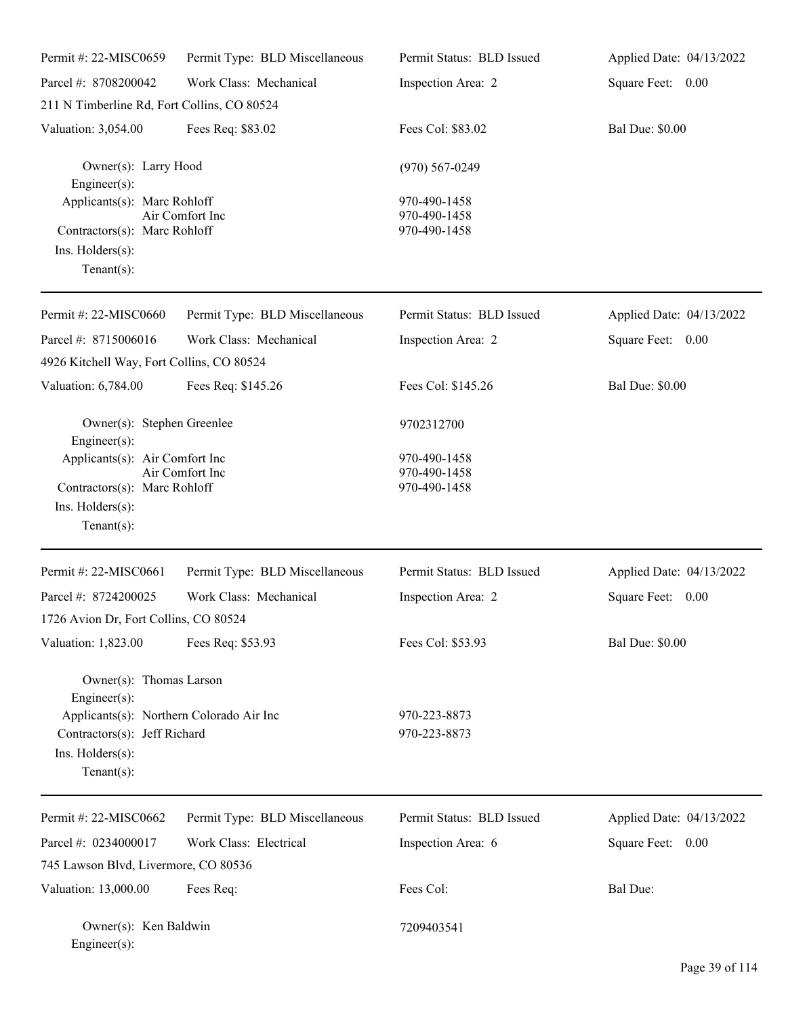| Permit #: 22-MISC0659                                                                                          | Permit Type: BLD Miscellaneous | Permit Status: BLD Issued                    | Applied Date: 04/13/2022 |
|----------------------------------------------------------------------------------------------------------------|--------------------------------|----------------------------------------------|--------------------------|
| Parcel #: 8708200042                                                                                           | Work Class: Mechanical         | Inspection Area: 2                           | Square Feet: 0.00        |
| 211 N Timberline Rd, Fort Collins, CO 80524                                                                    |                                |                                              |                          |
| Valuation: 3,054.00                                                                                            | Fees Req: \$83.02              | Fees Col: \$83.02                            | <b>Bal Due: \$0.00</b>   |
| Owner(s): Larry Hood<br>Engineer(s):                                                                           |                                | $(970)$ 567-0249                             |                          |
| Applicants(s): Marc Rohloff<br>Contractors(s): Marc Rohloff<br>Ins. Holders(s):<br>Tenant $(s)$ :              | Air Comfort Inc.               | 970-490-1458<br>970-490-1458<br>970-490-1458 |                          |
| Permit #: 22-MISC0660                                                                                          | Permit Type: BLD Miscellaneous | Permit Status: BLD Issued                    | Applied Date: 04/13/2022 |
| Parcel #: 8715006016                                                                                           | Work Class: Mechanical         | Inspection Area: 2                           | Square Feet: 0.00        |
| 4926 Kitchell Way, Fort Collins, CO 80524                                                                      |                                |                                              |                          |
| Valuation: 6,784.00                                                                                            | Fees Req: \$145.26             | Fees Col: \$145.26                           | <b>Bal Due: \$0.00</b>   |
| Owner(s): Stephen Greenlee<br>Engineer(s):                                                                     |                                | 9702312700                                   |                          |
| Applicants(s): Air Comfort Inc<br>Contractors(s): Marc Rohloff<br>Ins. $H$ olders $(s)$ :<br>Tenant $(s)$ :    | Air Comfort Inc                | 970-490-1458<br>970-490-1458<br>970-490-1458 |                          |
| Permit #: 22-MISC0661                                                                                          | Permit Type: BLD Miscellaneous | Permit Status: BLD Issued                    | Applied Date: 04/13/2022 |
| Parcel #: 8724200025<br>1726 Avion Dr, Fort Collins, CO 80524                                                  | Work Class: Mechanical         | Inspection Area: 2                           | Square Feet:<br>0.00     |
| Valuation: 1,823.00                                                                                            | Fees Req: \$53.93              | Fees Col: \$53.93                            | <b>Bal Due: \$0.00</b>   |
| Owner(s): Thomas Larson<br>Engineer(s):                                                                        |                                |                                              |                          |
| Applicants(s): Northern Colorado Air Inc<br>Contractors(s): Jeff Richard<br>Ins. Holders(s):<br>Tenant $(s)$ : |                                | 970-223-8873<br>970-223-8873                 |                          |
| Permit #: 22-MISC0662                                                                                          | Permit Type: BLD Miscellaneous | Permit Status: BLD Issued                    | Applied Date: 04/13/2022 |
| Parcel #: 0234000017                                                                                           | Work Class: Electrical         | Inspection Area: 6                           | Square Feet: 0.00        |
| 745 Lawson Blvd, Livermore, CO 80536                                                                           |                                |                                              |                          |
| Valuation: 13,000.00                                                                                           | Fees Req:                      | Fees Col:                                    | <b>Bal Due:</b>          |
| Owner(s): Ken Baldwin<br>Engineer(s):                                                                          |                                | 7209403541                                   |                          |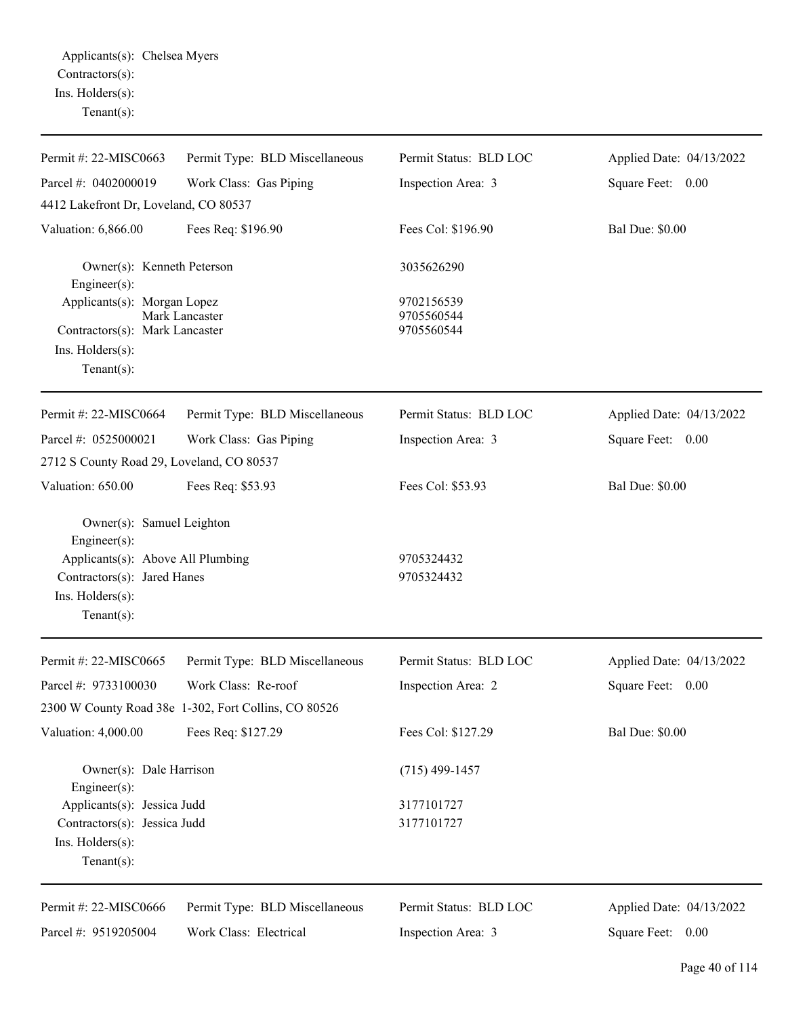| Permit #: 22-MISC0663                                                                                  | Permit Type: BLD Miscellaneous                       | Permit Status: BLD LOC   | Applied Date: 04/13/2022 |
|--------------------------------------------------------------------------------------------------------|------------------------------------------------------|--------------------------|--------------------------|
| Parcel #: 0402000019                                                                                   | Work Class: Gas Piping                               | Inspection Area: 3       | Square Feet: 0.00        |
| 4412 Lakefront Dr, Loveland, CO 80537                                                                  |                                                      |                          |                          |
| Valuation: 6,866.00                                                                                    | Fees Req: \$196.90                                   | Fees Col: \$196.90       | <b>Bal Due: \$0.00</b>   |
| Owner(s): Kenneth Peterson<br>Engineer(s):                                                             |                                                      | 3035626290               |                          |
| Applicants(s): Morgan Lopez                                                                            | Mark Lancaster                                       | 9702156539<br>9705560544 |                          |
| Contractors(s): Mark Lancaster                                                                         |                                                      | 9705560544               |                          |
| Ins. Holders(s):<br>$Tenant(s)$ :                                                                      |                                                      |                          |                          |
| Permit #: 22-MISC0664                                                                                  | Permit Type: BLD Miscellaneous                       | Permit Status: BLD LOC   | Applied Date: 04/13/2022 |
| Parcel #: 0525000021                                                                                   | Work Class: Gas Piping                               | Inspection Area: 3       | Square Feet: 0.00        |
| 2712 S County Road 29, Loveland, CO 80537                                                              |                                                      |                          |                          |
| Valuation: 650.00                                                                                      | Fees Req: \$53.93                                    | Fees Col: \$53.93        | <b>Bal Due: \$0.00</b>   |
| Owner(s): Samuel Leighton<br>Engineer(s):                                                              |                                                      |                          |                          |
| Applicants(s): Above All Plumbing<br>Contractors(s): Jared Hanes<br>Ins. Holders(s):<br>Tenant $(s)$ : |                                                      | 9705324432<br>9705324432 |                          |
| Permit #: 22-MISC0665                                                                                  | Permit Type: BLD Miscellaneous                       | Permit Status: BLD LOC   | Applied Date: 04/13/2022 |
| Parcel #: 9733100030                                                                                   | Work Class: Re-roof                                  | Inspection Area: 2       | Square Feet:<br>0.00     |
|                                                                                                        | 2300 W County Road 38e 1-302, Fort Collins, CO 80526 |                          |                          |
| Valuation: 4,000.00                                                                                    | Fees Req: \$127.29                                   | Fees Col: \$127.29       | <b>Bal Due: \$0.00</b>   |
| Owner(s): Dale Harrison<br>Engineer(s):                                                                |                                                      | $(715)$ 499-1457         |                          |
| Applicants(s): Jessica Judd                                                                            |                                                      | 3177101727               |                          |
| Contractors(s): Jessica Judd<br>Ins. Holders(s):<br>Tenant $(s)$ :                                     |                                                      | 3177101727               |                          |
| Permit #: 22-MISC0666                                                                                  | Permit Type: BLD Miscellaneous                       | Permit Status: BLD LOC   | Applied Date: 04/13/2022 |
| Parcel #: 9519205004                                                                                   | Work Class: Electrical                               | Inspection Area: 3       | Square Feet:<br>0.00     |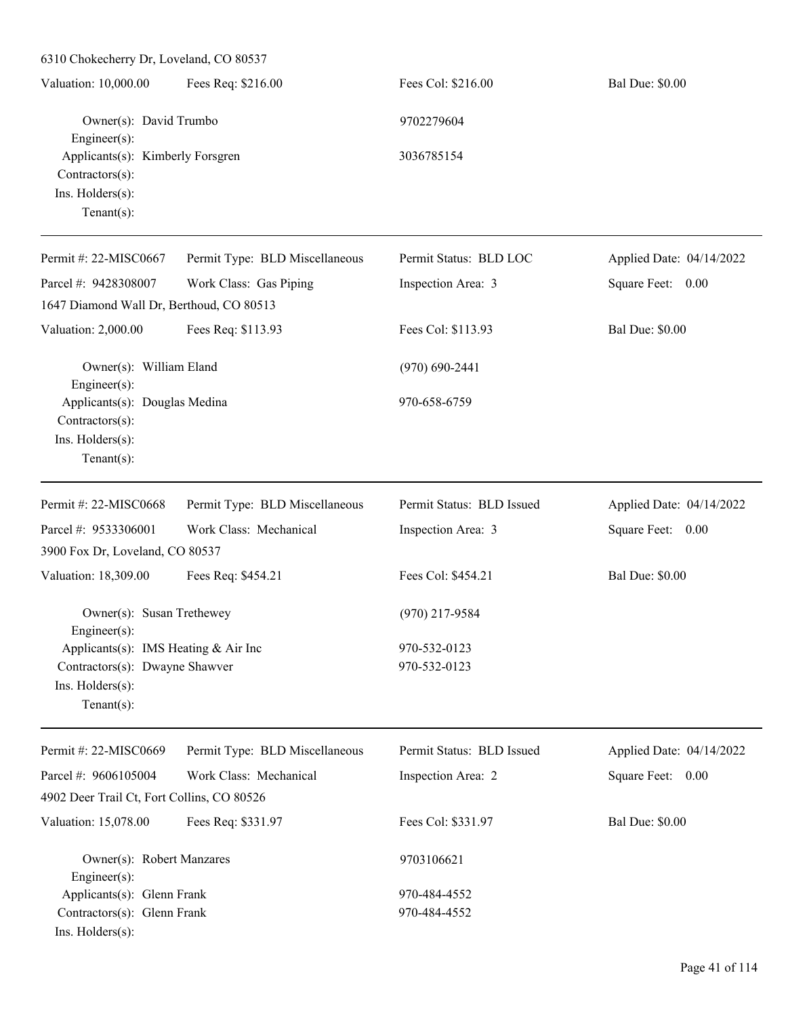| 6310 Chokecherry Dr, Loveland, CO 80537                                                                      |                                |                              |                          |  |
|--------------------------------------------------------------------------------------------------------------|--------------------------------|------------------------------|--------------------------|--|
| Valuation: 10,000.00                                                                                         | Fees Req: \$216.00             | Fees Col: \$216.00           | <b>Bal Due: \$0.00</b>   |  |
| Owner(s): David Trumbo<br>Engineer $(s)$ :                                                                   |                                | 9702279604                   |                          |  |
| Applicants(s): Kimberly Forsgren<br>Contractors(s):<br>Ins. Holders(s):<br>Tenant $(s)$ :                    |                                | 3036785154                   |                          |  |
| Permit#: 22-MISC0667                                                                                         | Permit Type: BLD Miscellaneous | Permit Status: BLD LOC       | Applied Date: 04/14/2022 |  |
| Parcel #: 9428308007                                                                                         | Work Class: Gas Piping         | Inspection Area: 3           | Square Feet: 0.00        |  |
| 1647 Diamond Wall Dr, Berthoud, CO 80513                                                                     |                                |                              |                          |  |
| Valuation: 2,000.00                                                                                          | Fees Req: \$113.93             | Fees Col: \$113.93           | <b>Bal Due: \$0.00</b>   |  |
| Owner(s): William Eland<br>Engineer $(s)$ :                                                                  |                                | $(970)$ 690-2441             |                          |  |
| Applicants(s): Douglas Medina<br>Contractors(s):<br>Ins. Holders(s):<br>Tenant $(s)$ :                       |                                | 970-658-6759                 |                          |  |
| Permit #: 22-MISC0668                                                                                        | Permit Type: BLD Miscellaneous | Permit Status: BLD Issued    | Applied Date: 04/14/2022 |  |
| Parcel #: 9533306001                                                                                         | Work Class: Mechanical         | Inspection Area: 3           | Square Feet: 0.00        |  |
| 3900 Fox Dr, Loveland, CO 80537                                                                              |                                |                              |                          |  |
| Valuation: 18,309.00                                                                                         | Fees Req: \$454.21             | Fees Col: \$454.21           | <b>Bal Due: \$0.00</b>   |  |
| Owner(s): Susan Trethewey<br>$Engineering(s)$ :                                                              |                                | $(970)$ 217-9584             |                          |  |
| Applicants(s): IMS Heating & Air Inc<br>Contractors(s): Dwayne Shawver<br>Ins. Holders(s):<br>Tenant $(s)$ : |                                | 970-532-0123<br>970-532-0123 |                          |  |
| Permit #: 22-MISC0669                                                                                        | Permit Type: BLD Miscellaneous | Permit Status: BLD Issued    | Applied Date: 04/14/2022 |  |
| Parcel #: 9606105004                                                                                         | Work Class: Mechanical         | Inspection Area: 2           | Square Feet: 0.00        |  |
| 4902 Deer Trail Ct, Fort Collins, CO 80526                                                                   |                                |                              |                          |  |
| Valuation: 15,078.00                                                                                         | Fees Req: \$331.97             | Fees Col: \$331.97           | <b>Bal Due: \$0.00</b>   |  |
| Owner(s): Robert Manzares<br>$Engineering(s)$ :                                                              |                                | 9703106621                   |                          |  |
| Applicants(s): Glenn Frank                                                                                   |                                | 970-484-4552                 |                          |  |
| Contractors(s): Glenn Frank                                                                                  |                                | 970-484-4552                 |                          |  |
| Ins. Holders(s):                                                                                             |                                |                              |                          |  |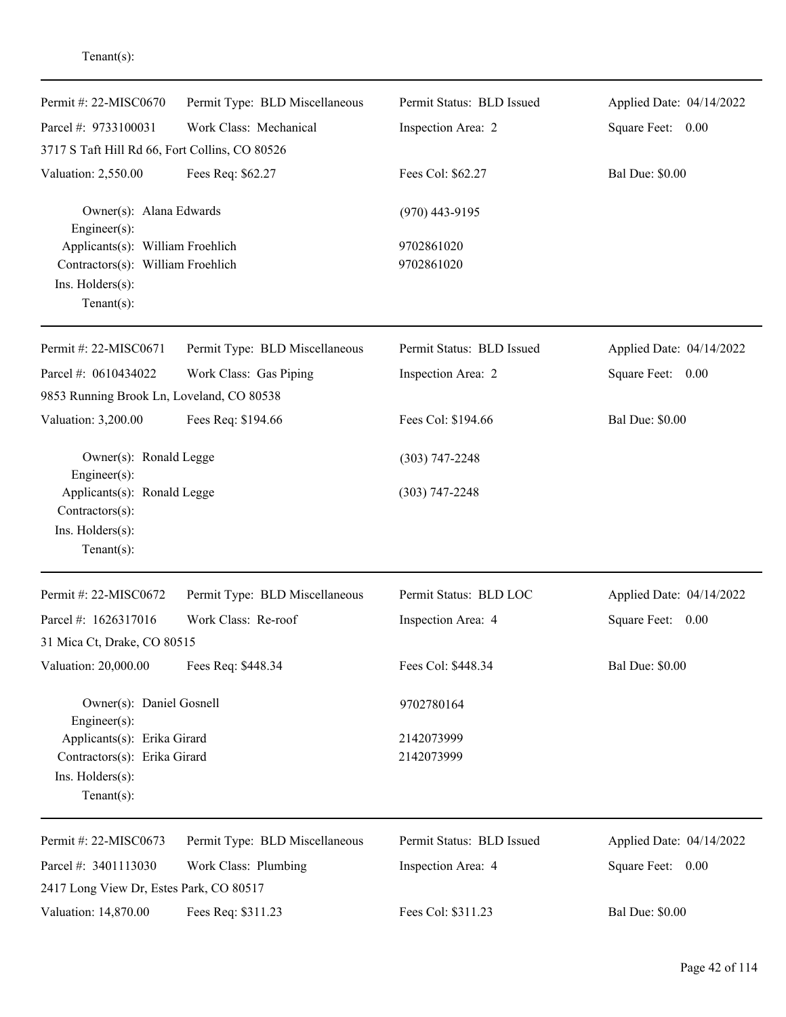| Permit #: 22-MISC0670                                                               | Permit Type: BLD Miscellaneous | Permit Status: BLD Issued | Applied Date: 04/14/2022 |
|-------------------------------------------------------------------------------------|--------------------------------|---------------------------|--------------------------|
| Parcel #: 9733100031                                                                | Work Class: Mechanical         | Inspection Area: 2        | Square Feet: 0.00        |
| 3717 S Taft Hill Rd 66, Fort Collins, CO 80526                                      |                                |                           |                          |
| Valuation: 2,550.00                                                                 | Fees Req: \$62.27              | Fees Col: \$62.27         | <b>Bal Due: \$0.00</b>   |
| Owner(s): Alana Edwards<br>Engineer(s):                                             |                                | $(970)$ 443-9195          |                          |
| Applicants(s): William Froehlich                                                    |                                | 9702861020                |                          |
| Contractors(s): William Froehlich<br>Ins. Holders(s):<br>Tenant $(s)$ :             |                                | 9702861020                |                          |
| Permit #: 22-MISC0671                                                               | Permit Type: BLD Miscellaneous | Permit Status: BLD Issued | Applied Date: 04/14/2022 |
| Parcel #: 0610434022                                                                | Work Class: Gas Piping         | Inspection Area: 2        | Square Feet: 0.00        |
| 9853 Running Brook Ln, Loveland, CO 80538                                           |                                |                           |                          |
| Valuation: 3,200.00                                                                 | Fees Req: \$194.66             | Fees Col: \$194.66        | <b>Bal Due: \$0.00</b>   |
| Owner(s): Ronald Legge<br>Engineer(s):                                              |                                | $(303) 747 - 2248$        |                          |
| Applicants(s): Ronald Legge<br>Contractors(s):<br>Ins. Holders(s):<br>$Tenant(s)$ : |                                | $(303) 747 - 2248$        |                          |
| Permit #: 22-MISC0672                                                               | Permit Type: BLD Miscellaneous | Permit Status: BLD LOC    | Applied Date: 04/14/2022 |
| Parcel #: 1626317016                                                                | Work Class: Re-roof            | Inspection Area: 4        | Square Feet:<br>0.00     |
| 31 Mica Ct, Drake, CO 80515                                                         |                                |                           |                          |
| Valuation: 20,000.00                                                                | Fees Req: \$448.34             | Fees Col: \$448.34        | <b>Bal Due: \$0.00</b>   |
| Owner(s): Daniel Gosnell<br>Engineer(s):                                            |                                | 9702780164                |                          |
| Applicants(s): Erika Girard                                                         |                                | 2142073999                |                          |
| Contractors(s): Erika Girard                                                        |                                | 2142073999                |                          |
| Ins. Holders(s):<br>Tenant $(s)$ :                                                  |                                |                           |                          |
| Permit #: 22-MISC0673                                                               | Permit Type: BLD Miscellaneous | Permit Status: BLD Issued | Applied Date: 04/14/2022 |
| Parcel #: 3401113030                                                                | Work Class: Plumbing           | Inspection Area: 4        | Square Feet: 0.00        |
| 2417 Long View Dr, Estes Park, CO 80517                                             |                                |                           |                          |
| Valuation: 14,870.00                                                                | Fees Req: \$311.23             | Fees Col: \$311.23        | <b>Bal Due: \$0.00</b>   |

Tenant(s):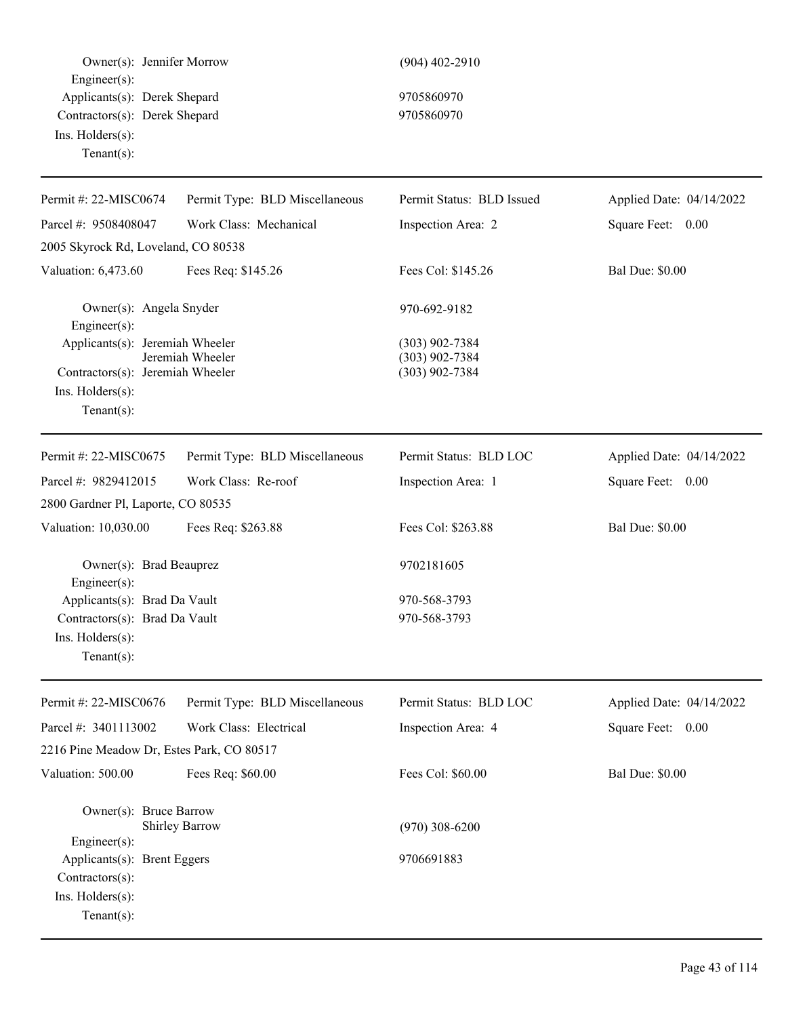Owner(s): Jennifer Morrow (904) 402-2910 Engineer(s): Applicants(s): Derek Shepard 9705860970 Contractors(s): Derek Shepard 9705860970 Ins. Holders(s): Tenant(s): Permit #: 22-MISC0674 Parcel #: 9508408047 Permit Type: BLD Miscellaneous Work Class: Mechanical Permit Status: BLD Issued Inspection Area: 2 Applied Date: 04/14/2022 Square Feet: 0.00 2005 Skyrock Rd, Loveland, CO 80538 Valuation: 6,473.60 Fees Req: \$145.26 Fees Col: \$145.26 Bal Due: \$0.00 Owner(s): Angela Snyder 970-692-9182 Engineer(s): Applicants(s): Jeremiah Wheeler (303) 902-7384 Jeremiah Wheeler (303) 902-7384 Contractors(s): Jeremiah Wheeler (303) 902-7384 Ins. Holders(s): Tenant(s): Permit #: 22-MISC0675 Parcel #: 9829412015 Permit Type: BLD Miscellaneous Work Class: Re-roof Permit Status: BLD LOC Inspection Area: 1 Applied Date: 04/14/2022 Square Feet: 0.00 2800 Gardner Pl, Laporte, CO 80535 Valuation: 10,030.00 Fees Req: \$263.88 Fees Col: \$263.88 Bal Due: \$0.00 Owner(s): Brad Beauprez 9702181605 Engineer(s): Applicants(s): Brad Da Vault 970-568-3793 Contractors(s): Brad Da Vault 970-568-3793 Ins. Holders(s): Tenant(s): Permit #: 22-MISC0676 Parcel #: 3401113002 Permit Type: BLD Miscellaneous Work Class: Electrical Permit Status: BLD LOC Inspection Area: 4 Applied Date: 04/14/2022 Square Feet: 0.00 2216 Pine Meadow Dr, Estes Park, CO 80517 Valuation: 500.00 Fees Req: \$60.00 Fees Col: \$60.00 Bal Due: \$0.00 Owner(s): Bruce Barrow Shirley Barrow (970) 308-6200 Engineer(s): Applicants(s): Brent Eggers 9706691883 Contractors(s): Ins. Holders(s): Tenant(s):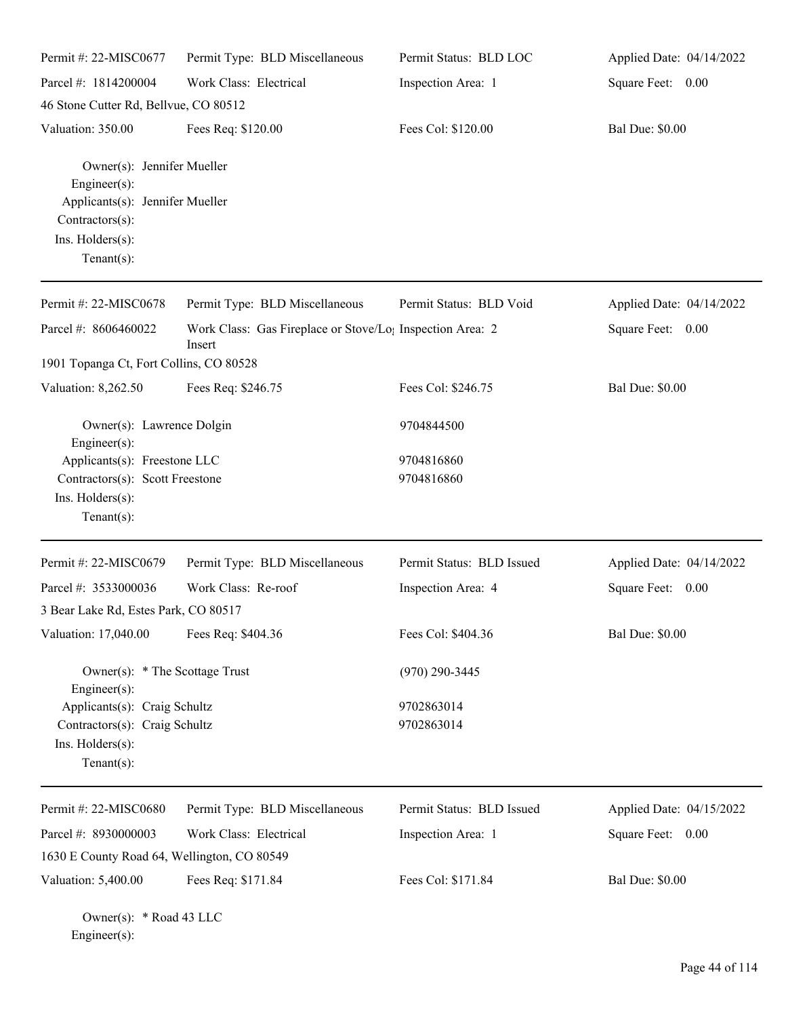| Permit #: 22-MISC0677                                                                                                                     | Permit Type: BLD Miscellaneous                                      | Permit Status: BLD LOC    | Applied Date: 04/14/2022 |
|-------------------------------------------------------------------------------------------------------------------------------------------|---------------------------------------------------------------------|---------------------------|--------------------------|
| Parcel #: 1814200004<br>46 Stone Cutter Rd, Bellvue, CO 80512                                                                             | Work Class: Electrical                                              | Inspection Area: 1        | Square Feet: 0.00        |
| Valuation: 350.00                                                                                                                         | Fees Req: \$120.00                                                  | Fees Col: \$120.00        | <b>Bal Due: \$0.00</b>   |
| Owner(s): Jennifer Mueller<br>$Engineer(s)$ :<br>Applicants(s): Jennifer Mueller<br>Contractors(s):<br>Ins. Holders(s):<br>Tenant $(s)$ : |                                                                     |                           |                          |
| Permit #: 22-MISC0678                                                                                                                     | Permit Type: BLD Miscellaneous                                      | Permit Status: BLD Void   | Applied Date: 04/14/2022 |
| Parcel #: 8606460022                                                                                                                      | Work Class: Gas Fireplace or Stove/Lo; Inspection Area: 2<br>Insert |                           | Square Feet: 0.00        |
| 1901 Topanga Ct, Fort Collins, CO 80528                                                                                                   |                                                                     |                           |                          |
| Valuation: 8,262.50                                                                                                                       | Fees Req: \$246.75                                                  | Fees Col: \$246.75        | <b>Bal Due: \$0.00</b>   |
| Owner(s): Lawrence Dolgin<br>Engineer(s):                                                                                                 |                                                                     | 9704844500                |                          |
| Applicants(s): Freestone LLC<br>Contractors(s): Scott Freestone<br>Ins. Holders(s):<br>$Tenant(s)$ :                                      |                                                                     | 9704816860<br>9704816860  |                          |
| Permit #: 22-MISC0679                                                                                                                     | Permit Type: BLD Miscellaneous                                      | Permit Status: BLD Issued | Applied Date: 04/14/2022 |
| Parcel #: 3533000036                                                                                                                      | Work Class: Re-roof                                                 | Inspection Area: 4        | Square Feet: 0.00        |
| 3 Bear Lake Rd, Estes Park, CO 80517                                                                                                      |                                                                     |                           |                          |
| Valuation: 17,040.00                                                                                                                      | Fees Req: \$404.36                                                  | Fees Col: \$404.36        | <b>Bal Due: \$0.00</b>   |
| Owner(s): * The Scottage Trust<br>Engineer(s):                                                                                            |                                                                     | $(970)$ 290-3445          |                          |
| Applicants(s): Craig Schultz                                                                                                              |                                                                     | 9702863014                |                          |
| Contractors(s): Craig Schultz                                                                                                             |                                                                     | 9702863014                |                          |
| Ins. Holders(s):<br>Tenant $(s)$ :                                                                                                        |                                                                     |                           |                          |
| Permit #: 22-MISC0680                                                                                                                     | Permit Type: BLD Miscellaneous                                      | Permit Status: BLD Issued | Applied Date: 04/15/2022 |
| Parcel #: 8930000003                                                                                                                      | Work Class: Electrical                                              | Inspection Area: 1        | Square Feet: 0.00        |
| 1630 E County Road 64, Wellington, CO 80549                                                                                               |                                                                     |                           |                          |
| Valuation: 5,400.00                                                                                                                       | Fees Req: \$171.84                                                  | Fees Col: \$171.84        | <b>Bal Due: \$0.00</b>   |
|                                                                                                                                           |                                                                     |                           |                          |

Owner(s): \* Road 43 LLC Engineer(s):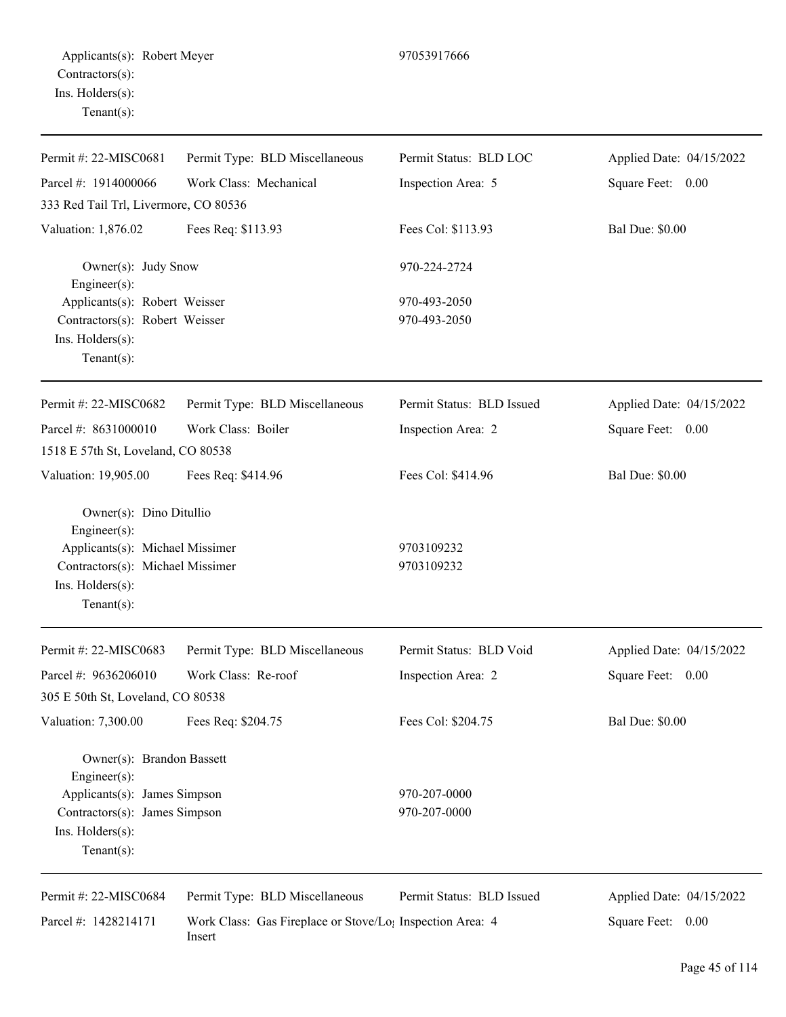Permit #: 22-MISC0681 Parcel #: 1914000066 Permit Type: BLD Miscellaneous Work Class: Mechanical Permit Status: BLD LOC Inspection Area: 5 Applied Date: 04/15/2022 Square Feet: 0.00 333 Red Tail Trl, Livermore, CO 80536 Valuation: 1,876.02 Fees Req: \$113.93 Fees Col: \$113.93 Bal Due: \$0.00 Owner(s): Judy Snow 970-224-2724 Engineer(s): Applicants(s): Robert Weisser 970-493-2050 Contractors(s): Robert Weisser 970-493-2050 Ins. Holders(s): Tenant(s):

Permit #: 22-MISC0682 Parcel #: 8631000010 Permit Type: BLD Miscellaneous Work Class: Boiler Permit Status: BLD Issued Inspection Area: 2 Applied Date: 04/15/2022 Square Feet: 0.00 1518 E 57th St, Loveland, CO 80538 Valuation: 19,905.00 Fees Req: \$414.96 Fees Col: \$414.96 Bal Due: \$0.00 Owner(s): Dino Ditullio Engineer(s): Applicants(s): Michael Missimer 9703109232 Contractors(s): Michael Missimer 9703109232 Ins. Holders(s): Tenant(s):  $P$ Permit Type: BLD Miscellaneous  $P(x) = \mathbf{D} \mathbf{D} \mathbf{V}^{-1}$  $A = 0.4/15/2022$ 

| Permit #: 22-MISC0684             | Permit Type: BLD Miscellaneous | Permit Status: BLD Issued | Applied Date: 04/15/2022   |
|-----------------------------------|--------------------------------|---------------------------|----------------------------|
| Tenant $(s)$ :                    |                                |                           |                            |
| $Ins.$ Holders $(s)$ :            |                                |                           |                            |
| Contractors(s): James Simpson     |                                | 970-207-0000              |                            |
| Applicants(s): James Simpson      |                                | 970-207-0000              |                            |
| Engineer $(s)$ :                  |                                |                           |                            |
| Owner(s): Brandon Bassett         |                                |                           |                            |
| Valuation: 7,300.00               | Fees Req: \$204.75             | Fees Col: \$204.75        | <b>Bal Due: \$0.00</b>     |
| 305 E 50th St, Loveland, CO 80538 |                                |                           |                            |
| Parcel #: 9636206010              | Work Class: Re-roof            | Inspection Area: 2        | Square Feet: 0.00          |
| Permit #: 22-MISC0683             | Permit Type: BLD Miscellaneous | Permit Status: BLD V01d   | Applied Date: $04/13/2022$ |

Parcel #: 1428214171 Work Class: Gas Fireplace or Stove/Log Inspection Area: 4 Insert

Square Feet: 0.00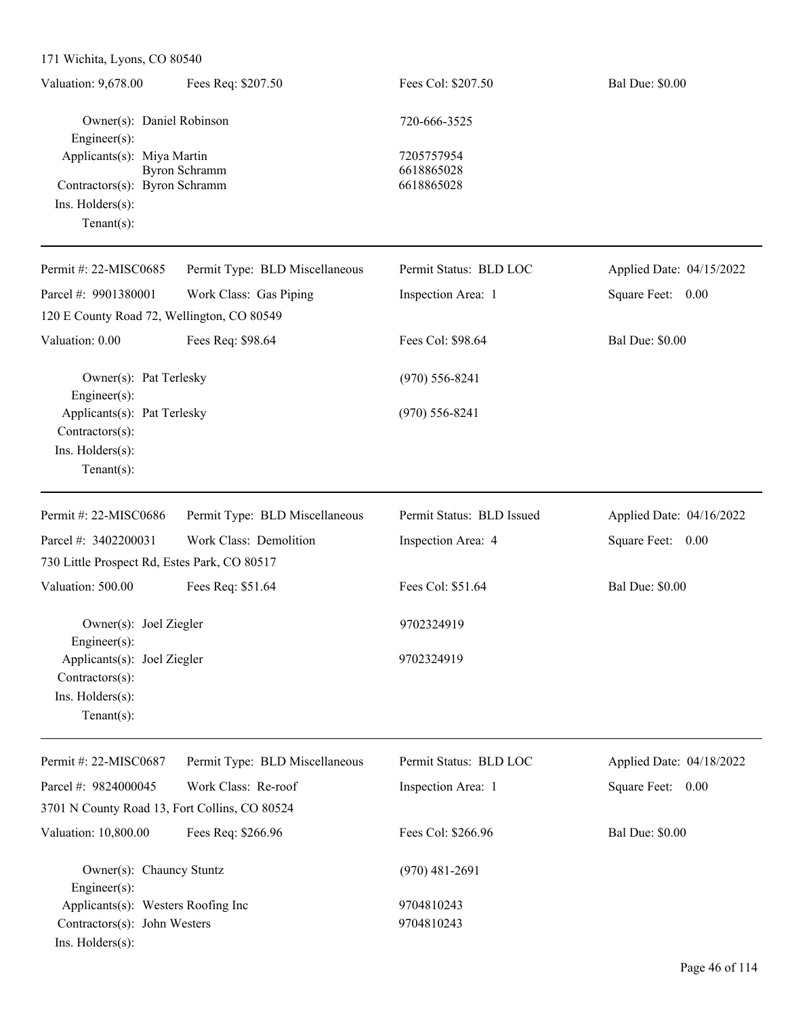| Valuation: 9,678.00                                                                                                             | Fees Req: \$207.50             | Fees Col: \$207.50                     | <b>Bal Due: \$0.00</b>   |
|---------------------------------------------------------------------------------------------------------------------------------|--------------------------------|----------------------------------------|--------------------------|
| Owner(s): Daniel Robinson<br>Engineer(s):                                                                                       |                                | 720-666-3525                           |                          |
| Applicants(s): Miya Martin<br><b>Byron Schramm</b><br>Contractors(s): Byron Schramm<br>$Ins.$ Holders $(s)$ :<br>Tenant $(s)$ : |                                | 7205757954<br>6618865028<br>6618865028 |                          |
| Permit #: 22-MISC0685                                                                                                           | Permit Type: BLD Miscellaneous | Permit Status: BLD LOC                 | Applied Date: 04/15/2022 |
| Parcel #: 9901380001<br>120 E County Road 72, Wellington, CO 80549                                                              | Work Class: Gas Piping         | Inspection Area: 1                     | Square Feet: 0.00        |
| Valuation: 0.00                                                                                                                 | Fees Req: \$98.64              | Fees Col: \$98.64                      | <b>Bal Due: \$0.00</b>   |
| Owner(s): Pat Terlesky<br>$Engineering(s)$ :                                                                                    |                                | $(970)$ 556-8241                       |                          |
| Applicants(s): Pat Terlesky<br>Contractors(s):<br>Ins. Holders(s):<br>Tenant $(s)$ :                                            |                                | $(970)$ 556-8241                       |                          |
| Permit #: 22-MISC0686                                                                                                           | Permit Type: BLD Miscellaneous | Permit Status: BLD Issued              | Applied Date: 04/16/2022 |
| Parcel #: 3402200031                                                                                                            | Work Class: Demolition         | Inspection Area: 4                     | Square Feet: 0.00        |
| 730 Little Prospect Rd, Estes Park, CO 80517                                                                                    |                                |                                        |                          |
| Valuation: 500.00                                                                                                               | Fees Req: \$51.64              | Fees Col: \$51.64                      | <b>Bal Due: \$0.00</b>   |
| Owner(s): Joel Ziegler<br>$Engineering(s)$ :                                                                                    |                                | 9702324919                             |                          |
| Applicants(s): Joel Ziegler<br>Contractors(s):<br>Ins. Holders(s):<br>Tenant $(s)$ :                                            |                                | 9702324919                             |                          |
| Permit #: 22-MISC0687                                                                                                           | Permit Type: BLD Miscellaneous | Permit Status: BLD LOC                 | Applied Date: 04/18/2022 |
| Parcel #: 9824000045                                                                                                            | Work Class: Re-roof            | Inspection Area: 1                     | Square Feet: 0.00        |
| 3701 N County Road 13, Fort Collins, CO 80524                                                                                   |                                |                                        |                          |
| Valuation: 10,800.00                                                                                                            | Fees Req: \$266.96             | Fees Col: \$266.96                     | <b>Bal Due: \$0.00</b>   |
| Owner(s): Chauncy Stuntz<br>Engineer(s):                                                                                        |                                | $(970)$ 481-2691                       |                          |
| Applicants(s): Westers Roofing Inc<br>Contractors(s): John Westers<br>Ins. Holders(s):                                          |                                | 9704810243<br>9704810243               |                          |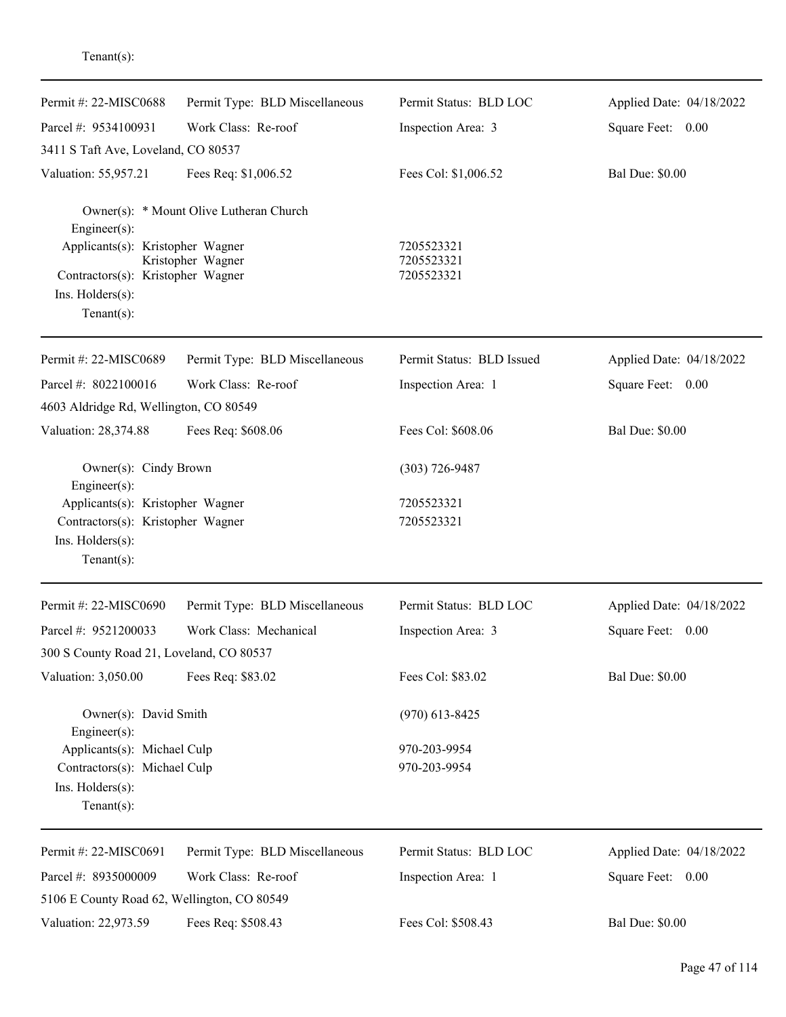| Permit #: 22-MISC0688                                                                                             | Permit Type: BLD Miscellaneous          | Permit Status: BLD LOC                 | Applied Date: 04/18/2022 |
|-------------------------------------------------------------------------------------------------------------------|-----------------------------------------|----------------------------------------|--------------------------|
| Parcel #: 9534100931                                                                                              | Work Class: Re-roof                     | Inspection Area: 3                     | Square Feet: 0.00        |
| 3411 S Taft Ave, Loveland, CO 80537                                                                               |                                         |                                        |                          |
| Valuation: 55,957.21                                                                                              | Fees Req: \$1,006.52                    | Fees Col: \$1,006.52                   | <b>Bal Due: \$0.00</b>   |
| Engineer(s):                                                                                                      | Owner(s): * Mount Olive Lutheran Church |                                        |                          |
| Applicants(s): Kristopher Wagner<br>Contractors(s): Kristopher Wagner<br>Ins. $H$ olders $(s)$ :<br>$Tenant(s)$ : | Kristopher Wagner                       | 7205523321<br>7205523321<br>7205523321 |                          |
| Permit #: 22-MISC0689                                                                                             | Permit Type: BLD Miscellaneous          | Permit Status: BLD Issued              | Applied Date: 04/18/2022 |
| Parcel #: 8022100016<br>4603 Aldridge Rd, Wellington, CO 80549                                                    | Work Class: Re-roof                     | Inspection Area: 1                     | Square Feet: 0.00        |
| Valuation: 28,374.88                                                                                              | Fees Req: \$608.06                      | Fees Col: \$608.06                     | <b>Bal Due: \$0.00</b>   |
| Owner(s): Cindy Brown<br>Engineer(s):                                                                             |                                         | $(303)$ 726-9487                       |                          |
| Applicants(s): Kristopher Wagner<br>Contractors(s): Kristopher Wagner<br>Ins. Holders(s):<br>Tenant $(s)$ :       |                                         | 7205523321<br>7205523321               |                          |
| Permit #: 22-MISC0690                                                                                             | Permit Type: BLD Miscellaneous          | Permit Status: BLD LOC                 | Applied Date: 04/18/2022 |
| Parcel #: 9521200033                                                                                              | Work Class: Mechanical                  | Inspection Area: 3                     | Square Feet:<br>0.00     |
| 300 S County Road 21, Loveland, CO 80537                                                                          |                                         |                                        |                          |
| Valuation: 3,050.00                                                                                               | Fees Req: \$83.02                       | Fees Col: \$83.02                      | <b>Bal Due: \$0.00</b>   |
| Owner(s): David Smith<br>Engineer $(s)$ :                                                                         |                                         | $(970)$ 613-8425                       |                          |
| Applicants(s): Michael Culp                                                                                       |                                         | 970-203-9954                           |                          |
| Contractors(s): Michael Culp                                                                                      |                                         | 970-203-9954                           |                          |
| Ins. Holders(s):<br>$Tenant(s)$ :                                                                                 |                                         |                                        |                          |
| Permit #: 22-MISC0691                                                                                             | Permit Type: BLD Miscellaneous          | Permit Status: BLD LOC                 | Applied Date: 04/18/2022 |
| Parcel #: 8935000009                                                                                              | Work Class: Re-roof                     | Inspection Area: 1                     | Square Feet: 0.00        |
| 5106 E County Road 62, Wellington, CO 80549                                                                       |                                         |                                        |                          |
| Valuation: 22,973.59                                                                                              | Fees Req: \$508.43                      | Fees Col: \$508.43                     | <b>Bal Due: \$0.00</b>   |

## Tenant(s):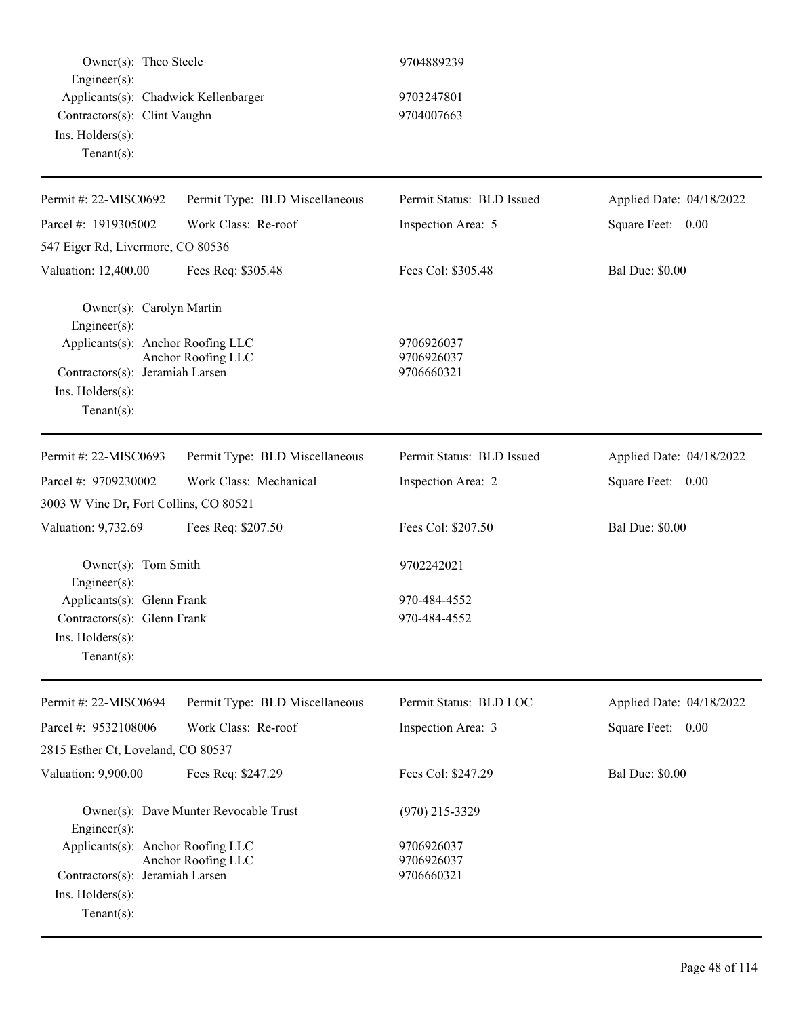| Permit Type: BLD Miscellaneous                                                                                                      | Permit Status: BLD Issued                                  | Applied Date: 04/18/2022 |
|-------------------------------------------------------------------------------------------------------------------------------------|------------------------------------------------------------|--------------------------|
| Work Class: Re-roof                                                                                                                 | Inspection Area: 5                                         | Square Feet: 0.00        |
| 547 Eiger Rd, Livermore, CO 80536                                                                                                   |                                                            |                          |
| Fees Req: \$305.48                                                                                                                  | Fees Col: \$305.48                                         | <b>Bal Due: \$0.00</b>   |
| Owner(s): Carolyn Martin<br>Applicants(s): Anchor Roofing LLC<br>Anchor Roofing LLC<br>Contractors(s): Jeramiah Larsen              | 9706926037<br>9706926037<br>9706660321                     |                          |
| Permit Type: BLD Miscellaneous                                                                                                      | Permit Status: BLD Issued                                  | Applied Date: 04/18/2022 |
| Work Class: Mechanical                                                                                                              | Inspection Area: 2                                         | Square Feet: 0.00        |
| 3003 W Vine Dr, Fort Collins, CO 80521                                                                                              |                                                            |                          |
| Fees Req: \$207.50                                                                                                                  | Fees Col: \$207.50                                         | <b>Bal Due: \$0.00</b>   |
| Owner(s): Tom Smith<br>Applicants(s): Glenn Frank<br>Contractors(s): Glenn Frank                                                    | 9702242021<br>970-484-4552<br>970-484-4552                 |                          |
| Permit Type: BLD Miscellaneous                                                                                                      | Permit Status: BLD LOC                                     | Applied Date: 04/18/2022 |
| Work Class: Re-roof<br>2815 Esther Ct, Loveland, CO 80537                                                                           | Inspection Area: 3                                         | Square Feet: 0.00        |
| Fees Req: \$247.29                                                                                                                  | Fees Col: \$247.29                                         | <b>Bal Due: \$0.00</b>   |
| Owner(s): Dave Munter Revocable Trust<br>Applicants(s): Anchor Roofing LLC<br>Anchor Roofing LLC<br>Contractors(s): Jeramiah Larsen | $(970)$ 215-3329<br>9706926037<br>9706926037<br>9706660321 |                          |
|                                                                                                                                     |                                                            |                          |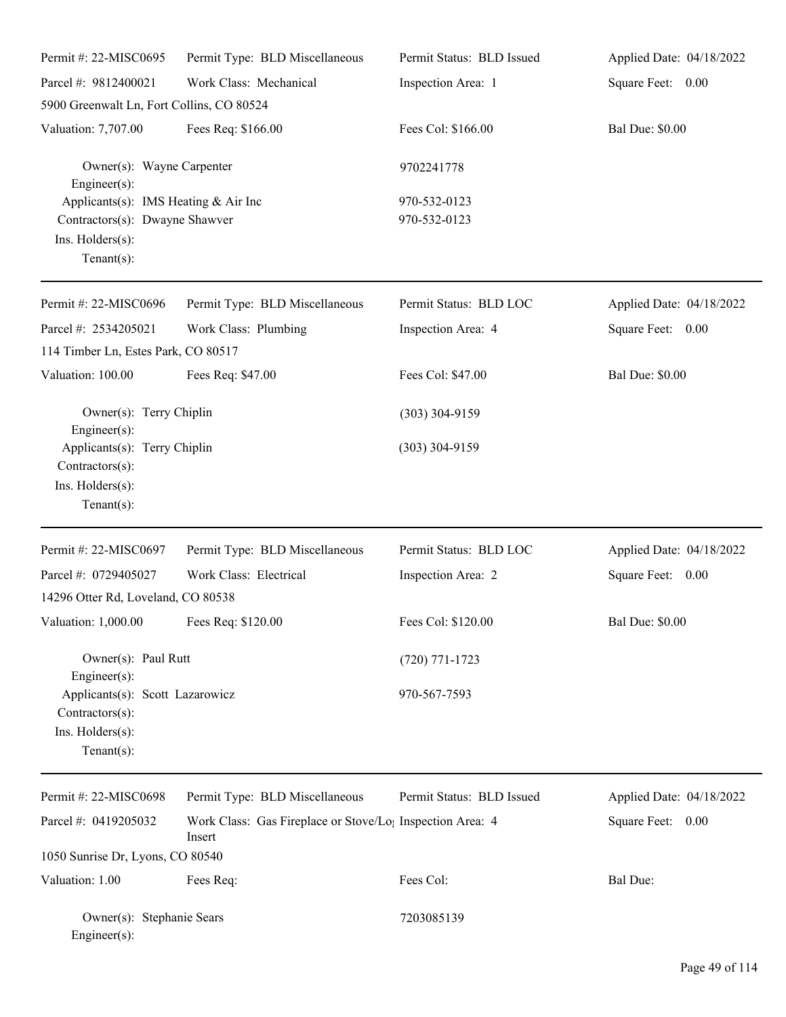| Permit #: 22-MISC0695                                                                                        | Permit Type: BLD Miscellaneous                                                  | Permit Status: BLD Issued    | Applied Date: 04/18/2022 |
|--------------------------------------------------------------------------------------------------------------|---------------------------------------------------------------------------------|------------------------------|--------------------------|
| Parcel #: 9812400021                                                                                         | Work Class: Mechanical                                                          | Inspection Area: 1           | Square Feet: 0.00        |
| 5900 Greenwalt Ln, Fort Collins, CO 80524                                                                    |                                                                                 |                              |                          |
| Valuation: 7,707.00                                                                                          | Fees Req: \$166.00                                                              | Fees Col: \$166.00           | <b>Bal Due: \$0.00</b>   |
| Owner(s): Wayne Carpenter<br>Engineer(s):                                                                    |                                                                                 | 9702241778                   |                          |
| Applicants(s): IMS Heating & Air Inc<br>Contractors(s): Dwayne Shawver<br>Ins. Holders(s):<br>Tenant $(s)$ : |                                                                                 | 970-532-0123<br>970-532-0123 |                          |
| Permit#: 22-MISC0696                                                                                         | Permit Type: BLD Miscellaneous                                                  | Permit Status: BLD LOC       | Applied Date: 04/18/2022 |
| Parcel #: 2534205021<br>114 Timber Ln, Estes Park, CO 80517                                                  | Work Class: Plumbing                                                            | Inspection Area: 4           | Square Feet: 0.00        |
| Valuation: 100.00                                                                                            | Fees Req: \$47.00                                                               | Fees Col: \$47.00            | <b>Bal Due: \$0.00</b>   |
| Owner(s): Terry Chiplin<br>Engineer(s):                                                                      |                                                                                 | $(303)$ 304-9159             |                          |
| Applicants(s): Terry Chiplin<br>Contractors(s):<br>Ins. Holders(s):<br>Tenant $(s)$ :                        |                                                                                 | $(303)$ 304-9159             |                          |
| Permit #: 22-MISC0697                                                                                        | Permit Type: BLD Miscellaneous                                                  | Permit Status: BLD LOC       | Applied Date: 04/18/2022 |
| Parcel #: 0729405027                                                                                         | Work Class: Electrical                                                          | Inspection Area: 2           | Square Feet: 0.00        |
| 14296 Otter Rd, Loveland, CO 80538                                                                           |                                                                                 |                              |                          |
| Valuation: 1,000.00 Fees Req: \$120.00                                                                       |                                                                                 | Fees Col: \$120.00           | <b>Bal Due: \$0.00</b>   |
| Owner(s): Paul Rutt                                                                                          |                                                                                 | $(720)$ 771-1723             |                          |
| Engineer(s):<br>Applicants(s): Scott Lazarowicz<br>Contractors(s):<br>Ins. Holders(s):<br>Tenant $(s)$ :     |                                                                                 | 970-567-7593                 |                          |
| Permit #: 22-MISC0698                                                                                        | Permit Type: BLD Miscellaneous                                                  | Permit Status: BLD Issued    | Applied Date: 04/18/2022 |
| Parcel #: 0419205032                                                                                         | Work Class: Gas Fireplace or Stove/Lo <sub>!</sub> Inspection Area: 4<br>Insert |                              | Square Feet: 0.00        |
| 1050 Sunrise Dr, Lyons, CO 80540                                                                             |                                                                                 |                              |                          |
| Valuation: 1.00                                                                                              | Fees Req:                                                                       | Fees Col:                    | Bal Due:                 |
| Owner(s): Stephanie Sears<br>Engineer(s):                                                                    |                                                                                 | 7203085139                   |                          |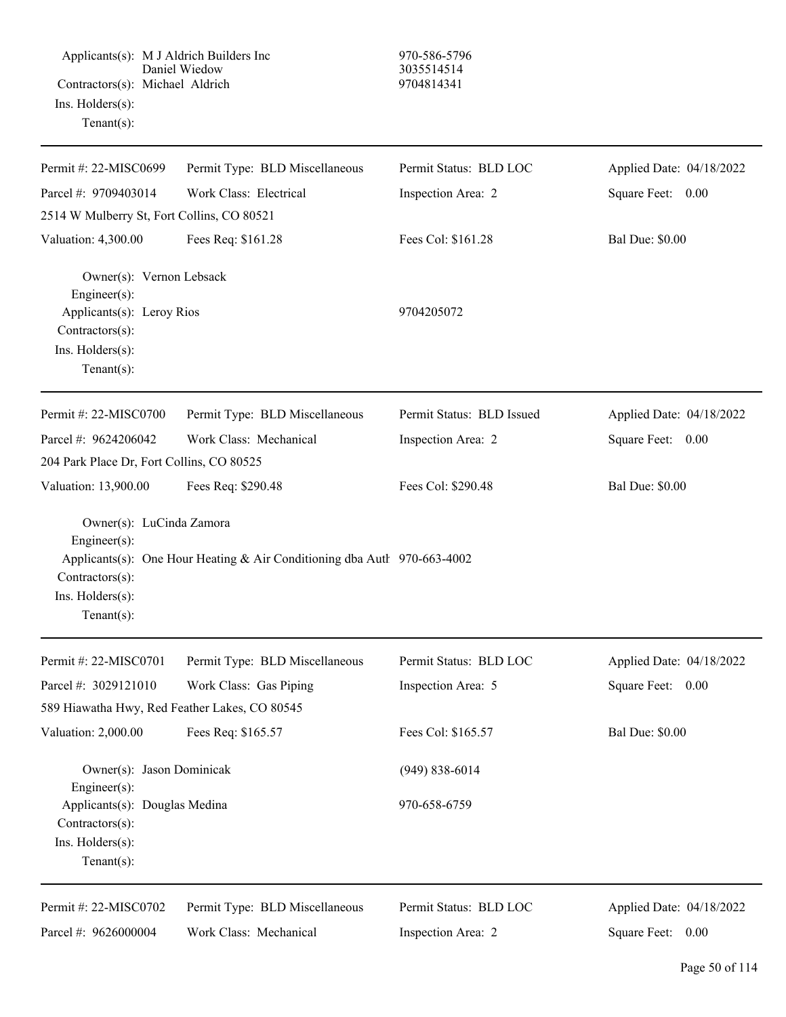Applicants(s): M J Aldrich Builders Inc 970-586-5796 Daniel Wiedow 3035514514 Contractors(s): Michael Aldrich 9704814341 Ins. Holders(s): Tenant(s): Permit #: 22-MISC0699 Parcel #: 9709403014 Permit Type: BLD Miscellaneous Work Class: Electrical Permit Status: BLD LOC Inspection Area: 2 Applied Date: 04/18/2022 Square Feet: 0.00 2514 W Mulberry St, Fort Collins, CO 80521 Valuation: 4,300.00 Fees Req: \$161.28 Fees Col: \$161.28 Bal Due: \$0.00 Owner(s): Vernon Lebsack Engineer(s): Applicants(s): Leroy Rios 9704205072 Contractors(s): Ins. Holders(s): Tenant(s): Permit #: 22-MISC0700 Parcel #: 9624206042 Permit Type: BLD Miscellaneous Work Class: Mechanical Permit Status: BLD Issued Inspection Area: 2 Applied Date: 04/18/2022 Square Feet: 0.00 204 Park Place Dr, Fort Collins, CO 80525 Valuation: 13,900.00 Fees Req: \$290.48 Fees Col: \$290.48 Bal Due: \$0.00 Owner(s): LuCinda Zamora Engineer(s): Applicants(s): One Hour Heating & Air Conditioning dba Authority 970-663-4002 Contractors(s): Ins. Holders(s): Tenant(s): Permit #: 22-MISC0701 Parcel #: 3029121010 Permit Type: BLD Miscellaneous Work Class: Gas Piping Permit Status: BLD LOC Inspection Area: 5 Applied Date: 04/18/2022 Square Feet: 0.00 589 Hiawatha Hwy, Red Feather Lakes, CO 80545 Valuation: 2,000.00 Fees Req: \$165.57 Fees Col: \$165.57 Bal Due: \$0.00 Owner(s): Jason Dominicak (949) 838-6014 Engineer(s): Applicants(s): Douglas Medina 970-658-6759 Contractors(s): Ins. Holders(s): Tenant(s): Permit #: 22-MISC0702 Parcel #: 9626000004 Permit Type: BLD Miscellaneous Work Class: Mechanical Permit Status: BLD LOC Inspection Area: 2 Applied Date: 04/18/2022 Square Feet: 0.00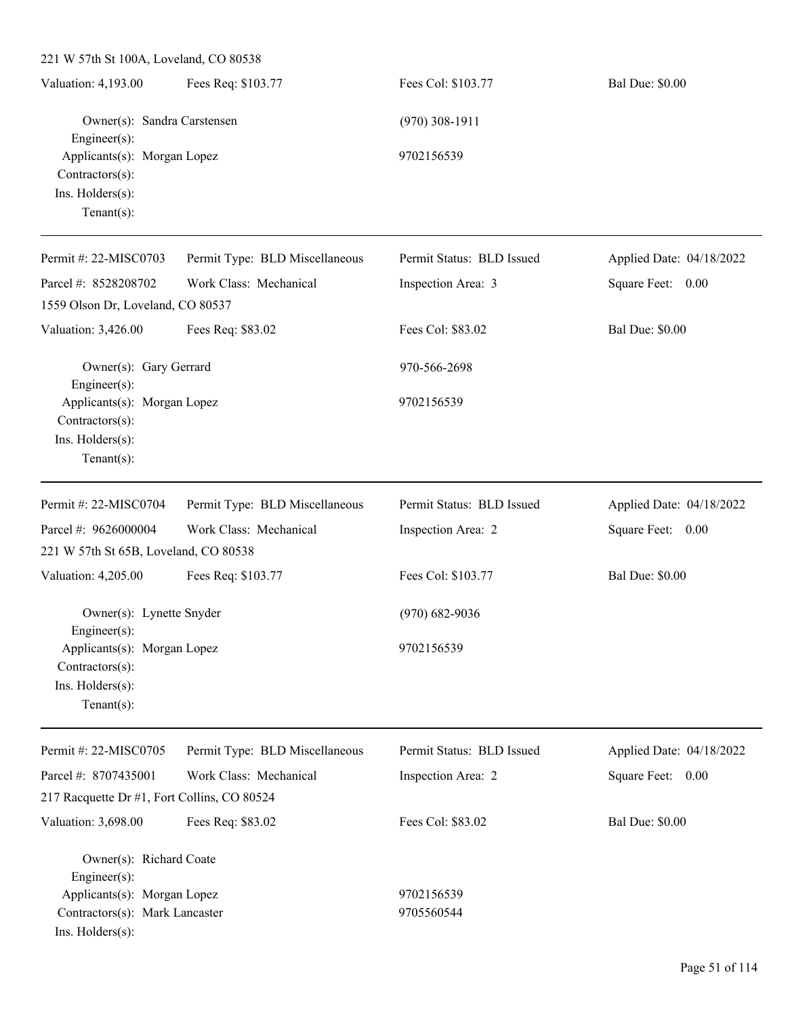221 W 57th St 100A, Loveland, CO 80538 Valuation: 4,193.00 Fees Req: \$103.77 Fees Col: \$103.77 Bal Due: \$0.00 Owner(s): Sandra Carstensen (970) 308-1911 Engineer(s): Applicants(s): Morgan Lopez 9702156539 Contractors(s): Ins. Holders(s): Tenant(s): Permit #: 22-MISC0703 Parcel #: 8528208702 Permit Type: BLD Miscellaneous Work Class: Mechanical Permit Status: BLD Issued Inspection Area: 3 Applied Date: 04/18/2022 Square Feet: 0.00 1559 Olson Dr, Loveland, CO 80537 Valuation: 3,426.00 Fees Req: \$83.02 Fees Col: \$83.02 Bal Due: \$0.00 Owner(s): Gary Gerrard 970-566-2698 Engineer(s): Applicants(s): Morgan Lopez 9702156539 Contractors(s): Ins. Holders(s): Tenant(s): Permit #: 22-MISC0704 Parcel #: 9626000004 Permit Type: BLD Miscellaneous Work Class: Mechanical Permit Status: BLD Issued Inspection Area: 2 Applied Date: 04/18/2022 Square Feet: 0.00 221 W 57th St 65B, Loveland, CO 80538 Valuation: 4,205.00 Fees Req: \$103.77 Fees Col: \$103.77 Bal Due: \$0.00 Owner(s): Lynette Snyder (970) 682-9036 Engineer(s): Applicants(s): Morgan Lopez 9702156539 Contractors(s): Ins. Holders(s): Tenant(s): Permit #: 22-MISC0705 Parcel #: 8707435001 Permit Type: BLD Miscellaneous Work Class: Mechanical Permit Status: BLD Issued Inspection Area: 2 Applied Date: 04/18/2022 Square Feet: 0.00

217 Racquette Dr #1, Fort Collins, CO 80524

Valuation: 3,698.00 Fees Req: \$83.02 Fees Col: \$83.02 Bal Due: \$0.00 Owner(s): Richard Coate Engineer(s):

Ins. Holders(s):

Applicants(s): Morgan Lopez 9702156539 Contractors(s): Mark Lancaster 9705560544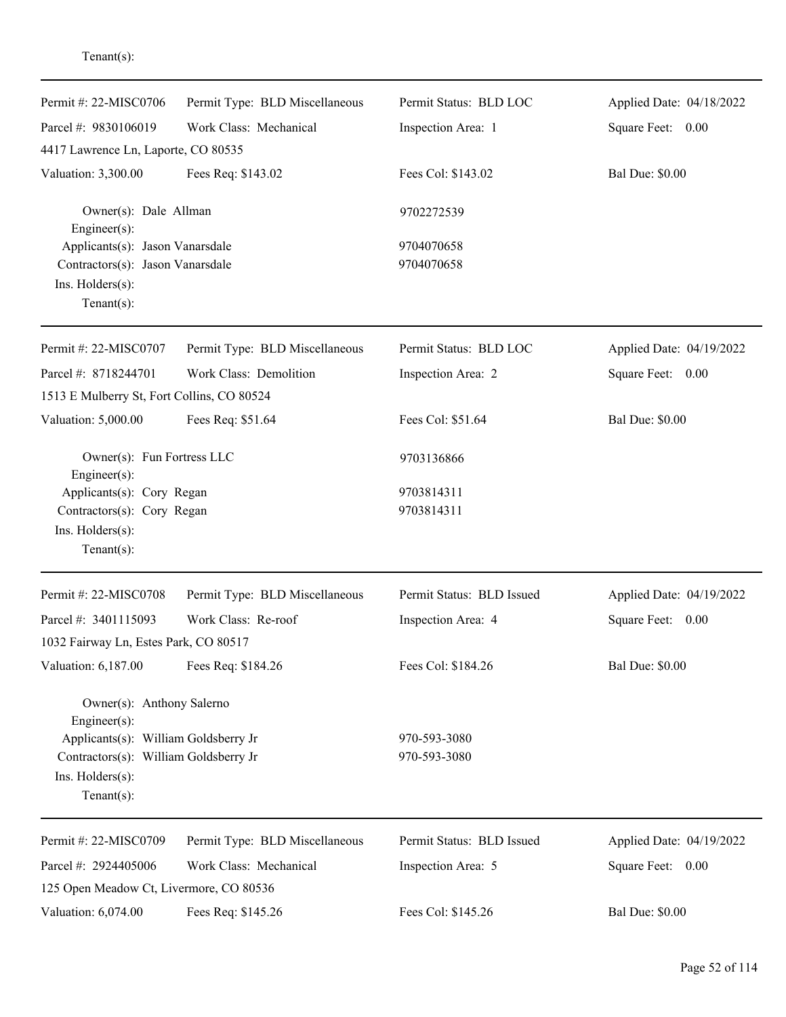| Permit #: 22-MISC0706<br>Parcel #: 9830106019<br>4417 Lawrence Ln, Laporte, CO 80535                      | Permit Type: BLD Miscellaneous<br>Work Class: Mechanical | Permit Status: BLD LOC<br>Inspection Area: 1 | Applied Date: 04/18/2022<br>Square Feet: 0.00 |
|-----------------------------------------------------------------------------------------------------------|----------------------------------------------------------|----------------------------------------------|-----------------------------------------------|
| Valuation: 3,300.00                                                                                       | Fees Req: \$143.02                                       | Fees Col: \$143.02                           | <b>Bal Due: \$0.00</b>                        |
| Owner(s): Dale Allman<br>Engineer(s):                                                                     |                                                          | 9702272539                                   |                                               |
| Applicants(s): Jason Vanarsdale<br>Contractors(s): Jason Vanarsdale<br>Ins. Holders(s):<br>Tenant $(s)$ : |                                                          | 9704070658<br>9704070658                     |                                               |
| Permit #: 22-MISC0707                                                                                     | Permit Type: BLD Miscellaneous                           | Permit Status: BLD LOC                       | Applied Date: 04/19/2022                      |
| Parcel #: 8718244701                                                                                      | Work Class: Demolition                                   | Inspection Area: 2                           | Square Feet: 0.00                             |
| 1513 E Mulberry St, Fort Collins, CO 80524                                                                |                                                          |                                              |                                               |
| Valuation: 5,000.00                                                                                       | Fees Req: \$51.64                                        | Fees Col: \$51.64                            | <b>Bal Due: \$0.00</b>                        |
| Owner(s): Fun Fortress LLC<br>Engineer(s):                                                                |                                                          | 9703136866                                   |                                               |
| Applicants(s): Cory Regan<br>Contractors(s): Cory Regan<br>Ins. Holders(s):<br>$Tenant(s)$ :              |                                                          | 9703814311<br>9703814311                     |                                               |
| Permit #: 22-MISC0708                                                                                     | Permit Type: BLD Miscellaneous                           | Permit Status: BLD Issued                    | Applied Date: 04/19/2022                      |
| Parcel #: 3401115093                                                                                      | Work Class: Re-roof                                      | Inspection Area: 4                           | Square Feet: 0.00                             |
| 1032 Fairway Ln, Estes Park, CO 80517                                                                     |                                                          |                                              |                                               |
| Valuation: 6,187.00                                                                                       | Fees Req: \$184.26                                       | Fees Col: \$184.26                           | <b>Bal Due: \$0.00</b>                        |
| Owner(s): Anthony Salerno<br>Engineer(s):                                                                 |                                                          |                                              |                                               |
| Applicants(s): William Goldsberry Jr                                                                      |                                                          | 970-593-3080                                 |                                               |
| Contractors(s): William Goldsberry Jr<br>Ins. Holders(s):<br>$Tenant(s)$ :                                |                                                          | 970-593-3080                                 |                                               |
| Permit #: 22-MISC0709                                                                                     | Permit Type: BLD Miscellaneous                           | Permit Status: BLD Issued                    | Applied Date: 04/19/2022                      |
| Parcel #: 2924405006                                                                                      | Work Class: Mechanical                                   | Inspection Area: 5                           | Square Feet: 0.00                             |
| 125 Open Meadow Ct, Livermore, CO 80536                                                                   |                                                          |                                              |                                               |
| Valuation: 6,074.00                                                                                       | Fees Req: \$145.26                                       | Fees Col: \$145.26                           | <b>Bal Due: \$0.00</b>                        |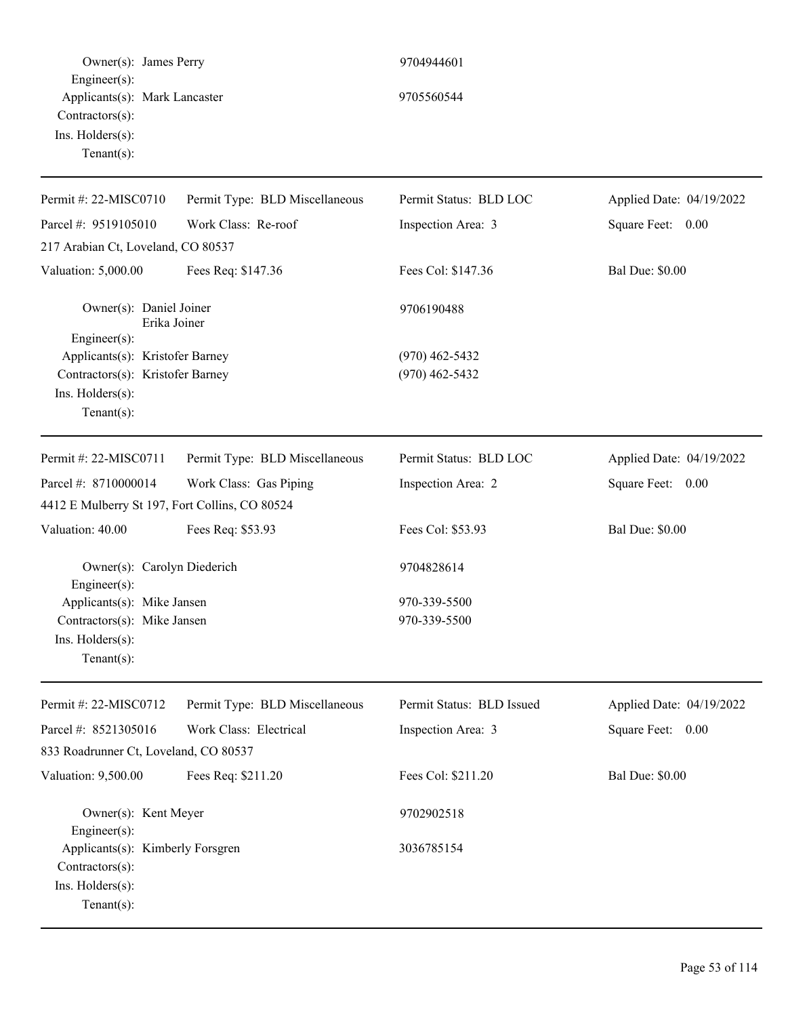| Owner(s): James Perry                                                                                     |                                | 9704944601                           |                          |
|-----------------------------------------------------------------------------------------------------------|--------------------------------|--------------------------------------|--------------------------|
| Engineer(s):<br>Applicants(s): Mark Lancaster<br>Contractors(s):<br>Ins. Holders(s):<br>Tenant $(s)$ :    |                                | 9705560544                           |                          |
| Permit #: 22-MISC0710                                                                                     | Permit Type: BLD Miscellaneous | Permit Status: BLD LOC               | Applied Date: 04/19/2022 |
| Parcel #: 9519105010                                                                                      | Work Class: Re-roof            | Inspection Area: 3                   | Square Feet: 0.00        |
| 217 Arabian Ct, Loveland, CO 80537                                                                        |                                |                                      |                          |
| Valuation: 5,000.00                                                                                       | Fees Req: \$147.36             | Fees Col: \$147.36                   | <b>Bal Due: \$0.00</b>   |
| Owner(s): Daniel Joiner<br>Erika Joiner<br>Engineer(s):                                                   |                                | 9706190488                           |                          |
| Applicants(s): Kristofer Barney<br>Contractors(s): Kristofer Barney<br>Ins. Holders(s):<br>Tenant $(s)$ : |                                | $(970)$ 462-5432<br>$(970)$ 462-5432 |                          |
| Permit #: 22-MISC0711                                                                                     | Permit Type: BLD Miscellaneous | Permit Status: BLD LOC               | Applied Date: 04/19/2022 |
| Parcel #: 8710000014                                                                                      | Work Class: Gas Piping         | Inspection Area: 2                   | Square Feet: 0.00        |
| 4412 E Mulberry St 197, Fort Collins, CO 80524                                                            |                                |                                      |                          |
| Valuation: 40.00                                                                                          | Fees Req: \$53.93              | Fees Col: \$53.93                    | <b>Bal Due: \$0.00</b>   |
| Owner(s): Carolyn Diederich<br>Engineer(s):                                                               |                                | 9704828614                           |                          |
| Applicants(s): Mike Jansen                                                                                |                                | 970-339-5500                         |                          |
| Contractors(s): Mike Jansen<br>Ins. $H$ olders $(s)$ :<br>Tenant $(s)$ :                                  |                                | 970-339-5500                         |                          |
| Permit #: 22-MISC0712                                                                                     | Permit Type: BLD Miscellaneous | Permit Status: BLD Issued            | Applied Date: 04/19/2022 |
| Parcel #: 8521305016                                                                                      | Work Class: Electrical         | Inspection Area: 3                   | Square Feet: 0.00        |
| 833 Roadrunner Ct, Loveland, CO 80537                                                                     |                                |                                      |                          |
| Valuation: 9,500.00                                                                                       | Fees Req: \$211.20             | Fees Col: \$211.20                   | <b>Bal Due: \$0.00</b>   |
| Owner(s): Kent Meyer<br>$Engineering(s)$ :                                                                |                                | 9702902518                           |                          |
| Applicants(s): Kimberly Forsgren<br>Contractors(s):<br>Ins. Holders(s):<br>Tenant $(s)$ :                 |                                | 3036785154                           |                          |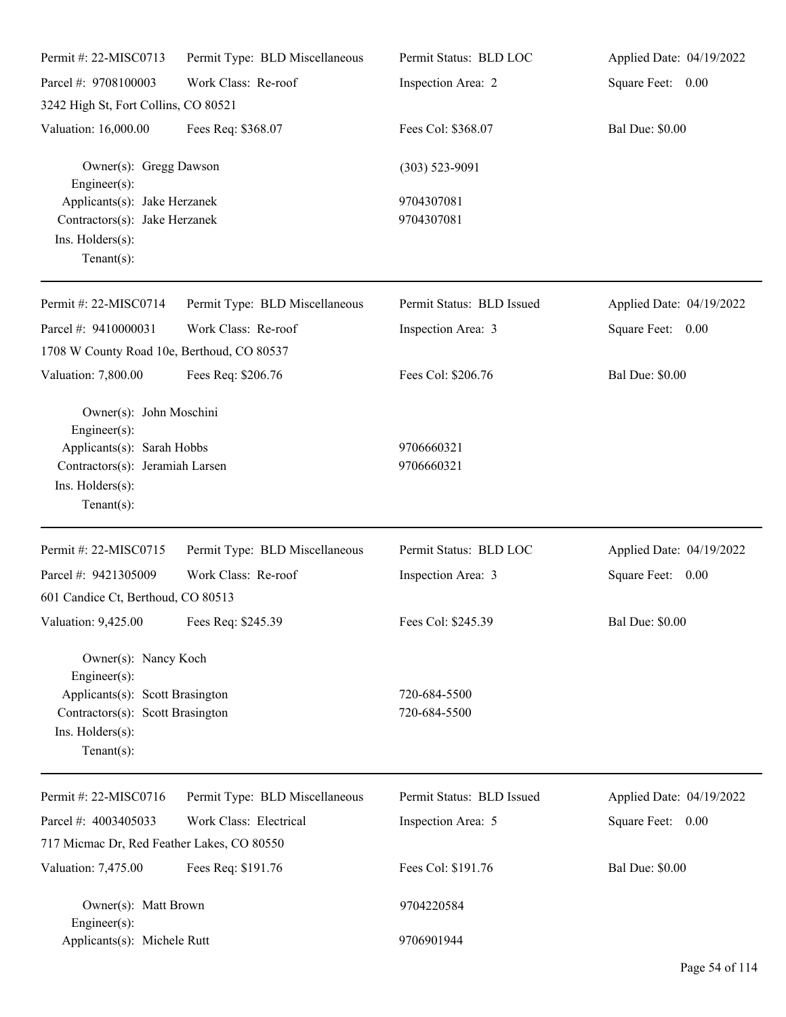| Permit #: 22-MISC0713                                                                                                                                   | Permit Type: BLD Miscellaneous | Permit Status: BLD LOC       | Applied Date: 04/19/2022 |
|---------------------------------------------------------------------------------------------------------------------------------------------------------|--------------------------------|------------------------------|--------------------------|
| Parcel #: 9708100003                                                                                                                                    | Work Class: Re-roof            | Inspection Area: 2           | Square Feet: 0.00        |
| 3242 High St, Fort Collins, CO 80521                                                                                                                    |                                |                              |                          |
| Valuation: 16,000.00                                                                                                                                    | Fees Req: \$368.07             | Fees Col: \$368.07           | <b>Bal Due: \$0.00</b>   |
| Owner(s): Gregg Dawson<br>$Engineering(s)$ :                                                                                                            |                                | $(303)$ 523-9091             |                          |
| Applicants(s): Jake Herzanek<br>Contractors(s): Jake Herzanek<br>Ins. Holders(s):<br>Tenant $(s)$ :                                                     |                                | 9704307081<br>9704307081     |                          |
| Permit #: 22-MISC0714                                                                                                                                   | Permit Type: BLD Miscellaneous | Permit Status: BLD Issued    | Applied Date: 04/19/2022 |
| Parcel #: 9410000031                                                                                                                                    | Work Class: Re-roof            | Inspection Area: 3           | Square Feet: 0.00        |
| 1708 W County Road 10e, Berthoud, CO 80537                                                                                                              |                                |                              |                          |
| Valuation: 7,800.00                                                                                                                                     | Fees Req: \$206.76             | Fees Col: \$206.76           | <b>Bal Due: \$0.00</b>   |
| Owner(s): John Moschini<br>$Engineering(s)$ :<br>Applicants(s): Sarah Hobbs<br>Contractors(s): Jeramiah Larsen<br>Ins. Holders(s):<br>Tenant $(s)$ :    |                                | 9706660321<br>9706660321     |                          |
| Permit #: 22-MISC0715                                                                                                                                   | Permit Type: BLD Miscellaneous | Permit Status: BLD LOC       | Applied Date: 04/19/2022 |
| Parcel #: 9421305009                                                                                                                                    | Work Class: Re-roof            | Inspection Area: 3           | Square Feet: 0.00        |
| 601 Candice Ct, Berthoud, CO 80513                                                                                                                      |                                |                              |                          |
| Valuation: 9,425.00 Fees Req: \$245.39                                                                                                                  |                                | Fees Col: \$245.39           | <b>Bal Due: \$0.00</b>   |
| Owner(s): Nancy Koch<br>$Engineering(s)$ :<br>Applicants(s): Scott Brasington<br>Contractors(s): Scott Brasington<br>Ins. Holders(s):<br>Tenant $(s)$ : |                                | 720-684-5500<br>720-684-5500 |                          |
| Permit #: 22-MISC0716                                                                                                                                   | Permit Type: BLD Miscellaneous | Permit Status: BLD Issued    | Applied Date: 04/19/2022 |
| Parcel #: 4003405033                                                                                                                                    | Work Class: Electrical         | Inspection Area: 5           | Square Feet: 0.00        |
| 717 Micmac Dr, Red Feather Lakes, CO 80550                                                                                                              |                                |                              |                          |
| Valuation: 7,475.00                                                                                                                                     | Fees Req: \$191.76             | Fees Col: \$191.76           | <b>Bal Due: \$0.00</b>   |
| Owner(s): Matt Brown<br>Engineer $(s)$ :                                                                                                                |                                | 9704220584                   |                          |
| Applicants(s): Michele Rutt                                                                                                                             |                                | 9706901944                   |                          |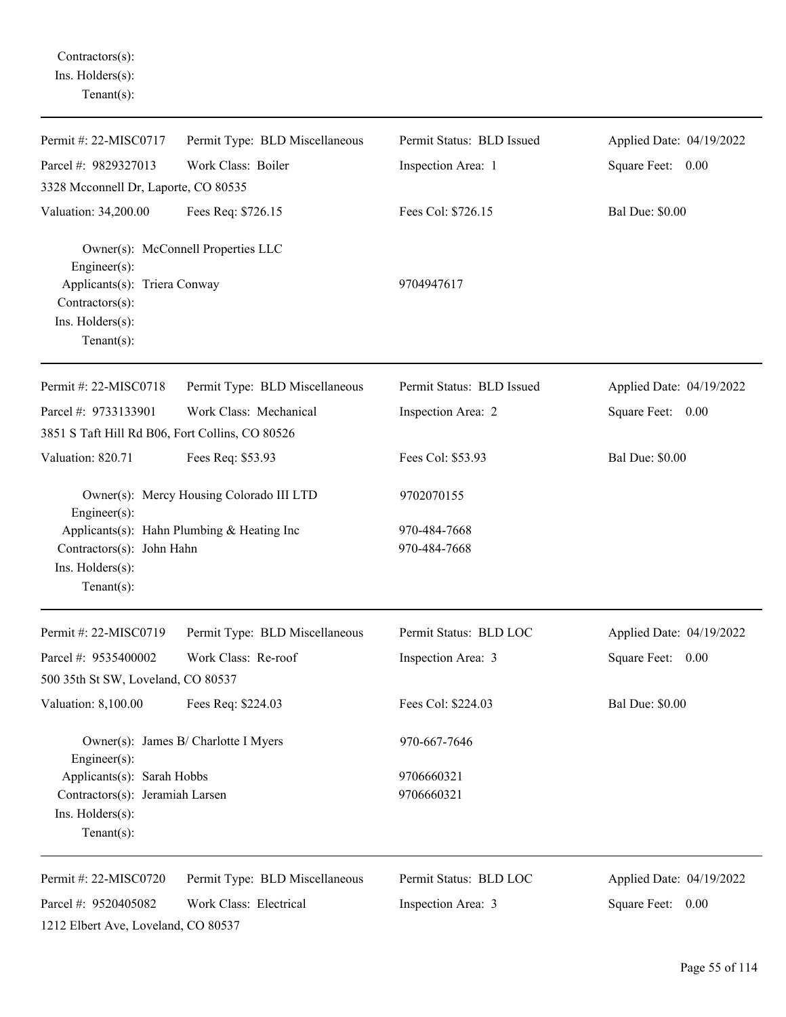Contractors(s): Ins. Holders(s): Tenant(s):

| Permit #: 22-MISC0717                                                   | Permit Type: BLD Miscellaneous             | Permit Status: BLD Issued    | Applied Date: 04/19/2022 |
|-------------------------------------------------------------------------|--------------------------------------------|------------------------------|--------------------------|
| Parcel #: 9829327013                                                    | Work Class: Boiler                         | Inspection Area: 1           | Square Feet: 0.00        |
| 3328 Mcconnell Dr, Laporte, CO 80535                                    |                                            |                              |                          |
| Valuation: 34,200.00                                                    | Fees Req: \$726.15                         | Fees Col: \$726.15           | <b>Bal Due: \$0.00</b>   |
| Engineer(s):                                                            | Owner(s): McConnell Properties LLC         |                              |                          |
| Applicants(s): Triera Conway<br>Contractors(s):                         |                                            | 9704947617                   |                          |
| Ins. Holders(s):<br>Tenant $(s)$ :                                      |                                            |                              |                          |
| Permit #: 22-MISC0718                                                   | Permit Type: BLD Miscellaneous             | Permit Status: BLD Issued    | Applied Date: 04/19/2022 |
| Parcel #: 9733133901<br>3851 S Taft Hill Rd B06, Fort Collins, CO 80526 | Work Class: Mechanical                     | Inspection Area: 2           | Square Feet: 0.00        |
| Valuation: 820.71                                                       | Fees Req: \$53.93                          | Fees Col: \$53.93            | <b>Bal Due: \$0.00</b>   |
| Engineer(s):                                                            | Owner(s): Mercy Housing Colorado III LTD   | 9702070155                   |                          |
| Contractors(s): John Hahn<br>Ins. Holders(s):<br>Tenant $(s)$ :         | Applicants(s): Hahn Plumbing & Heating Inc | 970-484-7668<br>970-484-7668 |                          |
| Permit #: 22-MISC0719                                                   | Permit Type: BLD Miscellaneous             | Permit Status: BLD LOC       | Applied Date: 04/19/2022 |
| Parcel #: 9535400002                                                    | Work Class: Re-roof                        | Inspection Area: 3           | Square Feet: 0.00        |
| 500 35th St SW, Loveland, CO 80537                                      |                                            |                              |                          |
| Valuation: 8,100.00                                                     | Fees Req: \$224.03                         | Fees Col: \$224.03           | <b>Bal Due: \$0.00</b>   |
| Engineer(s):                                                            | Owner(s): James B/ Charlotte I Myers       | 970-667-7646                 |                          |
| Applicants(s): Sarah Hobbs                                              |                                            | 9706660321                   |                          |
| Contractors(s): Jeramiah Larsen<br>Ins. Holders(s):<br>Tenant $(s)$ :   |                                            | 9706660321                   |                          |
| Permit #: 22-MISC0720                                                   | Permit Type: BLD Miscellaneous             | Permit Status: BLD LOC       | Applied Date: 04/19/2022 |
| Parcel #: 9520405082<br>1212 Elbert Ave, Loveland, CO 80537             | Work Class: Electrical                     | Inspection Area: 3           | Square Feet: 0.00        |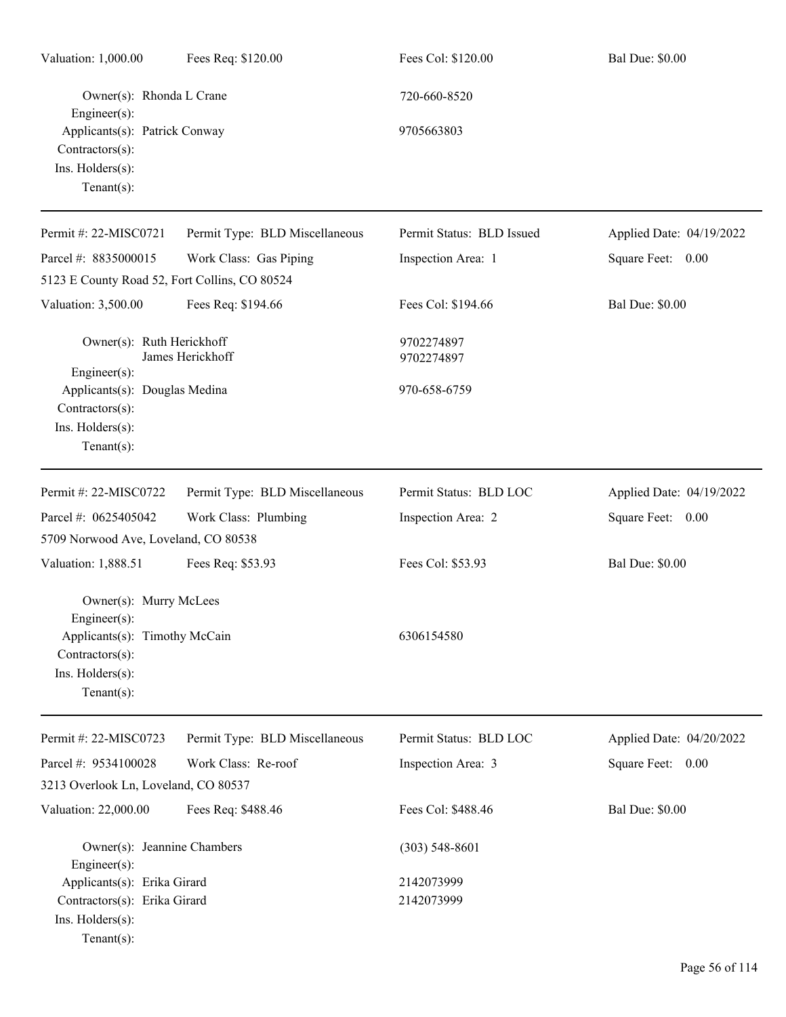| Valuation: 1,000.00                                                                                                                    | Fees Req: \$120.00             | Fees Col: \$120.00         | <b>Bal Due: \$0.00</b>   |
|----------------------------------------------------------------------------------------------------------------------------------------|--------------------------------|----------------------------|--------------------------|
| Owner(s): Rhonda L Crane<br>Engineer $(s)$ :<br>Applicants(s): Patrick Conway<br>Contractors(s):<br>Ins. Holders(s):<br>Tenant $(s)$ : |                                | 720-660-8520<br>9705663803 |                          |
| Permit #: 22-MISC0721                                                                                                                  | Permit Type: BLD Miscellaneous | Permit Status: BLD Issued  | Applied Date: 04/19/2022 |
| Parcel #: 8835000015                                                                                                                   | Work Class: Gas Piping         | Inspection Area: 1         | Square Feet: 0.00        |
| 5123 E County Road 52, Fort Collins, CO 80524                                                                                          |                                |                            |                          |
| Valuation: 3,500.00                                                                                                                    | Fees Req: \$194.66             | Fees Col: \$194.66         | <b>Bal Due: \$0.00</b>   |
| Owner(s): Ruth Herickhoff<br>$Engineering(s)$ :                                                                                        | James Herickhoff               | 9702274897<br>9702274897   |                          |
| Applicants(s): Douglas Medina<br>Contractors(s):<br>Ins. Holders(s):<br>Tenant $(s)$ :                                                 |                                | 970-658-6759               |                          |
| Permit #: 22-MISC0722                                                                                                                  | Permit Type: BLD Miscellaneous | Permit Status: BLD LOC     | Applied Date: 04/19/2022 |
| Parcel #: 0625405042<br>5709 Norwood Ave, Loveland, CO 80538                                                                           | Work Class: Plumbing           | Inspection Area: 2         | Square Feet: 0.00        |
| Valuation: 1,888.51                                                                                                                    | Fees Req: \$53.93              | Fees Col: \$53.93          | <b>Bal Due: \$0.00</b>   |
| Owner(s): Murry McLees<br>$Engineering(s)$ :<br>Applicants(s): Timothy McCain<br>Contractors(s):<br>Ins. Holders(s):<br>$Tenant(s)$ :  |                                | 6306154580                 |                          |
| Permit #: 22-MISC0723                                                                                                                  | Permit Type: BLD Miscellaneous | Permit Status: BLD LOC     | Applied Date: 04/20/2022 |
| Parcel #: 9534100028                                                                                                                   | Work Class: Re-roof            | Inspection Area: 3         | Square Feet: 0.00        |
| 3213 Overlook Ln, Loveland, CO 80537                                                                                                   |                                |                            |                          |
| Valuation: 22,000.00                                                                                                                   | Fees Req: \$488.46             | Fees Col: \$488.46         | <b>Bal Due: \$0.00</b>   |
| Owner(s): Jeannine Chambers<br>$Engineer(s)$ :                                                                                         |                                | $(303)$ 548-8601           |                          |
| Applicants(s): Erika Girard                                                                                                            |                                | 2142073999                 |                          |
| Contractors(s): Erika Girard<br>Ins. Holders(s):<br>$Tenant(s)$ :                                                                      |                                | 2142073999                 |                          |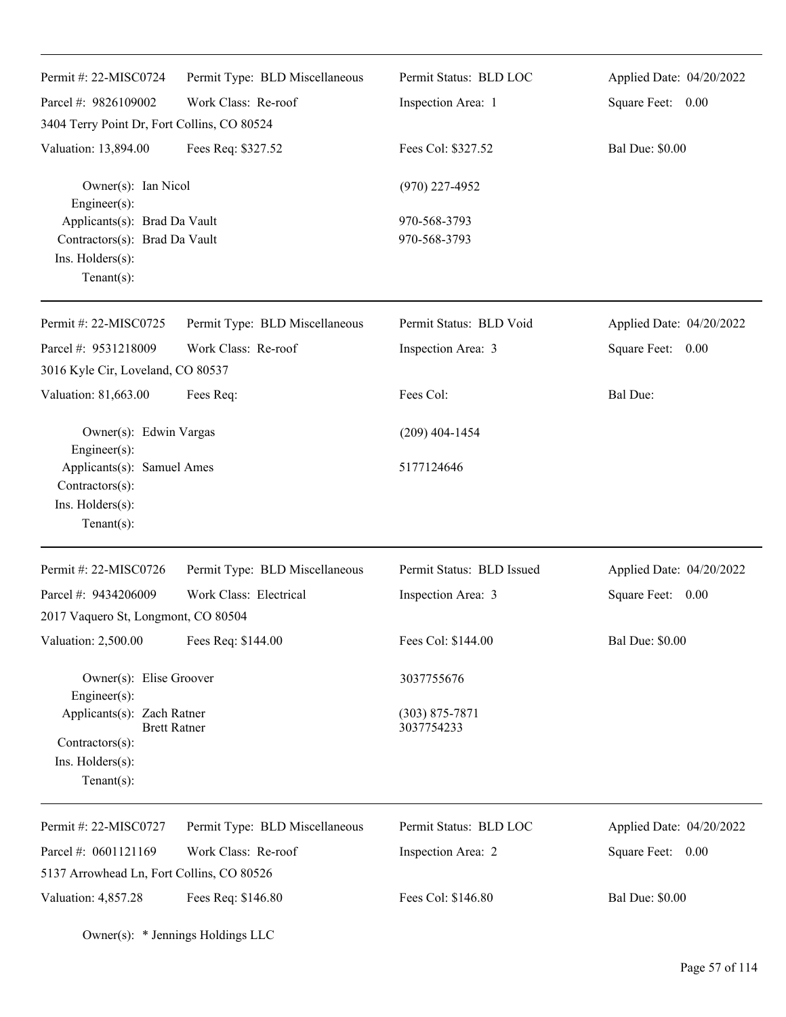| Permit #: 22-MISC0724                                                                              | Permit Type: BLD Miscellaneous    | Permit Status: BLD LOC           | Applied Date: 04/20/2022 |
|----------------------------------------------------------------------------------------------------|-----------------------------------|----------------------------------|--------------------------|
| Parcel #: 9826109002                                                                               | Work Class: Re-roof               | Inspection Area: 1               | Square Feet: 0.00        |
| 3404 Terry Point Dr, Fort Collins, CO 80524                                                        |                                   |                                  |                          |
| Valuation: 13,894.00                                                                               | Fees Req: \$327.52                | Fees Col: \$327.52               | <b>Bal Due: \$0.00</b>   |
| Owner(s): Ian Nicol<br>Engineer(s):                                                                |                                   | $(970)$ 227-4952                 |                          |
| Applicants(s): Brad Da Vault<br>Contractors(s): Brad Da Vault<br>Ins. Holders(s):<br>$Tenant(s)$ : |                                   | 970-568-3793<br>970-568-3793     |                          |
| Permit #: 22-MISC0725                                                                              | Permit Type: BLD Miscellaneous    | Permit Status: BLD Void          | Applied Date: 04/20/2022 |
| Parcel #: 9531218009                                                                               | Work Class: Re-roof               | Inspection Area: 3               | Square Feet: 0.00        |
| 3016 Kyle Cir, Loveland, CO 80537                                                                  |                                   |                                  |                          |
| Valuation: 81,663.00                                                                               | Fees Req:                         | Fees Col:                        | Bal Due:                 |
| Owner(s): Edwin Vargas<br>Engineer(s):                                                             |                                   | $(209)$ 404-1454                 |                          |
| Applicants(s): Samuel Ames<br>Contractors(s):<br>Ins. Holders(s):<br>$Tenant(s)$ :                 |                                   | 5177124646                       |                          |
| Permit #: 22-MISC0726                                                                              | Permit Type: BLD Miscellaneous    | Permit Status: BLD Issued        | Applied Date: 04/20/2022 |
| Parcel #: 9434206009<br>2017 Vaquero St, Longmont, CO 80504                                        | Work Class: Electrical            | Inspection Area: 3               | Square Feet: 0.00        |
| Valuation: 2,500.00                                                                                | Fees Req: \$144.00                | Fees Col: \$144.00               | <b>Bal Due: \$0.00</b>   |
| Owner(s): Elise Groover<br>Engineer(s):                                                            |                                   | 3037755676                       |                          |
| Applicants(s): Zach Ratner<br><b>Brett Ratner</b>                                                  |                                   | $(303) 875 - 7871$<br>3037754233 |                          |
| Contractors(s):<br>Ins. Holders(s):<br>Tenant $(s)$ :                                              |                                   |                                  |                          |
| Permit #: 22-MISC0727                                                                              | Permit Type: BLD Miscellaneous    | Permit Status: BLD LOC           | Applied Date: 04/20/2022 |
| Parcel #: 0601121169                                                                               | Work Class: Re-roof               | Inspection Area: 2               | Square Feet: 0.00        |
| 5137 Arrowhead Ln, Fort Collins, CO 80526                                                          |                                   |                                  |                          |
| Valuation: 4,857.28                                                                                | Fees Req: \$146.80                | Fees Col: \$146.80               | <b>Bal Due: \$0.00</b>   |
|                                                                                                    | Owner(s): * Jennings Holdings LLC |                                  |                          |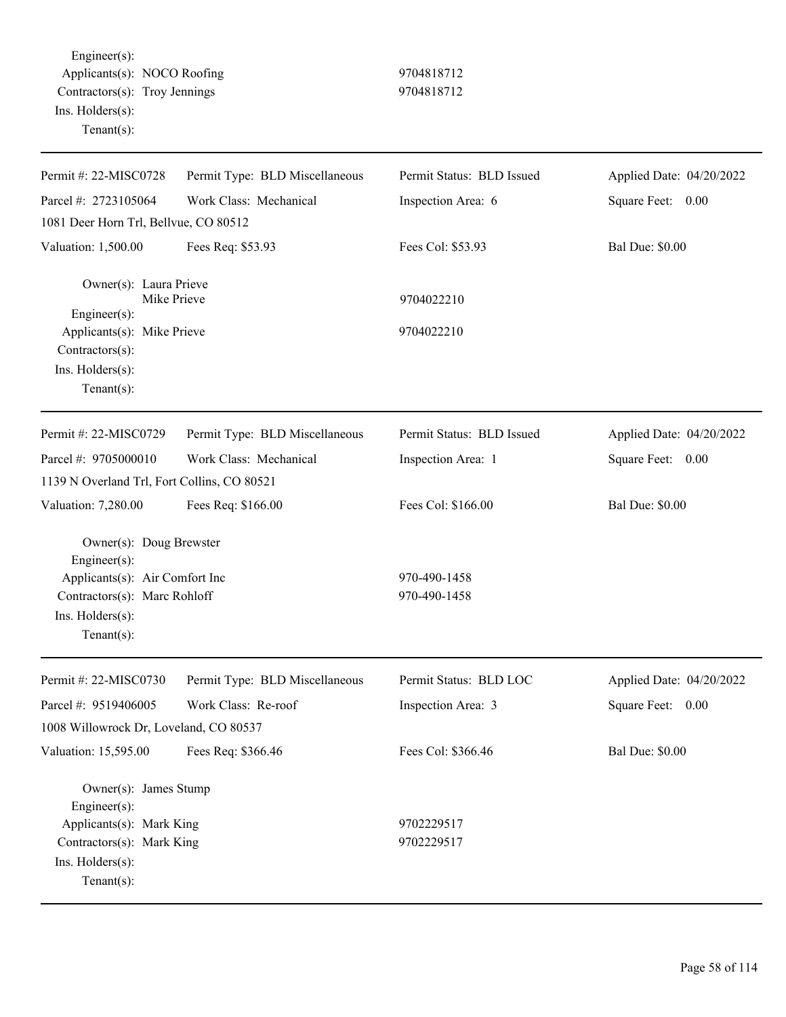Engineer(s): Applicants(s): NOCO Roofing 9704818712 Contractors(s): Troy Jennings 9704818712 Ins. Holders(s): Tenant(s):

| Permit #: 22-MISC0728                                                                                                                                 | Permit Type: BLD Miscellaneous | Permit Status: BLD Issued    | Applied Date: 04/20/2022 |
|-------------------------------------------------------------------------------------------------------------------------------------------------------|--------------------------------|------------------------------|--------------------------|
| Parcel #: 2723105064                                                                                                                                  | Work Class: Mechanical         | Inspection Area: 6           | Square Feet: 0.00        |
| 1081 Deer Horn Trl, Bellvue, CO 80512                                                                                                                 |                                |                              |                          |
| Valuation: 1,500.00                                                                                                                                   | Fees Req: \$53.93              | Fees Col: \$53.93            | <b>Bal Due: \$0.00</b>   |
| Owner(s): Laura Prieve<br>Mike Prieve<br>$Engineering(s)$ :<br>Applicants(s): Mike Prieve<br>Contractors(s):                                          |                                | 9704022210<br>9704022210     |                          |
| Ins. Holders(s):<br>Tenant $(s)$ :                                                                                                                    |                                |                              |                          |
| Permit #: 22-MISC0729                                                                                                                                 | Permit Type: BLD Miscellaneous | Permit Status: BLD Issued    | Applied Date: 04/20/2022 |
| Parcel #: 9705000010                                                                                                                                  | Work Class: Mechanical         | Inspection Area: 1           | Square Feet: 0.00        |
| 1139 N Overland Trl, Fort Collins, CO 80521                                                                                                           |                                |                              |                          |
| Valuation: 7,280.00                                                                                                                                   | Fees Req: \$166.00             | Fees Col: \$166.00           | <b>Bal Due: \$0.00</b>   |
| Owner(s): Doug Brewster<br>$Engineering(s)$ :<br>Applicants(s): Air Comfort Inc<br>Contractors(s): Marc Rohloff<br>Ins. Holders(s):<br>Tenant $(s)$ : |                                | 970-490-1458<br>970-490-1458 |                          |
| Permit #: 22-MISC0730                                                                                                                                 | Permit Type: BLD Miscellaneous | Permit Status: BLD LOC       | Applied Date: 04/20/2022 |
| Parcel #: 9519406005                                                                                                                                  | Work Class: Re-roof            | Inspection Area: 3           | Square Feet:<br>$0.00\,$ |
| 1008 Willowrock Dr, Loveland, CO 80537                                                                                                                |                                |                              |                          |
| Valuation: 15,595.00                                                                                                                                  | Fees Req: \$366.46             | Fees Col: \$366.46           | <b>Bal Due: \$0.00</b>   |
| Owner(s): James Stump<br>$Engineering(s)$ :<br>Applicants(s): Mark King<br>Contractors(s): Mark King<br>Ins. Holders(s):<br>Tenant $(s)$ :            |                                | 9702229517<br>9702229517     |                          |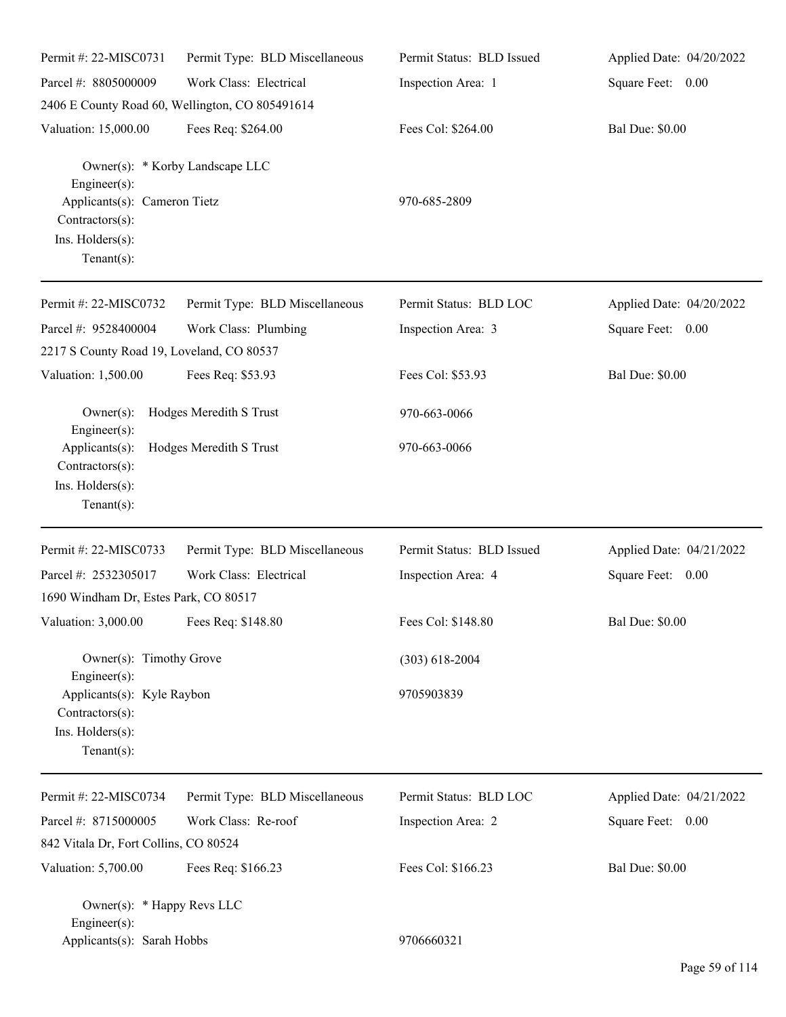| Permit #: 22-MISC0731                                                                                     | Permit Type: BLD Miscellaneous                  | Permit Status: BLD Issued | Applied Date: 04/20/2022 |
|-----------------------------------------------------------------------------------------------------------|-------------------------------------------------|---------------------------|--------------------------|
| Parcel #: 8805000009                                                                                      | Work Class: Electrical                          | Inspection Area: 1        | Square Feet: 0.00        |
|                                                                                                           | 2406 E County Road 60, Wellington, CO 805491614 |                           |                          |
| Valuation: 15,000.00                                                                                      | Fees Req: \$264.00                              | Fees Col: \$264.00        | <b>Bal Due: \$0.00</b>   |
| Engineer $(s)$ :<br>Applicants(s): Cameron Tietz<br>Contractors(s):<br>Ins. Holders(s):<br>Tenant $(s)$ : | Owner(s): * Korby Landscape LLC                 | 970-685-2809              |                          |
| Permit #: 22-MISC0732                                                                                     | Permit Type: BLD Miscellaneous                  | Permit Status: BLD LOC    | Applied Date: 04/20/2022 |
| Parcel #: 9528400004<br>2217 S County Road 19, Loveland, CO 80537                                         | Work Class: Plumbing                            | Inspection Area: 3        | Square Feet: 0.00        |
| Valuation: 1,500.00                                                                                       | Fees Req: \$53.93                               | Fees Col: \$53.93         | <b>Bal Due: \$0.00</b>   |
| $Owner(s)$ :<br>$Engineering(s)$ :                                                                        | Hodges Meredith S Trust                         | 970-663-0066              |                          |
| $\Delta$ pplicants $(s)$ :<br>Contractors(s):<br>Ins. Holders(s):<br>Tenant $(s)$ :                       | Hodges Meredith S Trust                         | 970-663-0066              |                          |
| Permit #: 22-MISC0733                                                                                     | Permit Type: BLD Miscellaneous                  | Permit Status: BLD Issued | Applied Date: 04/21/2022 |
| Parcel #: 2532305017                                                                                      | Work Class: Electrical                          | Inspection Area: 4        | Square Feet: 0.00        |
| 1690 Windham Dr, Estes Park, CO 80517                                                                     |                                                 |                           |                          |
| Valuation: 3,000.00 Fees Req: \$148.80                                                                    |                                                 | Fees Col: \$148.80        | <b>Bal Due: \$0.00</b>   |
| Owner(s): Timothy Grove                                                                                   |                                                 | $(303)$ 618-2004          |                          |
| Engineer $(s)$ :<br>Applicants(s): Kyle Raybon<br>Contractors(s):<br>Ins. Holders(s):<br>Tenant $(s)$ :   |                                                 | 9705903839                |                          |
| Permit #: 22-MISC0734                                                                                     | Permit Type: BLD Miscellaneous                  | Permit Status: BLD LOC    | Applied Date: 04/21/2022 |
| Parcel #: 8715000005                                                                                      | Work Class: Re-roof                             | Inspection Area: 2        | Square Feet: 0.00        |
| 842 Vitala Dr, Fort Collins, CO 80524                                                                     |                                                 |                           |                          |
| Valuation: 5,700.00                                                                                       | Fees Req: \$166.23                              | Fees Col: \$166.23        | <b>Bal Due: \$0.00</b>   |
| Owner(s): * Happy Revs LLC<br>Engineer $(s)$ :<br>Applicants(s): Sarah Hobbs                              |                                                 | 9706660321                |                          |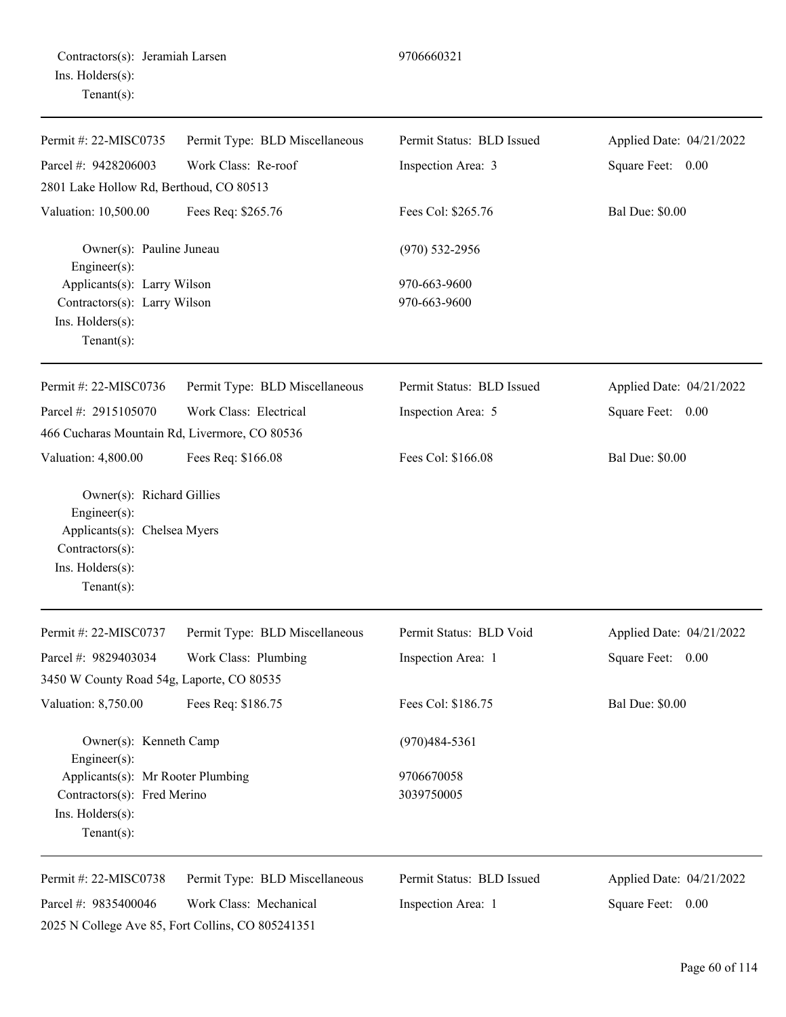|                  | Contractors(s): Jeramiah Larsen |
|------------------|---------------------------------|
| Ins. Holders(s): |                                 |
| $Tenant(s)$ :    |                                 |

| Permit #: 22-MISC0735                                                                                                             | Permit Type: BLD Miscellaneous                    | Permit Status: BLD Issued | Applied Date: 04/21/2022 |
|-----------------------------------------------------------------------------------------------------------------------------------|---------------------------------------------------|---------------------------|--------------------------|
| Parcel #: 9428206003                                                                                                              | Work Class: Re-roof                               | Inspection Area: 3        | Square Feet: 0.00        |
| 2801 Lake Hollow Rd, Berthoud, CO 80513                                                                                           |                                                   |                           |                          |
| Valuation: 10,500.00                                                                                                              | Fees Req: \$265.76                                | Fees Col: \$265.76        | <b>Bal Due: \$0.00</b>   |
| Owner(s): Pauline Juneau<br>Engineer(s):                                                                                          |                                                   | $(970)$ 532-2956          |                          |
| Applicants(s): Larry Wilson                                                                                                       |                                                   | 970-663-9600              |                          |
| Contractors(s): Larry Wilson                                                                                                      |                                                   | 970-663-9600              |                          |
| Ins. Holders(s):<br>Tenant $(s)$ :                                                                                                |                                                   |                           |                          |
| Permit #: 22-MISC0736                                                                                                             | Permit Type: BLD Miscellaneous                    | Permit Status: BLD Issued | Applied Date: 04/21/2022 |
| Parcel #: 2915105070                                                                                                              | Work Class: Electrical                            | Inspection Area: 5        | Square Feet: 0.00        |
| 466 Cucharas Mountain Rd, Livermore, CO 80536                                                                                     |                                                   |                           |                          |
| Valuation: 4,800.00                                                                                                               | Fees Req: \$166.08                                | Fees Col: \$166.08        | <b>Bal Due: \$0.00</b>   |
| Owner(s): Richard Gillies<br>Engineer(s):<br>Applicants(s): Chelsea Myers<br>Contractors(s):<br>Ins. Holders(s):<br>$Tenant(s)$ : |                                                   |                           |                          |
| Permit #: 22-MISC0737                                                                                                             | Permit Type: BLD Miscellaneous                    | Permit Status: BLD Void   | Applied Date: 04/21/2022 |
| Parcel #: 9829403034                                                                                                              | Work Class: Plumbing                              | Inspection Area: 1        | Square Feet: 0.00        |
| 3450 W County Road 54g, Laporte, CO 80535                                                                                         |                                                   |                           |                          |
| Valuation: 8,750.00                                                                                                               | Fees Req: \$186.75                                | Fees Col: \$186.75        | <b>Bal Due: \$0.00</b>   |
| Owner(s): Kenneth Camp<br>Engineer $(s)$ :                                                                                        |                                                   | $(970)484-5361$           |                          |
| Applicants(s): Mr Rooter Plumbing                                                                                                 |                                                   | 9706670058                |                          |
| Contractors(s): Fred Merino<br>Ins. Holders(s):<br>$Tenant(s)$ :                                                                  |                                                   | 3039750005                |                          |
| Permit #: 22-MISC0738                                                                                                             | Permit Type: BLD Miscellaneous                    | Permit Status: BLD Issued | Applied Date: 04/21/2022 |
| Parcel #: 9835400046                                                                                                              | Work Class: Mechanical                            | Inspection Area: 1        | Square Feet:<br>0.00     |
|                                                                                                                                   | 2025 N College Ave 85, Fort Collins, CO 805241351 |                           |                          |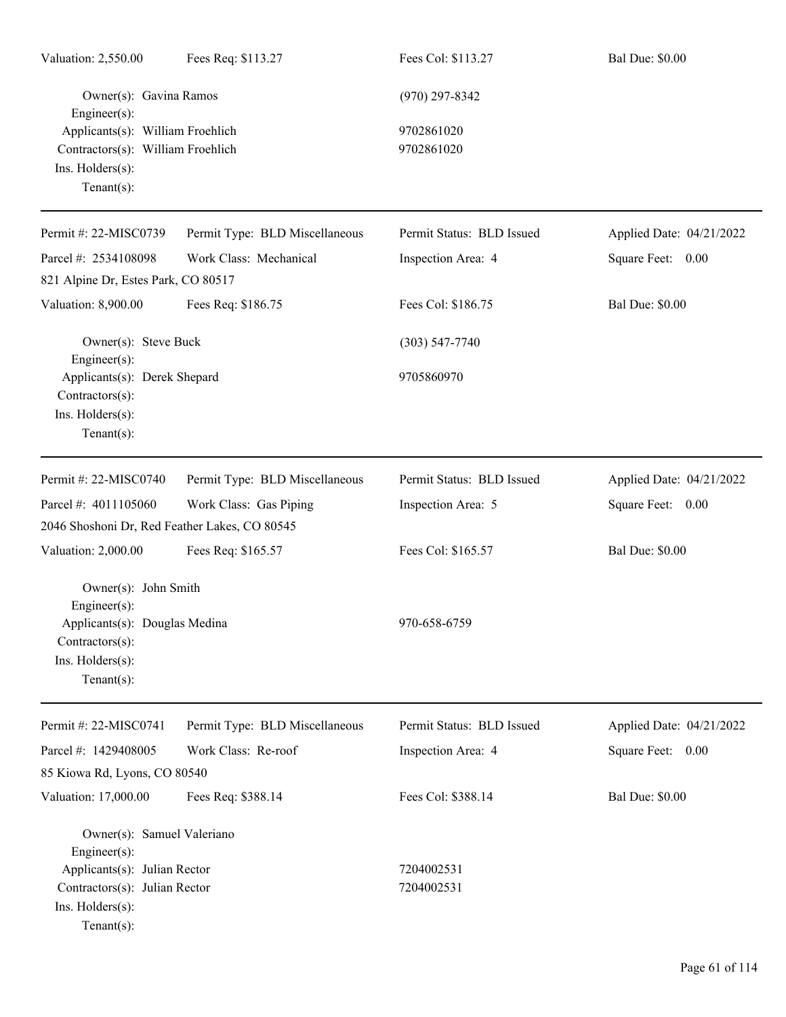| Valuation: 2,550.00                                                                                                                                    | Fees Req: \$113.27             | Fees Col: \$113.27        | <b>Bal Due: \$0.00</b>   |
|--------------------------------------------------------------------------------------------------------------------------------------------------------|--------------------------------|---------------------------|--------------------------|
| Owner(s): Gavina Ramos<br>Engineer(s):                                                                                                                 |                                | $(970)$ 297-8342          |                          |
| Applicants(s): William Froehlich<br>Contractors(s): William Froehlich<br>Ins. Holders(s):<br>$Tenant(s)$ :                                             |                                | 9702861020<br>9702861020  |                          |
| Permit #: 22-MISC0739                                                                                                                                  | Permit Type: BLD Miscellaneous | Permit Status: BLD Issued | Applied Date: 04/21/2022 |
| Parcel #: 2534108098                                                                                                                                   | Work Class: Mechanical         | Inspection Area: 4        | Square Feet: 0.00        |
| 821 Alpine Dr, Estes Park, CO 80517                                                                                                                    |                                |                           |                          |
| Valuation: 8,900.00                                                                                                                                    | Fees Req: \$186.75             | Fees Col: \$186.75        | <b>Bal Due: \$0.00</b>   |
| Owner(s): Steve Buck<br>Engineer(s):                                                                                                                   |                                | $(303) 547 - 7740$        |                          |
| Applicants(s): Derek Shepard<br>Contractors(s):<br>Ins. Holders(s):<br>$Tenant(s)$ :                                                                   |                                | 9705860970                |                          |
| Permit #: 22-MISC0740                                                                                                                                  | Permit Type: BLD Miscellaneous | Permit Status: BLD Issued | Applied Date: 04/21/2022 |
| Parcel #: 4011105060<br>2046 Shoshoni Dr, Red Feather Lakes, CO 80545                                                                                  | Work Class: Gas Piping         | Inspection Area: 5        | Square Feet: 0.00        |
| Valuation: 2,000.00                                                                                                                                    | Fees Req: \$165.57             | Fees Col: \$165.57        | <b>Bal Due: \$0.00</b>   |
| Owner(s): John Smith<br>Engineer(s):<br>Applicants(s): Douglas Medina<br>Contractors(s):<br>Ins. Holders(s):<br>$Tenant(s)$ :                          |                                | 970-658-6759              |                          |
| Permit #: 22-MISC0741                                                                                                                                  | Permit Type: BLD Miscellaneous | Permit Status: BLD Issued | Applied Date: 04/21/2022 |
| Parcel #: 1429408005                                                                                                                                   | Work Class: Re-roof            | Inspection Area: 4        | Square Feet: 0.00        |
| 85 Kiowa Rd, Lyons, CO 80540                                                                                                                           |                                |                           |                          |
| Valuation: 17,000.00                                                                                                                                   | Fees Req: \$388.14             | Fees Col: \$388.14        | <b>Bal Due: \$0.00</b>   |
| Owner(s): Samuel Valeriano<br>$Engineering(s)$ :<br>Applicants(s): Julian Rector<br>Contractors(s): Julian Rector<br>Ins. Holders(s):<br>$Tenant(s)$ : |                                | 7204002531<br>7204002531  |                          |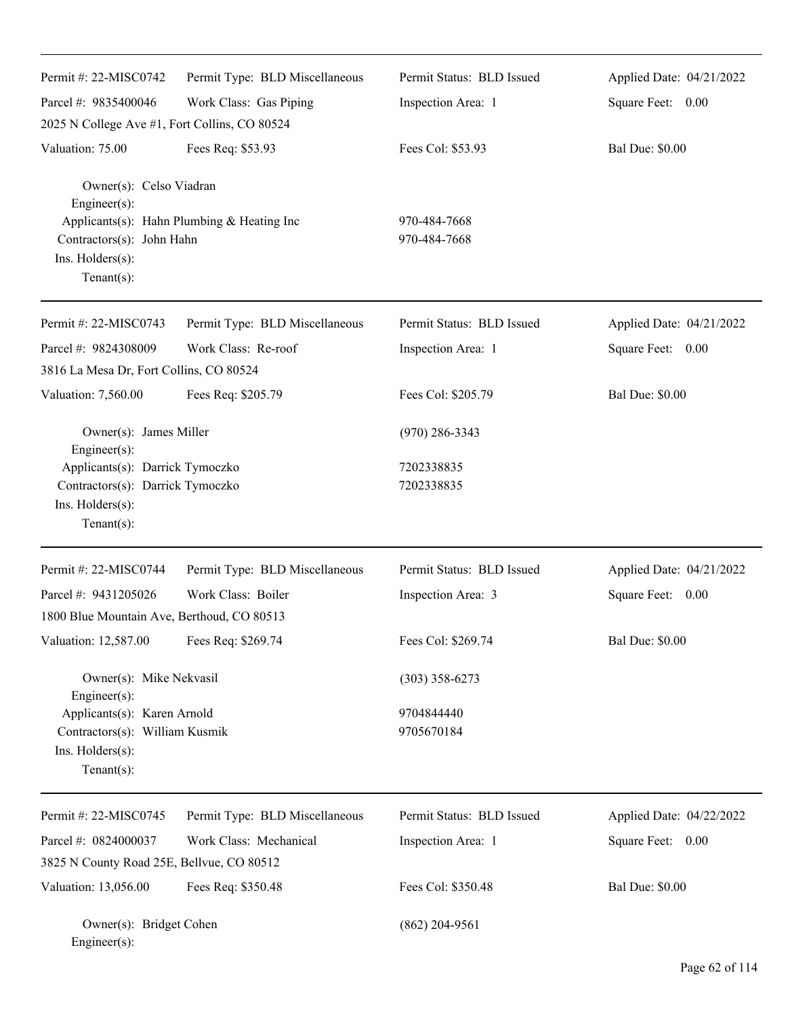| Permit #: 22-MISC0742                                                                               | Permit Type: BLD Miscellaneous             | Permit Status: BLD Issued    | Applied Date: 04/21/2022 |
|-----------------------------------------------------------------------------------------------------|--------------------------------------------|------------------------------|--------------------------|
| Parcel #: 9835400046                                                                                | Work Class: Gas Piping                     | Inspection Area: 1           | Square Feet: 0.00        |
| 2025 N College Ave #1, Fort Collins, CO 80524<br>Valuation: 75.00                                   |                                            | Fees Col: \$53.93            | <b>Bal Due: \$0.00</b>   |
|                                                                                                     | Fees Req: \$53.93                          |                              |                          |
| Owner(s): Celso Viadran<br>Engineer(s):<br>Contractors(s): John Hahn                                | Applicants(s): Hahn Plumbing & Heating Inc | 970-484-7668<br>970-484-7668 |                          |
| Ins. Holders(s):<br>Tenant $(s)$ :                                                                  |                                            |                              |                          |
| Permit #: 22-MISC0743                                                                               | Permit Type: BLD Miscellaneous             | Permit Status: BLD Issued    | Applied Date: 04/21/2022 |
| Parcel #: 9824308009                                                                                | Work Class: Re-roof                        | Inspection Area: 1           | Square Feet: 0.00        |
| 3816 La Mesa Dr, Fort Collins, CO 80524                                                             |                                            |                              |                          |
| Valuation: 7,560.00                                                                                 | Fees Req: \$205.79                         | Fees Col: \$205.79           | <b>Bal Due: \$0.00</b>   |
| Owner(s): James Miller<br>Engineer(s):                                                              |                                            | $(970)$ 286-3343             |                          |
| Applicants(s): Darrick Tymoczko                                                                     |                                            | 7202338835                   |                          |
| Contractors(s): Darrick Tymoczko<br>Ins. Holders(s):<br>$Tenant(s)$ :                               |                                            | 7202338835                   |                          |
| Permit #: 22-MISC0744                                                                               | Permit Type: BLD Miscellaneous             | Permit Status: BLD Issued    | Applied Date: 04/21/2022 |
| Parcel #: 9431205026                                                                                | Work Class: Boiler                         | Inspection Area: 3           | Square Feet: 0.00        |
| 1800 Blue Mountain Ave, Berthoud, CO 80513                                                          |                                            |                              |                          |
| Valuation: 12,587.00                                                                                | Fees Req: \$269.74                         | Fees Col: \$269.74           | <b>Bal Due: \$0.00</b>   |
| Owner(s): Mike Nekvasil<br>Engineer(s):                                                             |                                            | $(303)$ 358-6273             |                          |
| Applicants(s): Karen Arnold<br>Contractors(s): William Kusmik<br>Ins. Holders(s):<br>Tenant $(s)$ : |                                            | 9704844440<br>9705670184     |                          |
| Permit #: 22-MISC0745                                                                               | Permit Type: BLD Miscellaneous             | Permit Status: BLD Issued    | Applied Date: 04/22/2022 |
| Parcel #: 0824000037                                                                                | Work Class: Mechanical                     | Inspection Area: 1           | 0.00<br>Square Feet:     |
| 3825 N County Road 25E, Bellvue, CO 80512                                                           |                                            |                              |                          |
| Valuation: 13,056.00                                                                                | Fees Req: \$350.48                         | Fees Col: \$350.48           | <b>Bal Due: \$0.00</b>   |
| Owner(s): Bridget Cohen<br>Engineer(s):                                                             |                                            | $(862)$ 204-9561             |                          |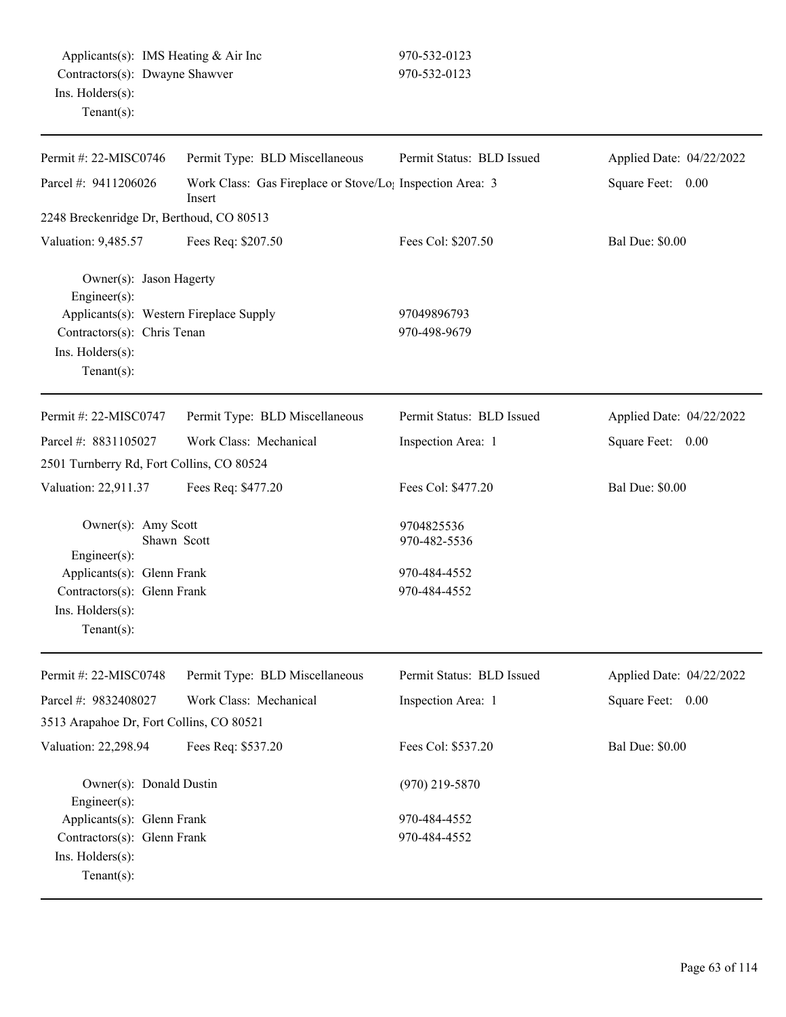| Permit #: 22-MISC0746                                                                          | Permit Type: BLD Miscellaneous                                                  | Permit Status: BLD Issued    | Applied Date: 04/22/2022 |
|------------------------------------------------------------------------------------------------|---------------------------------------------------------------------------------|------------------------------|--------------------------|
| Parcel #: 9411206026                                                                           | Work Class: Gas Fireplace or Stove/Lo <sub>1</sub> Inspection Area: 3<br>Insert |                              | Square Feet:<br>0.00     |
| 2248 Breckenridge Dr, Berthoud, CO 80513                                                       |                                                                                 |                              |                          |
| Valuation: 9,485.57                                                                            | Fees Req: \$207.50                                                              | Fees Col: \$207.50           | <b>Bal Due: \$0.00</b>   |
| Owner(s): Jason Hagerty<br>Engineer(s):                                                        |                                                                                 |                              |                          |
| Applicants(s): Western Fireplace Supply                                                        |                                                                                 | 97049896793                  |                          |
| Contractors(s): Chris Tenan<br>Ins. Holders(s):<br>Tenant $(s)$ :                              |                                                                                 | 970-498-9679                 |                          |
| Permit #: 22-MISC0747                                                                          | Permit Type: BLD Miscellaneous                                                  | Permit Status: BLD Issued    | Applied Date: 04/22/2022 |
| Parcel #: 8831105027                                                                           | Work Class: Mechanical                                                          | Inspection Area: 1           | 0.00<br>Square Feet:     |
| 2501 Turnberry Rd, Fort Collins, CO 80524                                                      |                                                                                 |                              |                          |
| Valuation: 22,911.37                                                                           | Fees Req: \$477.20                                                              | Fees Col: \$477.20           | <b>Bal Due: \$0.00</b>   |
| Owner(s): Amy Scott<br>Engineer(s):                                                            | Shawn Scott                                                                     | 9704825536<br>970-482-5536   |                          |
| Applicants(s): Glenn Frank<br>Contractors(s): Glenn Frank<br>Ins. Holders(s):<br>$Tenant(s)$ : |                                                                                 | 970-484-4552<br>970-484-4552 |                          |
| Permit #: 22-MISC0748                                                                          | Permit Type: BLD Miscellaneous                                                  | Permit Status: BLD Issued    | Applied Date: 04/22/2022 |
| Parcel #: 9832408027                                                                           | Work Class: Mechanical                                                          | Inspection Area: 1           | Square Feet:<br>0.00     |
| 3513 Arapahoe Dr, Fort Collins, CO 80521                                                       |                                                                                 |                              |                          |
| Valuation: 22,298.94                                                                           | Fees Req: \$537.20                                                              | Fees Col: \$537.20           | <b>Bal Due: \$0.00</b>   |
| Owner(s): Donald Dustin<br>Engineer(s):                                                        |                                                                                 | $(970)$ 219-5870             |                          |
| Applicants(s): Glenn Frank                                                                     |                                                                                 | 970-484-4552                 |                          |
| Contractors(s): Glenn Frank                                                                    |                                                                                 | 970-484-4552                 |                          |
| Ins. Holders(s):                                                                               |                                                                                 |                              |                          |
| Tenant $(s)$ :                                                                                 |                                                                                 |                              |                          |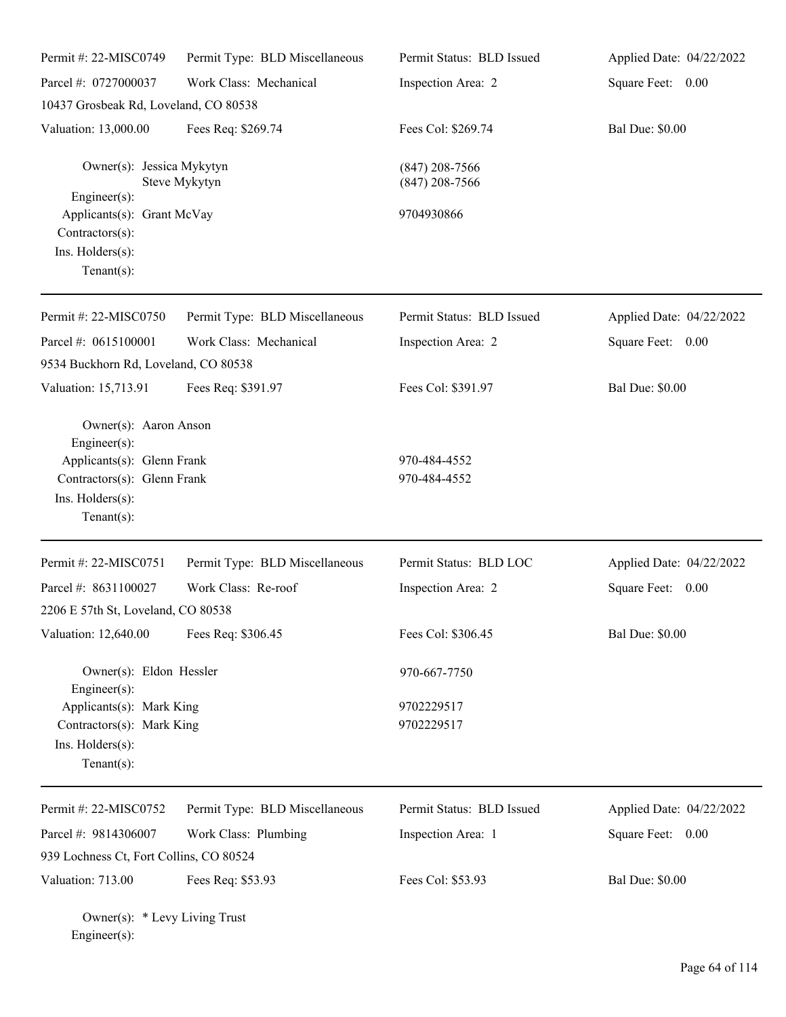| Permit #: 22-MISC0749                                                                       | Permit Type: BLD Miscellaneous | Permit Status: BLD Issued            | Applied Date: 04/22/2022 |
|---------------------------------------------------------------------------------------------|--------------------------------|--------------------------------------|--------------------------|
| Parcel #: 0727000037                                                                        | Work Class: Mechanical         | Inspection Area: 2                   | Square Feet: 0.00        |
| 10437 Grosbeak Rd, Loveland, CO 80538                                                       |                                |                                      |                          |
| Valuation: 13,000.00                                                                        | Fees Req: \$269.74             | Fees Col: \$269.74                   | <b>Bal Due: \$0.00</b>   |
| Owner(s): Jessica Mykytyn                                                                   | Steve Mykytyn                  | $(847)$ 208-7566<br>$(847)$ 208-7566 |                          |
| $Engineering(s)$ :<br>Applicants(s): Grant McVay                                            |                                | 9704930866                           |                          |
| Contractors(s):                                                                             |                                |                                      |                          |
| Ins. Holders(s):                                                                            |                                |                                      |                          |
| $Tenant(s)$ :                                                                               |                                |                                      |                          |
| Permit #: 22-MISC0750                                                                       | Permit Type: BLD Miscellaneous | Permit Status: BLD Issued            | Applied Date: 04/22/2022 |
| Parcel #: 0615100001                                                                        | Work Class: Mechanical         | Inspection Area: 2                   | Square Feet: 0.00        |
| 9534 Buckhorn Rd, Loveland, CO 80538                                                        |                                |                                      |                          |
| Valuation: 15,713.91                                                                        | Fees Req: \$391.97             | Fees Col: \$391.97                   | <b>Bal Due: \$0.00</b>   |
| Owner(s): Aaron Anson<br>Engineer(s):                                                       |                                |                                      |                          |
| Applicants(s): Glenn Frank                                                                  |                                | 970-484-4552                         |                          |
| Contractors(s): Glenn Frank<br>Ins. Holders(s):<br>$Tenant(s)$ :                            |                                | 970-484-4552                         |                          |
| Permit #: 22-MISC0751                                                                       | Permit Type: BLD Miscellaneous | Permit Status: BLD LOC               | Applied Date: 04/22/2022 |
| Parcel #: 8631100027                                                                        | Work Class: Re-roof            | Inspection Area: 2                   | Square Feet: 0.00        |
| 2206 E 57th St, Loveland, CO 80538                                                          |                                |                                      |                          |
| Valuation: 12,640.00                                                                        | Fees Req: \$306.45             | Fees Col: \$306.45                   | <b>Bal Due: \$0.00</b>   |
| Owner(s): Eldon Hessler<br>Engineer(s):                                                     |                                | 970-667-7750                         |                          |
| Applicants(s): Mark King<br>Contractors(s): Mark King<br>Ins. Holders(s):<br>Tenant $(s)$ : |                                | 9702229517<br>9702229517             |                          |
| Permit #: 22-MISC0752                                                                       | Permit Type: BLD Miscellaneous | Permit Status: BLD Issued            | Applied Date: 04/22/2022 |
| Parcel #: 9814306007                                                                        | Work Class: Plumbing           | Inspection Area: 1                   | Square Feet: 0.00        |
| 939 Lochness Ct, Fort Collins, CO 80524                                                     |                                |                                      |                          |
| Valuation: 713.00                                                                           | Fees Req: \$53.93              | Fees Col: \$53.93                    | <b>Bal Due: \$0.00</b>   |
| Owner(s): * Levy Living Trust                                                               |                                |                                      |                          |

Engineer(s):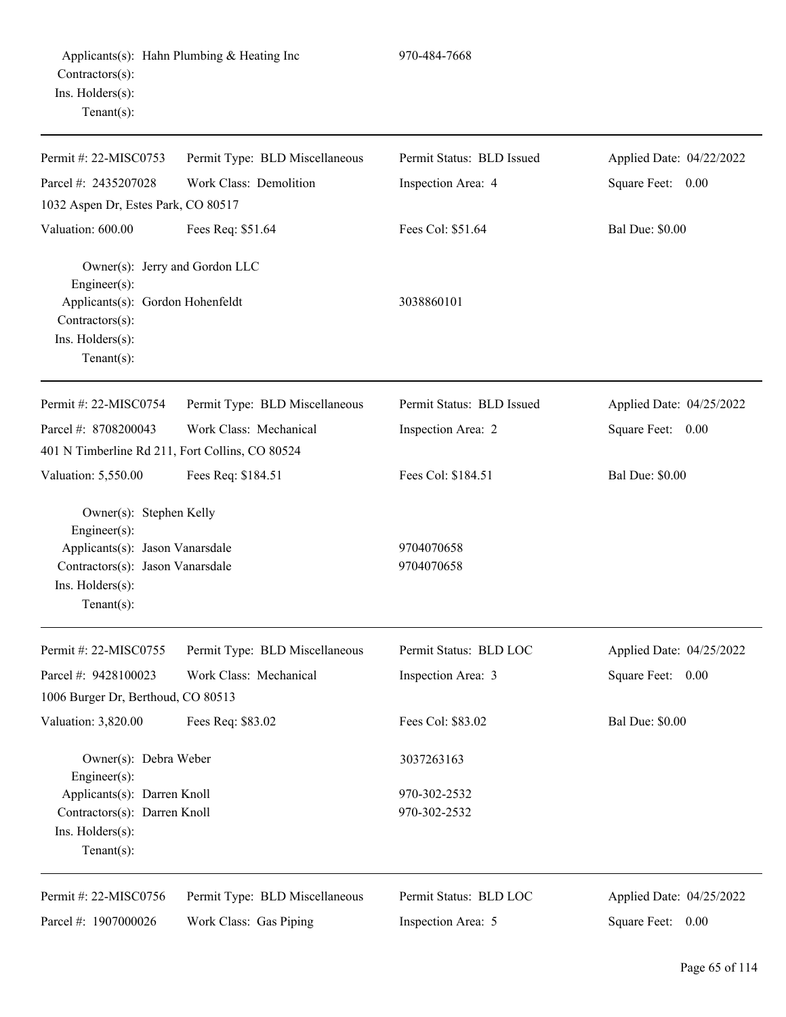| Permit #: 22-MISC0753                                | Permit Type: BLD Miscellaneous | Permit Status: BLD Issued | Applied Date: 04/22/2022 |  |
|------------------------------------------------------|--------------------------------|---------------------------|--------------------------|--|
| Parcel #: 2435207028                                 | Work Class: Demolition         | Inspection Area: 4        | Square Feet: 0.00        |  |
| 1032 Aspen Dr, Estes Park, CO 80517                  |                                |                           |                          |  |
| Valuation: 600.00                                    | Fees Req: \$51.64              | Fees Col: \$51.64         | <b>Bal Due: \$0.00</b>   |  |
| Owner(s): Jerry and Gordon LLC<br>Engineer $(s)$ :   |                                |                           |                          |  |
| Applicants(s): Gordon Hohenfeldt<br>Contractors(s):  |                                | 3038860101                |                          |  |
| Ins. Holders(s):<br>Tenant $(s)$ :                   |                                |                           |                          |  |
| Permit #: 22-MISC0754                                | Permit Type: BLD Miscellaneous | Permit Status: BLD Issued | Applied Date: 04/25/2022 |  |
| Parcel #: 8708200043                                 | Work Class: Mechanical         | Inspection Area: 2        | Square Feet: 0.00        |  |
| 401 N Timberline Rd 211, Fort Collins, CO 80524      |                                |                           |                          |  |
| Valuation: 5,550.00                                  | Fees Req: \$184.51             | Fees Col: \$184.51        | <b>Bal Due: \$0.00</b>   |  |
| Owner(s): Stephen Kelly<br>Engineer $(s)$ :          |                                |                           |                          |  |
| Applicants(s): Jason Vanarsdale                      |                                | 9704070658                |                          |  |
| Contractors(s): Jason Vanarsdale<br>Ins. Holders(s): |                                | 9704070658                |                          |  |
| Tenant $(s)$ :                                       |                                |                           |                          |  |
| Permit #: 22-MISC0755                                | Permit Type: BLD Miscellaneous | Permit Status: BLD LOC    | Applied Date: 04/25/2022 |  |
| Parcel #: 9428100023                                 | Work Class: Mechanical         | Inspection Area: 3        | Square Feet: 0.00        |  |
| 1006 Burger Dr, Berthoud, CO 80513                   |                                |                           |                          |  |
| Valuation: 3,820.00                                  | Fees Req: \$83.02              | Fees Col: \$83.02         | <b>Bal Due: \$0.00</b>   |  |
| Owner(s): Debra Weber<br>Engineer $(s)$ :            |                                | 3037263163                |                          |  |
| Applicants(s): Darren Knoll                          |                                | 970-302-2532              |                          |  |
| Contractors(s): Darren Knoll                         |                                | 970-302-2532              |                          |  |
| Ins. Holders(s):<br>Tenant $(s)$ :                   |                                |                           |                          |  |
| Permit #: 22-MISC0756                                | Permit Type: BLD Miscellaneous | Permit Status: BLD LOC    | Applied Date: 04/25/2022 |  |
| Parcel #: 1907000026                                 | Work Class: Gas Piping         | Inspection Area: 5        | Square Feet:<br>0.00     |  |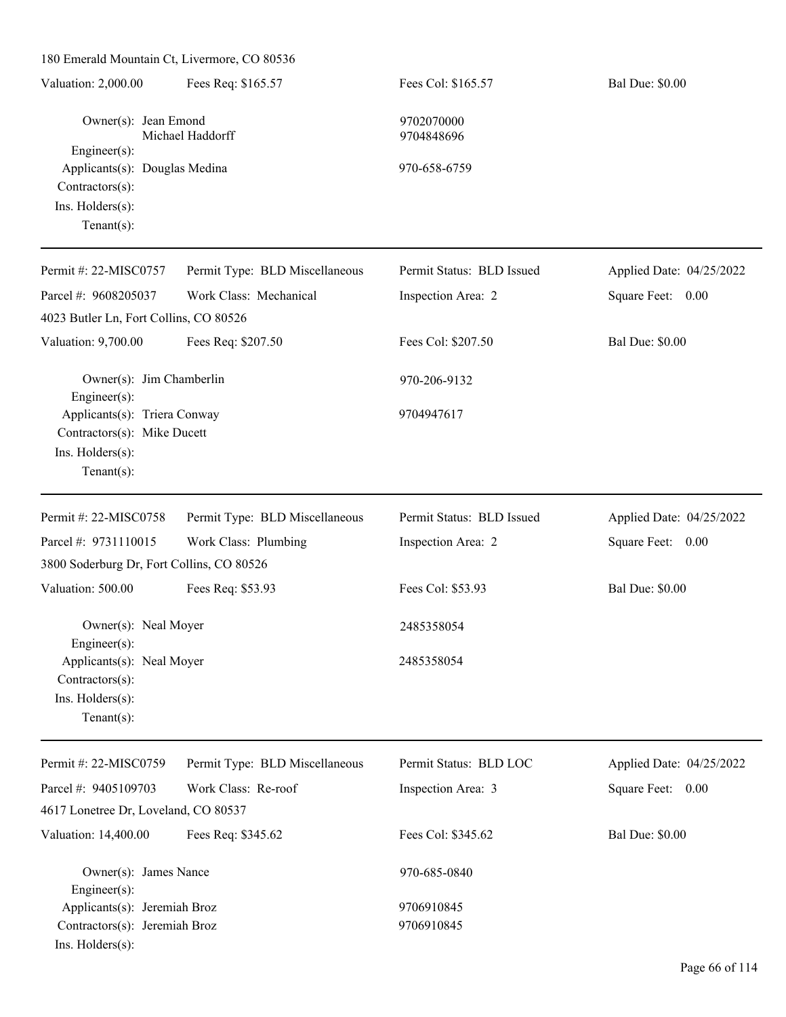180 Emerald Mountain Ct, Livermore, CO 80536

| Valuation: 2,000.00                                                                                     | Fees Req: \$165.57             | Fees Col: \$165.57        | <b>Bal Due: \$0.00</b>   |
|---------------------------------------------------------------------------------------------------------|--------------------------------|---------------------------|--------------------------|
| Owner(s): Jean Emond                                                                                    | Michael Haddorff               | 9702070000<br>9704848696  |                          |
| Engineer(s):<br>Applicants(s): Douglas Medina<br>Contractors(s):<br>Ins. Holders(s):<br>Tenant $(s)$ :  |                                | 970-658-6759              |                          |
| Permit #: 22-MISC0757                                                                                   | Permit Type: BLD Miscellaneous | Permit Status: BLD Issued | Applied Date: 04/25/2022 |
| Parcel #: 9608205037<br>4023 Butler Ln, Fort Collins, CO 80526                                          | Work Class: Mechanical         | Inspection Area: 2        | Square Feet: 0.00        |
| Valuation: 9,700.00                                                                                     | Fees Req: \$207.50             | Fees Col: \$207.50        | <b>Bal Due: \$0.00</b>   |
| Owner(s): Jim Chamberlin<br>Engineer(s):                                                                |                                | 970-206-9132              |                          |
| Applicants(s): Triera Conway<br>Contractors(s): Mike Ducett<br>Ins. Holders(s):<br>$Tenant(s)$ :        |                                | 9704947617                |                          |
| Permit #: 22-MISC0758                                                                                   | Permit Type: BLD Miscellaneous | Permit Status: BLD Issued | Applied Date: 04/25/2022 |
| Parcel #: 9731110015                                                                                    | Work Class: Plumbing           | Inspection Area: 2        | Square Feet: 0.00        |
| 3800 Soderburg Dr, Fort Collins, CO 80526                                                               |                                |                           |                          |
| Valuation: 500.00                                                                                       | Fees Req: \$53.93              | Fees Col: \$53.93         | <b>Bal Due: \$0.00</b>   |
| Owner(s): Neal Moyer                                                                                    |                                | 2485358054                |                          |
| $Engineering(s)$ :<br>Applicants(s): Neal Moyer<br>Contractors(s):<br>Ins. Holders(s):<br>$Tenant(s)$ : |                                | 2485358054                |                          |
| Permit #: 22-MISC0759                                                                                   | Permit Type: BLD Miscellaneous | Permit Status: BLD LOC    | Applied Date: 04/25/2022 |
| Parcel #: 9405109703<br>4617 Lonetree Dr, Loveland, CO 80537                                            | Work Class: Re-roof            | Inspection Area: 3        | Square Feet:<br>0.00     |
| Valuation: 14,400.00                                                                                    | Fees Req: \$345.62             | Fees Col: \$345.62        | <b>Bal Due: \$0.00</b>   |
| Owner(s): James Nance<br>Engineer(s):                                                                   |                                | 970-685-0840              |                          |
| Applicants(s): Jeremiah Broz                                                                            |                                | 9706910845                |                          |
| Contractors(s): Jeremiah Broz<br>Ins. Holders(s):                                                       |                                | 9706910845                |                          |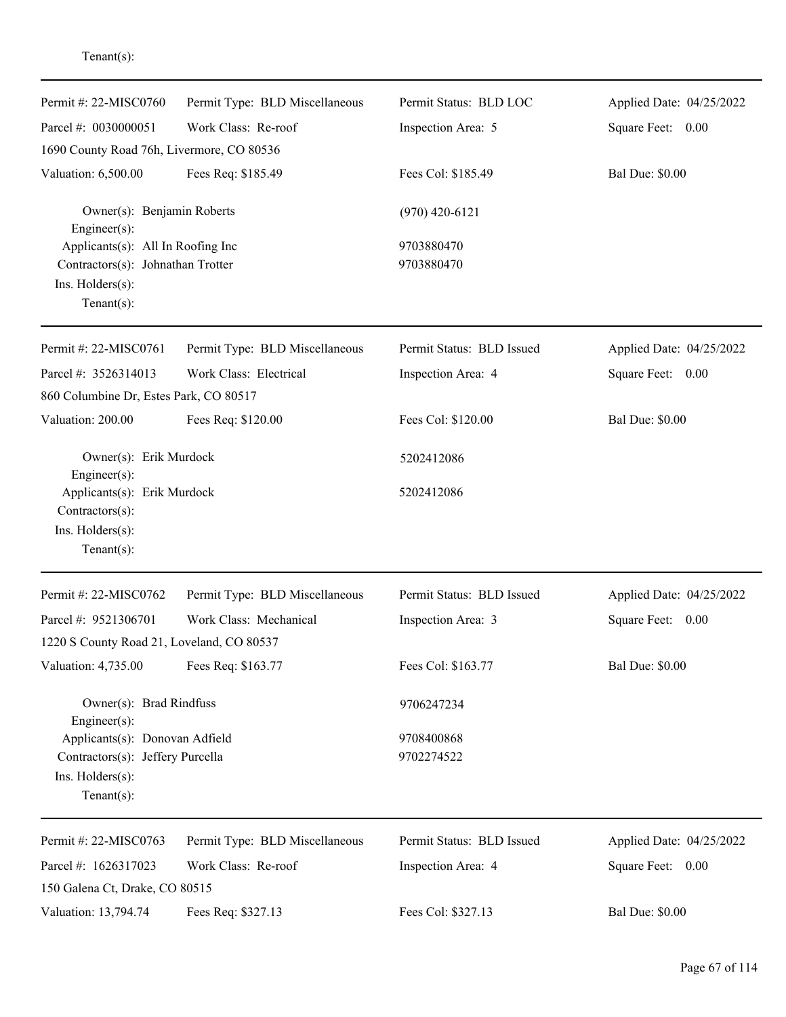| Permit #: 22-MISC0760                                                                                | Permit Type: BLD Miscellaneous | Permit Status: BLD LOC    | Applied Date: 04/25/2022 |
|------------------------------------------------------------------------------------------------------|--------------------------------|---------------------------|--------------------------|
| Parcel #: 0030000051                                                                                 | Work Class: Re-roof            | Inspection Area: 5        | Square Feet: 0.00        |
| 1690 County Road 76h, Livermore, CO 80536                                                            |                                |                           |                          |
| Valuation: 6,500.00                                                                                  | Fees Req: \$185.49             | Fees Col: \$185.49        | <b>Bal Due: \$0.00</b>   |
| Owner(s): Benjamin Roberts<br>Engineer(s):                                                           |                                | $(970)$ 420-6121          |                          |
| Applicants(s): All In Roofing Inc                                                                    |                                | 9703880470                |                          |
| Contractors(s): Johnathan Trotter<br>Ins. Holders(s):<br>Tenant $(s)$ :                              |                                | 9703880470                |                          |
| Permit #: 22-MISC0761                                                                                | Permit Type: BLD Miscellaneous | Permit Status: BLD Issued | Applied Date: 04/25/2022 |
| Parcel #: 3526314013                                                                                 | Work Class: Electrical         | Inspection Area: 4        | Square Feet: 0.00        |
| 860 Columbine Dr, Estes Park, CO 80517                                                               |                                |                           |                          |
| Valuation: 200.00                                                                                    | Fees Req: \$120.00             | Fees Col: \$120.00        | <b>Bal Due: \$0.00</b>   |
| Owner(s): Erik Murdock                                                                               |                                | 5202412086                |                          |
| Engineer(s):<br>Applicants(s): Erik Murdock<br>Contractors(s):<br>Ins. Holders(s):<br>Tenant $(s)$ : |                                | 5202412086                |                          |
| Permit #: 22-MISC0762                                                                                | Permit Type: BLD Miscellaneous | Permit Status: BLD Issued | Applied Date: 04/25/2022 |
| Parcel #: 9521306701                                                                                 | Work Class: Mechanical         | Inspection Area: 3        | Square Feet: 0.00        |
| 1220 S County Road 21, Loveland, CO 80537                                                            |                                |                           |                          |
| Valuation: 4,735.00                                                                                  | Fees Req: \$163.77             | Fees Col: \$163.77        | <b>Bal Due: \$0.00</b>   |
| Owner(s): Brad Rindfuss<br>Engineer(s):                                                              |                                | 9706247234                |                          |
| Applicants(s): Donovan Adfield                                                                       |                                | 9708400868                |                          |
| Contractors(s): Jeffery Purcella                                                                     |                                | 9702274522                |                          |
| Ins. Holders(s):<br>$Tenant(s)$ :                                                                    |                                |                           |                          |
| Permit #: 22-MISC0763                                                                                | Permit Type: BLD Miscellaneous | Permit Status: BLD Issued | Applied Date: 04/25/2022 |
| Parcel #: 1626317023                                                                                 | Work Class: Re-roof            | Inspection Area: 4        | Square Feet: 0.00        |
| 150 Galena Ct, Drake, CO 80515                                                                       |                                |                           |                          |
| Valuation: 13,794.74                                                                                 | Fees Req: \$327.13             | Fees Col: \$327.13        | <b>Bal Due: \$0.00</b>   |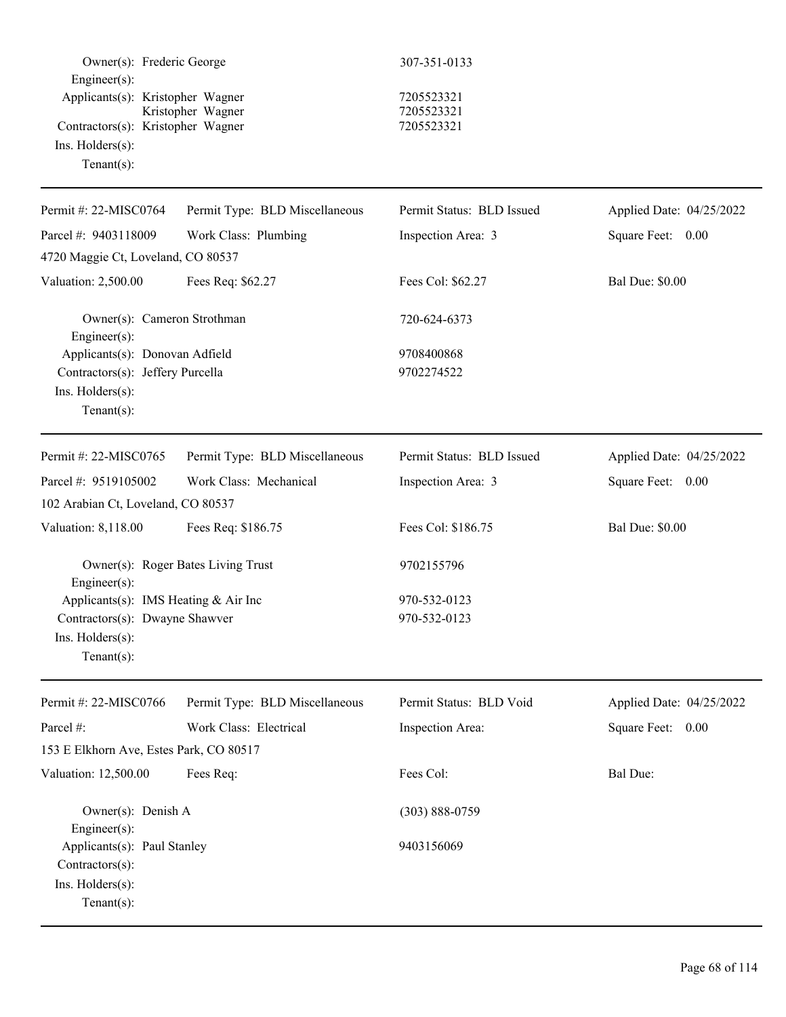| Owner(s): Frederic George<br>Engineer(s):<br>Applicants(s): Kristopher Wagner<br>Contractors(s): Kristopher Wagner<br>Ins. Holders(s):<br>Tenant $(s)$ : | Kristopher Wagner                  | 307-351-0133<br>7205523321<br>7205523321<br>7205523321 |                          |
|----------------------------------------------------------------------------------------------------------------------------------------------------------|------------------------------------|--------------------------------------------------------|--------------------------|
| Permit #: 22-MISC0764                                                                                                                                    | Permit Type: BLD Miscellaneous     | Permit Status: BLD Issued                              | Applied Date: 04/25/2022 |
| Parcel #: 9403118009                                                                                                                                     | Work Class: Plumbing               | Inspection Area: 3                                     | Square Feet: 0.00        |
| 4720 Maggie Ct, Loveland, CO 80537                                                                                                                       |                                    |                                                        |                          |
| Valuation: 2,500.00                                                                                                                                      | Fees Req: \$62.27                  | Fees Col: \$62.27                                      | <b>Bal Due: \$0.00</b>   |
| Owner(s): Cameron Strothman<br>Engineer(s):                                                                                                              |                                    | 720-624-6373                                           |                          |
| Applicants(s): Donovan Adfield<br>Contractors(s): Jeffery Purcella<br>Ins. Holders(s):<br>Tenant $(s)$ :                                                 |                                    | 9708400868<br>9702274522                               |                          |
| Permit #: 22-MISC0765                                                                                                                                    | Permit Type: BLD Miscellaneous     | Permit Status: BLD Issued                              | Applied Date: 04/25/2022 |
| Parcel #: 9519105002                                                                                                                                     | Work Class: Mechanical             | Inspection Area: 3                                     | Square Feet: 0.00        |
| 102 Arabian Ct, Loveland, CO 80537                                                                                                                       |                                    |                                                        |                          |
| Valuation: 8,118.00                                                                                                                                      | Fees Req: \$186.75                 | Fees Col: \$186.75                                     | <b>Bal Due: \$0.00</b>   |
| Engineer(s):<br>Applicants(s): IMS Heating $& Air Inc$<br>Contractors(s): Dwayne Shawver<br>Ins. Holders(s):                                             | Owner(s): Roger Bates Living Trust | 9702155796<br>970-532-0123<br>970-532-0123             |                          |
| Tenant $(s)$ :                                                                                                                                           |                                    |                                                        |                          |
| Permit #: 22-MISC0766                                                                                                                                    | Permit Type: BLD Miscellaneous     | Permit Status: BLD Void                                | Applied Date: 04/25/2022 |
| Parcel #:                                                                                                                                                | Work Class: Electrical             | Inspection Area:                                       | Square Feet: 0.00        |
| 153 E Elkhorn Ave, Estes Park, CO 80517                                                                                                                  |                                    |                                                        |                          |
| Valuation: 12,500.00                                                                                                                                     | Fees Req:                          | Fees Col:                                              | Bal Due:                 |
| Owner(s): Denish A<br>Engineer(s):                                                                                                                       |                                    | $(303) 888 - 0759$                                     |                          |
| Applicants(s): Paul Stanley<br>Contractors(s):<br>Ins. Holders(s):<br>Tenant $(s)$ :                                                                     |                                    | 9403156069                                             |                          |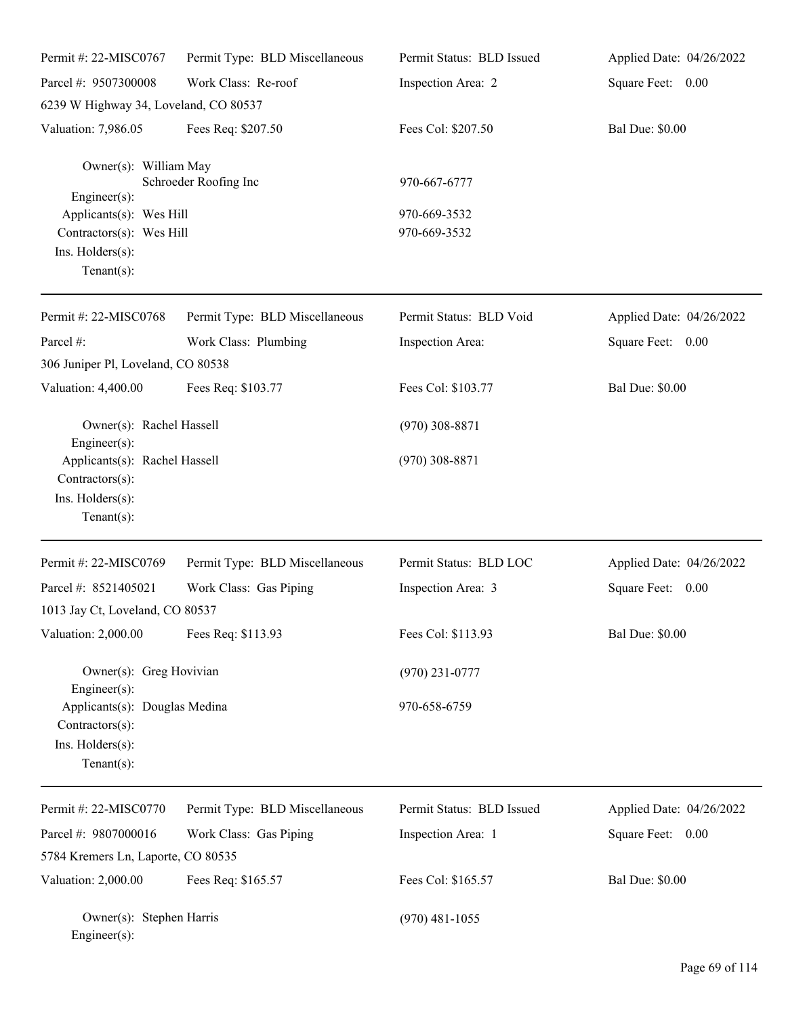| Permit #: 22-MISC0767                                                                     | Permit Type: BLD Miscellaneous | Permit Status: BLD Issued    | Applied Date: 04/26/2022 |
|-------------------------------------------------------------------------------------------|--------------------------------|------------------------------|--------------------------|
| Parcel #: 9507300008                                                                      | Work Class: Re-roof            | Inspection Area: 2           | Square Feet: 0.00        |
| 6239 W Highway 34, Loveland, CO 80537                                                     |                                |                              |                          |
| Valuation: 7,986.05                                                                       | Fees Req: \$207.50             | Fees Col: \$207.50           | <b>Bal Due: \$0.00</b>   |
| Owner(s): William May<br>$Engineering(s)$ :                                               | Schroeder Roofing Inc          | 970-667-6777                 |                          |
| Applicants(s): Wes Hill<br>Contractors(s): Wes Hill<br>Ins. Holders(s):<br>Tenant $(s)$ : |                                | 970-669-3532<br>970-669-3532 |                          |
| Permit #: 22-MISC0768                                                                     | Permit Type: BLD Miscellaneous | Permit Status: BLD Void      | Applied Date: 04/26/2022 |
| Parcel #:                                                                                 | Work Class: Plumbing           | Inspection Area:             | Square Feet: 0.00        |
| 306 Juniper Pl, Loveland, CO 80538                                                        |                                |                              |                          |
| Valuation: 4,400.00                                                                       | Fees Req: \$103.77             | Fees Col: \$103.77           | <b>Bal Due: \$0.00</b>   |
| Owner(s): Rachel Hassell<br>Engineer(s):                                                  |                                | $(970)$ 308-8871             |                          |
| Applicants(s): Rachel Hassell<br>Contractors(s):<br>Ins. Holders(s):<br>Tenant $(s)$ :    |                                | $(970)$ 308-8871             |                          |
| Permit #: 22-MISC0769                                                                     | Permit Type: BLD Miscellaneous | Permit Status: BLD LOC       | Applied Date: 04/26/2022 |
| Parcel #: 8521405021                                                                      | Work Class: Gas Piping         | Inspection Area: 3           | Square Feet: 0.00        |
| 1013 Jay Ct, Loveland, CO 80537                                                           |                                |                              |                          |
| Valuation: 2,000.00                                                                       | Fees Req: \$113.93             | Fees Col: \$113.93           | <b>Bal Due: \$0.00</b>   |
| Owner(s): Greg Hovivian<br>Engineer(s):                                                   |                                | $(970)$ 231-0777             |                          |
| Applicants(s): Douglas Medina<br>Contractors(s):<br>Ins. Holders(s):<br>Tenant $(s)$ :    |                                | 970-658-6759                 |                          |
| Permit #: 22-MISC0770                                                                     | Permit Type: BLD Miscellaneous | Permit Status: BLD Issued    | Applied Date: 04/26/2022 |
| Parcel #: 9807000016                                                                      | Work Class: Gas Piping         | Inspection Area: 1           | Square Feet: 0.00        |
| 5784 Kremers Ln, Laporte, CO 80535                                                        |                                |                              |                          |
| Valuation: 2,000.00                                                                       | Fees Req: \$165.57             | Fees Col: \$165.57           | <b>Bal Due: \$0.00</b>   |
| Owner(s): Stephen Harris<br>Engineer(s):                                                  |                                | $(970)$ 481-1055             |                          |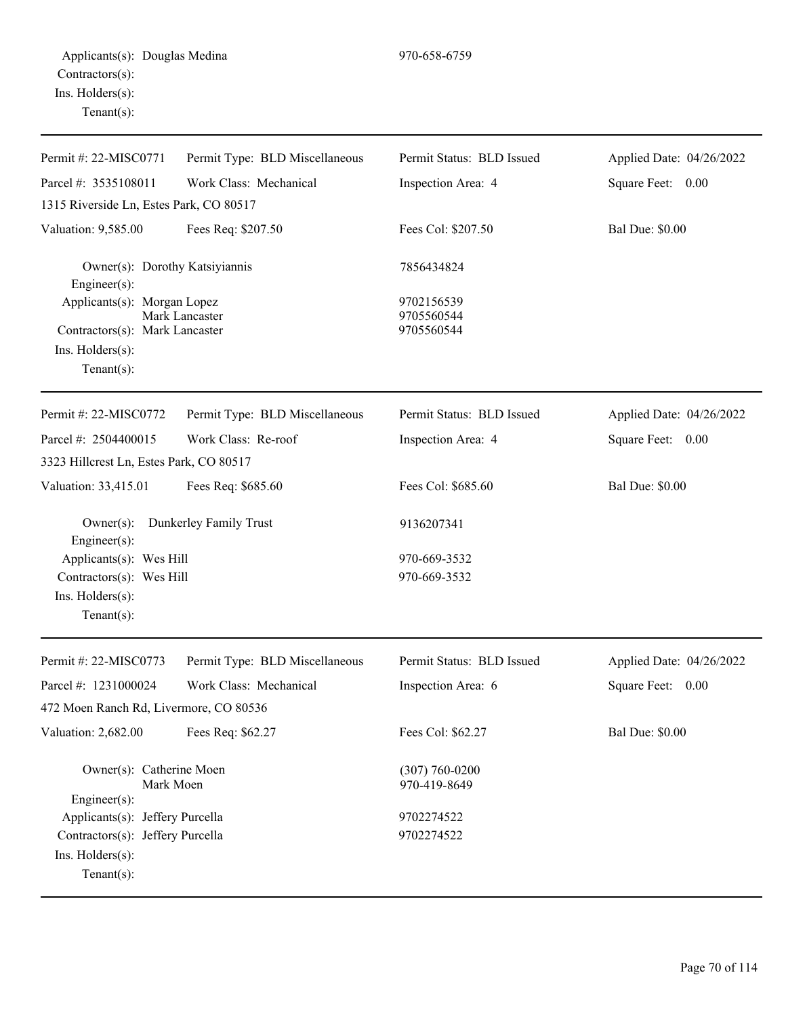| Permit #: 22-MISC0771                                                                               | Permit Type: BLD Miscellaneous | Permit Status: BLD Issued              | Applied Date: 04/26/2022 |
|-----------------------------------------------------------------------------------------------------|--------------------------------|----------------------------------------|--------------------------|
| Parcel #: 3535108011                                                                                | Work Class: Mechanical         | Inspection Area: 4                     | Square Feet: 0.00        |
| 1315 Riverside Ln, Estes Park, CO 80517                                                             |                                |                                        |                          |
| Valuation: 9,585.00                                                                                 | Fees Req: \$207.50             | Fees Col: \$207.50                     | <b>Bal Due: \$0.00</b>   |
| Owner(s): Dorothy Katsiyiannis<br>Engineer $(s)$ :                                                  |                                | 7856434824                             |                          |
| Applicants(s): Morgan Lopez<br>Contractors(s): Mark Lancaster<br>Ins. Holders(s):<br>Tenant $(s)$ : | Mark Lancaster                 | 9702156539<br>9705560544<br>9705560544 |                          |
| Permit #: 22-MISC0772                                                                               | Permit Type: BLD Miscellaneous | Permit Status: BLD Issued              | Applied Date: 04/26/2022 |
| Parcel #: 2504400015                                                                                | Work Class: Re-roof            | Inspection Area: 4                     | Square Feet: 0.00        |
| 3323 Hillcrest Ln, Estes Park, CO 80517                                                             |                                |                                        |                          |
| Valuation: 33,415.01                                                                                | Fees Req: \$685.60             | Fees Col: \$685.60                     | <b>Bal Due: \$0.00</b>   |
| $Owner(s)$ :<br>Engineer $(s)$ :                                                                    | Dunkerley Family Trust         | 9136207341                             |                          |
| Applicants(s): Wes Hill                                                                             |                                | 970-669-3532                           |                          |
| Contractors(s): Wes Hill<br>Ins. Holders(s):<br>Tenant $(s)$ :                                      |                                | 970-669-3532                           |                          |
| Permit #: 22-MISC0773                                                                               | Permit Type: BLD Miscellaneous | Permit Status: BLD Issued              | Applied Date: 04/26/2022 |
| Parcel #: 1231000024                                                                                | Work Class: Mechanical         | Inspection Area: 6                     | Square Feet:<br>0.00     |
| 472 Moen Ranch Rd, Livermore, CO 80536                                                              |                                |                                        |                          |
| Valuation: 2,682.00                                                                                 | Fees Req: \$62.27              | Fees Col: \$62.27                      | <b>Bal Due: \$0.00</b>   |
| Owner(s): Catherine Moen<br>Mark Moen<br>$Engineering(s)$ :                                         |                                | $(307) 760 - 0200$<br>970-419-8649     |                          |
| Applicants(s): Jeffery Purcella                                                                     |                                | 9702274522                             |                          |
| Contractors(s): Jeffery Purcella                                                                    |                                | 9702274522                             |                          |
| Ins. Holders(s):<br>Tenant $(s)$ :                                                                  |                                |                                        |                          |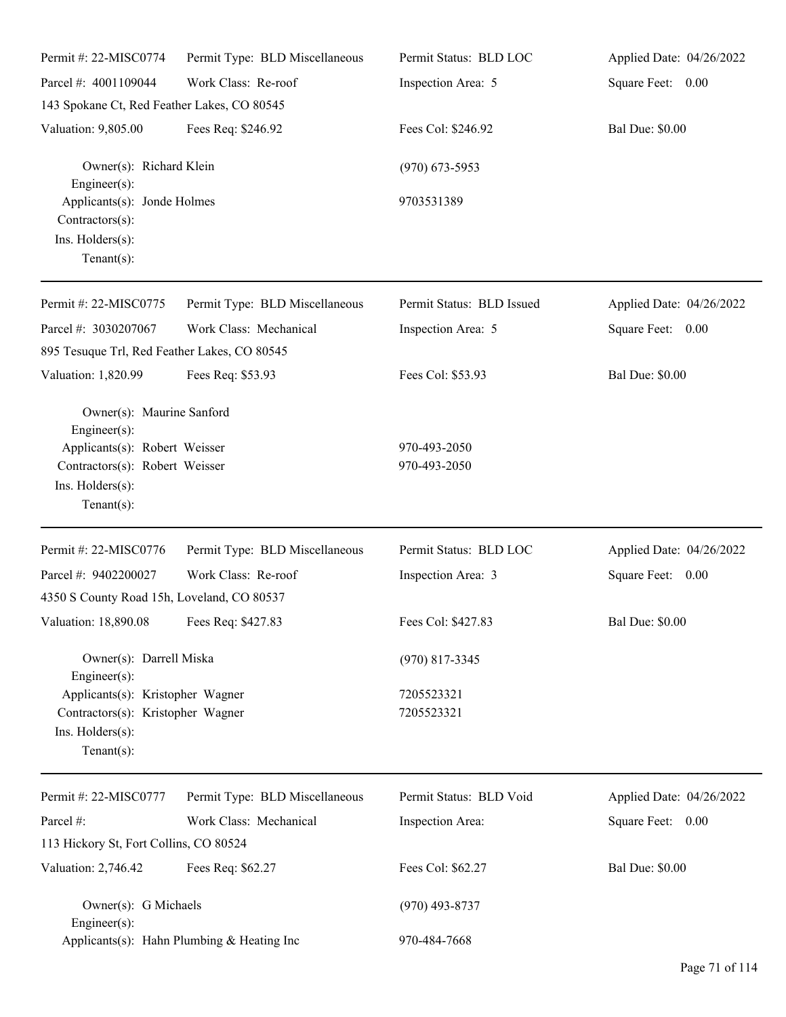| Permit #: 22-MISC0774                                                                                       | Permit Type: BLD Miscellaneous | Permit Status: BLD LOC       | Applied Date: 04/26/2022 |
|-------------------------------------------------------------------------------------------------------------|--------------------------------|------------------------------|--------------------------|
| Parcel #: 4001109044                                                                                        | Work Class: Re-roof            | Inspection Area: 5           | Square Feet: 0.00        |
| 143 Spokane Ct, Red Feather Lakes, CO 80545                                                                 |                                |                              |                          |
| Valuation: 9,805.00                                                                                         | Fees Req: \$246.92             | Fees Col: \$246.92           | <b>Bal Due: \$0.00</b>   |
| Owner(s): Richard Klein<br>$Engineering(s)$ :                                                               |                                | $(970)$ 673-5953             |                          |
| Applicants(s): Jonde Holmes<br>Contractors(s):<br>Ins. Holders(s):<br>Tenant $(s)$ :                        |                                | 9703531389                   |                          |
| Permit #: 22-MISC0775                                                                                       | Permit Type: BLD Miscellaneous | Permit Status: BLD Issued    | Applied Date: 04/26/2022 |
| Parcel #: 3030207067<br>895 Tesuque Trl, Red Feather Lakes, CO 80545                                        | Work Class: Mechanical         | Inspection Area: 5           | Square Feet: 0.00        |
| Valuation: 1,820.99                                                                                         | Fees Req: \$53.93              | Fees Col: \$53.93            | <b>Bal Due: \$0.00</b>   |
| Owner(s): Maurine Sanford<br>$Engineering(s)$ :                                                             |                                |                              |                          |
| Applicants(s): Robert Weisser<br>Contractors(s): Robert Weisser                                             |                                | 970-493-2050<br>970-493-2050 |                          |
| Ins. Holders(s):<br>Tenant $(s)$ :                                                                          |                                |                              |                          |
| Permit #: 22-MISC0776                                                                                       | Permit Type: BLD Miscellaneous | Permit Status: BLD LOC       | Applied Date: 04/26/2022 |
| Parcel #: 9402200027                                                                                        | Work Class: Re-roof            | Inspection Area: 3           | Square Feet: 0.00        |
| 4350 S County Road 15h, Loveland, CO 80537                                                                  |                                |                              |                          |
| Valuation: 18,890.08 Fees Req: \$427.83                                                                     |                                | Fees Col: \$427.83           | <b>Bal Due: \$0.00</b>   |
| Owner(s): Darrell Miska<br>Engineer(s):                                                                     |                                | $(970)$ 817-3345             |                          |
| Applicants(s): Kristopher Wagner<br>Contractors(s): Kristopher Wagner<br>Ins. Holders(s):<br>Tenant $(s)$ : |                                | 7205523321<br>7205523321     |                          |
| Permit #: 22-MISC0777                                                                                       | Permit Type: BLD Miscellaneous | Permit Status: BLD Void      | Applied Date: 04/26/2022 |
| Parcel #:                                                                                                   | Work Class: Mechanical         | Inspection Area:             | Square Feet: 0.00        |
| 113 Hickory St, Fort Collins, CO 80524                                                                      |                                |                              |                          |
| Valuation: 2,746.42                                                                                         | Fees Req: \$62.27              | Fees Col: \$62.27            | <b>Bal Due: \$0.00</b>   |
| Owner(s): G Michaels<br>$Engineering(s)$ :                                                                  |                                | $(970)$ 493-8737             |                          |
| Applicants(s): Hahn Plumbing & Heating Inc                                                                  |                                | 970-484-7668                 |                          |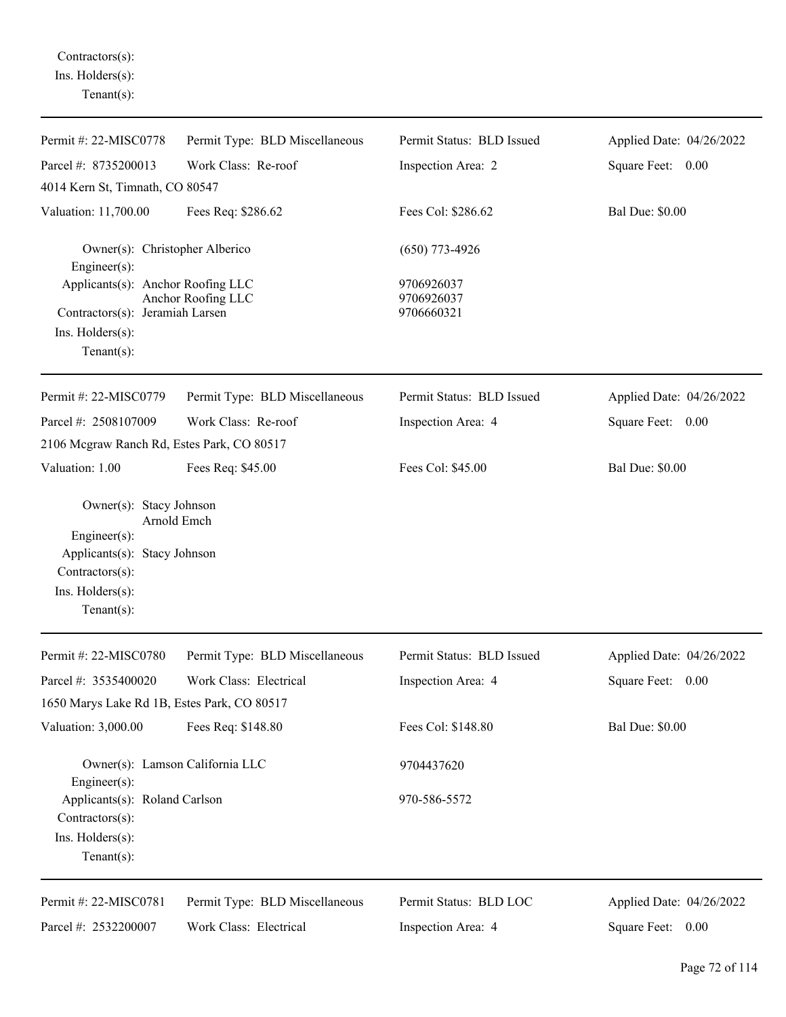Contractors(s): Ins. Holders(s): Tenant(s):

| Permit #: 22-MISC0778                                                                                                            | Permit Type: BLD Miscellaneous | Permit Status: BLD Issued              | Applied Date: 04/26/2022 |
|----------------------------------------------------------------------------------------------------------------------------------|--------------------------------|----------------------------------------|--------------------------|
| Parcel #: 8735200013                                                                                                             | Work Class: Re-roof            | Inspection Area: 2                     | Square Feet: 0.00        |
| 4014 Kern St, Timnath, CO 80547                                                                                                  |                                |                                        |                          |
| Valuation: 11,700.00                                                                                                             | Fees Req: \$286.62             | Fees Col: \$286.62                     | <b>Bal Due: \$0.00</b>   |
| Owner(s): Christopher Alberico<br>Engineer(s):                                                                                   |                                | $(650)$ 773-4926                       |                          |
| Applicants(s): Anchor Roofing LLC<br>Contractors(s): Jeramiah Larsen<br>$Ins.$ Holders $(s)$ :<br>Tenant $(s)$ :                 | Anchor Roofing LLC             | 9706926037<br>9706926037<br>9706660321 |                          |
| Permit #: 22-MISC0779                                                                                                            | Permit Type: BLD Miscellaneous | Permit Status: BLD Issued              | Applied Date: 04/26/2022 |
| Parcel #: 2508107009                                                                                                             | Work Class: Re-roof            | Inspection Area: 4                     | Square Feet: 0.00        |
| 2106 Mcgraw Ranch Rd, Estes Park, CO 80517                                                                                       |                                |                                        |                          |
| Valuation: 1.00                                                                                                                  | Fees Req: \$45.00              | Fees Col: \$45.00                      | <b>Bal Due: \$0.00</b>   |
| Owner(s): Stacy Johnson<br>Engineer(s):<br>Applicants(s): Stacy Johnson<br>Contractors(s):<br>Ins. Holders(s):<br>Tenant $(s)$ : | Arnold Emch                    |                                        |                          |
| Permit #: 22-MISC0780                                                                                                            | Permit Type: BLD Miscellaneous | Permit Status: BLD Issued              | Applied Date: 04/26/2022 |
| Parcel #: 3535400020                                                                                                             | Work Class: Electrical         | Inspection Area: 4                     | Square Feet:<br>0.00     |
| 1650 Marys Lake Rd 1B, Estes Park, CO 80517                                                                                      |                                |                                        |                          |
| Valuation: 3,000.00                                                                                                              | Fees Req: \$148.80             | Fees Col: \$148.80                     | <b>Bal Due: \$0.00</b>   |
| Owner(s): Lamson California LLC<br>Engineer(s):                                                                                  |                                | 9704437620                             |                          |
| Applicants(s): Roland Carlson<br>Contractors(s):<br>Ins. Holders(s):<br>Tenant $(s)$ :                                           |                                | 970-586-5572                           |                          |
| Permit #: 22-MISC0781                                                                                                            | Permit Type: BLD Miscellaneous | Permit Status: BLD LOC                 | Applied Date: 04/26/2022 |
| Parcel #: 2532200007                                                                                                             | Work Class: Electrical         | Inspection Area: 4                     | Square Feet: 0.00        |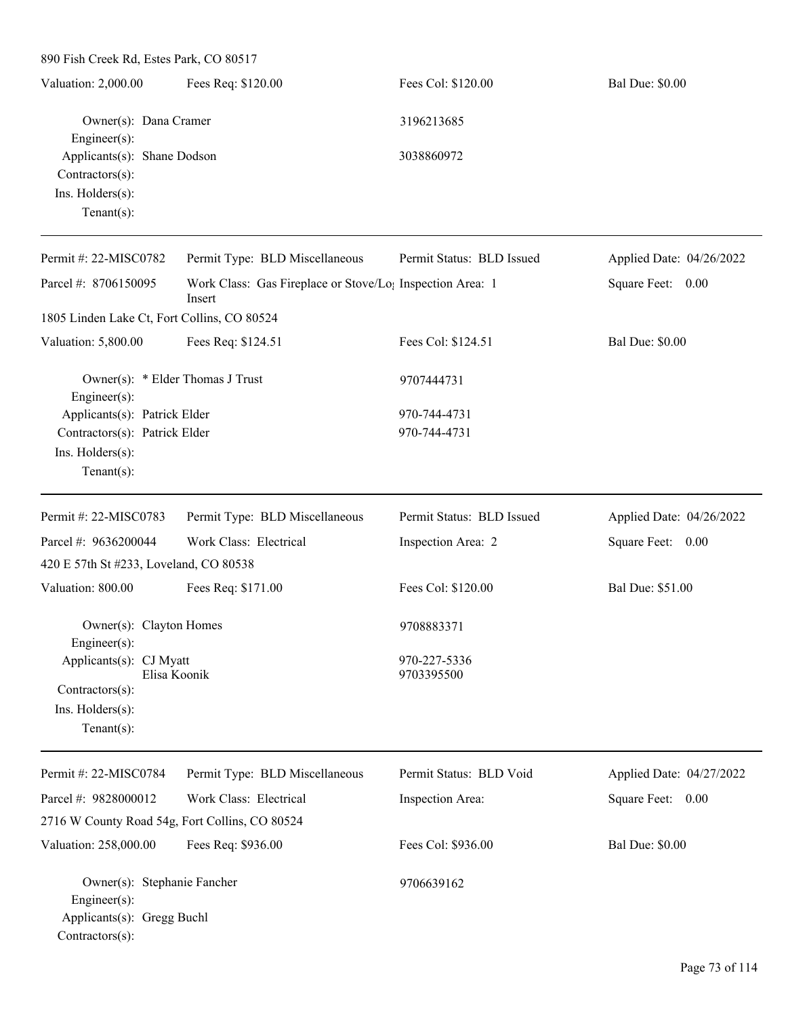| 890 Fish Creek Rd, Estes Park, CO 80517                                                          |                                                                                 |                            |                          |
|--------------------------------------------------------------------------------------------------|---------------------------------------------------------------------------------|----------------------------|--------------------------|
| Valuation: 2,000.00                                                                              | Fees Req: \$120.00                                                              | Fees Col: \$120.00         | <b>Bal Due: \$0.00</b>   |
| Owner(s): Dana Cramer<br>$Engineering(s)$ :                                                      |                                                                                 | 3196213685                 |                          |
| Applicants(s): Shane Dodson<br>Contractors(s):<br>Ins. Holders(s):<br>Tenant $(s)$ :             |                                                                                 | 3038860972                 |                          |
| Permit #: 22-MISC0782                                                                            | Permit Type: BLD Miscellaneous                                                  | Permit Status: BLD Issued  | Applied Date: 04/26/2022 |
| Parcel #: 8706150095                                                                             | Work Class: Gas Fireplace or Stove/Lo <sub>1</sub> Inspection Area: 1<br>Insert |                            | Square Feet: 0.00        |
| 1805 Linden Lake Ct, Fort Collins, CO 80524                                                      |                                                                                 |                            |                          |
| Valuation: 5,800.00                                                                              | Fees Req: \$124.51                                                              | Fees Col: \$124.51         | <b>Bal Due: \$0.00</b>   |
| Owner(s): * Elder Thomas J Trust<br>Engineer $(s)$ :                                             |                                                                                 | 9707444731                 |                          |
| Applicants(s): Patrick Elder                                                                     |                                                                                 | 970-744-4731               |                          |
| Contractors(s): Patrick Elder                                                                    |                                                                                 | 970-744-4731               |                          |
| Ins. Holders(s):                                                                                 |                                                                                 |                            |                          |
| $Tenant(s)$ :                                                                                    |                                                                                 |                            |                          |
| Permit #: 22-MISC0783                                                                            | Permit Type: BLD Miscellaneous                                                  | Permit Status: BLD Issued  | Applied Date: 04/26/2022 |
| Parcel #: 9636200044                                                                             | Work Class: Electrical                                                          | Inspection Area: 2         | Square Feet: 0.00        |
| 420 E 57th St #233, Loveland, CO 80538                                                           |                                                                                 |                            |                          |
| Valuation: 800.00                                                                                | Fees Req: \$171.00                                                              | Fees Col: \$120.00         | Bal Due: \$51.00         |
| Owner(s): Clayton Homes<br>$Engineering(s)$ :                                                    |                                                                                 | 9708883371                 |                          |
| Applicants(s): CJ Myatt<br>Elisa Koonik<br>Contractors(s):<br>Ins. Holders(s):<br>Tenant $(s)$ : |                                                                                 | 970-227-5336<br>9703395500 |                          |
| Permit #: 22-MISC0784                                                                            | Permit Type: BLD Miscellaneous                                                  | Permit Status: BLD Void    | Applied Date: 04/27/2022 |
| Parcel #: 9828000012                                                                             | Work Class: Electrical                                                          | Inspection Area:           | Square Feet:<br>0.00     |
| 2716 W County Road 54g, Fort Collins, CO 80524                                                   |                                                                                 |                            |                          |
| Valuation: 258,000.00                                                                            | Fees Req: \$936.00                                                              | Fees Col: \$936.00         | <b>Bal Due: \$0.00</b>   |
| Owner(s): Stephanie Fancher<br>$Engineer(s)$ :<br>Applicants(s): Gregg Buchl<br>Contractors(s):  |                                                                                 | 9706639162                 |                          |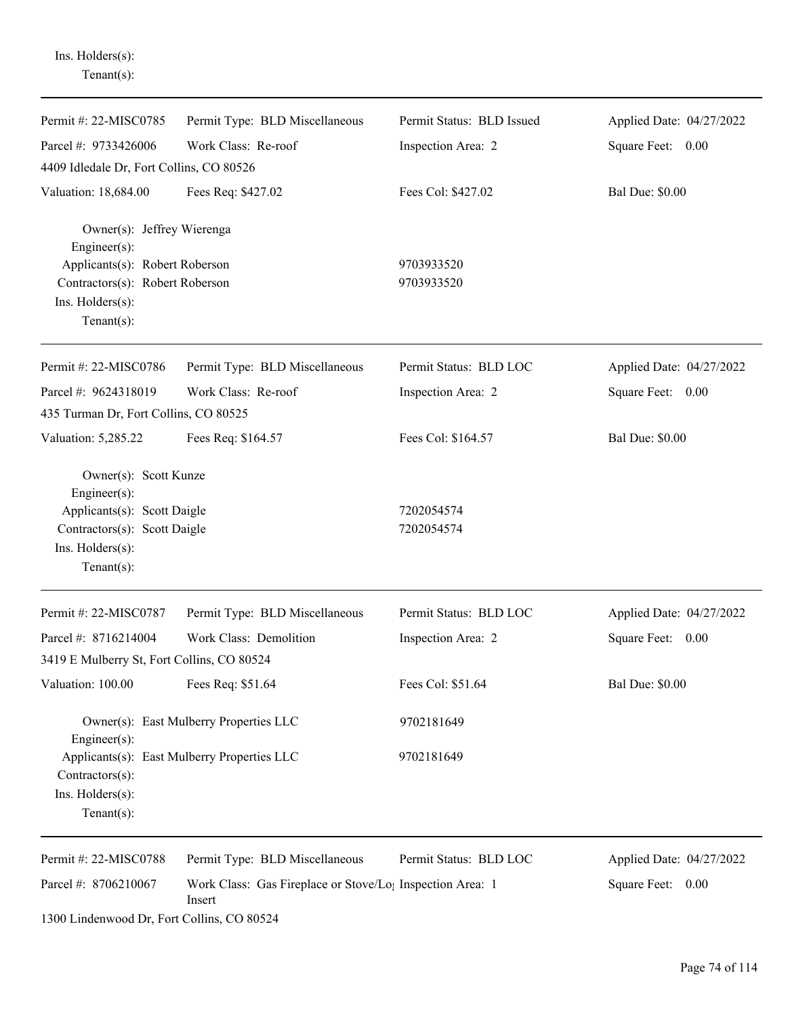| Tenant $(s)$ :                                                                                                                             |                                                                                 |                           |                          |
|--------------------------------------------------------------------------------------------------------------------------------------------|---------------------------------------------------------------------------------|---------------------------|--------------------------|
| Permit #: 22-MISC0785                                                                                                                      | Permit Type: BLD Miscellaneous                                                  | Permit Status: BLD Issued | Applied Date: 04/27/2022 |
| Parcel #: 9733426006                                                                                                                       | Work Class: Re-roof                                                             | Inspection Area: 2        | Square Feet: 0.00        |
| 4409 Idledale Dr, Fort Collins, CO 80526                                                                                                   |                                                                                 |                           |                          |
| Valuation: 18,684.00                                                                                                                       | Fees Req: \$427.02                                                              | Fees Col: \$427.02        | <b>Bal Due: \$0.00</b>   |
| Owner(s): Jeffrey Wierenga<br>Engineer(s):                                                                                                 |                                                                                 |                           |                          |
| Applicants(s): Robert Roberson<br>Contractors(s): Robert Roberson<br>Ins. Holders(s):<br>Tenant $(s)$ :                                    |                                                                                 | 9703933520<br>9703933520  |                          |
| Permit #: 22-MISC0786                                                                                                                      | Permit Type: BLD Miscellaneous                                                  | Permit Status: BLD LOC    | Applied Date: 04/27/2022 |
| Parcel #: 9624318019                                                                                                                       | Work Class: Re-roof                                                             | Inspection Area: 2        | Square Feet: 0.00        |
| 435 Turman Dr, Fort Collins, CO 80525                                                                                                      |                                                                                 |                           |                          |
| Valuation: 5,285.22                                                                                                                        | Fees Req: \$164.57                                                              | Fees Col: \$164.57        | <b>Bal Due: \$0.00</b>   |
| Owner(s): Scott Kunze<br>Engineer(s):<br>Applicants(s): Scott Daigle<br>Contractors(s): Scott Daigle<br>Ins. Holders(s):<br>Tenant $(s)$ : |                                                                                 | 7202054574<br>7202054574  |                          |
| Permit #: 22-MISC0787                                                                                                                      | Permit Type: BLD Miscellaneous                                                  | Permit Status: BLD LOC    | Applied Date: 04/27/2022 |
| Parcel #: 8716214004                                                                                                                       | Work Class: Demolition                                                          | Inspection Area: 2        | Square Feet: 0.00        |
| 3419 E Mulberry St, Fort Collins, CO 80524                                                                                                 |                                                                                 |                           |                          |
| Valuation: 100.00                                                                                                                          | Fees Req: \$51.64                                                               | Fees Col: \$51.64         | <b>Bal Due: \$0.00</b>   |
| Engineer(s):                                                                                                                               | Owner(s): East Mulberry Properties LLC                                          | 9702181649                |                          |
| Contractors(s):<br>Ins. Holders(s):<br>Tenant $(s)$ :                                                                                      | Applicants(s): East Mulberry Properties LLC                                     | 9702181649                |                          |
| Permit #: 22-MISC0788                                                                                                                      | Permit Type: BLD Miscellaneous                                                  | Permit Status: BLD LOC    | Applied Date: 04/27/2022 |
| Parcel #: 8706210067                                                                                                                       | Work Class: Gas Fireplace or Stove/Lo <sub>1</sub> Inspection Area: 1<br>Insert |                           | Square Feet: 0.00        |
|                                                                                                                                            |                                                                                 |                           |                          |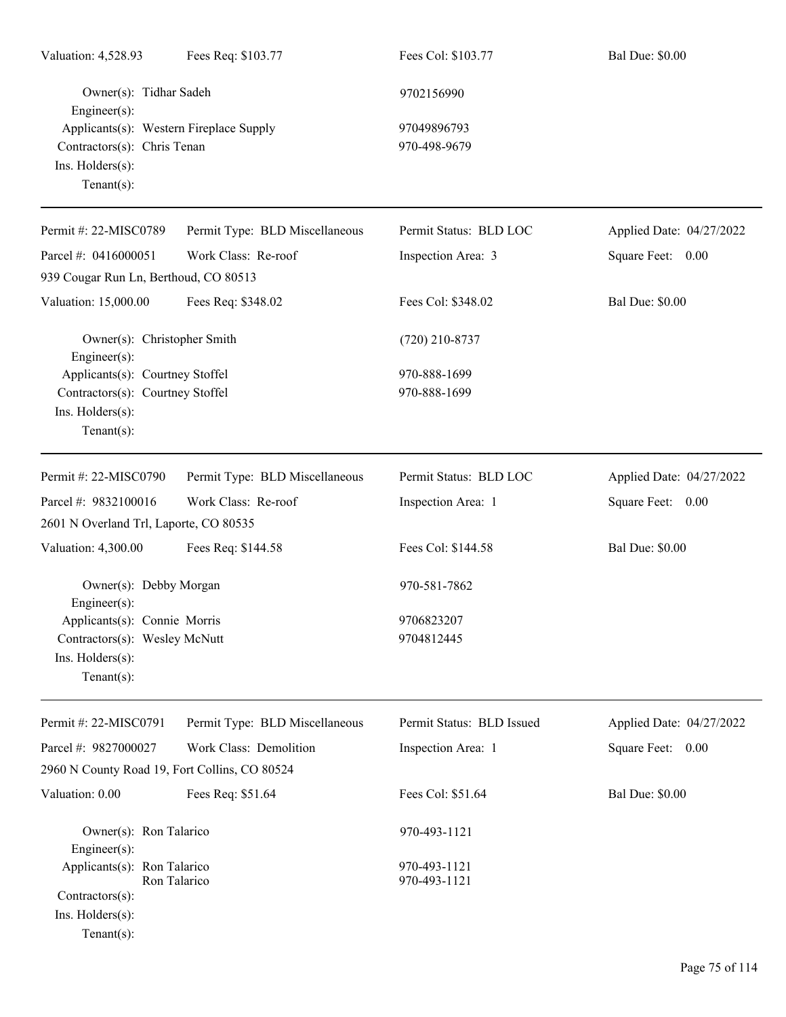| Valuation: 4,528.93                                                                                         | Fees Req: \$103.77             | Fees Col: \$103.77           | <b>Bal Due: \$0.00</b>   |
|-------------------------------------------------------------------------------------------------------------|--------------------------------|------------------------------|--------------------------|
| Owner(s): Tidhar Sadeh<br>Engineer(s):                                                                      |                                | 9702156990                   |                          |
| Applicants(s): Western Fireplace Supply<br>Contractors(s): Chris Tenan<br>Ins. Holders(s):<br>$Tenant(s)$ : |                                | 97049896793<br>970-498-9679  |                          |
| Permit #: 22-MISC0789                                                                                       | Permit Type: BLD Miscellaneous | Permit Status: BLD LOC       | Applied Date: 04/27/2022 |
| Parcel #: 0416000051                                                                                        | Work Class: Re-roof            | Inspection Area: 3           | Square Feet: 0.00        |
| 939 Cougar Run Ln, Berthoud, CO 80513                                                                       |                                |                              |                          |
| Valuation: 15,000.00                                                                                        | Fees Req: \$348.02             | Fees Col: \$348.02           | <b>Bal Due: \$0.00</b>   |
| Owner(s): Christopher Smith<br>Engineer(s):                                                                 |                                | $(720)$ 210-8737             |                          |
| Applicants(s): Courtney Stoffel<br>Contractors(s): Courtney Stoffel<br>Ins. Holders(s):<br>Tenant $(s)$ :   |                                | 970-888-1699<br>970-888-1699 |                          |
| Permit #: 22-MISC0790                                                                                       | Permit Type: BLD Miscellaneous | Permit Status: BLD LOC       | Applied Date: 04/27/2022 |
| Parcel #: 9832100016                                                                                        | Work Class: Re-roof            | Inspection Area: 1           | Square Feet: 0.00        |
| 2601 N Overland Trl, Laporte, CO 80535                                                                      |                                |                              |                          |
| Valuation: 4,300.00                                                                                         | Fees Req: \$144.58             | Fees Col: \$144.58           | <b>Bal Due: \$0.00</b>   |
| Owner(s): Debby Morgan<br>Engineer(s):                                                                      |                                | 970-581-7862                 |                          |
| Applicants(s): Connie Morris                                                                                |                                | 9706823207                   |                          |
| Contractors(s): Wesley McNutt<br>Ins. Holders(s):<br>Tenant $(s)$ :                                         |                                | 9704812445                   |                          |
| Permit #: 22-MISC0791                                                                                       | Permit Type: BLD Miscellaneous | Permit Status: BLD Issued    | Applied Date: 04/27/2022 |
| Parcel #: 9827000027                                                                                        | Work Class: Demolition         | Inspection Area: 1           | Square Feet: 0.00        |
| 2960 N County Road 19, Fort Collins, CO 80524                                                               |                                |                              |                          |
| Valuation: 0.00                                                                                             | Fees Req: \$51.64              | Fees Col: \$51.64            | <b>Bal Due: \$0.00</b>   |
| Owner(s): Ron Talarico<br>Engineer(s):                                                                      |                                | 970-493-1121                 |                          |
| Applicants(s): Ron Talarico<br>Contractors(s):<br>Ins. Holders(s):<br>Tenant $(s)$ :                        | Ron Talarico                   | 970-493-1121<br>970-493-1121 |                          |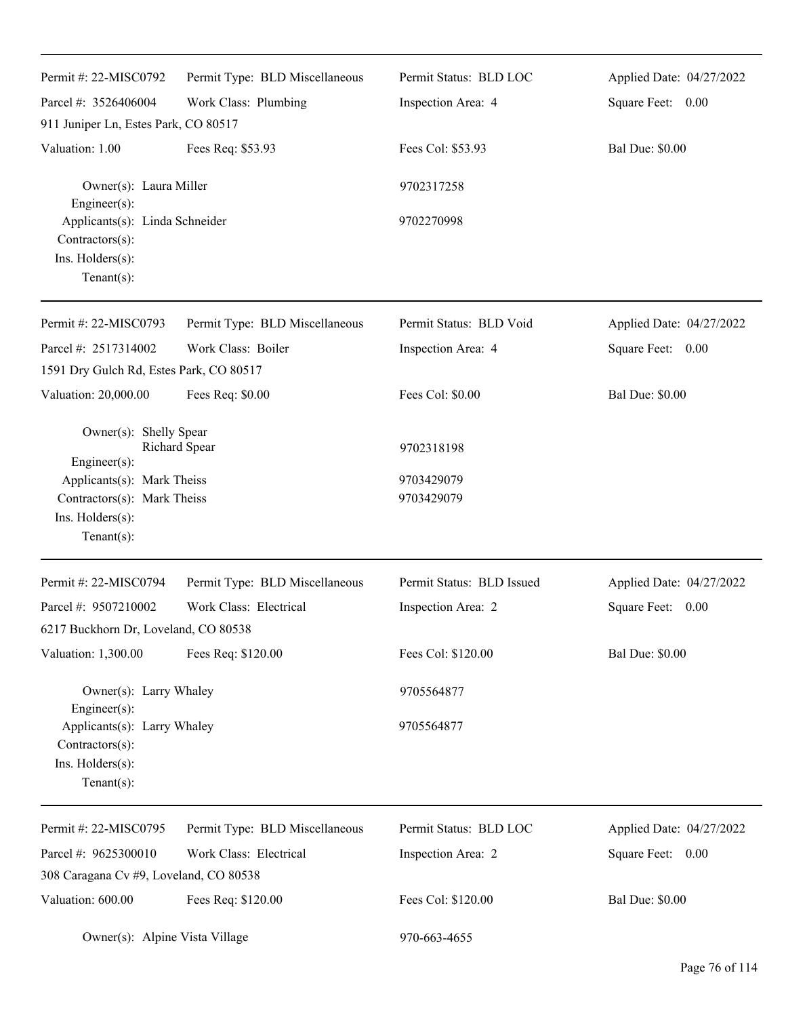| Permit #: 22-MISC0792                                                                           | Permit Type: BLD Miscellaneous | Permit Status: BLD LOC    | Applied Date: 04/27/2022 |
|-------------------------------------------------------------------------------------------------|--------------------------------|---------------------------|--------------------------|
| Parcel #: 3526406004                                                                            | Work Class: Plumbing           | Inspection Area: 4        | Square Feet: 0.00        |
| 911 Juniper Ln, Estes Park, CO 80517                                                            |                                |                           |                          |
| Valuation: 1.00                                                                                 | Fees Req: \$53.93              | Fees Col: \$53.93         | <b>Bal Due: \$0.00</b>   |
| Owner(s): Laura Miller<br>Engineer $(s)$ :                                                      |                                | 9702317258                |                          |
| Applicants(s): Linda Schneider<br>Contractors(s):<br>Ins. Holders(s):<br>Tenant $(s)$ :         |                                | 9702270998                |                          |
| Permit #: 22-MISC0793                                                                           | Permit Type: BLD Miscellaneous | Permit Status: BLD Void   | Applied Date: 04/27/2022 |
| Parcel #: 2517314002                                                                            | Work Class: Boiler             | Inspection Area: 4        | Square Feet: 0.00        |
| 1591 Dry Gulch Rd, Estes Park, CO 80517                                                         |                                |                           |                          |
| Valuation: 20,000.00                                                                            | Fees Req: \$0.00               | Fees Col: \$0.00          | <b>Bal Due: \$0.00</b>   |
| Owner(s): Shelly Spear<br>Engineer(s):                                                          | Richard Spear                  | 9702318198                |                          |
| Applicants(s): Mark Theiss<br>Contractors(s): Mark Theiss<br>Ins. Holders(s):<br>Tenant $(s)$ : |                                | 9703429079<br>9703429079  |                          |
| Permit #: 22-MISC0794                                                                           | Permit Type: BLD Miscellaneous | Permit Status: BLD Issued | Applied Date: 04/27/2022 |
| Parcel #: 9507210002                                                                            | Work Class: Electrical         | Inspection Area: 2        | Square Feet: 0.00        |
| 6217 Buckhorn Dr, Loveland, CO 80538                                                            |                                |                           |                          |
| Valuation: 1,300.00                                                                             | Fees Req: \$120.00             | Fees Col: \$120.00        | <b>Bal Due: \$0.00</b>   |
| Owner(s): Larry Whaley<br>Engineer(s):                                                          |                                | 9705564877                |                          |
| Applicants(s): Larry Whaley<br>Contractors(s):<br>Ins. Holders(s):<br>$Tenant(s)$ :             |                                | 9705564877                |                          |
| Permit #: 22-MISC0795                                                                           | Permit Type: BLD Miscellaneous | Permit Status: BLD LOC    | Applied Date: 04/27/2022 |
| Parcel #: 9625300010<br>308 Caragana Cv #9, Loveland, CO 80538                                  | Work Class: Electrical         | Inspection Area: 2        | Square Feet: 0.00        |
| Valuation: 600.00                                                                               | Fees Req: \$120.00             | Fees Col: \$120.00        | <b>Bal Due: \$0.00</b>   |
| Owner(s): Alpine Vista Village                                                                  |                                | 970-663-4655              |                          |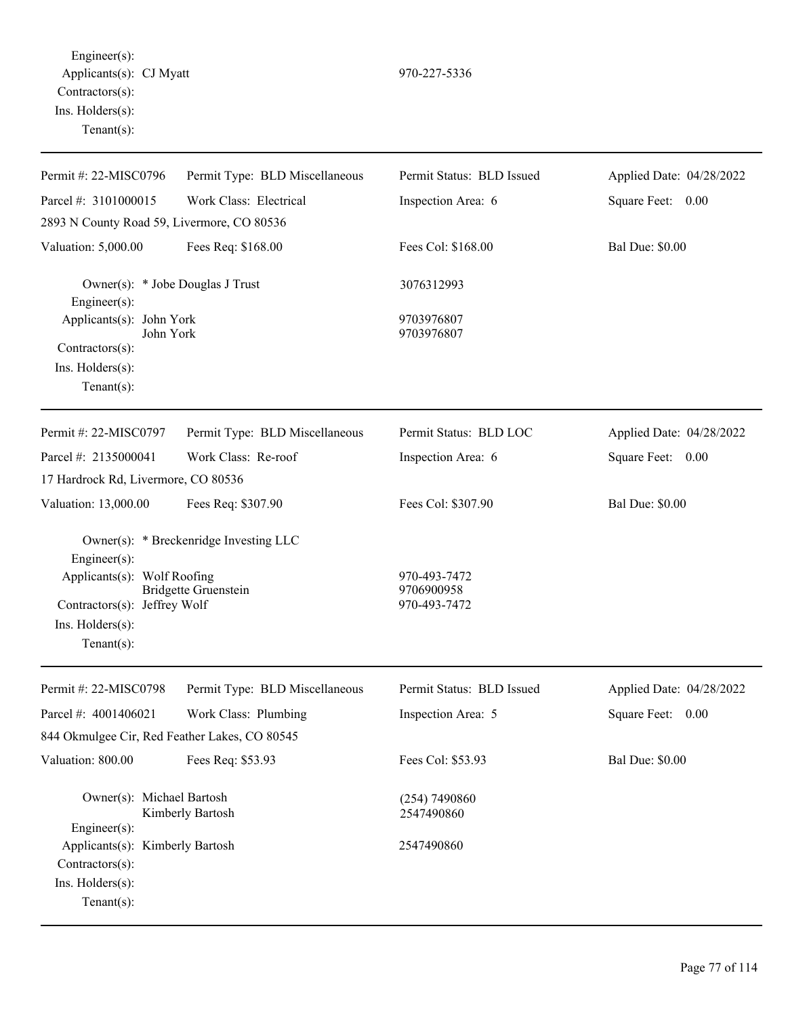Engineer(s): Applicants(s): CJ Myatt 970-227-5336 Contractors(s): Ins. Holders(s): Tenant(s):

| Permit #: 22-MISC0796                                                                                             | Permit Type: BLD Miscellaneous                                        | Permit Status: BLD Issued                  | Applied Date: 04/28/2022 |
|-------------------------------------------------------------------------------------------------------------------|-----------------------------------------------------------------------|--------------------------------------------|--------------------------|
| Parcel #: 3101000015                                                                                              | Work Class: Electrical                                                | Inspection Area: 6                         | Square Feet: 0.00        |
| 2893 N County Road 59, Livermore, CO 80536                                                                        |                                                                       |                                            |                          |
| Valuation: 5,000.00                                                                                               | Fees Req: \$168.00                                                    | Fees Col: \$168.00                         | <b>Bal Due: \$0.00</b>   |
| Owner(s): * Jobe Douglas J Trust<br>Engineer(s):                                                                  |                                                                       | 3076312993                                 |                          |
| Applicants(s): John York<br>John York<br>Contractors(s):<br>Ins. Holders(s):                                      |                                                                       | 9703976807<br>9703976807                   |                          |
| Tenant $(s)$ :                                                                                                    |                                                                       |                                            |                          |
| Permit #: 22-MISC0797                                                                                             | Permit Type: BLD Miscellaneous                                        | Permit Status: BLD LOC                     | Applied Date: 04/28/2022 |
| Parcel #: 2135000041                                                                                              | Work Class: Re-roof                                                   | Inspection Area: 6                         | Square Feet: 0.00        |
| 17 Hardrock Rd, Livermore, CO 80536                                                                               |                                                                       |                                            |                          |
| Valuation: 13,000.00                                                                                              | Fees Req: \$307.90                                                    | Fees Col: \$307.90                         | <b>Bal Due: \$0.00</b>   |
| Engineer(s):<br>Applicants(s): Wolf Roofing<br>Contractors(s): Jeffrey Wolf<br>Ins. Holders(s):<br>Tenant $(s)$ : | Owner(s): * Breckenridge Investing LLC<br><b>Bridgette Gruenstein</b> | 970-493-7472<br>9706900958<br>970-493-7472 |                          |
| Permit #: 22-MISC0798                                                                                             | Permit Type: BLD Miscellaneous                                        | Permit Status: BLD Issued                  | Applied Date: 04/28/2022 |
| Parcel #: 4001406021                                                                                              | Work Class: Plumbing                                                  | Inspection Area: 5                         | Square Feet: 0.00        |
| 844 Okmulgee Cir, Red Feather Lakes, CO 80545                                                                     |                                                                       |                                            |                          |
| Valuation: 800.00                                                                                                 | Fees Req: \$53.93                                                     | Fees Col: \$53.93                          | <b>Bal Due: \$0.00</b>   |
| Owner(s): Michael Bartosh<br>$Engineering(s)$ :                                                                   | Kimberly Bartosh                                                      | (254) 7490860<br>2547490860                |                          |
| Applicants(s): Kimberly Bartosh<br>Contractors(s):<br>Ins. Holders(s):<br>Tenant $(s)$ :                          |                                                                       | 2547490860                                 |                          |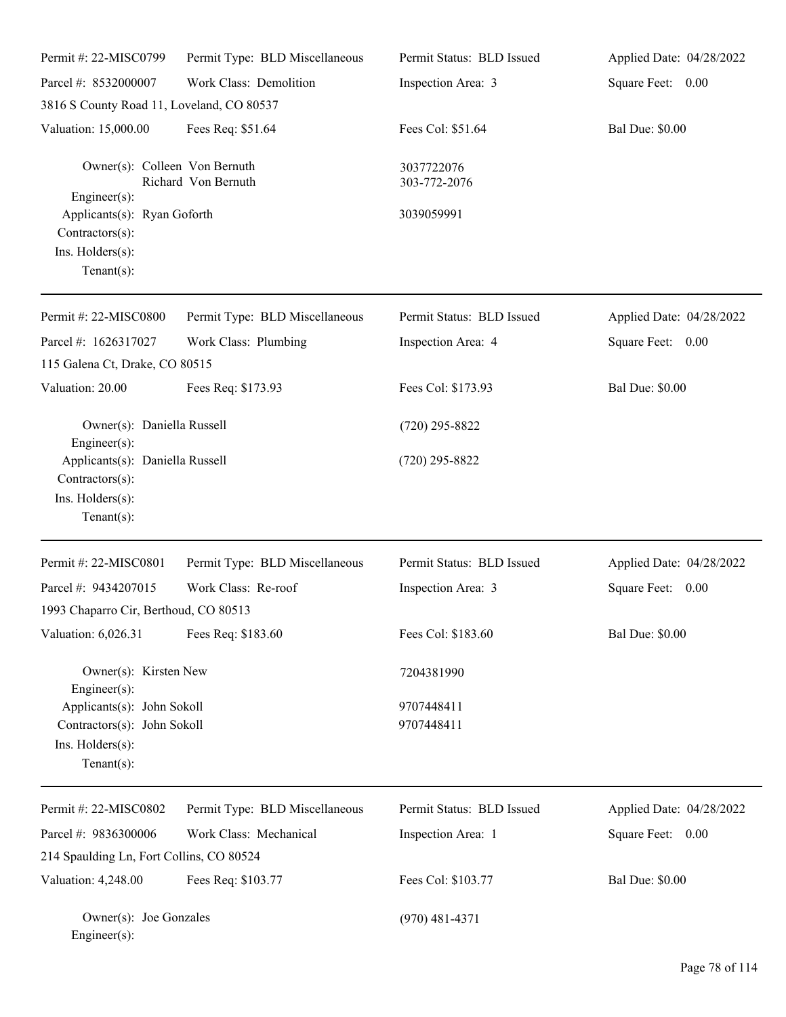| Permit #: 22-MISC0799                                                                           | Permit Type: BLD Miscellaneous | Permit Status: BLD Issued  | Applied Date: 04/28/2022 |
|-------------------------------------------------------------------------------------------------|--------------------------------|----------------------------|--------------------------|
| Parcel #: 8532000007                                                                            | Work Class: Demolition         | Inspection Area: 3         | Square Feet: 0.00        |
| 3816 S County Road 11, Loveland, CO 80537                                                       |                                |                            |                          |
| Valuation: 15,000.00                                                                            | Fees Req: \$51.64              | Fees Col: \$51.64          | <b>Bal Due: \$0.00</b>   |
| Owner(s): Colleen Von Bernuth                                                                   | Richard Von Bernuth            | 3037722076<br>303-772-2076 |                          |
| $Engineering(s)$ :<br>Applicants(s): Ryan Goforth<br>Contractors(s):                            |                                | 3039059991                 |                          |
| Ins. Holders(s):<br>Tenant $(s)$ :                                                              |                                |                            |                          |
| Permit #: 22-MISC0800                                                                           | Permit Type: BLD Miscellaneous | Permit Status: BLD Issued  | Applied Date: 04/28/2022 |
| Parcel #: 1626317027                                                                            | Work Class: Plumbing           | Inspection Area: 4         | Square Feet: 0.00        |
| 115 Galena Ct, Drake, CO 80515                                                                  |                                |                            |                          |
| Valuation: 20.00                                                                                | Fees Req: \$173.93             | Fees Col: \$173.93         | <b>Bal Due: \$0.00</b>   |
| Owner(s): Daniella Russell<br>$Engineer(s)$ :                                                   |                                | $(720)$ 295-8822           |                          |
| Applicants(s): Daniella Russell<br>Contractors(s):<br>Ins. Holders(s):<br>Tenant $(s)$ :        |                                | $(720)$ 295-8822           |                          |
| Permit #: 22-MISC0801                                                                           | Permit Type: BLD Miscellaneous | Permit Status: BLD Issued  | Applied Date: 04/28/2022 |
| Parcel #: 9434207015<br>1993 Chaparro Cir, Berthoud, CO 80513                                   | Work Class: Re-roof            | Inspection Area: 3         | Square Feet:<br>0.00     |
| Valuation: 6,026.31                                                                             | Fees Req: \$183.60             | Fees Col: \$183.60         | <b>Bal Due: \$0.00</b>   |
| Owner(s): Kirsten New<br>Engineer(s):                                                           |                                | 7204381990                 |                          |
| Applicants(s): John Sokoll<br>Contractors(s): John Sokoll<br>Ins. Holders(s):<br>Tenant $(s)$ : |                                | 9707448411<br>9707448411   |                          |
| Permit #: 22-MISC0802                                                                           | Permit Type: BLD Miscellaneous | Permit Status: BLD Issued  | Applied Date: 04/28/2022 |
| Parcel #: 9836300006                                                                            | Work Class: Mechanical         | Inspection Area: 1         | Square Feet: 0.00        |
| 214 Spaulding Ln, Fort Collins, CO 80524                                                        |                                |                            |                          |
| Valuation: 4,248.00                                                                             | Fees Req: \$103.77             | Fees Col: \$103.77         | <b>Bal Due: \$0.00</b>   |
| Owner(s): Joe Gonzales<br>Engineer(s):                                                          |                                | $(970)$ 481-4371           |                          |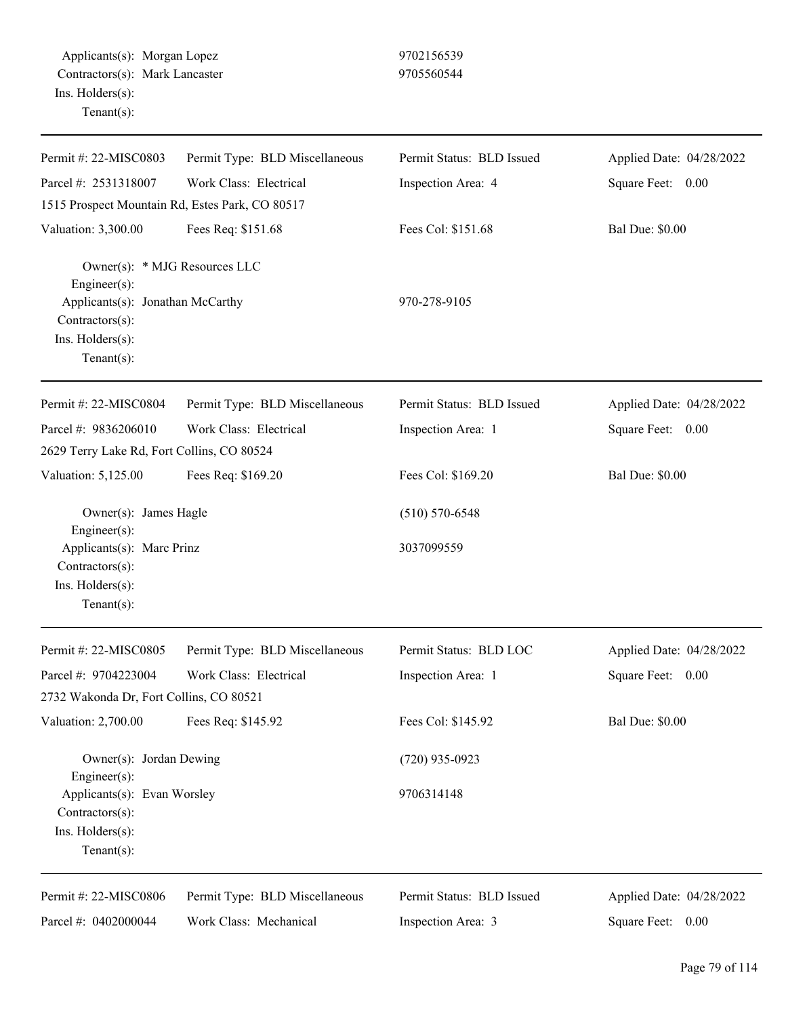| Permit #: 22-MISC0803                                                             | Permit Type: BLD Miscellaneous | Permit Status: BLD Issued | Applied Date: 04/28/2022 |
|-----------------------------------------------------------------------------------|--------------------------------|---------------------------|--------------------------|
| Parcel #: 2531318007                                                              | Work Class: Electrical         | Inspection Area: 4        | Square Feet:<br>0.00     |
| 1515 Prospect Mountain Rd, Estes Park, CO 80517                                   |                                |                           |                          |
| Valuation: 3,300.00                                                               | Fees Req: \$151.68             | Fees Col: \$151.68        | <b>Bal Due: \$0.00</b>   |
| Owner(s): * MJG Resources LLC<br>Engineer(s):<br>Applicants(s): Jonathan McCarthy |                                | 970-278-9105              |                          |
| Contractors(s):<br>Ins. Holders(s):<br>Tenant $(s)$ :                             |                                |                           |                          |
| Permit #: 22-MISC0804                                                             | Permit Type: BLD Miscellaneous | Permit Status: BLD Issued | Applied Date: 04/28/2022 |
| Parcel #: 9836206010                                                              | Work Class: Electrical         | Inspection Area: 1        | Square Feet:<br>0.00     |
| 2629 Terry Lake Rd, Fort Collins, CO 80524                                        |                                |                           |                          |
| Valuation: 5,125.00                                                               | Fees Req: \$169.20             | Fees Col: \$169.20        | <b>Bal Due: \$0.00</b>   |
| Owner(s): James Hagle<br>Engineer(s):                                             |                                | $(510) 570 - 6548$        |                          |
| Applicants(s): Marc Prinz<br>Contractors(s):                                      |                                | 3037099559                |                          |
| Ins. Holders(s):<br>$Tenant(s)$ :                                                 |                                |                           |                          |
| Permit #: 22-MISC0805                                                             | Permit Type: BLD Miscellaneous | Permit Status: BLD LOC    | Applied Date: 04/28/2022 |
| Parcel #: 9704223004                                                              | Work Class: Electrical         | Inspection Area: 1        | Square Feet:<br>0.00     |
| 2732 Wakonda Dr, Fort Collins, CO 80521                                           |                                |                           |                          |
| Valuation: 2,700.00                                                               | Fees Req: \$145.92             | Fees Col: \$145.92        | <b>Bal Due: \$0.00</b>   |
| Owner(s): Jordan Dewing                                                           |                                | $(720)$ 935-0923          |                          |
| Engineer(s):<br>Applicants(s): Evan Worsley<br>Contractors(s):                    |                                | 9706314148                |                          |
| Ins. Holders(s):<br>Tenant $(s)$ :                                                |                                |                           |                          |
| Permit #: 22-MISC0806                                                             | Permit Type: BLD Miscellaneous | Permit Status: BLD Issued | Applied Date: 04/28/2022 |
| Parcel #: 0402000044                                                              | Work Class: Mechanical         | Inspection Area: 3        | Square Feet: 0.00        |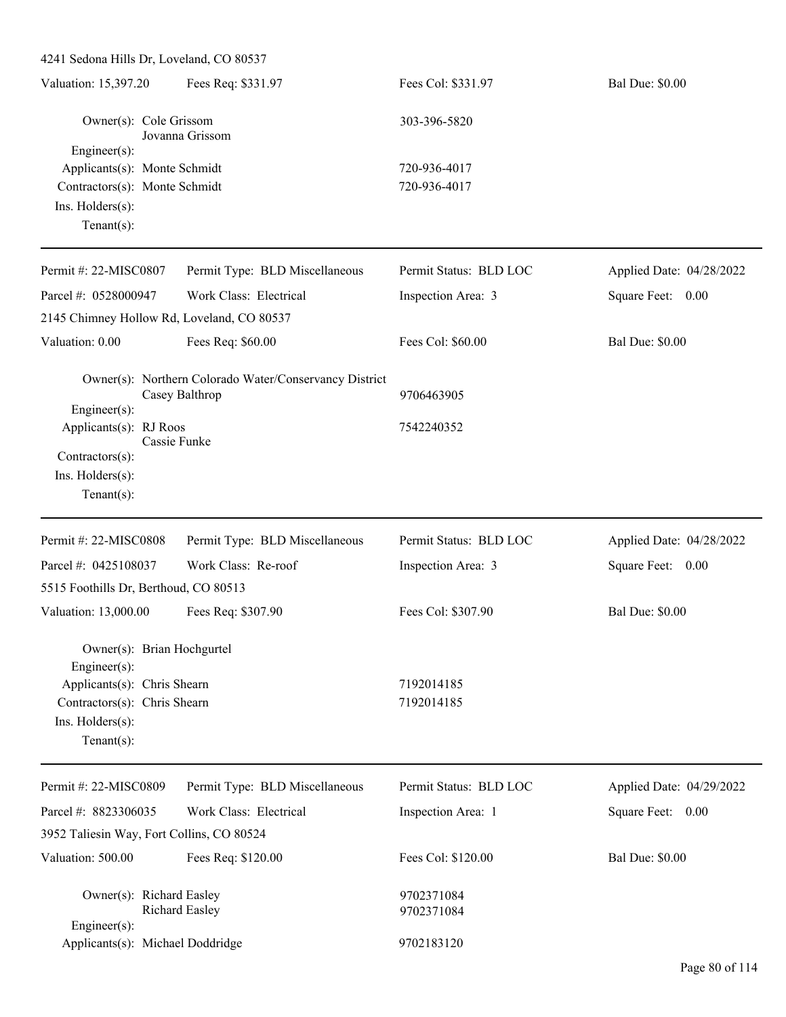| Fees Req: \$331.97<br>Fees Col: \$331.97<br><b>Bal Due: \$0.00</b><br>Owner(s): Cole Grissom<br>303-396-5820<br>Jovanna Grissom<br>Engineer(s):<br>Applicants(s): Monte Schmidt<br>720-936-4017<br>Contractors(s): Monte Schmidt<br>720-936-4017<br>Ins. Holders(s):<br>Tenant $(s)$ :<br>Permit Type: BLD Miscellaneous<br>Permit Status: BLD LOC<br>Applied Date: 04/28/2022<br>Work Class: Electrical<br>Square Feet: 0.00<br>Inspection Area: 3<br>2145 Chimney Hollow Rd, Loveland, CO 80537<br>Fees Req: \$60.00<br>Fees Col: \$60.00<br><b>Bal Due: \$0.00</b><br>Owner(s): Northern Colorado Water/Conservancy District<br>Casey Balthrop<br>9706463905<br>Engineer(s):<br>Applicants(s): RJ Roos<br>7542240352<br>Cassie Funke<br>Contractors(s):<br>Ins. Holders(s):<br>Tenant $(s)$ :<br>Permit Type: BLD Miscellaneous<br>Permit Status: BLD LOC<br>Applied Date: 04/28/2022<br>Work Class: Re-roof<br>Inspection Area: 3<br>Square Feet: 0.00<br>5515 Foothills Dr, Berthoud, CO 80513<br>Fees Col: \$307.90<br><b>Bal Due: \$0.00</b><br>Fees Req: \$307.90<br>Owner(s): Brian Hochgurtel<br>Engineer(s):<br>Applicants(s): Chris Shearn<br>7192014185<br>Contractors(s): Chris Shearn<br>7192014185<br>Ins. Holders(s):<br>Tenant $(s)$ :<br>Permit Type: BLD Miscellaneous<br>Permit Status: BLD LOC<br>Applied Date: 04/29/2022<br>Work Class: Electrical<br>Square Feet: 0.00<br>Inspection Area: 1<br>3952 Taliesin Way, Fort Collins, CO 80524<br>Fees Req: \$120.00<br>Fees Col: \$120.00<br><b>Bal Due: \$0.00</b><br>Owner(s): Richard Easley<br>9702371084<br>Richard Easley<br>9702371084<br>Engineer(s):<br>Applicants(s): Michael Doddridge<br>9702183120 | 4241 Sedona Hills Dr, Loveland, CO 80537 |  |  |
|--------------------------------------------------------------------------------------------------------------------------------------------------------------------------------------------------------------------------------------------------------------------------------------------------------------------------------------------------------------------------------------------------------------------------------------------------------------------------------------------------------------------------------------------------------------------------------------------------------------------------------------------------------------------------------------------------------------------------------------------------------------------------------------------------------------------------------------------------------------------------------------------------------------------------------------------------------------------------------------------------------------------------------------------------------------------------------------------------------------------------------------------------------------------------------------------------------------------------------------------------------------------------------------------------------------------------------------------------------------------------------------------------------------------------------------------------------------------------------------------------------------------------------------------------------------------------------------------------------------------------------------------------------------------------------------|------------------------------------------|--|--|
|                                                                                                                                                                                                                                                                                                                                                                                                                                                                                                                                                                                                                                                                                                                                                                                                                                                                                                                                                                                                                                                                                                                                                                                                                                                                                                                                                                                                                                                                                                                                                                                                                                                                                      | Valuation: 15,397.20                     |  |  |
|                                                                                                                                                                                                                                                                                                                                                                                                                                                                                                                                                                                                                                                                                                                                                                                                                                                                                                                                                                                                                                                                                                                                                                                                                                                                                                                                                                                                                                                                                                                                                                                                                                                                                      |                                          |  |  |
|                                                                                                                                                                                                                                                                                                                                                                                                                                                                                                                                                                                                                                                                                                                                                                                                                                                                                                                                                                                                                                                                                                                                                                                                                                                                                                                                                                                                                                                                                                                                                                                                                                                                                      |                                          |  |  |
|                                                                                                                                                                                                                                                                                                                                                                                                                                                                                                                                                                                                                                                                                                                                                                                                                                                                                                                                                                                                                                                                                                                                                                                                                                                                                                                                                                                                                                                                                                                                                                                                                                                                                      |                                          |  |  |
|                                                                                                                                                                                                                                                                                                                                                                                                                                                                                                                                                                                                                                                                                                                                                                                                                                                                                                                                                                                                                                                                                                                                                                                                                                                                                                                                                                                                                                                                                                                                                                                                                                                                                      |                                          |  |  |
|                                                                                                                                                                                                                                                                                                                                                                                                                                                                                                                                                                                                                                                                                                                                                                                                                                                                                                                                                                                                                                                                                                                                                                                                                                                                                                                                                                                                                                                                                                                                                                                                                                                                                      |                                          |  |  |
|                                                                                                                                                                                                                                                                                                                                                                                                                                                                                                                                                                                                                                                                                                                                                                                                                                                                                                                                                                                                                                                                                                                                                                                                                                                                                                                                                                                                                                                                                                                                                                                                                                                                                      | Permit #: 22-MISC0807                    |  |  |
|                                                                                                                                                                                                                                                                                                                                                                                                                                                                                                                                                                                                                                                                                                                                                                                                                                                                                                                                                                                                                                                                                                                                                                                                                                                                                                                                                                                                                                                                                                                                                                                                                                                                                      | Parcel #: 0528000947                     |  |  |
|                                                                                                                                                                                                                                                                                                                                                                                                                                                                                                                                                                                                                                                                                                                                                                                                                                                                                                                                                                                                                                                                                                                                                                                                                                                                                                                                                                                                                                                                                                                                                                                                                                                                                      |                                          |  |  |
|                                                                                                                                                                                                                                                                                                                                                                                                                                                                                                                                                                                                                                                                                                                                                                                                                                                                                                                                                                                                                                                                                                                                                                                                                                                                                                                                                                                                                                                                                                                                                                                                                                                                                      | Valuation: 0.00                          |  |  |
|                                                                                                                                                                                                                                                                                                                                                                                                                                                                                                                                                                                                                                                                                                                                                                                                                                                                                                                                                                                                                                                                                                                                                                                                                                                                                                                                                                                                                                                                                                                                                                                                                                                                                      |                                          |  |  |
|                                                                                                                                                                                                                                                                                                                                                                                                                                                                                                                                                                                                                                                                                                                                                                                                                                                                                                                                                                                                                                                                                                                                                                                                                                                                                                                                                                                                                                                                                                                                                                                                                                                                                      |                                          |  |  |
|                                                                                                                                                                                                                                                                                                                                                                                                                                                                                                                                                                                                                                                                                                                                                                                                                                                                                                                                                                                                                                                                                                                                                                                                                                                                                                                                                                                                                                                                                                                                                                                                                                                                                      |                                          |  |  |
|                                                                                                                                                                                                                                                                                                                                                                                                                                                                                                                                                                                                                                                                                                                                                                                                                                                                                                                                                                                                                                                                                                                                                                                                                                                                                                                                                                                                                                                                                                                                                                                                                                                                                      |                                          |  |  |
|                                                                                                                                                                                                                                                                                                                                                                                                                                                                                                                                                                                                                                                                                                                                                                                                                                                                                                                                                                                                                                                                                                                                                                                                                                                                                                                                                                                                                                                                                                                                                                                                                                                                                      |                                          |  |  |
|                                                                                                                                                                                                                                                                                                                                                                                                                                                                                                                                                                                                                                                                                                                                                                                                                                                                                                                                                                                                                                                                                                                                                                                                                                                                                                                                                                                                                                                                                                                                                                                                                                                                                      |                                          |  |  |
|                                                                                                                                                                                                                                                                                                                                                                                                                                                                                                                                                                                                                                                                                                                                                                                                                                                                                                                                                                                                                                                                                                                                                                                                                                                                                                                                                                                                                                                                                                                                                                                                                                                                                      | Permit #: 22-MISC0808                    |  |  |
|                                                                                                                                                                                                                                                                                                                                                                                                                                                                                                                                                                                                                                                                                                                                                                                                                                                                                                                                                                                                                                                                                                                                                                                                                                                                                                                                                                                                                                                                                                                                                                                                                                                                                      | Parcel #: 0425108037                     |  |  |
|                                                                                                                                                                                                                                                                                                                                                                                                                                                                                                                                                                                                                                                                                                                                                                                                                                                                                                                                                                                                                                                                                                                                                                                                                                                                                                                                                                                                                                                                                                                                                                                                                                                                                      |                                          |  |  |
|                                                                                                                                                                                                                                                                                                                                                                                                                                                                                                                                                                                                                                                                                                                                                                                                                                                                                                                                                                                                                                                                                                                                                                                                                                                                                                                                                                                                                                                                                                                                                                                                                                                                                      | Valuation: 13,000.00                     |  |  |
|                                                                                                                                                                                                                                                                                                                                                                                                                                                                                                                                                                                                                                                                                                                                                                                                                                                                                                                                                                                                                                                                                                                                                                                                                                                                                                                                                                                                                                                                                                                                                                                                                                                                                      |                                          |  |  |
|                                                                                                                                                                                                                                                                                                                                                                                                                                                                                                                                                                                                                                                                                                                                                                                                                                                                                                                                                                                                                                                                                                                                                                                                                                                                                                                                                                                                                                                                                                                                                                                                                                                                                      |                                          |  |  |
|                                                                                                                                                                                                                                                                                                                                                                                                                                                                                                                                                                                                                                                                                                                                                                                                                                                                                                                                                                                                                                                                                                                                                                                                                                                                                                                                                                                                                                                                                                                                                                                                                                                                                      |                                          |  |  |
|                                                                                                                                                                                                                                                                                                                                                                                                                                                                                                                                                                                                                                                                                                                                                                                                                                                                                                                                                                                                                                                                                                                                                                                                                                                                                                                                                                                                                                                                                                                                                                                                                                                                                      |                                          |  |  |
|                                                                                                                                                                                                                                                                                                                                                                                                                                                                                                                                                                                                                                                                                                                                                                                                                                                                                                                                                                                                                                                                                                                                                                                                                                                                                                                                                                                                                                                                                                                                                                                                                                                                                      |                                          |  |  |
|                                                                                                                                                                                                                                                                                                                                                                                                                                                                                                                                                                                                                                                                                                                                                                                                                                                                                                                                                                                                                                                                                                                                                                                                                                                                                                                                                                                                                                                                                                                                                                                                                                                                                      | Permit #: 22-MISC0809                    |  |  |
|                                                                                                                                                                                                                                                                                                                                                                                                                                                                                                                                                                                                                                                                                                                                                                                                                                                                                                                                                                                                                                                                                                                                                                                                                                                                                                                                                                                                                                                                                                                                                                                                                                                                                      | Parcel #: 8823306035                     |  |  |
|                                                                                                                                                                                                                                                                                                                                                                                                                                                                                                                                                                                                                                                                                                                                                                                                                                                                                                                                                                                                                                                                                                                                                                                                                                                                                                                                                                                                                                                                                                                                                                                                                                                                                      |                                          |  |  |
|                                                                                                                                                                                                                                                                                                                                                                                                                                                                                                                                                                                                                                                                                                                                                                                                                                                                                                                                                                                                                                                                                                                                                                                                                                                                                                                                                                                                                                                                                                                                                                                                                                                                                      | Valuation: 500.00                        |  |  |
|                                                                                                                                                                                                                                                                                                                                                                                                                                                                                                                                                                                                                                                                                                                                                                                                                                                                                                                                                                                                                                                                                                                                                                                                                                                                                                                                                                                                                                                                                                                                                                                                                                                                                      |                                          |  |  |
|                                                                                                                                                                                                                                                                                                                                                                                                                                                                                                                                                                                                                                                                                                                                                                                                                                                                                                                                                                                                                                                                                                                                                                                                                                                                                                                                                                                                                                                                                                                                                                                                                                                                                      |                                          |  |  |
|                                                                                                                                                                                                                                                                                                                                                                                                                                                                                                                                                                                                                                                                                                                                                                                                                                                                                                                                                                                                                                                                                                                                                                                                                                                                                                                                                                                                                                                                                                                                                                                                                                                                                      |                                          |  |  |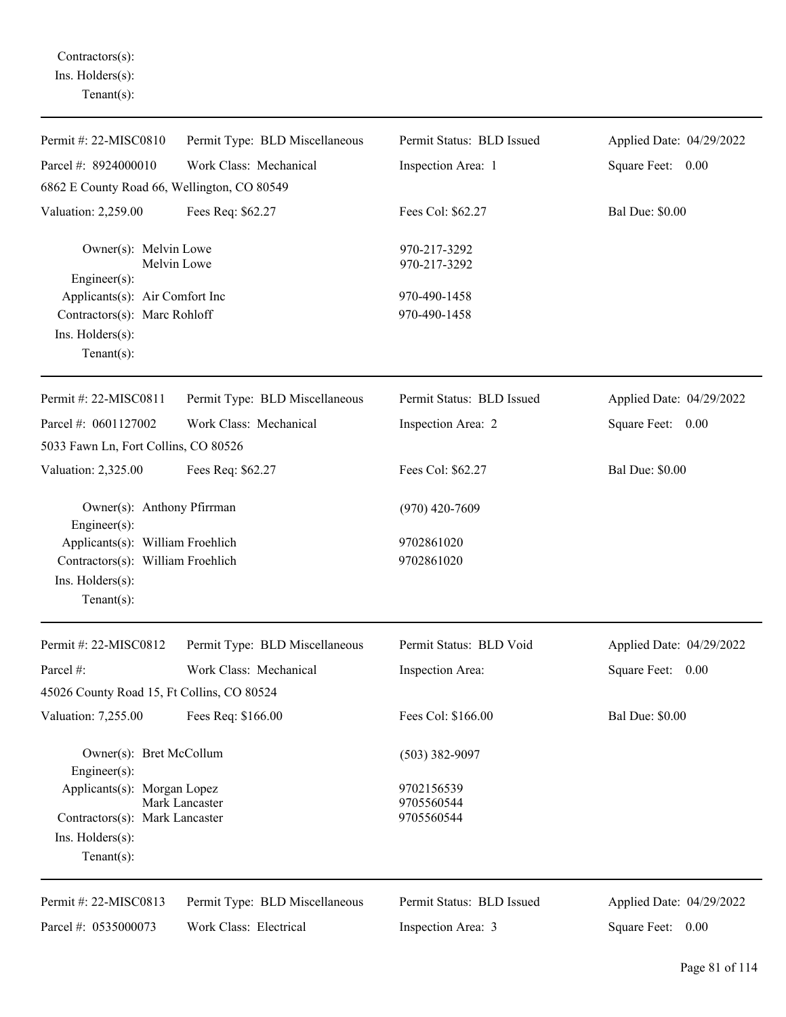Contractors(s): Ins. Holders(s): Tenant(s):

| Permit #: 22-MISC0810                                                 | Permit Type: BLD Miscellaneous | Permit Status: BLD Issued | Applied Date: 04/29/2022 |
|-----------------------------------------------------------------------|--------------------------------|---------------------------|--------------------------|
|                                                                       |                                |                           |                          |
| Parcel #: 8924000010                                                  | Work Class: Mechanical         | Inspection Area: 1        | Square Feet: 0.00        |
| 6862 E County Road 66, Wellington, CO 80549                           |                                |                           |                          |
| Valuation: 2,259.00                                                   | Fees Req: \$62.27              | Fees Col: \$62.27         | <b>Bal Due: \$0.00</b>   |
| Owner(s): Melvin Lowe                                                 |                                | 970-217-3292              |                          |
| Melvin Lowe<br>Engineer $(s)$ :<br>Applicants(s): Air Comfort Inc     |                                | 970-217-3292              |                          |
|                                                                       |                                | 970-490-1458              |                          |
| Contractors(s): Marc Rohloff                                          |                                | 970-490-1458              |                          |
| Ins. Holders(s):                                                      |                                |                           |                          |
| Tenant $(s)$ :                                                        |                                |                           |                          |
| Permit #: 22-MISC0811                                                 | Permit Type: BLD Miscellaneous | Permit Status: BLD Issued | Applied Date: 04/29/2022 |
| Parcel #: 0601127002                                                  | Work Class: Mechanical         | Inspection Area: 2        | Square Feet: 0.00        |
| 5033 Fawn Ln, Fort Collins, CO 80526                                  |                                |                           |                          |
| Valuation: 2,325.00                                                   | Fees Req: \$62.27              | Fees Col: \$62.27         | <b>Bal Due: \$0.00</b>   |
| Owner(s): Anthony Pfirrman                                            |                                | $(970)$ 420-7609          |                          |
| Engineer $(s)$ :                                                      |                                |                           |                          |
| Applicants(s): William Froehlich<br>Contractors(s): William Froehlich |                                | 9702861020                |                          |
| Ins. Holders(s):                                                      |                                | 9702861020                |                          |
| Tenant $(s)$ :                                                        |                                |                           |                          |
| Permit #: 22-MISC0812                                                 | Permit Type: BLD Miscellaneous | Permit Status: BLD Void   | Applied Date: 04/29/2022 |
|                                                                       |                                |                           |                          |
| Parcel #:                                                             | Work Class: Mechanical         | Inspection Area:          | Square Feet:<br>0.00     |
| 45026 County Road 15, Ft Collins, CO 80524                            |                                |                           |                          |
| Valuation: 7,255.00                                                   | Fees Req: \$166.00             | Fees Col: \$166.00        | <b>Bal Due: \$0.00</b>   |
| Owner(s): Bret McCollum                                               |                                | $(503)$ 382-9097          |                          |
| Engineer(s):                                                          |                                |                           |                          |
| Applicants(s): Morgan Lopez                                           |                                | 9702156539                |                          |
| Contractors(s): Mark Lancaster                                        | Mark Lancaster                 | 9705560544<br>9705560544  |                          |
| $Ins.$ Holders $(s)$ :                                                |                                |                           |                          |
| Tenant $(s)$ :                                                        |                                |                           |                          |
|                                                                       |                                |                           |                          |
| Permit #: 22-MISC0813                                                 | Permit Type: BLD Miscellaneous | Permit Status: BLD Issued | Applied Date: 04/29/2022 |
| Parcel #: 0535000073                                                  | Work Class: Electrical         | Inspection Area: 3        | Square Feet: 0.00        |
|                                                                       |                                |                           |                          |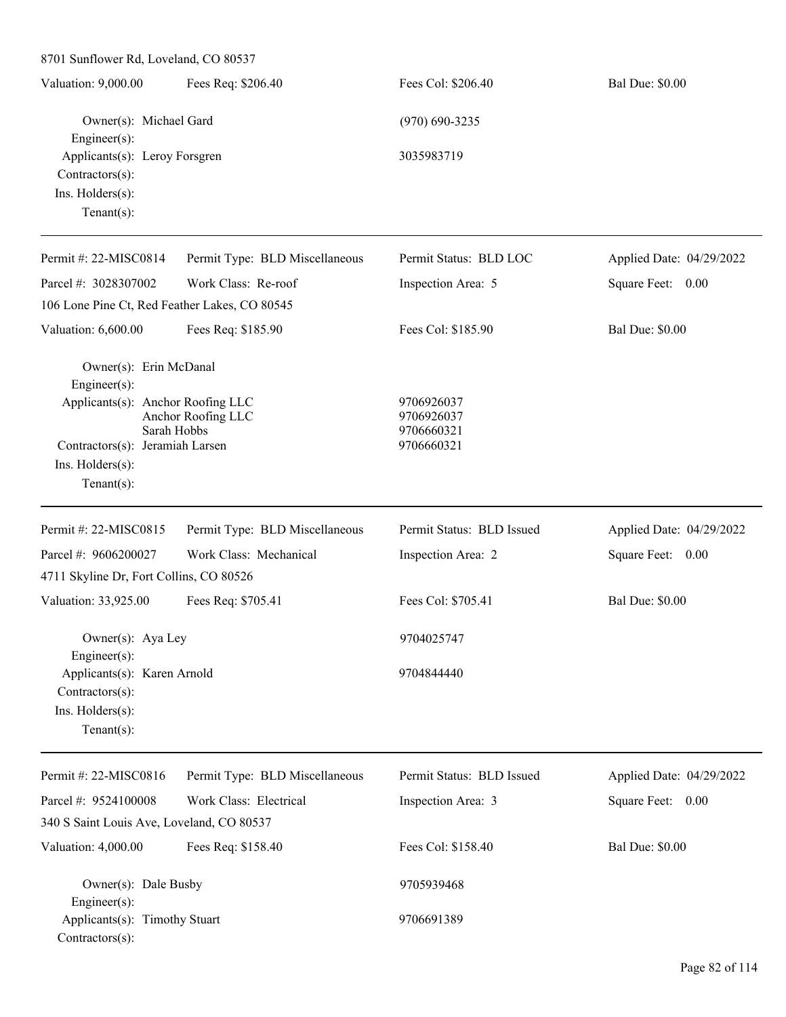8701 Sunflower Rd, Loveland, CO 80537 Valuation: 9,000.00 Fees Req: \$206.40 Fees Col: \$206.40 Bal Due: \$0.00 Owner(s): Michael Gard (970) 690-3235 Engineer(s): Applicants(s): Leroy Forsgren 3035983719 Contractors(s): Ins. Holders(s): Tenant(s): Permit #: 22-MISC0814 Parcel #: 3028307002 Permit Type: BLD Miscellaneous Work Class: Re-roof Permit Status: BLD LOC Inspection Area: 5 Applied Date: 04/29/2022 Square Feet: 0.00 106 Lone Pine Ct, Red Feather Lakes, CO 80545 Valuation: 6,600.00 Fees Req: \$185.90 Fees Col: \$185.90 Bal Due: \$0.00 Owner(s): Erin McDanal Engineer(s): Applicants(s): Anchor Roofing LLC 9706926037 Anchor Roofing LLC 9706926037 Sarah Hobbs 9706660321 Contractors(s): Jeramiah Larsen 9706660321 Ins. Holders(s): Tenant(s): Permit #: 22-MISC0815 Parcel #: 9606200027 Permit Type: BLD Miscellaneous Work Class: Mechanical Permit Status: BLD Issued Inspection Area: 2 Applied Date: 04/29/2022 Square Feet: 0.00 4711 Skyline Dr, Fort Collins, CO 80526 Valuation: 33,925.00 Fees Req: \$705.41 Fees Col: \$705.41 Bal Due: \$0.00 Owner(s): Aya Ley 9704025747 Engineer(s): Applicants(s): Karen Arnold 9704844440 Contractors(s): Ins. Holders(s): Tenant(s): Permit #: 22-MISC0816 Parcel #: 9524100008 Permit Type: BLD Miscellaneous Work Class: Electrical Permit Status: BLD Issued Inspection Area: 3 Applied Date: 04/29/2022 Square Feet: 0.00 340 S Saint Louis Ave, Loveland, CO 80537 Valuation: 4,000.00 Fees Req: \$158.40 Fees Col: \$158.40 Bal Due: \$0.00 Owner(s): Dale Busby 9705939468 Engineer(s): Applicants(s): Timothy Stuart 9706691389 Contractors(s):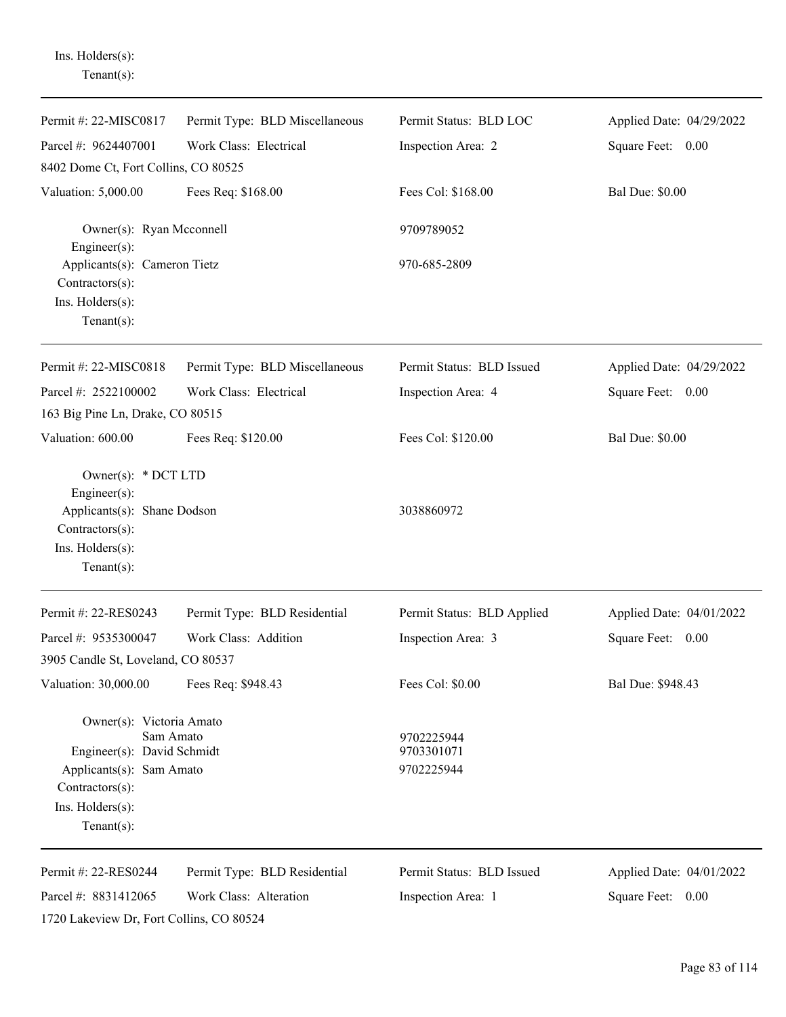| Tenant $(s)$ :                                                                                                                                           |                                |                                        |                          |
|----------------------------------------------------------------------------------------------------------------------------------------------------------|--------------------------------|----------------------------------------|--------------------------|
| Permit #: 22-MISC0817                                                                                                                                    | Permit Type: BLD Miscellaneous | Permit Status: BLD LOC                 | Applied Date: 04/29/2022 |
| Parcel #: 9624407001                                                                                                                                     | Work Class: Electrical         | Inspection Area: 2                     | Square Feet: 0.00        |
| 8402 Dome Ct, Fort Collins, CO 80525                                                                                                                     |                                |                                        |                          |
| Valuation: 5,000.00                                                                                                                                      | Fees Req: \$168.00             | Fees Col: \$168.00                     | <b>Bal Due: \$0.00</b>   |
| Owner(s): Ryan Mcconnell<br>Engineer(s):                                                                                                                 |                                | 9709789052                             |                          |
| Applicants(s): Cameron Tietz<br>Contractors(s):<br>Ins. Holders(s):<br>Tenant $(s)$ :                                                                    |                                | 970-685-2809                           |                          |
| Permit #: 22-MISC0818                                                                                                                                    | Permit Type: BLD Miscellaneous | Permit Status: BLD Issued              | Applied Date: 04/29/2022 |
| Parcel #: 2522100002<br>163 Big Pine Ln, Drake, CO 80515                                                                                                 | Work Class: Electrical         | Inspection Area: 4                     | Square Feet: 0.00        |
| Valuation: 600.00                                                                                                                                        | Fees Req: \$120.00             | Fees Col: \$120.00                     | <b>Bal Due: \$0.00</b>   |
| Owner(s): * DCT LTD<br>$Engineering(s)$ :<br>Applicants(s): Shane Dodson<br>Contractors(s):<br>Ins. Holders(s):<br>$Tenant(s)$ :                         |                                | 3038860972                             |                          |
| Permit #: 22-RES0243                                                                                                                                     | Permit Type: BLD Residential   | Permit Status: BLD Applied             | Applied Date: 04/01/2022 |
| Parcel #: 9535300047                                                                                                                                     | Work Class: Addition           | Inspection Area: 3                     | Square Feet:<br>0.00     |
| 3905 Candle St, Loveland, CO 80537                                                                                                                       |                                |                                        |                          |
| Valuation: 30,000.00                                                                                                                                     | Fees Req: \$948.43             | Fees Col: \$0.00                       | Bal Due: \$948.43        |
| Owner(s): Victoria Amato<br>Sam Amato<br>Engineer(s): David Schmidt<br>Applicants(s): Sam Amato<br>Contractors(s):<br>Ins. Holders(s):<br>Tenant $(s)$ : |                                | 9702225944<br>9703301071<br>9702225944 |                          |
| Permit #: 22-RES0244                                                                                                                                     | Permit Type: BLD Residential   | Permit Status: BLD Issued              | Applied Date: 04/01/2022 |
| Parcel #: 8831412065                                                                                                                                     | Work Class: Alteration         | Inspection Area: 1                     | Square Feet: 0.00        |
| 1720 Lakeview Dr, Fort Collins, CO 80524                                                                                                                 |                                |                                        |                          |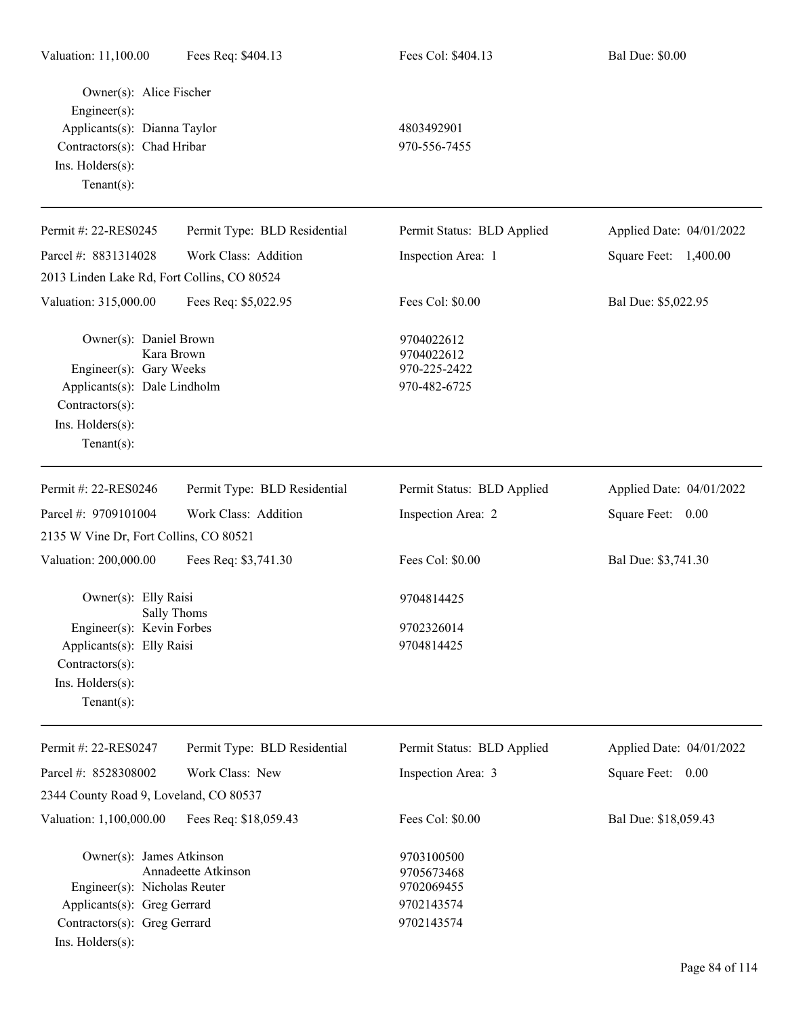| Valuation: 11,100.00                                        | Fees Req: \$404.13           | Fees Col: \$404.13                       | <b>Bal Due: \$0.00</b>   |
|-------------------------------------------------------------|------------------------------|------------------------------------------|--------------------------|
| Owner(s): Alice Fischer<br>Engineer(s):                     |                              |                                          |                          |
| Applicants(s): Dianna Taylor                                |                              | 4803492901                               |                          |
| Contractors(s): Chad Hribar                                 |                              | 970-556-7455                             |                          |
| Ins. Holders(s):                                            |                              |                                          |                          |
| Tenant $(s)$ :                                              |                              |                                          |                          |
| Permit #: 22-RES0245                                        | Permit Type: BLD Residential | Permit Status: BLD Applied               | Applied Date: 04/01/2022 |
| Parcel #: 8831314028                                        | Work Class: Addition         | Inspection Area: 1                       | Square Feet: 1,400.00    |
| 2013 Linden Lake Rd, Fort Collins, CO 80524                 |                              |                                          |                          |
| Valuation: 315,000.00                                       | Fees Req: \$5,022.95         | Fees Col: \$0.00                         | Bal Due: \$5,022.95      |
| Owner(s): Daniel Brown<br>Engineer(s): Gary Weeks           | Kara Brown                   | 9704022612<br>9704022612<br>970-225-2422 |                          |
| Applicants(s): Dale Lindholm                                |                              | 970-482-6725                             |                          |
| Contractors(s):                                             |                              |                                          |                          |
| Ins. Holders(s):                                            |                              |                                          |                          |
| Tenant $(s)$ :                                              |                              |                                          |                          |
| Permit #: 22-RES0246                                        | Permit Type: BLD Residential | Permit Status: BLD Applied               | Applied Date: 04/01/2022 |
| Parcel #: 9709101004                                        | Work Class: Addition         | Inspection Area: 2                       | Square Feet: 0.00        |
| 2135 W Vine Dr, Fort Collins, CO 80521                      |                              |                                          |                          |
| Valuation: 200,000.00                                       | Fees Req: \$3,741.30         | Fees Col: \$0.00                         | Bal Due: \$3,741.30      |
| Owner(s): Elly Raisi                                        |                              | 9704814425                               |                          |
|                                                             | Sally Thoms                  |                                          |                          |
| Engineer(s): Kevin Forbes                                   |                              | 9702326014<br>9704814425                 |                          |
| Applicants(s): Elly Raisi<br>Contractors(s):                |                              |                                          |                          |
| Ins. Holders(s):                                            |                              |                                          |                          |
| Tenant $(s)$ :                                              |                              |                                          |                          |
| Permit #: 22-RES0247                                        | Permit Type: BLD Residential | Permit Status: BLD Applied               | Applied Date: 04/01/2022 |
| Parcel #: 8528308002                                        | Work Class: New              | Inspection Area: 3                       | Square Feet: 0.00        |
| 2344 County Road 9, Loveland, CO 80537                      |                              |                                          |                          |
| Valuation: 1,100,000.00                                     | Fees Req: \$18,059.43        | Fees Col: \$0.00                         | Bal Due: \$18,059.43     |
|                                                             |                              |                                          |                          |
| Owner(s): James Atkinson                                    |                              | 9703100500                               |                          |
|                                                             | Annadeette Atkinson          | 9705673468                               |                          |
| Engineer(s): Nicholas Reuter<br>Applicants(s): Greg Gerrard |                              | 9702069455<br>9702143574                 |                          |
| Contractors(s): Greg Gerrard                                |                              | 9702143574                               |                          |
| Ins. Holders(s):                                            |                              |                                          |                          |
|                                                             |                              |                                          |                          |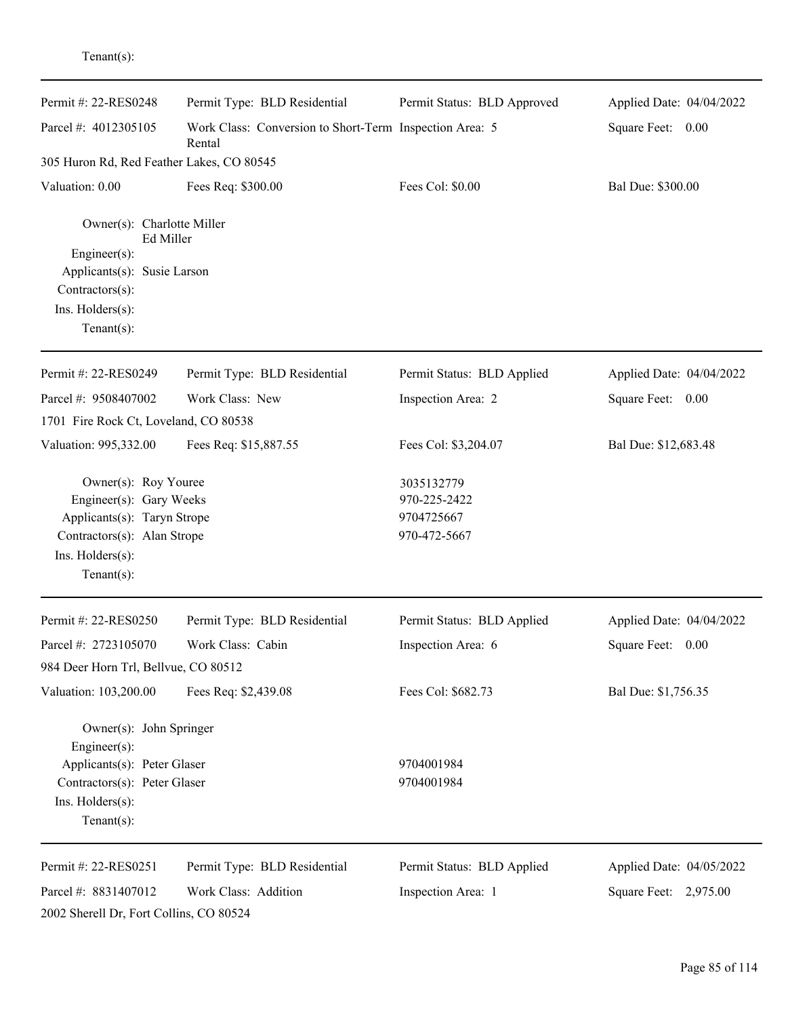| enant(s) |  |
|----------|--|
|          |  |

| Permit #: 22-RES0248                                                                                                                                | Permit Type: BLD Residential                                      | Permit Status: BLD Approved                              | Applied Date: 04/04/2022 |
|-----------------------------------------------------------------------------------------------------------------------------------------------------|-------------------------------------------------------------------|----------------------------------------------------------|--------------------------|
| Parcel #: 4012305105                                                                                                                                | Work Class: Conversion to Short-Term Inspection Area: 5<br>Rental |                                                          | Square Feet: 0.00        |
| 305 Huron Rd, Red Feather Lakes, CO 80545                                                                                                           |                                                                   |                                                          |                          |
| Valuation: 0.00                                                                                                                                     | Fees Req: \$300.00                                                | Fees Col: \$0.00                                         | Bal Due: \$300.00        |
| Owner(s): Charlotte Miller<br>Ed Miller<br>Engineer(s):<br>Applicants(s): Susie Larson<br>Contractors(s):<br>Ins. Holders(s):<br>Tenant $(s)$ :     |                                                                   |                                                          |                          |
| Permit #: 22-RES0249                                                                                                                                | Permit Type: BLD Residential                                      | Permit Status: BLD Applied                               | Applied Date: 04/04/2022 |
| Parcel #: 9508407002<br>1701 Fire Rock Ct, Loveland, CO 80538                                                                                       | Work Class: New                                                   | Inspection Area: 2                                       | Square Feet: 0.00        |
| Valuation: 995,332.00                                                                                                                               | Fees Req: \$15,887.55                                             | Fees Col: \$3,204.07                                     | Bal Due: \$12,683.48     |
| Owner(s): Roy Youree<br>Engineer(s): Gary Weeks<br>Applicants(s): Taryn Strope<br>Contractors(s): Alan Strope<br>Ins. Holders(s):<br>Tenant $(s)$ : |                                                                   | 3035132779<br>970-225-2422<br>9704725667<br>970-472-5667 |                          |
| Permit #: 22-RES0250                                                                                                                                | Permit Type: BLD Residential                                      | Permit Status: BLD Applied                               | Applied Date: 04/04/2022 |
| Parcel #: 2723105070<br>984 Deer Horn Trl, Bellvue, CO 80512                                                                                        | Work Class: Cabin                                                 | Inspection Area: 6                                       | Square Feet: 0.00        |
| Valuation: 103,200.00                                                                                                                               | Fees Req: \$2,439.08                                              | Fees Col: \$682.73                                       | Bal Due: \$1,756.35      |
| Owner(s): John Springer<br>Engineer(s):<br>Applicants(s): Peter Glaser<br>Contractors(s): Peter Glaser<br>Ins. Holders(s):<br>Tenant $(s)$ :        |                                                                   | 9704001984<br>9704001984                                 |                          |
| Permit #: 22-RES0251                                                                                                                                | Permit Type: BLD Residential                                      | Permit Status: BLD Applied                               | Applied Date: 04/05/2022 |
| Parcel #: 8831407012<br>2002 Sherell Dr, Fort Collins, CO 80524                                                                                     | Work Class: Addition                                              | Inspection Area: 1                                       | Square Feet: 2,975.00    |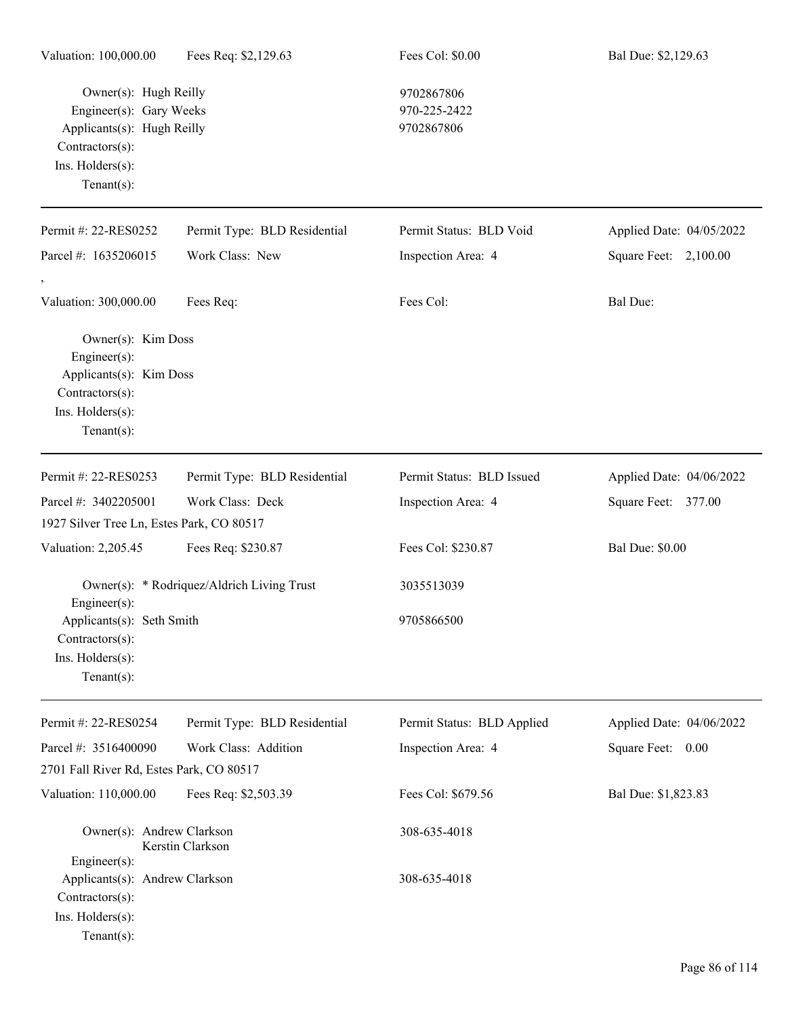Owner(s): Hugh Reilly 9702867806 Engineer(s): Gary Weeks 970-225-2422 Applicants(s): Hugh Reilly 9702867806 Contractors(s): Ins. Holders(s): Tenant(s):

Permit #: 22-RES0252 Parcel #: 1635206015 Permit Type: BLD Residential Work Class: New Permit Status: BLD Void Inspection Area: 4 Applied Date: 04/05/2022 Square Feet: 2,100.00 , Valuation: 300,000.00 Fees Req: Fees Col: Fees Col: Bal Due: Owner(s): Kim Doss Engineer(s): Applicants(s): Kim Doss Contractors(s): Ins. Holders(s): Tenant(s): Permit #: 22-RES0253 Parcel #: 3402205001 Permit Type: BLD Residential Work Class: Deck Permit Status: BLD Issued Inspection Area: 4 Applied Date: 04/06/2022 Square Feet: 377.00 1927 Silver Tree Ln, Estes Park, CO 80517 Valuation: 2,205.45 Fees Req: \$230.87 Fees Col: \$230.87 Bal Due: \$0.00 Owner(s): \* Rodriquez/Aldrich Living Trust 3035513039 Engineer(s): Applicants(s): Seth Smith 9705866500 Contractors(s): Ins. Holders(s): Tenant(s): Permit #: 22-RES0254 Parcel #: 3516400090 Permit Type: BLD Residential Work Class: Addition Permit Status: BLD Applied Inspection Area: 4 Applied Date: 04/06/2022 Square Feet: 0.00 2701 Fall River Rd, Estes Park, CO 80517 Valuation: 110,000.00 Fees Req: \$2,503.39 Fees Col: \$679.56 Bal Due: \$1,823.83 Owner(s): Andrew Clarkson 308-635-4018 Kerstin Clarkson Engineer(s): Applicants(s): Andrew Clarkson 308-635-4018 Contractors(s):

Ins. Holders(s):

Tenant(s):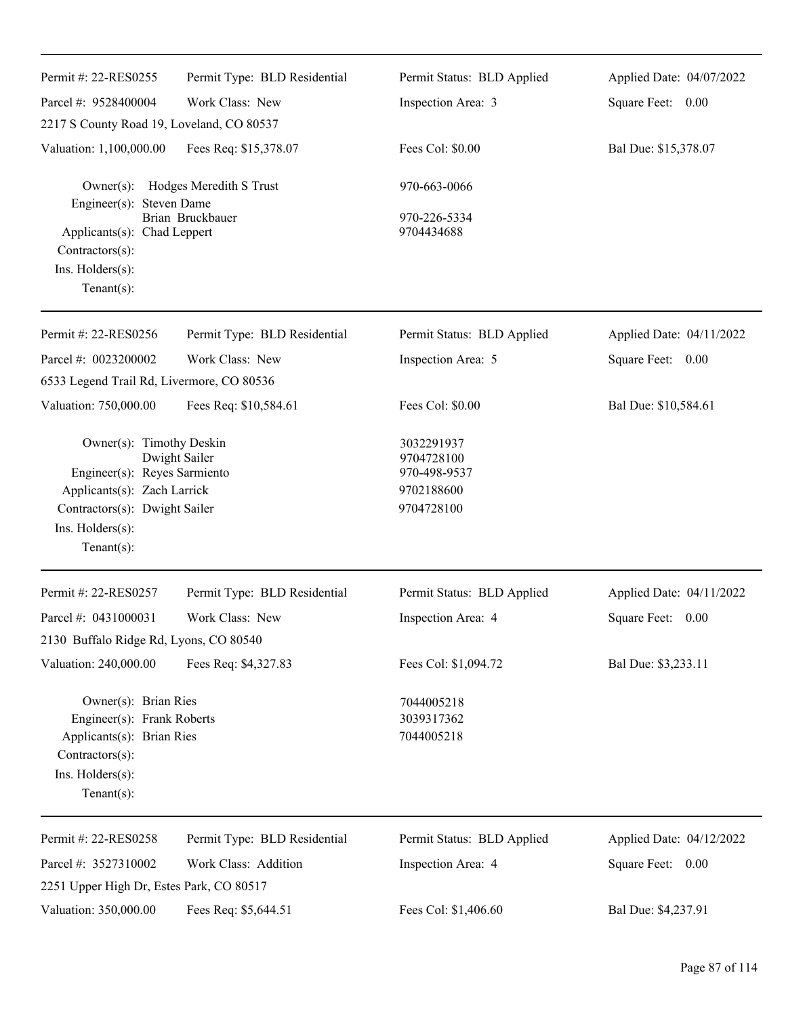| Permit #: 22-RES0255                                                                                                                                          | Permit Type: BLD Residential                | Permit Status: BLD Applied                                           | Applied Date: 04/07/2022 |
|---------------------------------------------------------------------------------------------------------------------------------------------------------------|---------------------------------------------|----------------------------------------------------------------------|--------------------------|
| Parcel #: 9528400004                                                                                                                                          | Work Class: New                             | Inspection Area: 3                                                   | Square Feet: 0.00        |
| 2217 S County Road 19, Loveland, CO 80537                                                                                                                     |                                             |                                                                      |                          |
| Valuation: 1,100,000.00                                                                                                                                       | Fees Req: \$15,378.07                       | Fees Col: \$0.00                                                     | Bal Due: \$15,378.07     |
| $Owner(s)$ :<br>Engineer(s): Steven Dame<br>Applicants(s): Chad Leppert<br>Contractors(s):<br>Ins. Holders(s):                                                | Hodges Meredith S Trust<br>Brian Bruckbauer | 970-663-0066<br>970-226-5334<br>9704434688                           |                          |
| $Tenant(s)$ :                                                                                                                                                 |                                             |                                                                      |                          |
| Permit #: 22-RES0256                                                                                                                                          | Permit Type: BLD Residential                | Permit Status: BLD Applied                                           | Applied Date: 04/11/2022 |
| Parcel #: 0023200002                                                                                                                                          | Work Class: New                             | Inspection Area: 5                                                   | Square Feet: 0.00        |
| 6533 Legend Trail Rd, Livermore, CO 80536                                                                                                                     |                                             |                                                                      |                          |
| Valuation: 750,000.00                                                                                                                                         | Fees Req: \$10,584.61                       | Fees Col: \$0.00                                                     | Bal Due: \$10,584.61     |
| Owner(s): Timothy Deskin<br>Engineer(s): Reyes Sarmiento<br>Applicants(s): Zach Larrick<br>Contractors(s): Dwight Sailer<br>Ins. Holders(s):<br>$Tenant(s)$ : | Dwight Sailer                               | 3032291937<br>9704728100<br>970-498-9537<br>9702188600<br>9704728100 |                          |
| Permit #: 22-RES0257                                                                                                                                          | Permit Type: BLD Residential                | Permit Status: BLD Applied                                           | Applied Date: 04/11/2022 |
| Parcel #: 0431000031<br>2130 Buffalo Ridge Rd, Lyons, CO 80540                                                                                                | Work Class: New                             | Inspection Area: 4                                                   | Square Feet: 0.00        |
| Valuation: 240,000.00                                                                                                                                         | Fees Req: \$4,327.83                        | Fees Col: \$1,094.72                                                 | Bal Due: \$3,233.11      |
| Owner(s): Brian Ries<br>Engineer(s): Frank Roberts<br>Applicants(s): Brian Ries<br>Contractors(s):<br>Ins. Holders(s):<br>$Tenant(s)$ :                       |                                             | 7044005218<br>3039317362<br>7044005218                               |                          |
| Permit #: 22-RES0258                                                                                                                                          | Permit Type: BLD Residential                | Permit Status: BLD Applied                                           | Applied Date: 04/12/2022 |
| Parcel #: 3527310002                                                                                                                                          | Work Class: Addition                        | Inspection Area: 4                                                   | Square Feet: 0.00        |
| 2251 Upper High Dr, Estes Park, CO 80517                                                                                                                      |                                             |                                                                      |                          |
| Valuation: 350,000.00                                                                                                                                         | Fees Req: \$5,644.51                        | Fees Col: \$1,406.60                                                 | Bal Due: \$4,237.91      |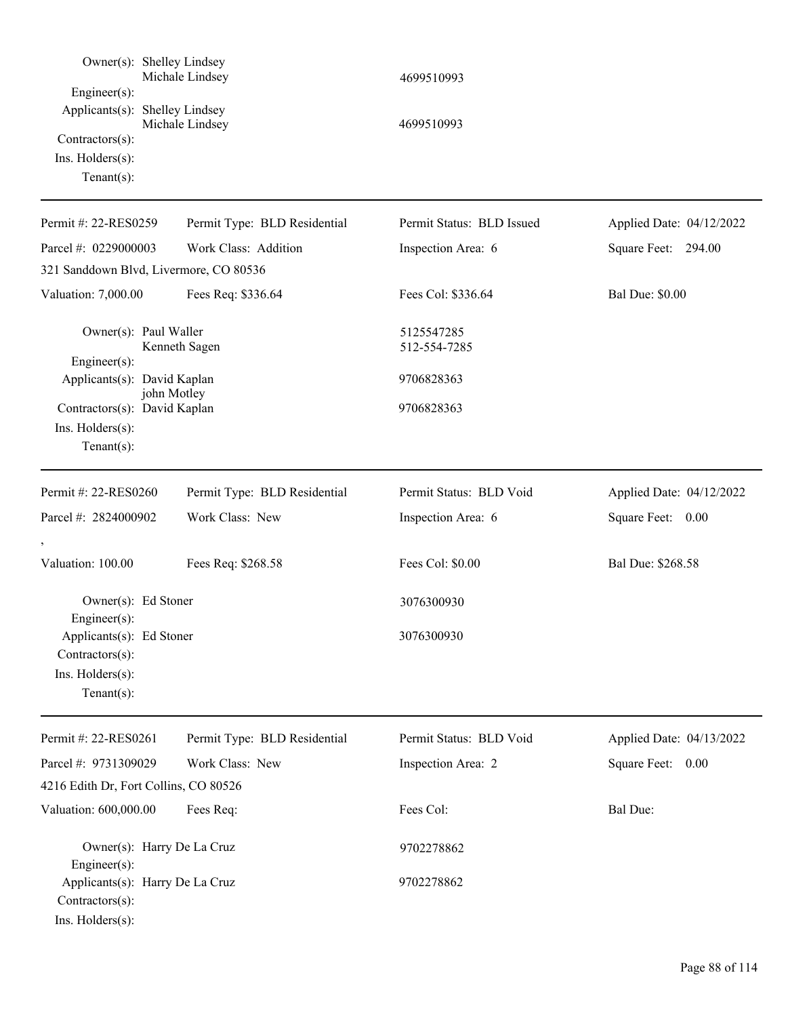| Owner(s): Shelley Lindsey<br>Engineer(s):<br>Applicants(s): Shelley Lindsey<br>Contractors(s):<br>Ins. Holders(s):<br>Tenant $(s)$ : | Michale Lindsey<br>Michale Lindsey | 4699510993<br>4699510993   |                          |
|--------------------------------------------------------------------------------------------------------------------------------------|------------------------------------|----------------------------|--------------------------|
| Permit #: 22-RES0259                                                                                                                 | Permit Type: BLD Residential       | Permit Status: BLD Issued  | Applied Date: 04/12/2022 |
| Parcel #: 0229000003                                                                                                                 | Work Class: Addition               | Inspection Area: 6         | Square Feet: 294.00      |
| 321 Sanddown Blvd, Livermore, CO 80536                                                                                               |                                    |                            |                          |
| Valuation: 7,000.00                                                                                                                  | Fees Req: \$336.64                 | Fees Col: \$336.64         | <b>Bal Due: \$0.00</b>   |
| Owner(s): Paul Waller<br>Engineer(s):                                                                                                | Kenneth Sagen                      | 5125547285<br>512-554-7285 |                          |
| Applicants(s): David Kaplan                                                                                                          |                                    | 9706828363                 |                          |
| Contractors(s): David Kaplan<br>Ins. Holders(s):<br>Tenant $(s)$ :                                                                   | john Motley                        | 9706828363                 |                          |
| Permit #: 22-RES0260                                                                                                                 | Permit Type: BLD Residential       | Permit Status: BLD Void    | Applied Date: 04/12/2022 |
| Parcel #: 2824000902                                                                                                                 | Work Class: New                    | Inspection Area: 6         | Square Feet: 0.00        |
| Valuation: 100.00                                                                                                                    | Fees Req: \$268.58                 | Fees Col: \$0.00           | Bal Due: \$268.58        |
| Owner(s): Ed Stoner<br>$Engineering(s)$ :                                                                                            |                                    | 3076300930                 |                          |
| Applicants(s): Ed Stoner<br>Contractors(s):<br>Ins. Holders(s):<br>$Tenant(s)$ :                                                     |                                    | 3076300930                 |                          |
| Permit #: 22-RES0261                                                                                                                 | Permit Type: BLD Residential       | Permit Status: BLD Void    | Applied Date: 04/13/2022 |
| Parcel #: 9731309029<br>4216 Edith Dr, Fort Collins, CO 80526                                                                        | Work Class: New                    | Inspection Area: 2         | Square Feet: 0.00        |
| Valuation: 600,000.00                                                                                                                | Fees Req:                          | Fees Col:                  | <b>Bal Due:</b>          |
| Owner(s): Harry De La Cruz<br>Engineer(s):<br>Applicants(s): Harry De La Cruz                                                        |                                    | 9702278862<br>9702278862   |                          |
| Contractors(s):<br>Ins. Holders(s):                                                                                                  |                                    |                            |                          |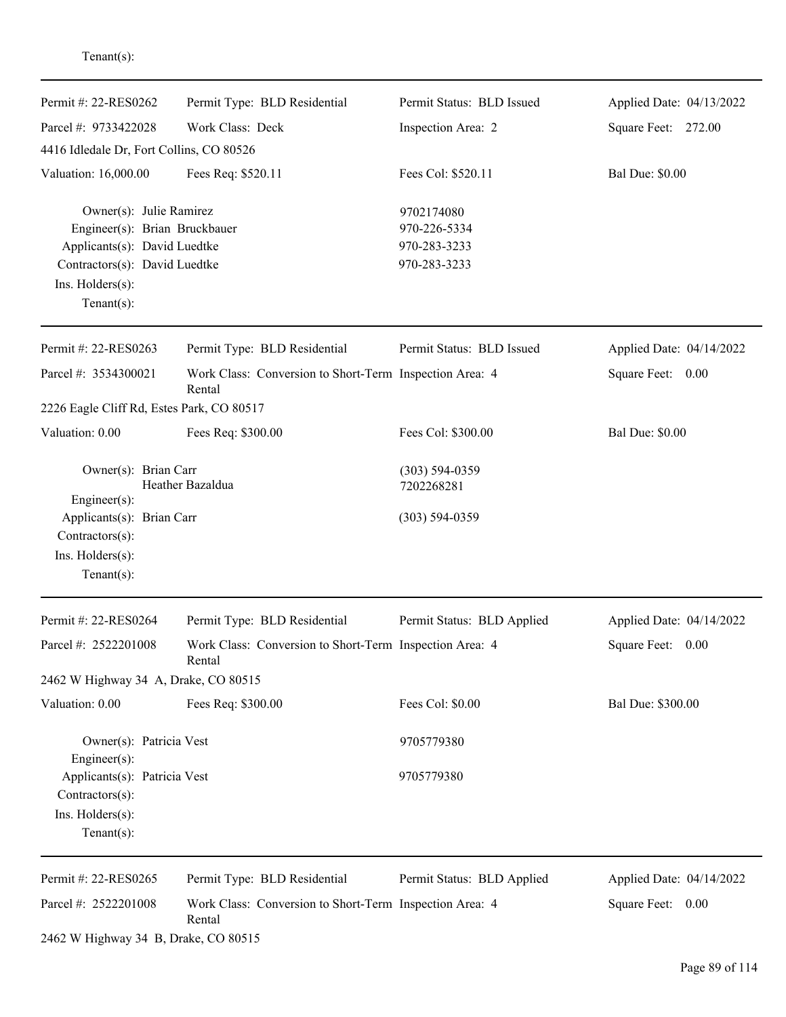| Permit #: 22-RES0262                                                                                                                                            | Permit Type: BLD Residential                                      | Permit Status: BLD Issued                                  | Applied Date: 04/13/2022 |
|-----------------------------------------------------------------------------------------------------------------------------------------------------------------|-------------------------------------------------------------------|------------------------------------------------------------|--------------------------|
| Parcel #: 9733422028                                                                                                                                            | Work Class: Deck                                                  | Inspection Area: 2                                         | Square Feet: 272.00      |
| 4416 Idledale Dr, Fort Collins, CO 80526                                                                                                                        |                                                                   |                                                            |                          |
| Valuation: 16,000.00                                                                                                                                            | Fees Req: \$520.11                                                | Fees Col: \$520.11                                         | <b>Bal Due: \$0.00</b>   |
| Owner(s): Julie Ramirez<br>Engineer(s): Brian Bruckbauer<br>Applicants(s): David Luedtke<br>Contractors(s): David Luedtke<br>Ins. Holders(s):<br>Tenant $(s)$ : |                                                                   | 9702174080<br>970-226-5334<br>970-283-3233<br>970-283-3233 |                          |
| Permit #: 22-RES0263                                                                                                                                            | Permit Type: BLD Residential                                      | Permit Status: BLD Issued                                  | Applied Date: 04/14/2022 |
| Parcel #: 3534300021                                                                                                                                            | Work Class: Conversion to Short-Term Inspection Area: 4<br>Rental |                                                            | Square Feet: 0.00        |
| 2226 Eagle Cliff Rd, Estes Park, CO 80517                                                                                                                       |                                                                   |                                                            |                          |
| Valuation: 0.00                                                                                                                                                 | Fees Req: \$300.00                                                | Fees Col: \$300.00                                         | <b>Bal Due: \$0.00</b>   |
| Owner(s): Brian Carr<br>Engineer(s):<br>Applicants(s): Brian Carr<br>Contractors(s):<br>Ins. Holders(s):<br>$Tenant(s)$ :                                       | Heather Bazaldua                                                  | $(303) 594 - 0359$<br>7202268281<br>$(303) 594 - 0359$     |                          |
| Permit #: 22-RES0264                                                                                                                                            | Permit Type: BLD Residential                                      | Permit Status: BLD Applied                                 | Applied Date: 04/14/2022 |
| Parcel #: 2522201008                                                                                                                                            | Work Class: Conversion to Short-Term Inspection Area: 4<br>Rental |                                                            | Square Feet: 0.00        |
| 2462 W Highway 34 A, Drake, CO 80515                                                                                                                            |                                                                   |                                                            |                          |
| Valuation: 0.00                                                                                                                                                 | Fees Req: \$300.00                                                | Fees Col: \$0.00                                           | Bal Due: \$300.00        |
| Owner(s): Patricia Vest<br>Engineer(s):                                                                                                                         |                                                                   | 9705779380                                                 |                          |
| Applicants(s): Patricia Vest<br>Contractors(s):<br>Ins. Holders(s):<br>Tenant $(s)$ :                                                                           |                                                                   | 9705779380                                                 |                          |
| Permit #: 22-RES0265                                                                                                                                            | Permit Type: BLD Residential                                      | Permit Status: BLD Applied                                 | Applied Date: 04/14/2022 |
| Parcel #: 2522201008                                                                                                                                            | Work Class: Conversion to Short-Term Inspection Area: 4<br>Rental |                                                            | Square Feet: 0.00        |
| 2462 W Highway 34 B, Drake, CO 80515                                                                                                                            |                                                                   |                                                            |                          |

## Tenant(s):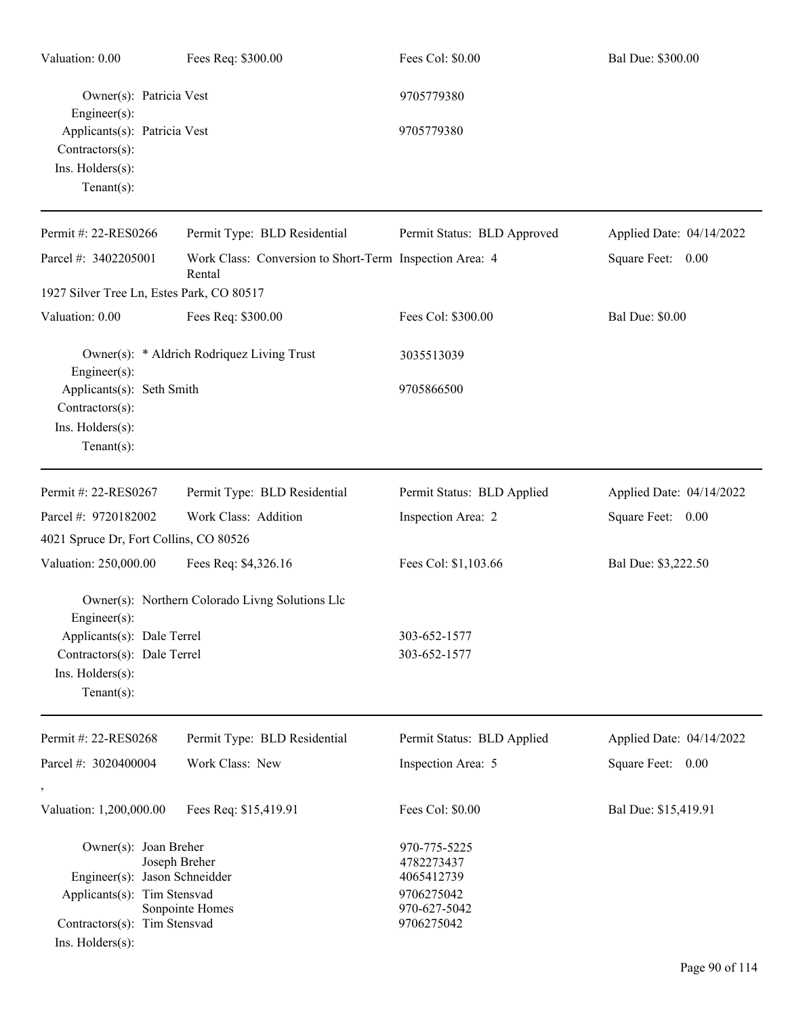| Valuation: 0.00                                                                                                                                            | Fees Req: \$300.00                                                | Fees Col: \$0.00                                                                     | Bal Due: \$300.00        |
|------------------------------------------------------------------------------------------------------------------------------------------------------------|-------------------------------------------------------------------|--------------------------------------------------------------------------------------|--------------------------|
| Owner(s): Patricia Vest<br>Engineer(s):                                                                                                                    |                                                                   | 9705779380                                                                           |                          |
| Applicants(s): Patricia Vest<br>Contractors(s):<br>Ins. Holders(s):<br>Tenant $(s)$ :                                                                      |                                                                   | 9705779380                                                                           |                          |
| Permit #: 22-RES0266                                                                                                                                       | Permit Type: BLD Residential                                      | Permit Status: BLD Approved                                                          | Applied Date: 04/14/2022 |
| Parcel #: 3402205001                                                                                                                                       | Work Class: Conversion to Short-Term Inspection Area: 4<br>Rental |                                                                                      | Square Feet: 0.00        |
| 1927 Silver Tree Ln, Estes Park, CO 80517                                                                                                                  |                                                                   |                                                                                      |                          |
| Valuation: 0.00                                                                                                                                            | Fees Req: \$300.00                                                | Fees Col: \$300.00                                                                   | <b>Bal Due: \$0.00</b>   |
| Engineer(s):                                                                                                                                               | Owner(s): * Aldrich Rodriquez Living Trust                        | 3035513039                                                                           |                          |
| Applicants(s): Seth Smith<br>Contractors(s):<br>Ins. Holders(s):<br>Tenant $(s)$ :                                                                         |                                                                   | 9705866500                                                                           |                          |
| Permit #: 22-RES0267                                                                                                                                       | Permit Type: BLD Residential                                      | Permit Status: BLD Applied                                                           | Applied Date: 04/14/2022 |
| Parcel #: 9720182002                                                                                                                                       | Work Class: Addition                                              | Inspection Area: 2                                                                   | Square Feet: 0.00        |
| 4021 Spruce Dr, Fort Collins, CO 80526                                                                                                                     |                                                                   |                                                                                      |                          |
| Valuation: 250,000.00                                                                                                                                      | Fees Req: \$4,326.16                                              | Fees Col: \$1,103.66                                                                 | Bal Due: \$3,222.50      |
| Engineer(s):                                                                                                                                               | Owner(s): Northern Colorado Livng Solutions Llc                   |                                                                                      |                          |
| Applicants(s): Dale Terrel                                                                                                                                 |                                                                   | 303-652-1577                                                                         |                          |
| Contractors(s): Dale Terrel                                                                                                                                |                                                                   | 303-652-1577                                                                         |                          |
| Ins. Holders(s):<br>Tenant $(s)$ :                                                                                                                         |                                                                   |                                                                                      |                          |
| Permit #: 22-RES0268                                                                                                                                       | Permit Type: BLD Residential                                      | Permit Status: BLD Applied                                                           | Applied Date: 04/14/2022 |
| Parcel #: 3020400004<br>$^\circ$                                                                                                                           | Work Class: New                                                   | Inspection Area: 5                                                                   | Square Feet: 0.00        |
| Valuation: 1,200,000.00                                                                                                                                    | Fees Req: \$15,419.91                                             | Fees Col: \$0.00                                                                     | Bal Due: \$15,419.91     |
| Owner(s): Joan Breher<br>Joseph Breher<br>Engineer(s): Jason Schneidder<br>Applicants(s): Tim Stensvad<br>Contractors(s): Tim Stensvad<br>Ins. Holders(s): | Sonpointe Homes                                                   | 970-775-5225<br>4782273437<br>4065412739<br>9706275042<br>970-627-5042<br>9706275042 |                          |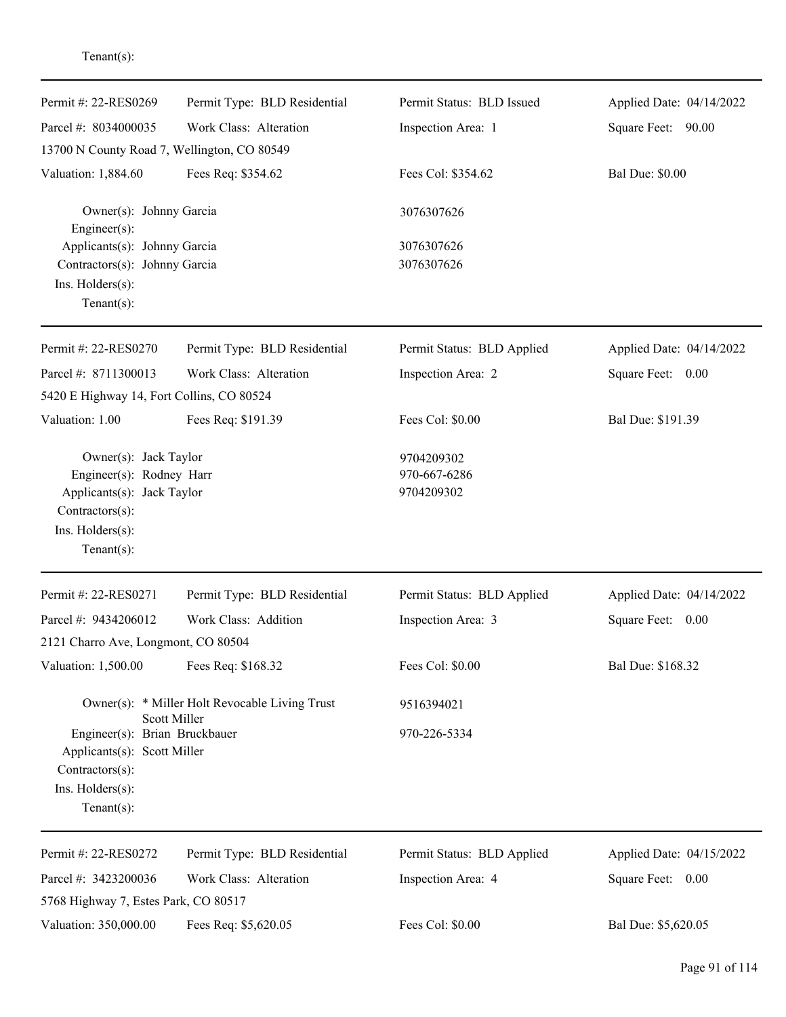| Permit #: 22-RES0269                                                                                                                     | Permit Type: BLD Residential                   | Permit Status: BLD Issued                | Applied Date: 04/14/2022 |
|------------------------------------------------------------------------------------------------------------------------------------------|------------------------------------------------|------------------------------------------|--------------------------|
| Parcel #: 8034000035                                                                                                                     | Work Class: Alteration                         | Inspection Area: 1                       | Square Feet: 90.00       |
| 13700 N County Road 7, Wellington, CO 80549                                                                                              |                                                |                                          |                          |
| Valuation: 1,884.60                                                                                                                      | Fees Req: \$354.62                             | Fees Col: \$354.62                       | <b>Bal Due: \$0.00</b>   |
| Owner(s): Johnny Garcia<br>$Engineering(s)$ :                                                                                            |                                                | 3076307626                               |                          |
| Applicants(s): Johnny Garcia                                                                                                             |                                                | 3076307626                               |                          |
| Contractors(s): Johnny Garcia                                                                                                            |                                                | 3076307626                               |                          |
| Ins. Holders(s):                                                                                                                         |                                                |                                          |                          |
| Tenant $(s)$ :                                                                                                                           |                                                |                                          |                          |
| Permit #: 22-RES0270                                                                                                                     | Permit Type: BLD Residential                   | Permit Status: BLD Applied               | Applied Date: 04/14/2022 |
| Parcel #: 8711300013                                                                                                                     | Work Class: Alteration                         | Inspection Area: 2                       | Square Feet: 0.00        |
| 5420 E Highway 14, Fort Collins, CO 80524                                                                                                |                                                |                                          |                          |
| Valuation: 1.00                                                                                                                          | Fees Req: \$191.39                             | Fees Col: \$0.00                         | Bal Due: \$191.39        |
| Owner(s): Jack Taylor<br>Engineer(s): Rodney Harr<br>Applicants(s): Jack Taylor<br>Contractors(s):<br>Ins. Holders(s):<br>Tenant $(s)$ : |                                                | 9704209302<br>970-667-6286<br>9704209302 |                          |
| Permit #: 22-RES0271                                                                                                                     | Permit Type: BLD Residential                   | Permit Status: BLD Applied               | Applied Date: 04/14/2022 |
| Parcel #: 9434206012                                                                                                                     | Work Class: Addition                           | Inspection Area: 3                       | Square Feet: 0.00        |
| 2121 Charro Ave, Longmont, CO 80504                                                                                                      |                                                |                                          |                          |
| Valuation: 1,500.00                                                                                                                      | Fees Req: \$168.32                             | Fees Col: \$0.00                         | Bal Due: \$168.32        |
|                                                                                                                                          | Owner(s): * Miller Holt Revocable Living Trust | 9516394021                               |                          |
| Engineer(s): Brian Bruckbauer<br>Applicants(s): Scott Miller<br>Contractors(s):<br>Ins. Holders(s):<br>Tenant $(s)$ :                    | Scott Miller                                   | 970-226-5334                             |                          |
| Permit #: 22-RES0272                                                                                                                     | Permit Type: BLD Residential                   | Permit Status: BLD Applied               | Applied Date: 04/15/2022 |
| Parcel #: 3423200036                                                                                                                     | Work Class: Alteration                         | Inspection Area: 4                       | Square Feet: 0.00        |
| 5768 Highway 7, Estes Park, CO 80517                                                                                                     |                                                |                                          |                          |
| Valuation: 350,000.00                                                                                                                    | Fees Req: \$5,620.05                           | Fees Col: \$0.00                         | Bal Due: \$5,620.05      |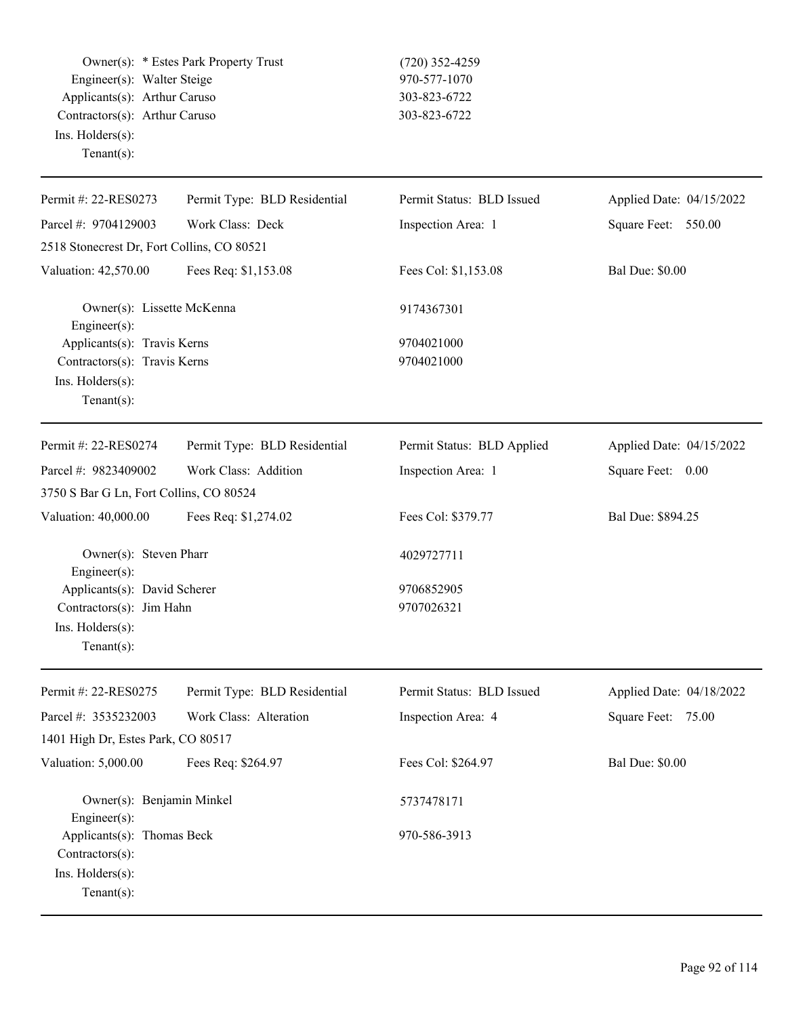Owner(s): \* Estes Park Property Trust (720) 352-4259 Engineer(s): Walter Steige 970-577-1070 Applicants(s): Arthur Caruso 303-823-6722 Contractors(s): Arthur Caruso 303-823-6722 Ins. Holders(s): Tenant(s):

| Permit Type: BLD Residential               | Permit Status: BLD Issued  | Applied Date: 04/15/2022 |
|--------------------------------------------|----------------------------|--------------------------|
| Work Class: Deck                           | Inspection Area: 1         | Square Feet: 550.00      |
| 2518 Stonecrest Dr, Fort Collins, CO 80521 |                            |                          |
| Fees Req: \$1,153.08                       | Fees Col: \$1,153.08       | <b>Bal Due: \$0.00</b>   |
| Owner(s): Lissette McKenna                 | 9174367301                 |                          |
| Applicants(s): Travis Kerns                | 9704021000                 |                          |
| Contractors(s): Travis Kerns               | 9704021000                 |                          |
|                                            |                            |                          |
| Permit Type: BLD Residential               | Permit Status: BLD Applied | Applied Date: 04/15/2022 |
| Work Class: Addition                       | Inspection Area: 1         | Square Feet:<br>0.00     |
| 3750 S Bar G Ln, Fort Collins, CO 80524    |                            |                          |
| Fees Req: \$1,274.02                       | Fees Col: \$379.77         | Bal Due: \$894.25        |
| Owner(s): Steven Pharr                     | 4029727711                 |                          |
| Applicants(s): David Scherer               | 9706852905                 |                          |
| Contractors(s): Jim Hahn                   | 9707026321                 |                          |
|                                            |                            |                          |
|                                            |                            |                          |
| Permit Type: BLD Residential               | Permit Status: BLD Issued  | Applied Date: 04/18/2022 |
| Work Class: Alteration                     | Inspection Area: 4         | Square Feet: 75.00       |
| 1401 High Dr, Estes Park, CO 80517         |                            |                          |
| Fees Req: \$264.97                         | Fees Col: \$264.97         | <b>Bal Due: \$0.00</b>   |
| Owner(s): Benjamin Minkel                  | 5737478171                 |                          |
| Applicants(s): Thomas Beck                 | 970-586-3913               |                          |
|                                            |                            |                          |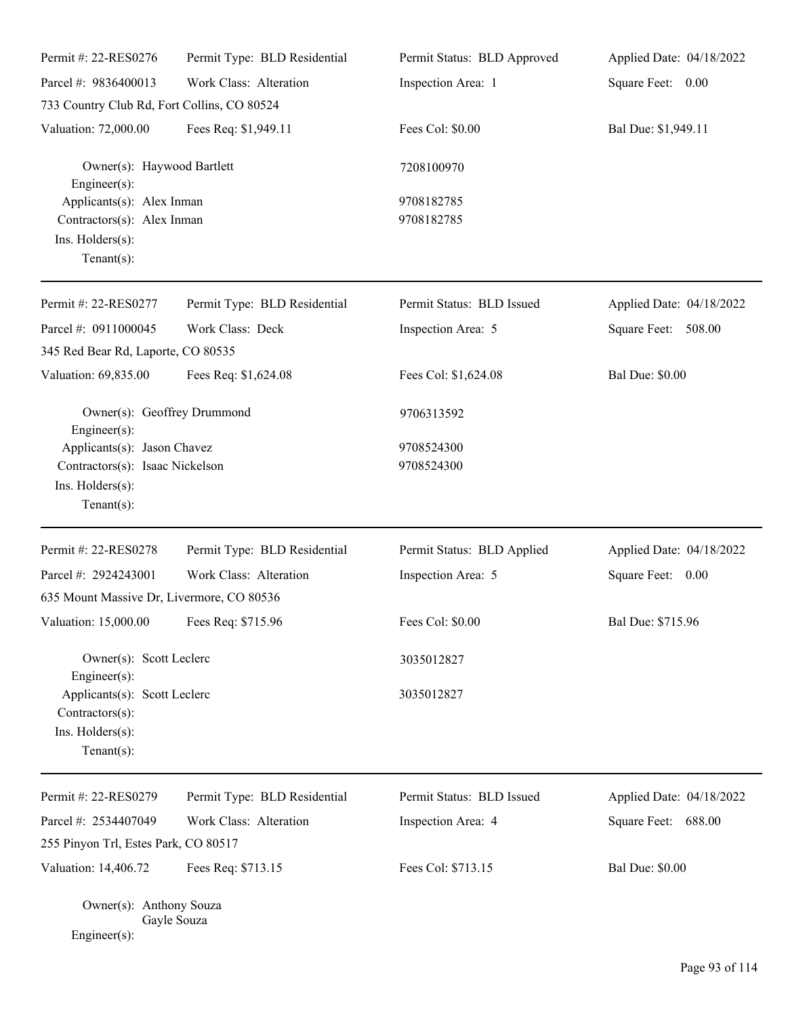| Permit #: 22-RES0276                                                                          | Permit Type: BLD Residential | Permit Status: BLD Approved | Applied Date: 04/18/2022 |
|-----------------------------------------------------------------------------------------------|------------------------------|-----------------------------|--------------------------|
| Parcel #: 9836400013                                                                          | Work Class: Alteration       | Inspection Area: 1          | Square Feet: 0.00        |
| 733 Country Club Rd, Fort Collins, CO 80524                                                   |                              |                             |                          |
| Valuation: 72,000.00                                                                          | Fees Req: \$1,949.11         | Fees Col: \$0.00            | Bal Due: \$1,949.11      |
| Owner(s): Haywood Bartlett<br>$Engineering(s)$ :                                              |                              | 7208100970                  |                          |
| Applicants(s): Alex Inman<br>Contractors(s): Alex Inman<br>Ins. Holders(s):<br>Tenant $(s)$ : |                              | 9708182785<br>9708182785    |                          |
| Permit #: 22-RES0277                                                                          | Permit Type: BLD Residential | Permit Status: BLD Issued   | Applied Date: 04/18/2022 |
| Parcel #: 0911000045                                                                          | Work Class: Deck             | Inspection Area: 5          | Square Feet: 508.00      |
| 345 Red Bear Rd, Laporte, CO 80535                                                            |                              |                             |                          |
| Valuation: 69,835.00                                                                          | Fees Req: \$1,624.08         | Fees Col: \$1,624.08        | <b>Bal Due: \$0.00</b>   |
| Owner(s): Geoffrey Drummond<br>Engineer(s):                                                   |                              | 9706313592                  |                          |
| Applicants(s): Jason Chavez                                                                   |                              | 9708524300                  |                          |
| Contractors(s): Isaac Nickelson<br>Ins. Holders(s):<br>Tenant $(s)$ :                         |                              | 9708524300                  |                          |
| Permit #: 22-RES0278                                                                          | Permit Type: BLD Residential | Permit Status: BLD Applied  | Applied Date: 04/18/2022 |
| Parcel #: 2924243001                                                                          | Work Class: Alteration       | Inspection Area: 5          | Square Feet: 0.00        |
| 635 Mount Massive Dr, Livermore, CO 80536                                                     |                              |                             |                          |
| Valuation: 15,000.00 Fees Req: \$715.96                                                       |                              | Fees Col: \$0.00            | Bal Due: \$715.96        |
| Owner(s): Scott Leclerc<br>Engineer(s):                                                       |                              | 3035012827                  |                          |
| Applicants(s): Scott Leclerc<br>Contractors(s):<br>Ins. Holders(s):<br>Tenant $(s)$ :         |                              | 3035012827                  |                          |
| Permit #: 22-RES0279                                                                          | Permit Type: BLD Residential | Permit Status: BLD Issued   | Applied Date: 04/18/2022 |
| Parcel #: 2534407049                                                                          | Work Class: Alteration       | Inspection Area: 4          | Square Feet: 688.00      |
| 255 Pinyon Trl, Estes Park, CO 80517                                                          |                              |                             |                          |
| Valuation: 14,406.72                                                                          | Fees Req: \$713.15           | Fees Col: \$713.15          | <b>Bal Due: \$0.00</b>   |
| Owner(s): Anthony Souza                                                                       | Gayle Souza                  |                             |                          |

Engineer(s):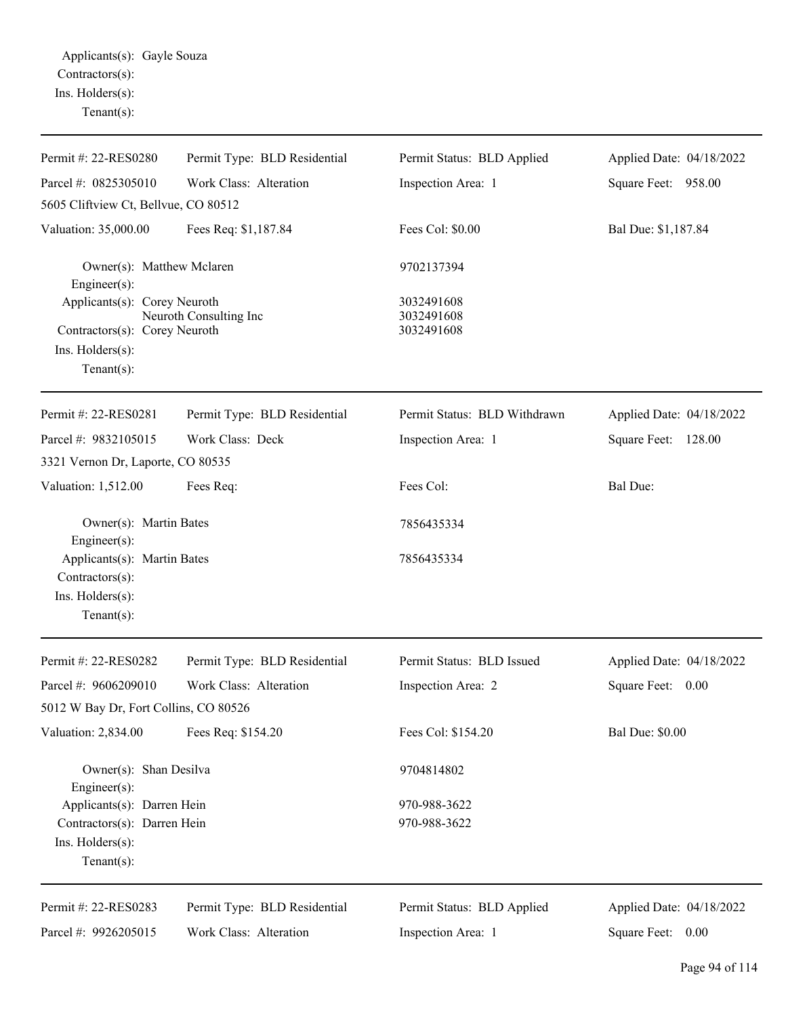| Permit #: 22-RES0280                                                               | Permit Type: BLD Residential | Permit Status: BLD Applied   | Applied Date: 04/18/2022 |
|------------------------------------------------------------------------------------|------------------------------|------------------------------|--------------------------|
| Parcel #: 0825305010                                                               | Work Class: Alteration       | Inspection Area: 1           | Square Feet: 958.00      |
| 5605 Cliftview Ct, Bellvue, CO 80512                                               |                              |                              |                          |
| Valuation: 35,000.00                                                               | Fees Req: \$1,187.84         | Fees Col: \$0.00             | Bal Due: \$1,187.84      |
| Owner(s): Matthew Mclaren<br>$Engineering(s)$ :                                    |                              | 9702137394                   |                          |
| Applicants(s): Corey Neuroth                                                       | Neuroth Consulting Inc       | 3032491608<br>3032491608     |                          |
| Contractors(s): Corey Neuroth<br>Ins. Holders(s):<br>Tenant $(s)$ :                |                              | 3032491608                   |                          |
| Permit #: 22-RES0281                                                               | Permit Type: BLD Residential | Permit Status: BLD Withdrawn | Applied Date: 04/18/2022 |
| Parcel #: 9832105015<br>3321 Vernon Dr, Laporte, CO 80535                          | Work Class: Deck             | Inspection Area: 1           | Square Feet: 128.00      |
| Valuation: 1,512.00                                                                | Fees Req:                    | Fees Col:                    | Bal Due:                 |
| Owner(s): Martin Bates                                                             |                              | 7856435334                   |                          |
| Engineer(s):<br>Applicants(s): Martin Bates<br>Contractors(s):<br>Ins. Holders(s): |                              | 7856435334                   |                          |
| Tenant $(s)$ :                                                                     |                              |                              |                          |
| Permit #: 22-RES0282                                                               | Permit Type: BLD Residential | Permit Status: BLD Issued    | Applied Date: 04/18/2022 |
| Parcel #: 9606209010                                                               | Work Class: Alteration       | Inspection Area: 2           | Square Feet: 0.00        |
| 5012 W Bay Dr, Fort Collins, CO 80526                                              |                              |                              |                          |
| Valuation: 2,834.00                                                                | Fees Req: \$154.20           | Fees Col: \$154.20           | <b>Bal Due: \$0.00</b>   |
| Owner(s): Shan Desilva<br>Engineer $(s)$ :                                         |                              | 9704814802                   |                          |
| Applicants(s): Darren Hein                                                         |                              | 970-988-3622                 |                          |
| Contractors(s): Darren Hein<br>Ins. Holders(s):<br>Tenant $(s)$ :                  |                              | 970-988-3622                 |                          |
| Permit #: 22-RES0283                                                               | Permit Type: BLD Residential | Permit Status: BLD Applied   | Applied Date: 04/18/2022 |
| Parcel #: 9926205015                                                               | Work Class: Alteration       | Inspection Area: 1           | Square Feet: 0.00        |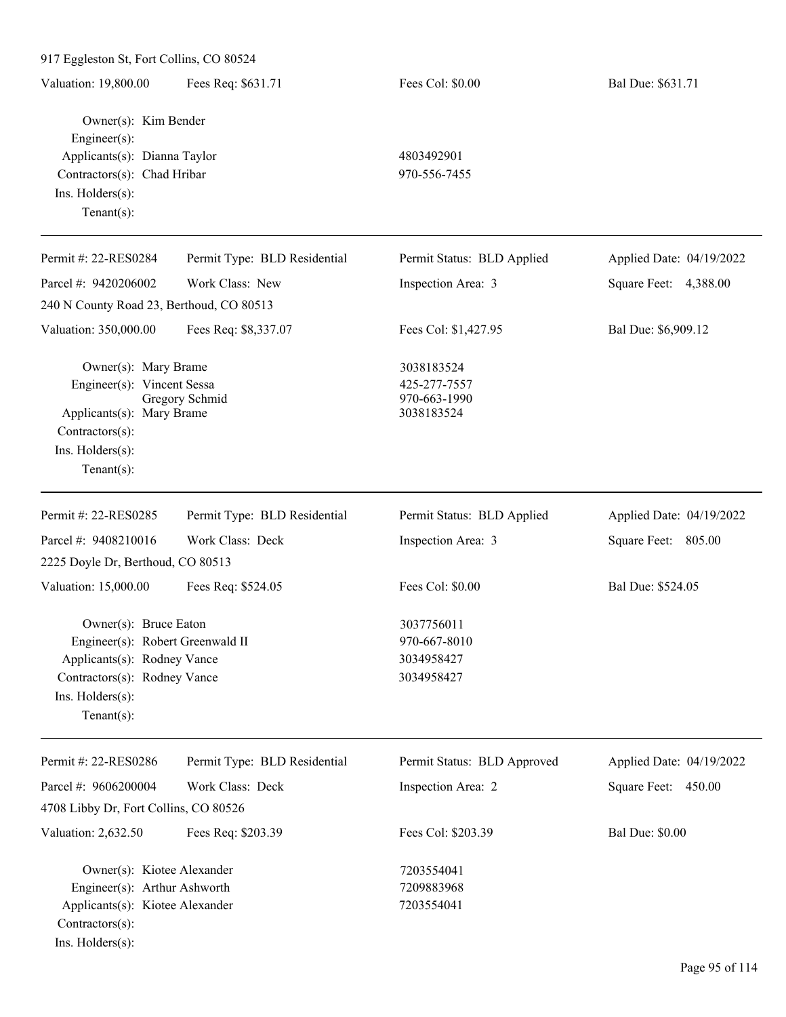| 917 Eggleston St, Fort Collins, CO 80524                                                                                                                      |                              |                                                          |                          |
|---------------------------------------------------------------------------------------------------------------------------------------------------------------|------------------------------|----------------------------------------------------------|--------------------------|
| Valuation: 19,800.00                                                                                                                                          | Fees Req: \$631.71           | Fees Col: \$0.00                                         | Bal Due: \$631.71        |
| Owner(s): Kim Bender<br>$Engineering(s)$ :                                                                                                                    |                              |                                                          |                          |
| Applicants(s): Dianna Taylor                                                                                                                                  |                              | 4803492901                                               |                          |
| Contractors(s): Chad Hribar<br>Ins. Holders(s):<br>Tenant $(s)$ :                                                                                             |                              | 970-556-7455                                             |                          |
| Permit #: 22-RES0284                                                                                                                                          | Permit Type: BLD Residential | Permit Status: BLD Applied                               | Applied Date: 04/19/2022 |
| Parcel #: 9420206002                                                                                                                                          | Work Class: New              | Inspection Area: 3                                       | Square Feet: 4,388.00    |
| 240 N County Road 23, Berthoud, CO 80513                                                                                                                      |                              |                                                          |                          |
| Valuation: 350,000.00                                                                                                                                         | Fees Req: \$8,337.07         | Fees Col: \$1,427.95                                     | Bal Due: \$6,909.12      |
| Owner(s): Mary Brame<br>Engineer(s): Vincent Sessa<br>Applicants(s): Mary Brame<br>Contractors(s):<br>Ins. Holders(s):<br>$Tenant(s)$ :                       | Gregory Schmid               | 3038183524<br>425-277-7557<br>970-663-1990<br>3038183524 |                          |
| Permit #: 22-RES0285                                                                                                                                          | Permit Type: BLD Residential | Permit Status: BLD Applied                               | Applied Date: 04/19/2022 |
| Parcel #: 9408210016                                                                                                                                          | Work Class: Deck             | Inspection Area: 3                                       | Square Feet: 805.00      |
| 2225 Doyle Dr, Berthoud, CO 80513                                                                                                                             |                              |                                                          |                          |
| Valuation: 15,000.00                                                                                                                                          | Fees Req: \$524.05           | Fees Col: \$0.00                                         | Bal Due: \$524.05        |
| Owner(s): Bruce Eaton<br>Engineer(s): Robert Greenwald II<br>Applicants(s): Rodney Vance<br>Contractors(s): Rodney Vance<br>Ins. Holders(s):<br>$Tenant(s)$ : |                              | 3037756011<br>970-667-8010<br>3034958427<br>3034958427   |                          |
| Permit #: 22-RES0286                                                                                                                                          | Permit Type: BLD Residential | Permit Status: BLD Approved                              | Applied Date: 04/19/2022 |
| Parcel #: 9606200004                                                                                                                                          | Work Class: Deck             | Inspection Area: 2                                       | Square Feet: 450.00      |
| 4708 Libby Dr, Fort Collins, CO 80526                                                                                                                         |                              |                                                          |                          |
| Valuation: 2,632.50                                                                                                                                           | Fees Req: \$203.39           | Fees Col: \$203.39                                       | <b>Bal Due: \$0.00</b>   |
| Owner(s): Kiotee Alexander<br>Engineer(s): Arthur Ashworth<br>Applicants(s): Kiotee Alexander<br>Contractors(s):                                              |                              | 7203554041<br>7209883968<br>7203554041                   |                          |
| Ins. Holders(s):                                                                                                                                              |                              |                                                          |                          |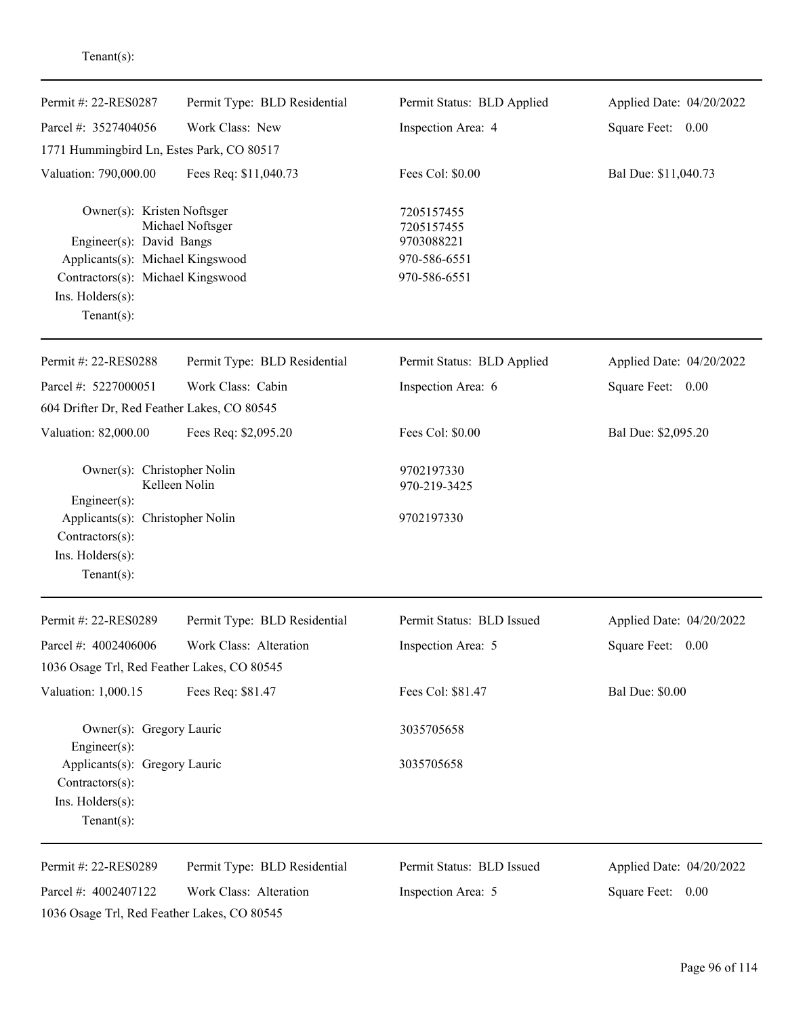| Permit #: 22-RES0287                                                                                                                                                  | Permit Type: BLD Residential | Permit Status: BLD Applied                                             | Applied Date: 04/20/2022 |
|-----------------------------------------------------------------------------------------------------------------------------------------------------------------------|------------------------------|------------------------------------------------------------------------|--------------------------|
| Parcel #: 3527404056                                                                                                                                                  | Work Class: New              | Inspection Area: 4                                                     | Square Feet: 0.00        |
| 1771 Hummingbird Ln, Estes Park, CO 80517                                                                                                                             |                              |                                                                        |                          |
| Valuation: 790,000.00                                                                                                                                                 | Fees Req: \$11,040.73        | Fees Col: \$0.00                                                       | Bal Due: \$11,040.73     |
| Owner(s): Kristen Noftsger<br>Engineer(s): David Bangs<br>Applicants(s): Michael Kingswood<br>Contractors(s): Michael Kingswood<br>Ins. Holders(s):<br>Tenant $(s)$ : | Michael Noftsger             | 7205157455<br>7205157455<br>9703088221<br>970-586-6551<br>970-586-6551 |                          |
| Permit #: 22-RES0288                                                                                                                                                  | Permit Type: BLD Residential | Permit Status: BLD Applied                                             | Applied Date: 04/20/2022 |
| Parcel #: 5227000051                                                                                                                                                  | Work Class: Cabin            | Inspection Area: 6                                                     | Square Feet: 0.00        |
| 604 Drifter Dr, Red Feather Lakes, CO 80545                                                                                                                           |                              |                                                                        |                          |
| Valuation: 82,000.00                                                                                                                                                  | Fees Req: \$2,095.20         | Fees Col: \$0.00                                                       | Bal Due: \$2,095.20      |
| Owner(s): Christopher Nolin<br>Engineer(s):                                                                                                                           | Kelleen Nolin                | 9702197330<br>970-219-3425                                             |                          |
| Applicants(s): Christopher Nolin<br>Contractors(s):<br>Ins. Holders(s):<br>Tenant $(s)$ :                                                                             |                              | 9702197330                                                             |                          |
| Permit #: 22-RES0289                                                                                                                                                  | Permit Type: BLD Residential | Permit Status: BLD Issued                                              | Applied Date: 04/20/2022 |
| Parcel #: 4002406006                                                                                                                                                  | Work Class: Alteration       | Inspection Area: 5                                                     | Square Feet: 0.00        |
| 1036 Osage Trl, Red Feather Lakes, CO 80545                                                                                                                           |                              |                                                                        |                          |
| Valuation: 1,000.15                                                                                                                                                   | Fees Req: \$81.47            | Fees Col: \$81.47                                                      | <b>Bal Due: \$0.00</b>   |
| Owner(s): Gregory Lauric                                                                                                                                              |                              | 3035705658                                                             |                          |
| Engineer(s):<br>Applicants(s): Gregory Lauric<br>Contractors(s):<br>Ins. Holders(s):<br>Tenant $(s)$ :                                                                |                              | 3035705658                                                             |                          |
| Permit #: 22-RES0289                                                                                                                                                  | Permit Type: BLD Residential | Permit Status: BLD Issued                                              | Applied Date: 04/20/2022 |
| Parcel #: 4002407122<br>1036 Osage Trl, Red Feather Lakes, CO 80545                                                                                                   | Work Class: Alteration       | Inspection Area: 5                                                     | Square Feet:<br>0.00     |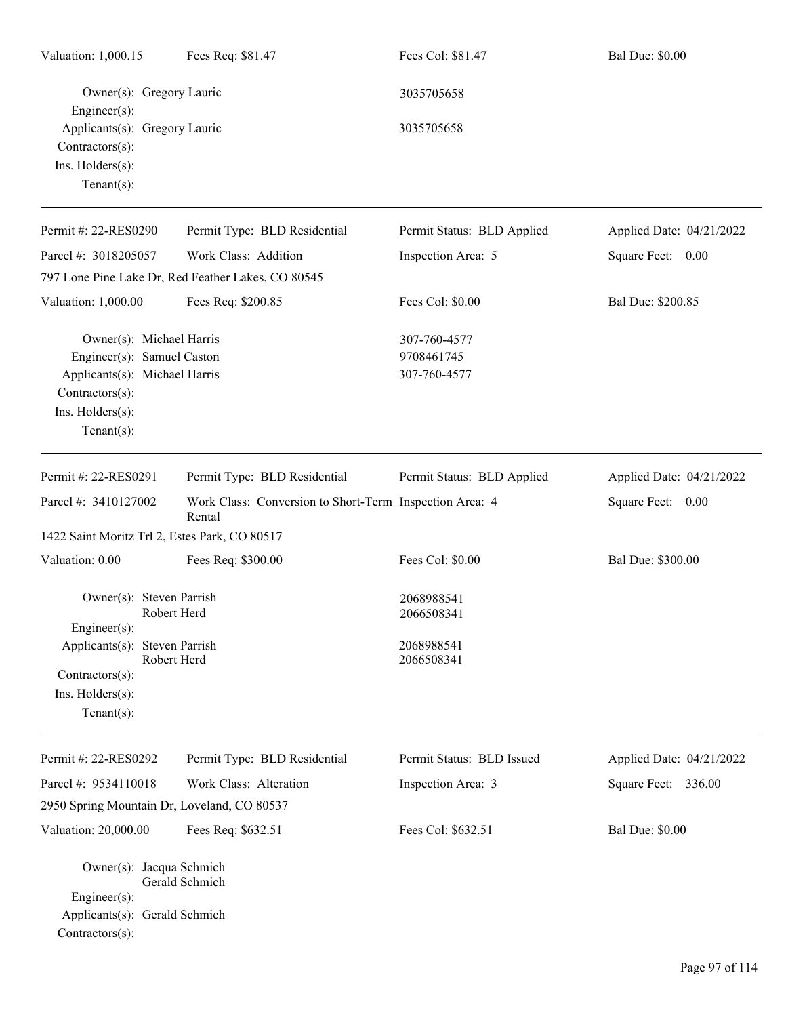| Valuation: 1,000.15                                                                                                                             | Fees Req: \$81.47                                                 | Fees Col: \$81.47                          | <b>Bal Due: \$0.00</b>   |
|-------------------------------------------------------------------------------------------------------------------------------------------------|-------------------------------------------------------------------|--------------------------------------------|--------------------------|
| Owner(s): Gregory Lauric<br>$Engineering(s)$ :                                                                                                  |                                                                   | 3035705658                                 |                          |
| Applicants(s): Gregory Lauric<br>Contractors(s):<br>Ins. Holders(s):<br>Tenant $(s)$ :                                                          |                                                                   | 3035705658                                 |                          |
| Permit #: 22-RES0290                                                                                                                            | Permit Type: BLD Residential                                      | Permit Status: BLD Applied                 | Applied Date: 04/21/2022 |
| Parcel #: 3018205057                                                                                                                            | Work Class: Addition                                              | Inspection Area: 5                         | Square Feet: 0.00        |
|                                                                                                                                                 | 797 Lone Pine Lake Dr, Red Feather Lakes, CO 80545                |                                            |                          |
| Valuation: 1,000.00                                                                                                                             | Fees Req: \$200.85                                                | Fees Col: \$0.00                           | Bal Due: \$200.85        |
| Owner(s): Michael Harris<br>Engineer(s): Samuel Caston<br>Applicants(s): Michael Harris<br>Contractors(s):<br>Ins. Holders(s):<br>$Tenant(s)$ : |                                                                   | 307-760-4577<br>9708461745<br>307-760-4577 |                          |
| Permit #: 22-RES0291                                                                                                                            | Permit Type: BLD Residential                                      | Permit Status: BLD Applied                 | Applied Date: 04/21/2022 |
| Parcel #: 3410127002                                                                                                                            | Work Class: Conversion to Short-Term Inspection Area: 4<br>Rental |                                            | Square Feet: 0.00        |
| 1422 Saint Moritz Trl 2, Estes Park, CO 80517                                                                                                   |                                                                   |                                            |                          |
| Valuation: 0.00                                                                                                                                 | Fees Req: \$300.00                                                | Fees Col: \$0.00                           | Bal Due: \$300.00        |
| Owner(s): Steven Parrish<br>Engineer(s):                                                                                                        | Robert Herd                                                       | 2068988541<br>2066508341                   |                          |
| Applicants(s): Steven Parrish<br>Contractors(s):<br>Ins. Holders(s):<br>$Tenant(s)$ :                                                           | Robert Herd                                                       | 2068988541<br>2066508341                   |                          |
| Permit #: 22-RES0292                                                                                                                            | Permit Type: BLD Residential                                      | Permit Status: BLD Issued                  | Applied Date: 04/21/2022 |
| Parcel #: 9534110018                                                                                                                            | Work Class: Alteration                                            | Inspection Area: 3                         | Square Feet: 336.00      |
| 2950 Spring Mountain Dr, Loveland, CO 80537                                                                                                     |                                                                   |                                            |                          |
| Valuation: 20,000.00                                                                                                                            | Fees Req: \$632.51                                                | Fees Col: \$632.51                         | <b>Bal Due: \$0.00</b>   |
| Owner(s): Jacqua Schmich<br>Engineer(s):<br>Applicants(s): Gerald Schmich<br>Contractors(s):                                                    | Gerald Schmich                                                    |                                            |                          |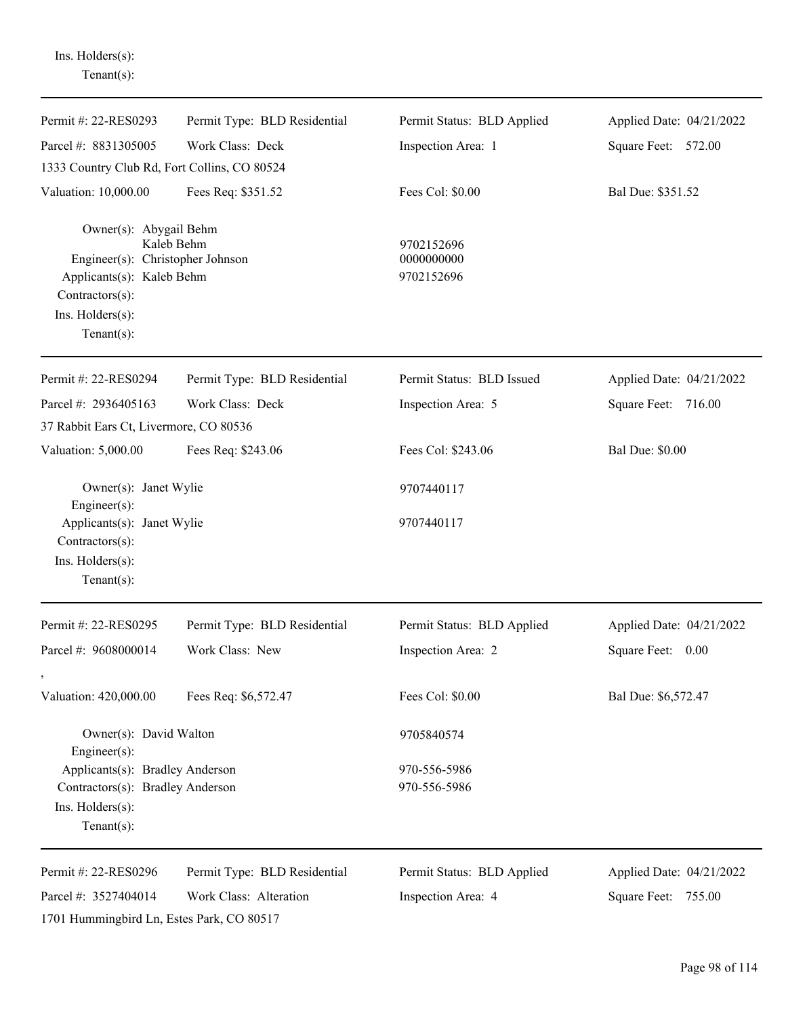| Tenant $(s)$ :                                                                                                                                   |                              |                                        |                          |
|--------------------------------------------------------------------------------------------------------------------------------------------------|------------------------------|----------------------------------------|--------------------------|
| Permit #: 22-RES0293                                                                                                                             | Permit Type: BLD Residential | Permit Status: BLD Applied             | Applied Date: 04/21/2022 |
| Parcel #: 8831305005                                                                                                                             | Work Class: Deck             | Inspection Area: 1                     | Square Feet: 572.00      |
| 1333 Country Club Rd, Fort Collins, CO 80524                                                                                                     |                              |                                        |                          |
| Valuation: 10,000.00                                                                                                                             | Fees Req: \$351.52           | Fees Col: \$0.00                       | Bal Due: \$351.52        |
| Owner(s): Abygail Behm<br>Engineer(s): Christopher Johnson<br>Applicants(s): Kaleb Behm<br>Contractors(s):<br>Ins. Holders(s):<br>Tenant $(s)$ : | Kaleb Behm                   | 9702152696<br>0000000000<br>9702152696 |                          |
| Permit #: 22-RES0294                                                                                                                             | Permit Type: BLD Residential | Permit Status: BLD Issued              | Applied Date: 04/21/2022 |
| Parcel #: 2936405163                                                                                                                             | Work Class: Deck             | Inspection Area: 5                     | Square Feet:<br>716.00   |
| 37 Rabbit Ears Ct, Livermore, CO 80536                                                                                                           |                              |                                        |                          |
| Valuation: 5,000.00                                                                                                                              | Fees Req: \$243.06           | Fees Col: \$243.06                     | <b>Bal Due: \$0.00</b>   |
| Owner(s): Janet Wylie<br>Engineer(s):                                                                                                            |                              | 9707440117                             |                          |
| Applicants(s): Janet Wylie<br>Contractors(s):<br>Ins. Holders(s):<br>Tenant $(s)$ :                                                              |                              | 9707440117                             |                          |
| Permit #: 22-RES0295                                                                                                                             | Permit Type: BLD Residential | Permit Status: BLD Applied             | Applied Date: 04/21/2022 |
| Parcel #: 9608000014                                                                                                                             | Work Class: New              | Inspection Area: 2                     | Square Feet:<br>0.00     |
| $\,$<br>Valuation: 420,000.00                                                                                                                    | Fees Req: \$6,572.47         | Fees Col: \$0.00                       | Bal Due: \$6,572.47      |
| Owner(s): David Walton<br>Engineer(s):                                                                                                           |                              | 9705840574                             |                          |
| Applicants(s): Bradley Anderson                                                                                                                  |                              | 970-556-5986                           |                          |
| Contractors(s): Bradley Anderson<br>Ins. Holders(s):<br>Tenant $(s)$ :                                                                           |                              | 970-556-5986                           |                          |
| Permit #: 22-RES0296                                                                                                                             | Permit Type: BLD Residential | Permit Status: BLD Applied             | Applied Date: 04/21/2022 |
| Parcel #: 3527404014                                                                                                                             | Work Class: Alteration       | Inspection Area: 4                     | Square Feet: 755.00      |
| 1701 Hummingbird Ln, Estes Park, CO 80517                                                                                                        |                              |                                        |                          |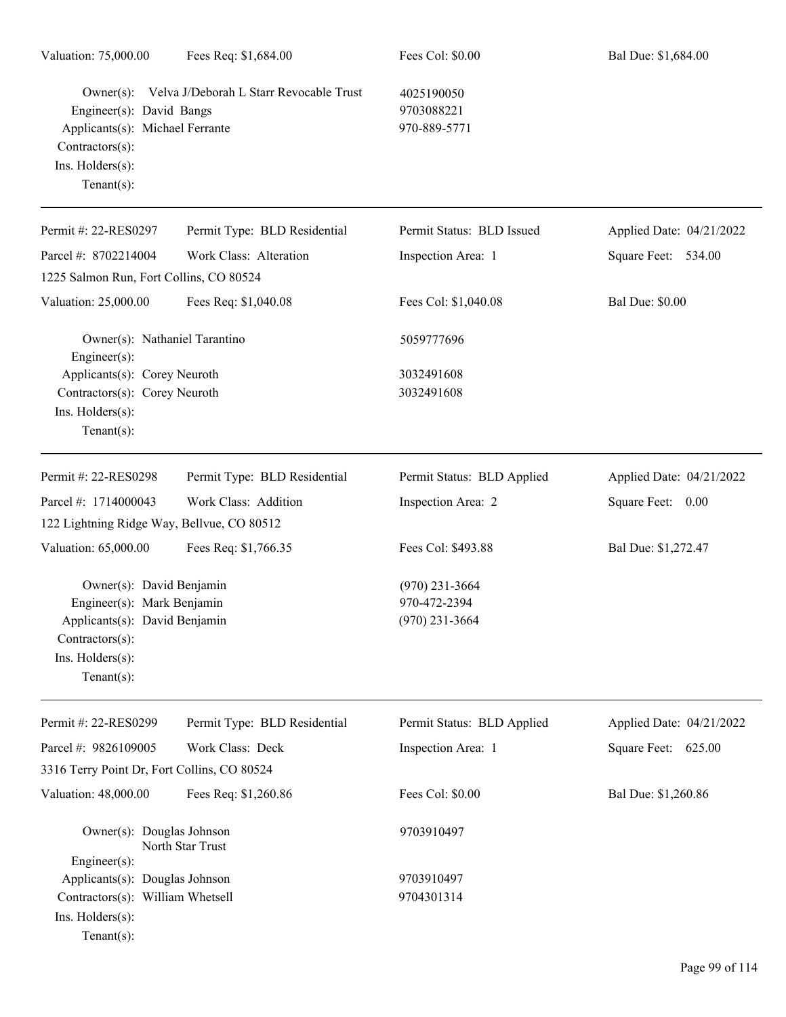| Valuation: 75,000.00                                                                                                                             | Fees Req: \$1,684.00                              | Fees Col: \$0.00                                     | Bal Due: \$1,684.00      |
|--------------------------------------------------------------------------------------------------------------------------------------------------|---------------------------------------------------|------------------------------------------------------|--------------------------|
| Engineer(s): David Bangs<br>Applicants(s): Michael Ferrante<br>Contractors(s):<br>Ins. Holders(s):<br>Tenant $(s)$ :                             | Owner(s): Velva J/Deborah L Starr Revocable Trust | 4025190050<br>9703088221<br>970-889-5771             |                          |
| Permit #: 22-RES0297                                                                                                                             | Permit Type: BLD Residential                      | Permit Status: BLD Issued                            | Applied Date: 04/21/2022 |
| Parcel #: 8702214004<br>1225 Salmon Run, Fort Collins, CO 80524                                                                                  | Work Class: Alteration                            | Inspection Area: 1                                   | Square Feet: 534.00      |
| Valuation: 25,000.00                                                                                                                             | Fees Req: \$1,040.08                              | Fees Col: \$1,040.08                                 | <b>Bal Due: \$0.00</b>   |
| Owner(s): Nathaniel Tarantino<br>Engineer(s):                                                                                                    |                                                   | 5059777696                                           |                          |
| Applicants(s): Corey Neuroth<br>Contractors(s): Corey Neuroth<br>Ins. Holders(s):<br>Tenant $(s)$ :                                              |                                                   | 3032491608<br>3032491608                             |                          |
| Permit #: 22-RES0298                                                                                                                             | Permit Type: BLD Residential                      | Permit Status: BLD Applied                           | Applied Date: 04/21/2022 |
| Parcel #: 1714000043                                                                                                                             | Work Class: Addition                              | Inspection Area: 2                                   | Square Feet: 0.00        |
| 122 Lightning Ridge Way, Bellvue, CO 80512                                                                                                       |                                                   |                                                      |                          |
| Valuation: 65,000.00                                                                                                                             | Fees Req: \$1,766.35                              | Fees Col: \$493.88                                   | Bal Due: \$1,272.47      |
| Owner(s): David Benjamin<br>Engineer(s): Mark Benjamin<br>Applicants(s): David Benjamin<br>Contractors(s):<br>Ins. Holders(s):<br>Tenant $(s)$ : |                                                   | $(970)$ 231-3664<br>970-472-2394<br>$(970)$ 231-3664 |                          |
| Permit #: 22-RES0299                                                                                                                             | Permit Type: BLD Residential                      | Permit Status: BLD Applied                           | Applied Date: 04/21/2022 |
| Parcel #: 9826109005                                                                                                                             | Work Class: Deck                                  | Inspection Area: 1                                   | Square Feet: 625.00      |
| 3316 Terry Point Dr, Fort Collins, CO 80524                                                                                                      |                                                   |                                                      |                          |
| Valuation: 48,000.00                                                                                                                             | Fees Req: \$1,260.86                              | Fees Col: \$0.00                                     | Bal Due: \$1,260.86      |
| Owner(s): Douglas Johnson<br>Engineer(s):                                                                                                        | North Star Trust                                  | 9703910497                                           |                          |
| Applicants(s): Douglas Johnson                                                                                                                   |                                                   | 9703910497                                           |                          |
| Contractors(s): William Whetsell<br>Ins. Holders(s):<br>Tenant $(s)$ :                                                                           |                                                   | 9704301314                                           |                          |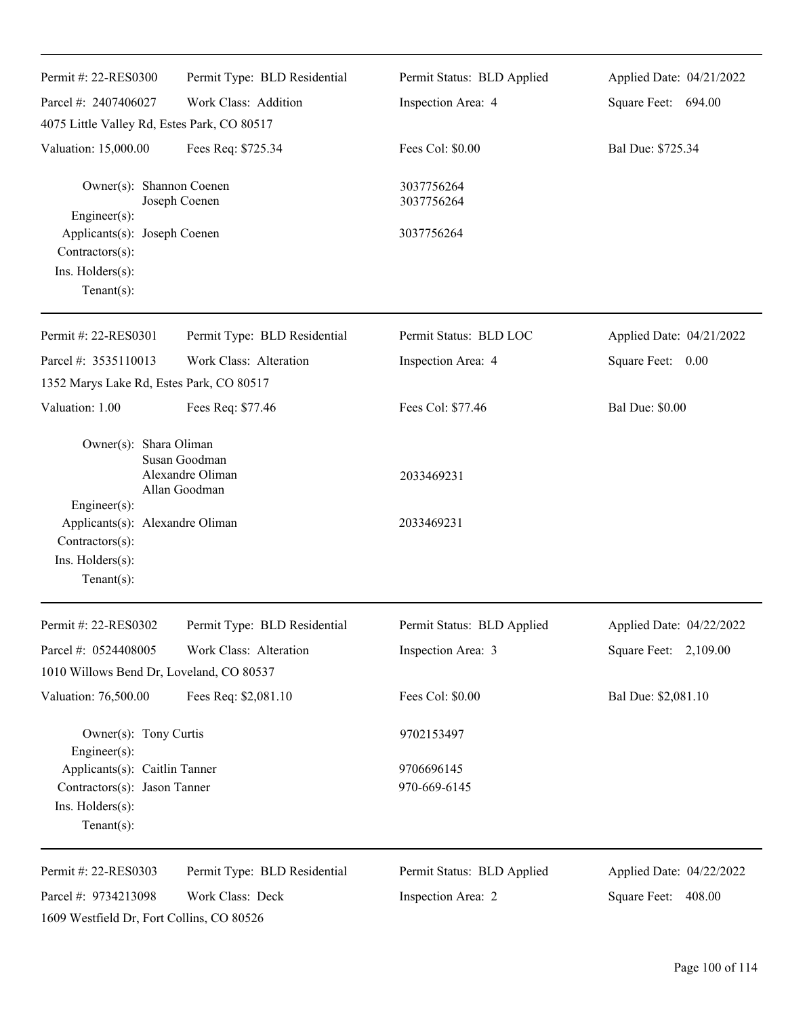| Permit #: 22-RES0300                                                                                     | Permit Type: BLD Residential                       | Permit Status: BLD Applied | Applied Date: 04/21/2022 |
|----------------------------------------------------------------------------------------------------------|----------------------------------------------------|----------------------------|--------------------------|
| Parcel #: 2407406027                                                                                     | Work Class: Addition                               | Inspection Area: 4         | Square Feet: 694.00      |
| 4075 Little Valley Rd, Estes Park, CO 80517                                                              |                                                    |                            |                          |
| Valuation: 15,000.00                                                                                     | Fees Req: \$725.34                                 | Fees Col: \$0.00           | Bal Due: \$725.34        |
| Owner(s): Shannon Coenen<br>Engineer(s):                                                                 | Joseph Coenen                                      | 3037756264<br>3037756264   |                          |
| Applicants(s): Joseph Coenen<br>Contractors(s):                                                          |                                                    | 3037756264                 |                          |
| Ins. Holders(s):<br>Tenant $(s)$ :                                                                       |                                                    |                            |                          |
| Permit #: 22-RES0301                                                                                     | Permit Type: BLD Residential                       | Permit Status: BLD LOC     | Applied Date: 04/21/2022 |
| Parcel #: 3535110013                                                                                     | Work Class: Alteration                             | Inspection Area: 4         | Square Feet: 0.00        |
| 1352 Marys Lake Rd, Estes Park, CO 80517                                                                 |                                                    |                            |                          |
| Valuation: 1.00                                                                                          | Fees Req: \$77.46                                  | Fees Col: \$77.46          | <b>Bal Due: \$0.00</b>   |
| Owner(s): Shara Oliman                                                                                   | Susan Goodman<br>Alexandre Oliman<br>Allan Goodman | 2033469231                 |                          |
| Engineer(s):<br>Applicants(s): Alexandre Oliman<br>Contractors(s):<br>Ins. Holders(s):<br>Tenant $(s)$ : |                                                    | 2033469231                 |                          |
| Permit #: 22-RES0302                                                                                     | Permit Type: BLD Residential                       | Permit Status: BLD Applied | Applied Date: 04/22/2022 |
| Parcel #: 0524408005                                                                                     | Work Class: Alteration                             | Inspection Area: 3         | Square Feet: 2,109.00    |
| 1010 Willows Bend Dr, Loveland, CO 80537                                                                 |                                                    |                            |                          |
| Valuation: 76,500.00                                                                                     | Fees Req: \$2,081.10                               | Fees Col: \$0.00           | Bal Due: \$2,081.10      |
| Owner(s): Tony Curtis<br>Engineer(s):                                                                    |                                                    | 9702153497                 |                          |
| Applicants(s): Caitlin Tanner                                                                            |                                                    | 9706696145                 |                          |
| Contractors(s): Jason Tanner<br>Ins. Holders(s):<br>Tenant $(s)$ :                                       |                                                    | 970-669-6145               |                          |
| Permit #: 22-RES0303                                                                                     | Permit Type: BLD Residential                       | Permit Status: BLD Applied | Applied Date: 04/22/2022 |
| Parcel #: 9734213098                                                                                     | Work Class: Deck                                   | Inspection Area: 2         | Square Feet: 408.00      |
| 1609 Westfield Dr, Fort Collins, CO 80526                                                                |                                                    |                            |                          |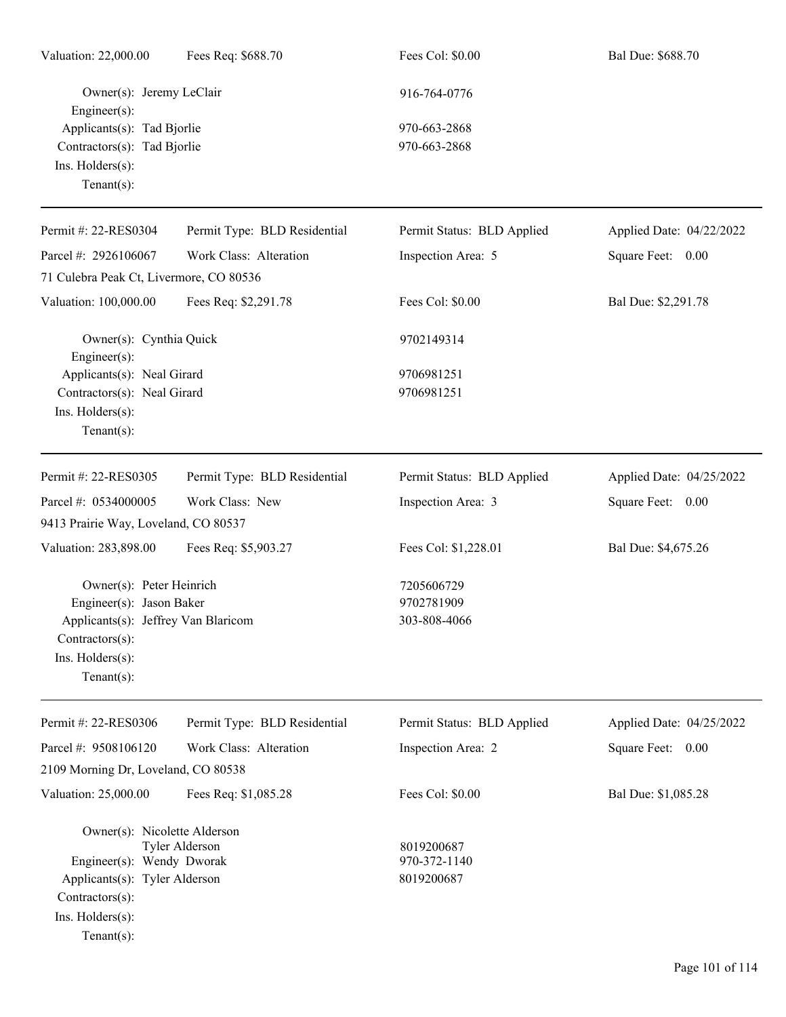| Valuation: 22,000.00                                                                                                                                | Fees Req: \$688.70           | Fees Col: \$0.00                         | Bal Due: \$688.70        |
|-----------------------------------------------------------------------------------------------------------------------------------------------------|------------------------------|------------------------------------------|--------------------------|
| Owner(s): Jeremy LeClair<br>Engineer(s):                                                                                                            |                              | 916-764-0776                             |                          |
| Applicants(s): Tad Bjorlie<br>Contractors(s): Tad Bjorlie<br>Ins. Holders(s):<br>$Tenant(s)$ :                                                      |                              | 970-663-2868<br>970-663-2868             |                          |
| Permit #: 22-RES0304                                                                                                                                | Permit Type: BLD Residential | Permit Status: BLD Applied               | Applied Date: 04/22/2022 |
| Parcel #: 2926106067                                                                                                                                | Work Class: Alteration       | Inspection Area: 5                       | Square Feet: 0.00        |
| 71 Culebra Peak Ct, Livermore, CO 80536                                                                                                             |                              |                                          |                          |
| Valuation: 100,000.00                                                                                                                               | Fees Req: \$2,291.78         | Fees Col: \$0.00                         | Bal Due: \$2,291.78      |
| Owner(s): Cynthia Quick<br>Engineer(s):                                                                                                             |                              | 9702149314                               |                          |
| Applicants(s): Neal Girard<br>Contractors(s): Neal Girard<br>Ins. Holders(s):<br>$Tenant(s)$ :                                                      |                              | 9706981251<br>9706981251                 |                          |
| Permit #: 22-RES0305                                                                                                                                | Permit Type: BLD Residential | Permit Status: BLD Applied               | Applied Date: 04/25/2022 |
| Parcel #: 0534000005                                                                                                                                | Work Class: New              | Inspection Area: 3                       | Square Feet: 0.00        |
| 9413 Prairie Way, Loveland, CO 80537                                                                                                                |                              |                                          |                          |
| Valuation: 283,898.00                                                                                                                               | Fees Req: \$5,903.27         | Fees Col: \$1,228.01                     | Bal Due: \$4,675.26      |
| Owner(s): Peter Heinrich<br>Engineer(s): Jason Baker<br>Applicants(s): Jeffrey Van Blaricom<br>Contractors(s):<br>Ins. Holders(s):<br>$Tenant(s)$ : |                              | 7205606729<br>9702781909<br>303-808-4066 |                          |
| Permit #: 22-RES0306                                                                                                                                | Permit Type: BLD Residential | Permit Status: BLD Applied               | Applied Date: 04/25/2022 |
| Parcel #: 9508106120                                                                                                                                | Work Class: Alteration       | Inspection Area: 2                       | Square Feet:<br>0.00     |
| 2109 Morning Dr, Loveland, CO 80538                                                                                                                 |                              |                                          |                          |
| Valuation: 25,000.00                                                                                                                                | Fees Req: \$1,085.28         | Fees Col: \$0.00                         | Bal Due: \$1,085.28      |
| Owner(s): Nicolette Alderson<br>Engineer(s): Wendy Dworak<br>Applicants(s): Tyler Alderson<br>Contractors(s):<br>Ins. Holders(s):<br>$Tenant(s)$ :  | Tyler Alderson               | 8019200687<br>970-372-1140<br>8019200687 |                          |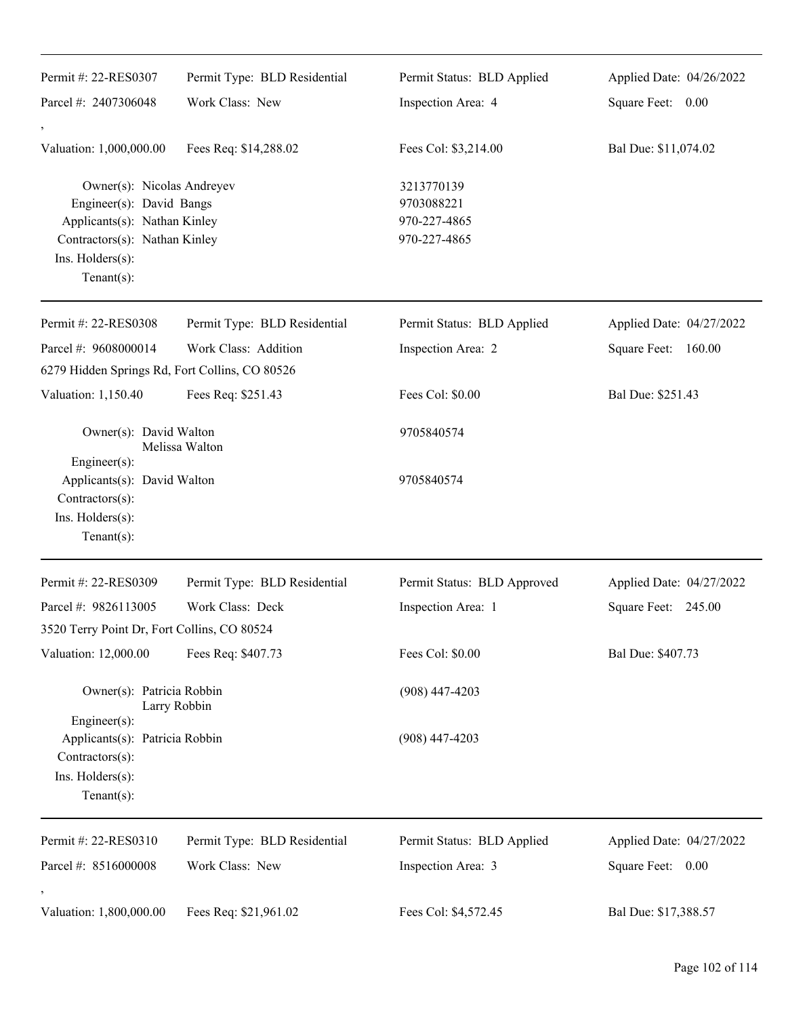| Permit #: 22-RES0307                                                                                                                                          | Permit Type: BLD Residential | Permit Status: BLD Applied                               | Applied Date: 04/26/2022 |
|---------------------------------------------------------------------------------------------------------------------------------------------------------------|------------------------------|----------------------------------------------------------|--------------------------|
| Parcel #: 2407306048                                                                                                                                          | Work Class: New              | Inspection Area: 4                                       | Square Feet: 0.00        |
| $\,$<br>Valuation: 1,000,000.00                                                                                                                               | Fees Req: \$14,288.02        | Fees Col: \$3,214.00                                     | Bal Due: \$11,074.02     |
| Owner(s): Nicolas Andreyev<br>Engineer(s): David Bangs<br>Applicants(s): Nathan Kinley<br>Contractors(s): Nathan Kinley<br>Ins. Holders(s):<br>Tenant $(s)$ : |                              | 3213770139<br>9703088221<br>970-227-4865<br>970-227-4865 |                          |
| Permit #: 22-RES0308                                                                                                                                          | Permit Type: BLD Residential | Permit Status: BLD Applied                               | Applied Date: 04/27/2022 |
| Parcel #: 9608000014<br>6279 Hidden Springs Rd, Fort Collins, CO 80526                                                                                        | Work Class: Addition         | Inspection Area: 2                                       | Square Feet: 160.00      |
| Valuation: 1,150.40                                                                                                                                           | Fees Req: \$251.43           | Fees Col: \$0.00                                         | Bal Due: \$251.43        |
| Owner(s): David Walton<br>Engineer(s):                                                                                                                        | Melissa Walton               | 9705840574                                               |                          |
| Applicants(s): David Walton<br>Contractors(s):<br>Ins. Holders(s):<br>Tenant $(s)$ :                                                                          |                              | 9705840574                                               |                          |
| Permit #: 22-RES0309                                                                                                                                          | Permit Type: BLD Residential | Permit Status: BLD Approved                              | Applied Date: 04/27/2022 |
| Parcel #: 9826113005                                                                                                                                          | Work Class: Deck             | Inspection Area: 1                                       | Square Feet: 245.00      |
| 3520 Terry Point Dr, Fort Collins, CO 80524                                                                                                                   |                              |                                                          |                          |
| Valuation: 12,000.00                                                                                                                                          | Fees Req: \$407.73           | Fees Col: \$0.00                                         | Bal Due: \$407.73        |
| Owner(s): Patricia Robbin                                                                                                                                     | Larry Robbin                 | $(908)$ 447-4203                                         |                          |
| $Engineering(s)$ :<br>Applicants(s): Patricia Robbin<br>Contractors(s):<br>Ins. Holders(s):<br>Tenant $(s)$ :                                                 |                              | $(908)$ 447-4203                                         |                          |
| Permit #: 22-RES0310                                                                                                                                          | Permit Type: BLD Residential | Permit Status: BLD Applied                               | Applied Date: 04/27/2022 |
| Parcel #: 8516000008                                                                                                                                          | Work Class: New              | Inspection Area: 3                                       | Square Feet: 0.00        |
| Valuation: 1,800,000.00                                                                                                                                       | Fees Req: \$21,961.02        | Fees Col: \$4,572.45                                     | Bal Due: \$17,388.57     |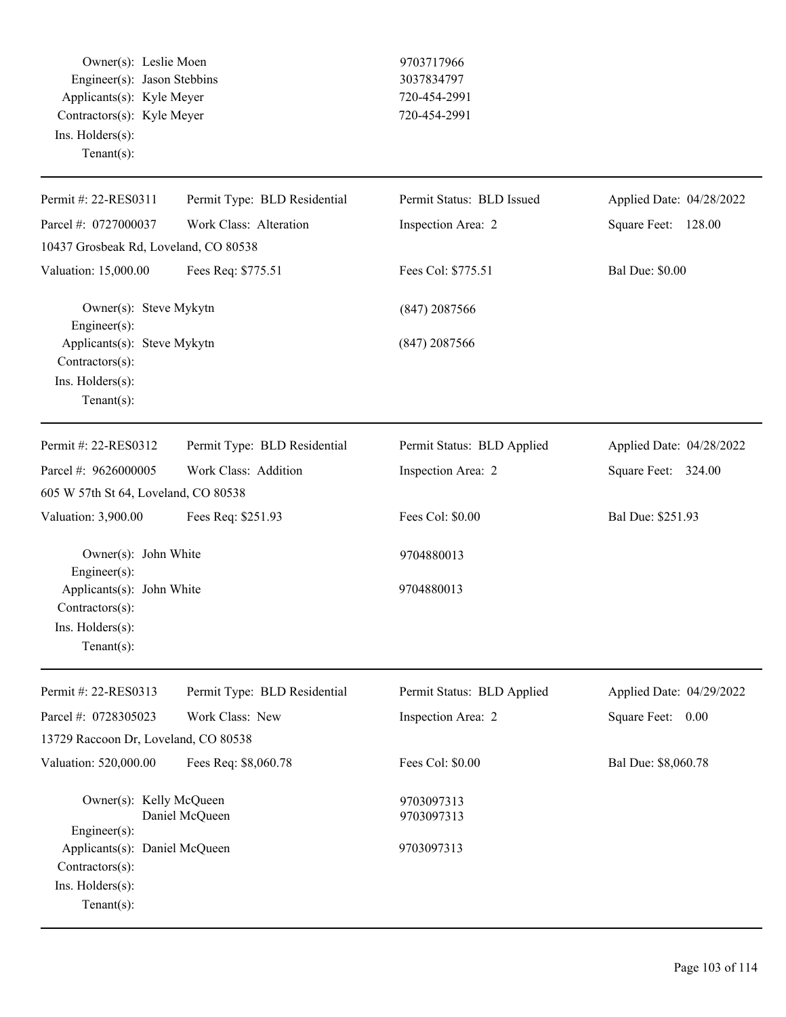Owner(s): Leslie Moen 9703717966 Engineer(s): Jason Stebbins 3037834797 Applicants(s): Kyle Meyer 720-454-2991 Contractors(s): Kyle Meyer 720-454-2991 Ins. Holders(s): Tenant(s):

| Permit #: 22-RES0311                                                                   | Permit Type: BLD Residential | Permit Status: BLD Issued  | Applied Date: 04/28/2022 |
|----------------------------------------------------------------------------------------|------------------------------|----------------------------|--------------------------|
| Parcel #: 0727000037                                                                   | Work Class: Alteration       | Inspection Area: 2         | Square Feet: 128.00      |
| 10437 Grosbeak Rd, Loveland, CO 80538                                                  |                              |                            |                          |
| Valuation: 15,000.00                                                                   | Fees Req: \$775.51           | Fees Col: \$775.51         | <b>Bal Due: \$0.00</b>   |
| Owner(s): Steve Mykytn<br>Engineer(s):                                                 |                              | $(847)$ 2087566            |                          |
| Applicants(s): Steve Mykytn<br>Contractors(s):<br>Ins. Holders(s):<br>Tenant $(s)$ :   |                              | $(847)$ 2087566            |                          |
| Permit #: 22-RES0312                                                                   | Permit Type: BLD Residential | Permit Status: BLD Applied | Applied Date: 04/28/2022 |
| Parcel #: 9626000005                                                                   | Work Class: Addition         | Inspection Area: 2         | Square Feet: 324.00      |
| 605 W 57th St 64, Loveland, CO 80538                                                   |                              |                            |                          |
| Valuation: 3,900.00                                                                    | Fees Req: \$251.93           | Fees Col: \$0.00           | Bal Due: \$251.93        |
| Owner(s): John White<br>Engineer(s):                                                   |                              | 9704880013                 |                          |
| Applicants(s): John White<br>Contractors(s):<br>Ins. Holders(s):<br>$Tenant(s)$ :      |                              | 9704880013                 |                          |
| Permit #: 22-RES0313                                                                   | Permit Type: BLD Residential | Permit Status: BLD Applied | Applied Date: 04/29/2022 |
| Parcel #: 0728305023                                                                   | Work Class: New              | Inspection Area: 2         | Square Feet: 0.00        |
| 13729 Raccoon Dr, Loveland, CO 80538                                                   |                              |                            |                          |
| Valuation: 520,000.00                                                                  | Fees Req: \$8,060.78         | Fees Col: \$0.00           | Bal Due: \$8,060.78      |
| Owner(s): Kelly McQueen<br>Engineer(s):                                                | Daniel McQueen               | 9703097313<br>9703097313   |                          |
| Applicants(s): Daniel McQueen<br>Contractors(s):<br>Ins. Holders(s):<br>Tenant $(s)$ : |                              | 9703097313                 |                          |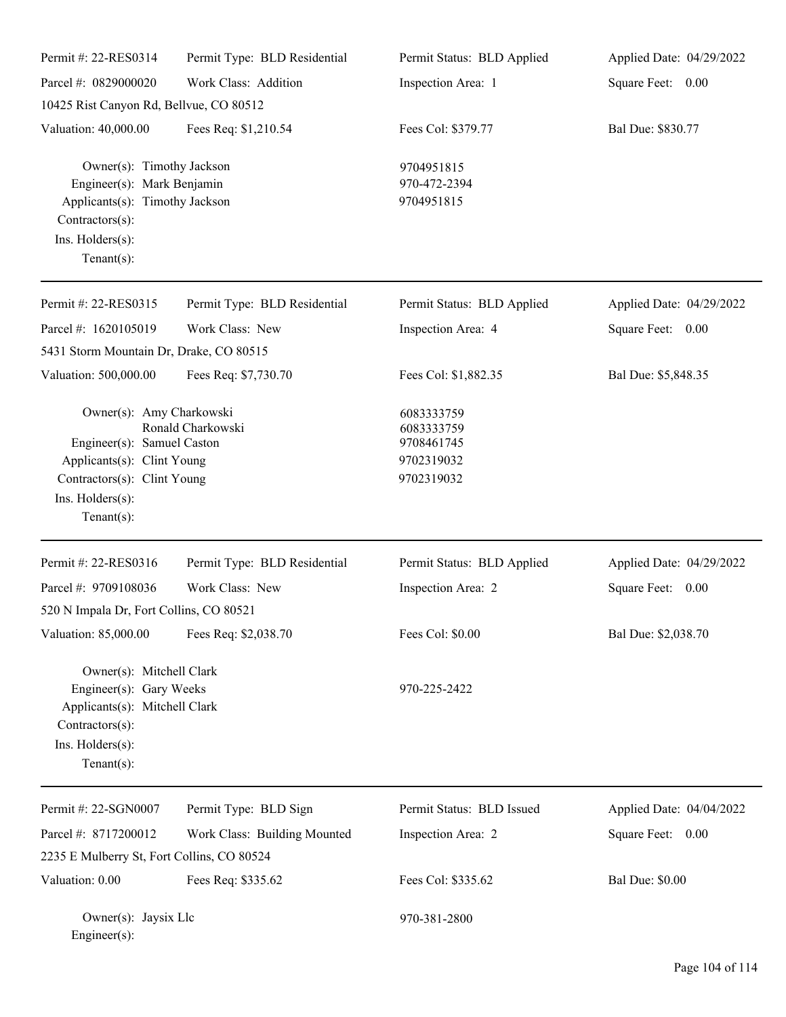| Permit #: 22-RES0314                                                                                                                                     | Permit Type: BLD Residential | Permit Status: BLD Applied                                         | Applied Date: 04/29/2022 |
|----------------------------------------------------------------------------------------------------------------------------------------------------------|------------------------------|--------------------------------------------------------------------|--------------------------|
| Parcel #: 0829000020                                                                                                                                     | Work Class: Addition         | Inspection Area: 1                                                 | Square Feet: 0.00        |
| 10425 Rist Canyon Rd, Bellvue, CO 80512                                                                                                                  |                              |                                                                    |                          |
| Valuation: 40,000.00                                                                                                                                     | Fees Req: \$1,210.54         | Fees Col: \$379.77                                                 | Bal Due: \$830.77        |
| Owner(s): Timothy Jackson<br>Engineer(s): Mark Benjamin<br>Applicants(s): Timothy Jackson<br>Contractors(s):<br>Ins. Holders(s):<br>Tenant $(s)$ :       |                              | 9704951815<br>970-472-2394<br>9704951815                           |                          |
| Permit #: 22-RES0315                                                                                                                                     | Permit Type: BLD Residential | Permit Status: BLD Applied                                         | Applied Date: 04/29/2022 |
| Parcel #: 1620105019                                                                                                                                     | Work Class: New              | Inspection Area: 4                                                 | Square Feet: 0.00        |
| 5431 Storm Mountain Dr, Drake, CO 80515                                                                                                                  |                              |                                                                    |                          |
| Valuation: 500,000.00                                                                                                                                    | Fees Req: \$7,730.70         | Fees Col: \$1,882.35                                               | Bal Due: \$5,848.35      |
| Owner(s): Amy Charkowski<br>Engineer(s): Samuel Caston<br>Applicants(s): Clint Young<br>Contractors(s): Clint Young<br>Ins. Holders(s):<br>$Tenant(s)$ : | Ronald Charkowski            | 6083333759<br>6083333759<br>9708461745<br>9702319032<br>9702319032 |                          |
| Permit #: 22-RES0316                                                                                                                                     | Permit Type: BLD Residential | Permit Status: BLD Applied                                         | Applied Date: 04/29/2022 |
| Parcel #: 9709108036                                                                                                                                     | Work Class: New              | Inspection Area: 2                                                 | Square Feet:<br>$0.00\,$ |
| 520 N Impala Dr, Fort Collins, CO 80521                                                                                                                  |                              |                                                                    |                          |
| Valuation: 85,000.00                                                                                                                                     | Fees Req: \$2,038.70         | Fees Col: \$0.00                                                   | Bal Due: \$2,038.70      |
| Owner(s): Mitchell Clark<br>Engineer(s): Gary Weeks<br>Applicants(s): Mitchell Clark<br>$Contractors(s)$ :<br>Ins. Holders(s):<br>$Tenant(s)$ :          |                              | 970-225-2422                                                       |                          |
| Permit #: 22-SGN0007                                                                                                                                     | Permit Type: BLD Sign        | Permit Status: BLD Issued                                          | Applied Date: 04/04/2022 |
| Parcel #: 8717200012                                                                                                                                     | Work Class: Building Mounted | Inspection Area: 2                                                 | Square Feet: 0.00        |
| 2235 E Mulberry St, Fort Collins, CO 80524                                                                                                               |                              |                                                                    |                          |
| Valuation: 0.00                                                                                                                                          | Fees Req: \$335.62           | Fees Col: \$335.62                                                 | <b>Bal Due: \$0.00</b>   |
| Owner(s): Jaysix Llc<br>$Engineer(s)$ :                                                                                                                  |                              | 970-381-2800                                                       |                          |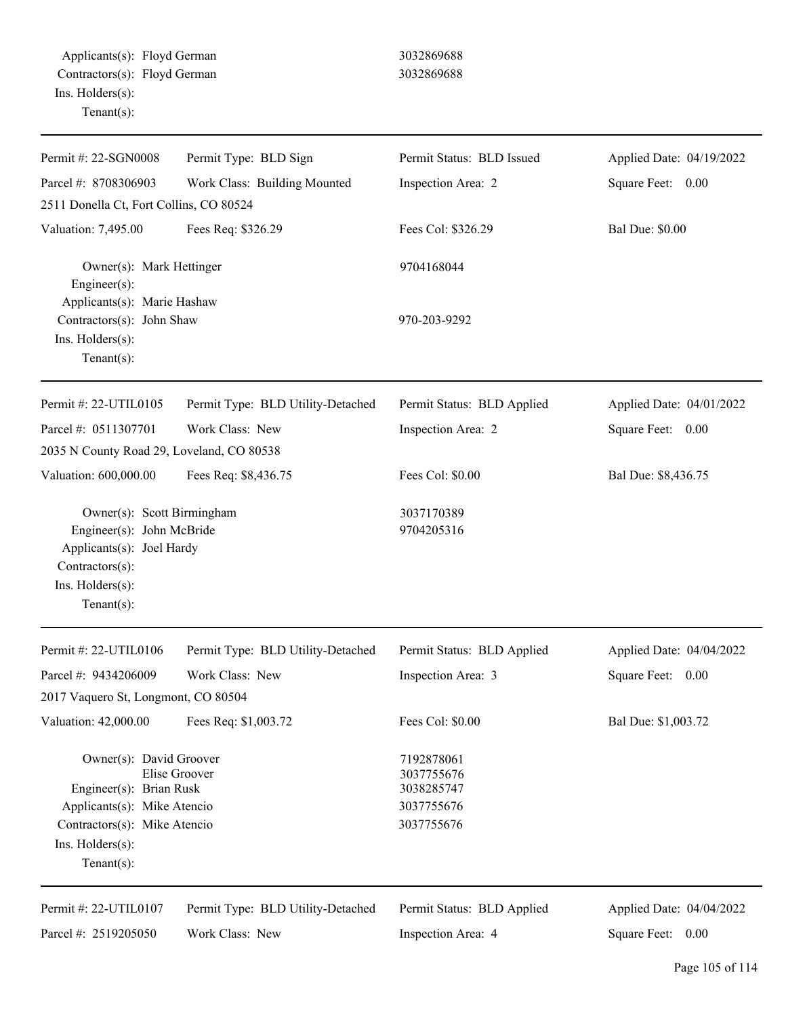| Permit #: 22-SGN0008                                                                                                                                    | Permit Type: BLD Sign             | Permit Status: BLD Issued                                          | Applied Date: 04/19/2022 |
|---------------------------------------------------------------------------------------------------------------------------------------------------------|-----------------------------------|--------------------------------------------------------------------|--------------------------|
| Parcel #: 8708306903                                                                                                                                    | Work Class: Building Mounted      | Inspection Area: 2                                                 | Square Feet: 0.00        |
| 2511 Donella Ct, Fort Collins, CO 80524                                                                                                                 |                                   |                                                                    |                          |
| Valuation: 7,495.00                                                                                                                                     | Fees Req: \$326.29                | Fees Col: \$326.29                                                 | <b>Bal Due: \$0.00</b>   |
| Owner(s): Mark Hettinger<br>Engineer $(s)$ :<br>Applicants(s): Marie Hashaw                                                                             |                                   | 9704168044                                                         |                          |
| Contractors(s): John Shaw<br>Ins. Holders(s):<br>$Tenant(s)$ :                                                                                          |                                   | 970-203-9292                                                       |                          |
| Permit #: 22-UTIL0105                                                                                                                                   | Permit Type: BLD Utility-Detached | Permit Status: BLD Applied                                         | Applied Date: 04/01/2022 |
| Parcel #: 0511307701                                                                                                                                    | Work Class: New                   | Inspection Area: 2                                                 | Square Feet: 0.00        |
| 2035 N County Road 29, Loveland, CO 80538                                                                                                               |                                   |                                                                    |                          |
| Valuation: 600,000.00                                                                                                                                   | Fees Req: \$8,436.75              | Fees Col: \$0.00                                                   | Bal Due: \$8,436.75      |
| Owner(s): Scott Birmingham<br>Engineer(s): John McBride<br>Applicants(s): Joel Hardy<br>Contractors(s):<br>Ins. Holders(s):<br>Tenant $(s)$ :           |                                   | 3037170389<br>9704205316                                           |                          |
| Permit #: 22-UTIL0106                                                                                                                                   | Permit Type: BLD Utility-Detached | Permit Status: BLD Applied                                         | Applied Date: 04/04/2022 |
| Parcel #: 9434206009                                                                                                                                    | Work Class: New                   | Inspection Area: 3                                                 | Square Feet:<br>0.00     |
| 2017 Vaquero St, Longmont, CO 80504                                                                                                                     |                                   |                                                                    |                          |
| Valuation: 42,000.00                                                                                                                                    | Fees Req: \$1,003.72              | Fees Col: \$0.00                                                   | Bal Due: \$1,003.72      |
| Owner(s): David Groover<br>Engineer(s): Brian Rusk<br>Applicants(s): Mike Atencio<br>Contractors(s): Mike Atencio<br>Ins. Holders(s):<br>Tenant $(s)$ : | Elise Groover                     | 7192878061<br>3037755676<br>3038285747<br>3037755676<br>3037755676 |                          |
| Permit #: 22-UTIL0107                                                                                                                                   | Permit Type: BLD Utility-Detached | Permit Status: BLD Applied                                         | Applied Date: 04/04/2022 |
| Parcel #: 2519205050                                                                                                                                    | Work Class: New                   | Inspection Area: 4                                                 | Square Feet: 0.00        |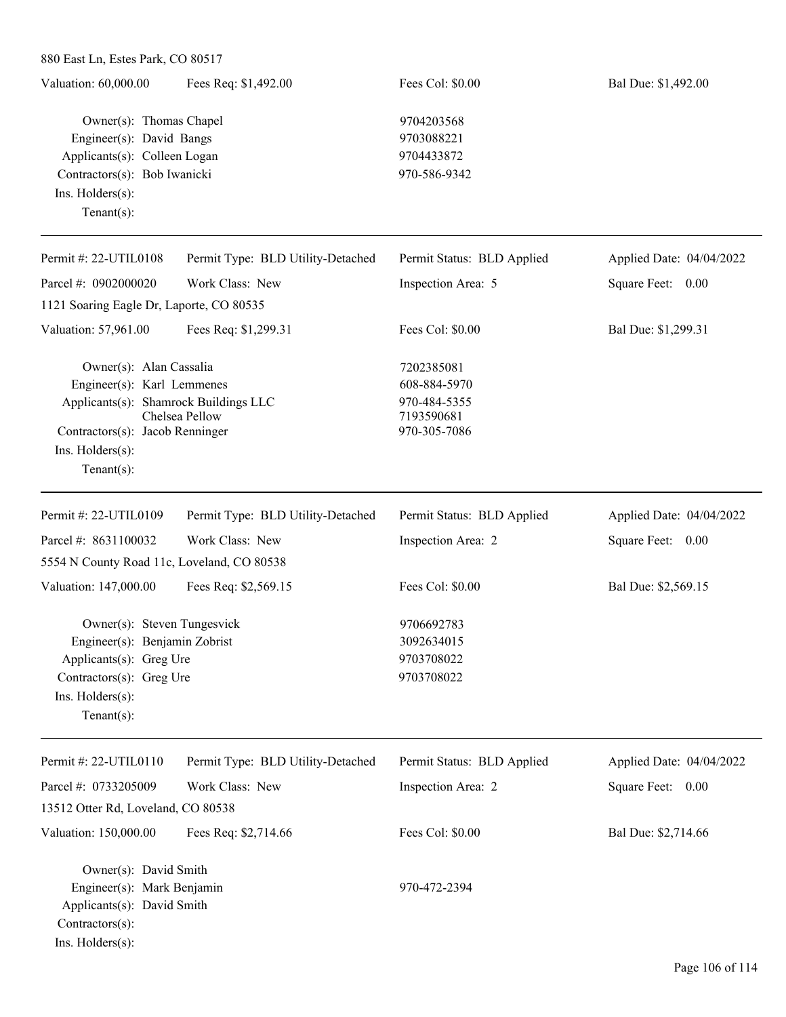| Valuation: 60,000.00                                                                                                                                                    | Fees Req: \$1,492.00              | Fees Col: \$0.00                                                         | Bal Due: \$1,492.00      |
|-------------------------------------------------------------------------------------------------------------------------------------------------------------------------|-----------------------------------|--------------------------------------------------------------------------|--------------------------|
| Owner(s): Thomas Chapel<br>Engineer(s): David Bangs<br>Applicants(s): Colleen Logan<br>Contractors(s): Bob Iwanicki<br>Ins. Holders(s):<br>Tenant $(s)$ :               |                                   | 9704203568<br>9703088221<br>9704433872<br>970-586-9342                   |                          |
| Permit #: $22$ -UTIL0108                                                                                                                                                | Permit Type: BLD Utility-Detached | Permit Status: BLD Applied                                               | Applied Date: 04/04/2022 |
| Parcel #: 0902000020                                                                                                                                                    | Work Class: New                   | Inspection Area: 5                                                       | Square Feet: 0.00        |
| 1121 Soaring Eagle Dr, Laporte, CO 80535                                                                                                                                |                                   |                                                                          |                          |
| Valuation: 57,961.00                                                                                                                                                    | Fees Req: \$1,299.31              | Fees Col: \$0.00                                                         | Bal Due: \$1,299.31      |
| Owner(s): Alan Cassalia<br>Engineer(s): Karl Lemmenes<br>Applicants(s): Shamrock Buildings LLC<br>Contractors(s): Jacob Renninger<br>Ins. Holders(s):<br>Tenant $(s)$ : | Chelsea Pellow                    | 7202385081<br>608-884-5970<br>970-484-5355<br>7193590681<br>970-305-7086 |                          |
| Permit #: 22-UTIL0109                                                                                                                                                   | Permit Type: BLD Utility-Detached | Permit Status: BLD Applied                                               | Applied Date: 04/04/2022 |
| Parcel #: 8631100032                                                                                                                                                    | Work Class: New                   | Inspection Area: 2                                                       | Square Feet: 0.00        |
| 5554 N County Road 11c, Loveland, CO 80538                                                                                                                              |                                   |                                                                          |                          |
| Valuation: 147,000.00                                                                                                                                                   | Fees Req: \$2,569.15              | Fees Col: \$0.00                                                         | Bal Due: \$2,569.15      |
| Owner(s): Steven Tungesvick<br>Engineer(s): Benjamin Zobrist<br>Applicants(s): Greg Ure<br>Contractors(s): Greg Ure<br>Ins. Holders(s):<br>Tenant $(s)$ :               |                                   | 9706692783<br>3092634015<br>9703708022<br>9703708022                     |                          |
| Permit #: 22-UTIL0110                                                                                                                                                   | Permit Type: BLD Utility-Detached | Permit Status: BLD Applied                                               | Applied Date: 04/04/2022 |
| Parcel #: 0733205009                                                                                                                                                    | Work Class: New                   | Inspection Area: 2                                                       | Square Feet: 0.00        |
| 13512 Otter Rd, Loveland, CO 80538                                                                                                                                      |                                   |                                                                          |                          |
| Valuation: 150,000.00                                                                                                                                                   | Fees Req: \$2,714.66              | Fees Col: \$0.00                                                         | Bal Due: \$2,714.66      |
| Owner(s): David Smith<br>Engineer(s): Mark Benjamin<br>Applicants(s): David Smith<br>Contractors(s):                                                                    |                                   | 970-472-2394                                                             |                          |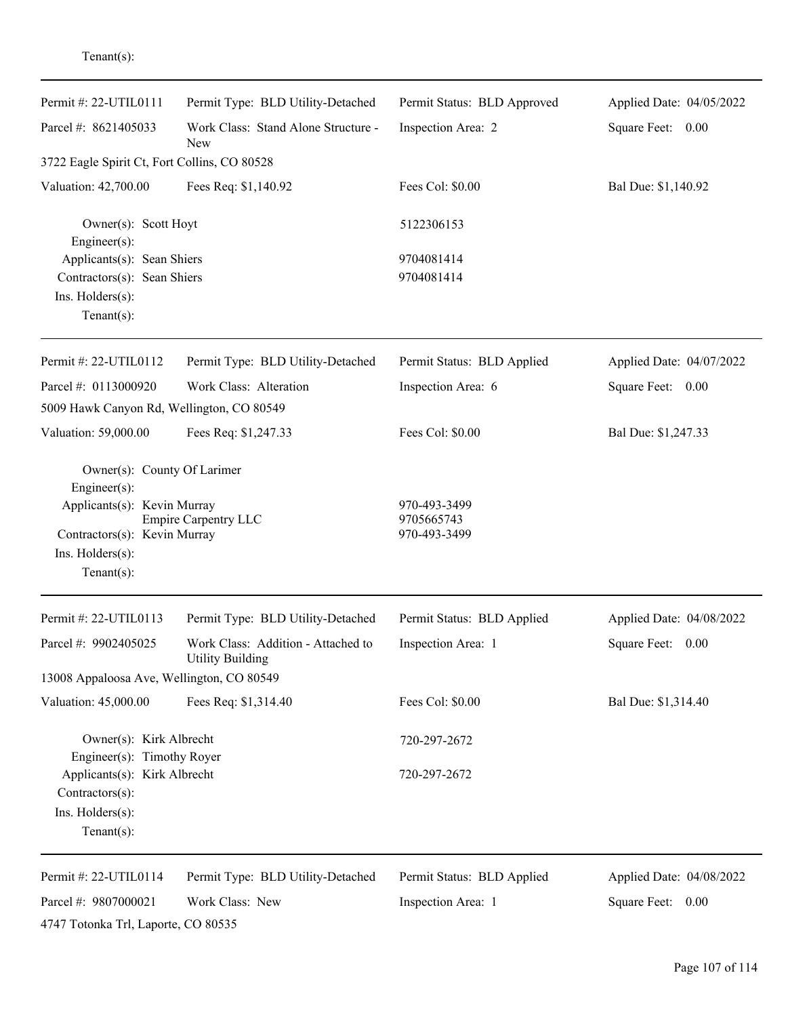Tenant(s):

| Permit #: 22-UTIL0111                                                                             | Permit Type: BLD Utility-Detached                             | Permit Status: BLD Approved                | Applied Date: 04/05/2022 |
|---------------------------------------------------------------------------------------------------|---------------------------------------------------------------|--------------------------------------------|--------------------------|
| Parcel #: 8621405033                                                                              | Work Class: Stand Alone Structure -<br><b>New</b>             | Inspection Area: 2                         | Square Feet: 0.00        |
| 3722 Eagle Spirit Ct, Fort Collins, CO 80528                                                      |                                                               |                                            |                          |
| Valuation: 42,700.00                                                                              | Fees Req: \$1,140.92                                          | Fees Col: \$0.00                           | Bal Due: \$1,140.92      |
| Owner(s): Scott Hoyt<br>Engineer(s):                                                              |                                                               | 5122306153                                 |                          |
| Applicants(s): Sean Shiers<br>Contractors(s): Sean Shiers<br>Ins. Holders(s):<br>Tenant $(s)$ :   |                                                               | 9704081414<br>9704081414                   |                          |
| Permit #: 22-UTIL0112                                                                             | Permit Type: BLD Utility-Detached                             | Permit Status: BLD Applied                 | Applied Date: 04/07/2022 |
| Parcel #: 0113000920<br>5009 Hawk Canyon Rd, Wellington, CO 80549                                 | Work Class: Alteration                                        | Inspection Area: 6                         | Square Feet: 0.00        |
| Valuation: 59,000.00                                                                              | Fees Req: \$1,247.33                                          | Fees Col: \$0.00                           | Bal Due: \$1,247.33      |
| Owner(s): County Of Larimer<br>Engineer(s):                                                       |                                                               |                                            |                          |
| Applicants(s): Kevin Murray<br>Contractors(s): Kevin Murray<br>Ins. Holders(s):<br>Tenant $(s)$ : | <b>Empire Carpentry LLC</b>                                   | 970-493-3499<br>9705665743<br>970-493-3499 |                          |
| Permit #: 22-UTIL0113                                                                             | Permit Type: BLD Utility-Detached                             | Permit Status: BLD Applied                 | Applied Date: 04/08/2022 |
| Parcel #: 9902405025                                                                              | Work Class: Addition - Attached to<br><b>Utility Building</b> | Inspection Area: 1                         | Square Feet: 0.00        |
| 13008 Appaloosa Ave, Wellington, CO 80549                                                         |                                                               |                                            |                          |
| Valuation: 45,000.00                                                                              | Fees Req: \$1,314.40                                          | Fees Col: \$0.00                           | Bal Due: \$1,314.40      |
| Owner(s): Kirk Albrecht<br>Engineer(s): Timothy Royer                                             |                                                               | 720-297-2672                               |                          |
| Applicants(s): Kirk Albrecht<br>Contractors(s):<br>Ins. Holders(s):                               |                                                               | 720-297-2672                               |                          |
| Tenant $(s)$ :                                                                                    |                                                               |                                            |                          |
| Permit #: 22-UTIL0114                                                                             | Permit Type: BLD Utility-Detached                             | Permit Status: BLD Applied                 | Applied Date: 04/08/2022 |
| Parcel #: 9807000021                                                                              | Work Class: New                                               | Inspection Area: 1                         | Square Feet:<br>0.00     |
| 4747 Totonka Trl, Laporte, CO 80535                                                               |                                                               |                                            |                          |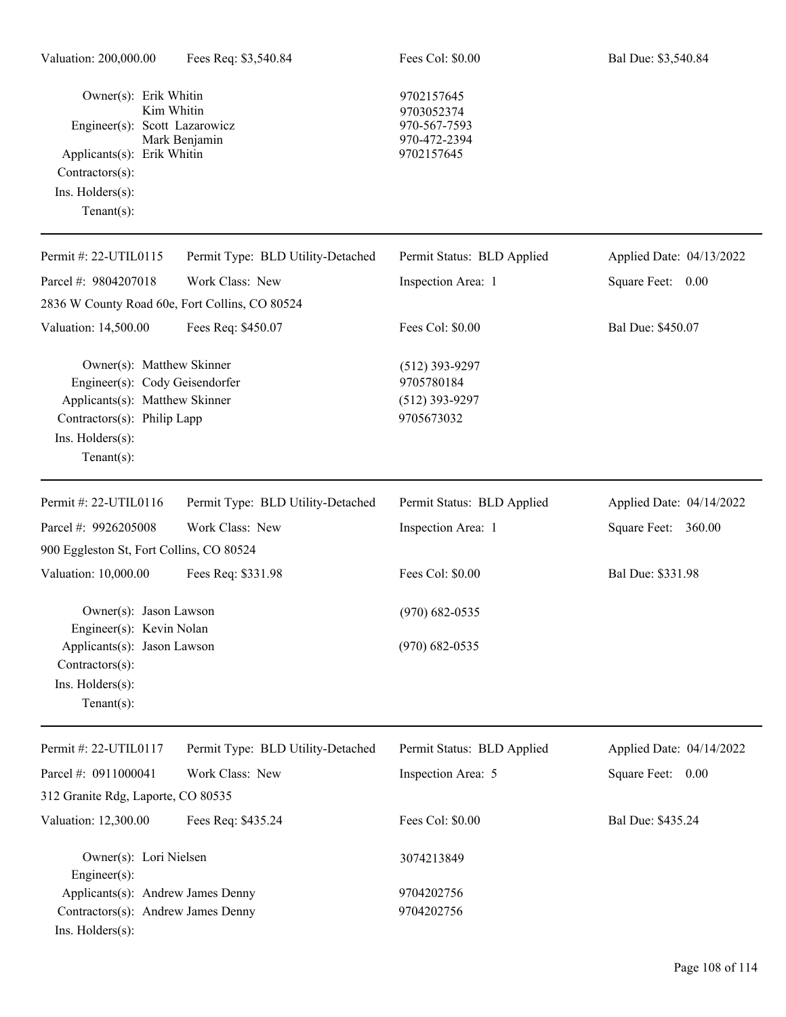| Owner(s): Erik Whitin<br>Engineer(s): Scott Lazarowicz<br>Applicants(s): Erik Whitin<br>Contractors(s):<br>Ins. Holders(s):<br>$Tenant(s)$ : | Kim Whitin<br>Mark Benjamin                                             | 9702157645<br>9703052374<br>970-567-7593<br>970-472-2394<br>9702157645 |                          |
|----------------------------------------------------------------------------------------------------------------------------------------------|-------------------------------------------------------------------------|------------------------------------------------------------------------|--------------------------|
| Permit #: 22-UTIL0115                                                                                                                        | Permit Type: BLD Utility-Detached                                       | Permit Status: BLD Applied                                             | Applied Date: 04/13/2022 |
| Parcel #: 9804207018                                                                                                                         | Work Class: New                                                         | Inspection Area: 1                                                     | Square Feet: 0.00        |
|                                                                                                                                              | 2836 W County Road 60e, Fort Collins, CO 80524                          |                                                                        |                          |
| Valuation: 14,500.00                                                                                                                         | Fees Req: \$450.07                                                      | Fees Col: \$0.00                                                       | Bal Due: \$450.07        |
| Applicants(s): Matthew Skinner<br>Contractors(s): Philip Lapp<br>Ins. Holders(s):<br>$Tenant(s)$ :                                           | Owner(s): Matthew Skinner<br>Engineer(s): Cody Geisendorfer             | $(512)$ 393-9297<br>9705780184<br>$(512)$ 393-9297<br>9705673032       |                          |
| Permit #: 22-UTIL0116                                                                                                                        | Permit Type: BLD Utility-Detached                                       | Permit Status: BLD Applied                                             | Applied Date: 04/14/2022 |
| Parcel #: 9926205008                                                                                                                         | Work Class: New                                                         | Inspection Area: 1                                                     | Square Feet: 360.00      |
| 900 Eggleston St, Fort Collins, CO 80524                                                                                                     |                                                                         |                                                                        |                          |
| Valuation: 10,000.00                                                                                                                         | Fees Req: \$331.98                                                      | Fees Col: \$0.00                                                       | Bal Due: \$331.98        |
| Owner(s): Jason Lawson<br>Engineer(s): Kevin Nolan                                                                                           |                                                                         | $(970) 682 - 0535$                                                     |                          |
| Applicants(s): Jason Lawson<br>Contractors(s):<br>Ins. Holders(s):<br>$Tenant(s)$ :                                                          |                                                                         | $(970) 682 - 0535$                                                     |                          |
| Permit #: 22-UTIL0117                                                                                                                        | Permit Type: BLD Utility-Detached                                       | Permit Status: BLD Applied                                             | Applied Date: 04/14/2022 |
| Parcel #: 0911000041                                                                                                                         | Work Class: New                                                         | Inspection Area: 5                                                     | Square Feet: 0.00        |
| 312 Granite Rdg, Laporte, CO 80535                                                                                                           |                                                                         |                                                                        |                          |
| Valuation: 12,300.00                                                                                                                         | Fees Req: \$435.24                                                      | Fees Col: \$0.00                                                       | Bal Due: \$435.24        |
| Owner(s): Lori Nielsen<br>Engineer(s):                                                                                                       |                                                                         | 3074213849                                                             |                          |
| Ins. Holders(s):                                                                                                                             | Applicants(s): Andrew James Denny<br>Contractors(s): Andrew James Denny | 9704202756<br>9704202756                                               |                          |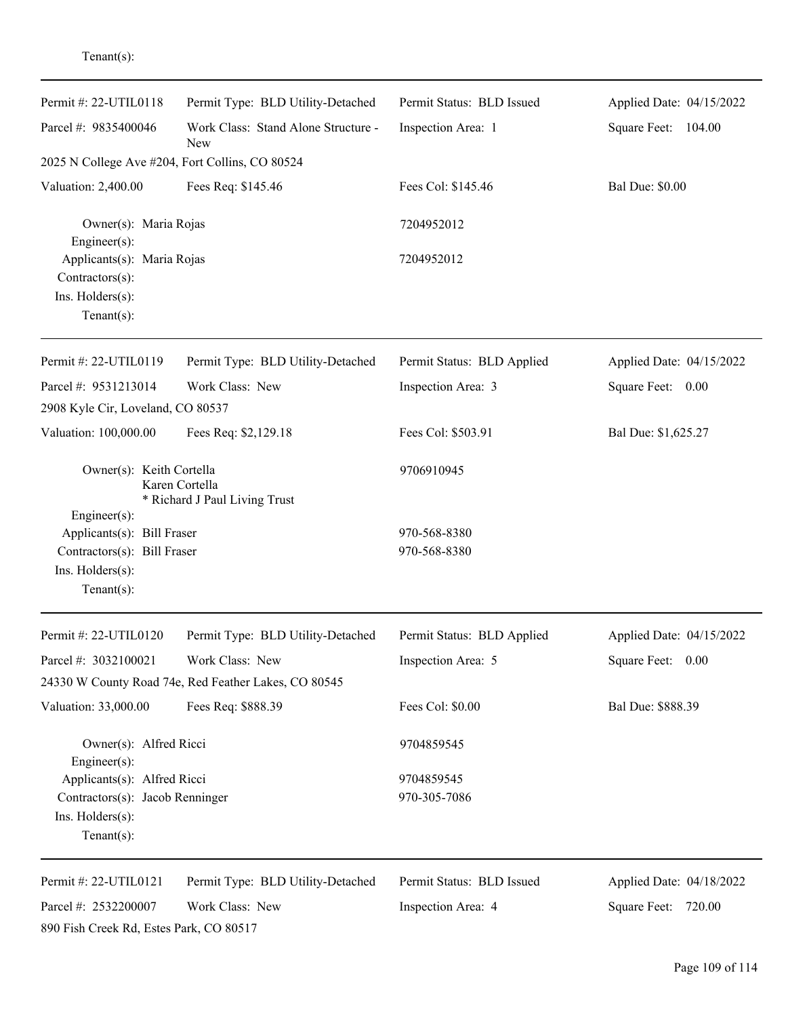| enant(s) |  |
|----------|--|
|          |  |
|          |  |

| Permit #: 22-UTIL0118                                                                                | Permit Type: BLD Utility-Detached                    | Permit Status: BLD Issued                       | Applied Date: 04/15/2022                        |  |
|------------------------------------------------------------------------------------------------------|------------------------------------------------------|-------------------------------------------------|-------------------------------------------------|--|
| Parcel #: 9835400046<br>Work Class: Stand Alone Structure -<br><b>New</b>                            |                                                      | Inspection Area: 1<br>Square Feet: 104.00       |                                                 |  |
| 2025 N College Ave #204, Fort Collins, CO 80524                                                      |                                                      |                                                 |                                                 |  |
| Valuation: 2,400.00                                                                                  | Fees Req: \$145.46                                   | Fees Col: \$145.46                              | <b>Bal Due: \$0.00</b>                          |  |
| Owner(s): Maria Rojas<br>Engineer(s):                                                                |                                                      | 7204952012                                      |                                                 |  |
| Applicants(s): Maria Rojas<br>Contractors(s):<br>Ins. Holders(s):<br>Tenant $(s)$ :                  |                                                      | 7204952012                                      |                                                 |  |
| Permit #: 22-UTIL0119                                                                                | Permit Type: BLD Utility-Detached                    | Permit Status: BLD Applied                      | Applied Date: 04/15/2022                        |  |
| Parcel #: 9531213014<br>2908 Kyle Cir, Loveland, CO 80537                                            | Work Class: New                                      | Inspection Area: 3                              | Square Feet: 0.00                               |  |
| Valuation: 100,000.00                                                                                | Fees Req: \$2,129.18                                 | Fees Col: \$503.91                              | Bal Due: \$1,625.27                             |  |
| Owner(s): Keith Cortella<br>Karen Cortella<br>* Richard J Paul Living Trust<br>$Engineering(s)$ :    |                                                      | 9706910945                                      |                                                 |  |
| Applicants(s): Bill Fraser<br>Contractors(s): Bill Fraser<br>Ins. Holders(s):<br>Tenant $(s)$ :      |                                                      | 970-568-8380<br>970-568-8380                    |                                                 |  |
| Permit #: 22-UTIL0120                                                                                | Permit Type: BLD Utility-Detached                    | Permit Status: BLD Applied                      | Applied Date: 04/15/2022                        |  |
| Parcel #: 3032100021                                                                                 | Work Class: New                                      | Inspection Area: 5                              | Square Feet: 0.00                               |  |
| 24330 W County Road 74e, Red Feather Lakes, CO 80545                                                 |                                                      |                                                 |                                                 |  |
| Valuation: 33,000.00                                                                                 | Fees Req: \$888.39                                   | Fees Col: \$0.00                                | Bal Due: \$888.39                               |  |
| Owner(s): Alfred Ricci<br>Engineer(s):                                                               |                                                      | 9704859545                                      |                                                 |  |
| Applicants(s): Alfred Ricci<br>Contractors(s): Jacob Renninger<br>Ins. Holders(s):<br>Tenant $(s)$ : |                                                      | 9704859545<br>970-305-7086                      |                                                 |  |
| Permit #: 22-UTIL0121<br>Parcel #: 2532200007<br>890 Fish Creek Rd, Estes Park, CO 80517             | Permit Type: BLD Utility-Detached<br>Work Class: New | Permit Status: BLD Issued<br>Inspection Area: 4 | Applied Date: 04/18/2022<br>Square Feet: 720.00 |  |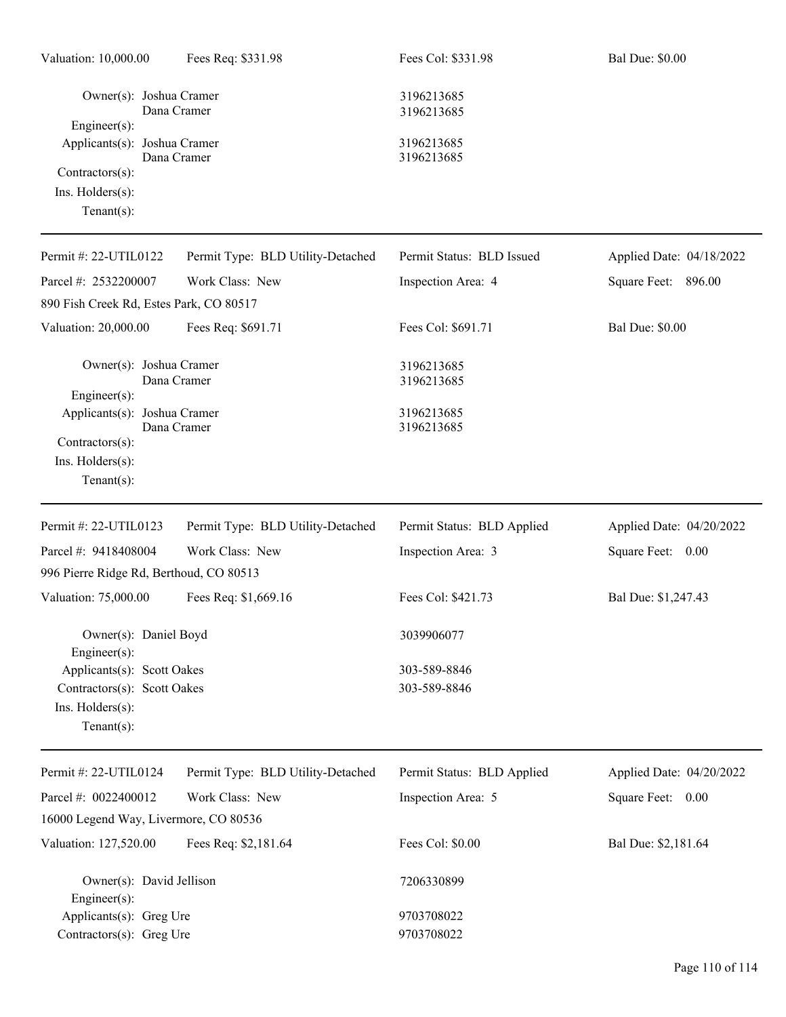| Valuation: 10,000.00                          | Fees Req: \$331.98                | Fees Col: \$331.98         | <b>Bal Due: \$0.00</b>   |
|-----------------------------------------------|-----------------------------------|----------------------------|--------------------------|
| Owner(s): Joshua Cramer<br>$Engineering(s)$ : | Dana Cramer                       | 3196213685<br>3196213685   |                          |
| Applicants(s): Joshua Cramer                  | Dana Cramer                       | 3196213685<br>3196213685   |                          |
| Contractors(s):                               |                                   |                            |                          |
| Ins. Holders(s):                              |                                   |                            |                          |
| $Tenant(s)$ :                                 |                                   |                            |                          |
| Permit #: 22-UTIL0122                         | Permit Type: BLD Utility-Detached | Permit Status: BLD Issued  | Applied Date: 04/18/2022 |
| Parcel #: 2532200007                          | Work Class: New                   | Inspection Area: 4         | Square Feet: 896.00      |
| 890 Fish Creek Rd, Estes Park, CO 80517       |                                   |                            |                          |
| Valuation: 20,000.00                          | Fees Req: \$691.71                | Fees Col: \$691.71         | <b>Bal Due: \$0.00</b>   |
| Owner(s): Joshua Cramer<br>Engineer(s):       | Dana Cramer                       | 3196213685<br>3196213685   |                          |
| Applicants(s): Joshua Cramer                  |                                   | 3196213685                 |                          |
| Contractors(s):                               | Dana Cramer                       | 3196213685                 |                          |
| Ins. Holders(s):                              |                                   |                            |                          |
| $Tenant(s)$ :                                 |                                   |                            |                          |
|                                               |                                   |                            |                          |
| Permit #: 22-UTIL0123                         | Permit Type: BLD Utility-Detached | Permit Status: BLD Applied | Applied Date: 04/20/2022 |
| Parcel #: 9418408004                          | Work Class: New                   | Inspection Area: 3         | Square Feet: 0.00        |
| 996 Pierre Ridge Rd, Berthoud, CO 80513       |                                   |                            |                          |
| Valuation: 75,000.00                          | Fees Req: \$1,669.16              | Fees Col: \$421.73         | Bal Due: \$1,247.43      |
| Owner(s): Daniel Boyd<br>Engineer(s):         |                                   | 3039906077                 |                          |
| Applicants(s): Scott Oakes                    |                                   | 303-589-8846               |                          |
| Contractors(s): Scott Oakes                   |                                   | 303-589-8846               |                          |
| Ins. Holders(s):<br>Tenant $(s)$ :            |                                   |                            |                          |
| Permit #: 22-UTIL0124                         | Permit Type: BLD Utility-Detached | Permit Status: BLD Applied | Applied Date: 04/20/2022 |
| Parcel #: 0022400012                          | Work Class: New                   | Inspection Area: 5         | Square Feet: 0.00        |
| 16000 Legend Way, Livermore, CO 80536         |                                   |                            |                          |
| Valuation: 127,520.00                         | Fees Req: \$2,181.64              | Fees Col: \$0.00           | Bal Due: \$2,181.64      |
| Owner(s): David Jellison<br>Engineer(s):      |                                   | 7206330899                 |                          |
| Applicants(s): Greg Ure                       |                                   | 9703708022                 |                          |
| Contractors(s): Greg Ure                      |                                   | 9703708022                 |                          |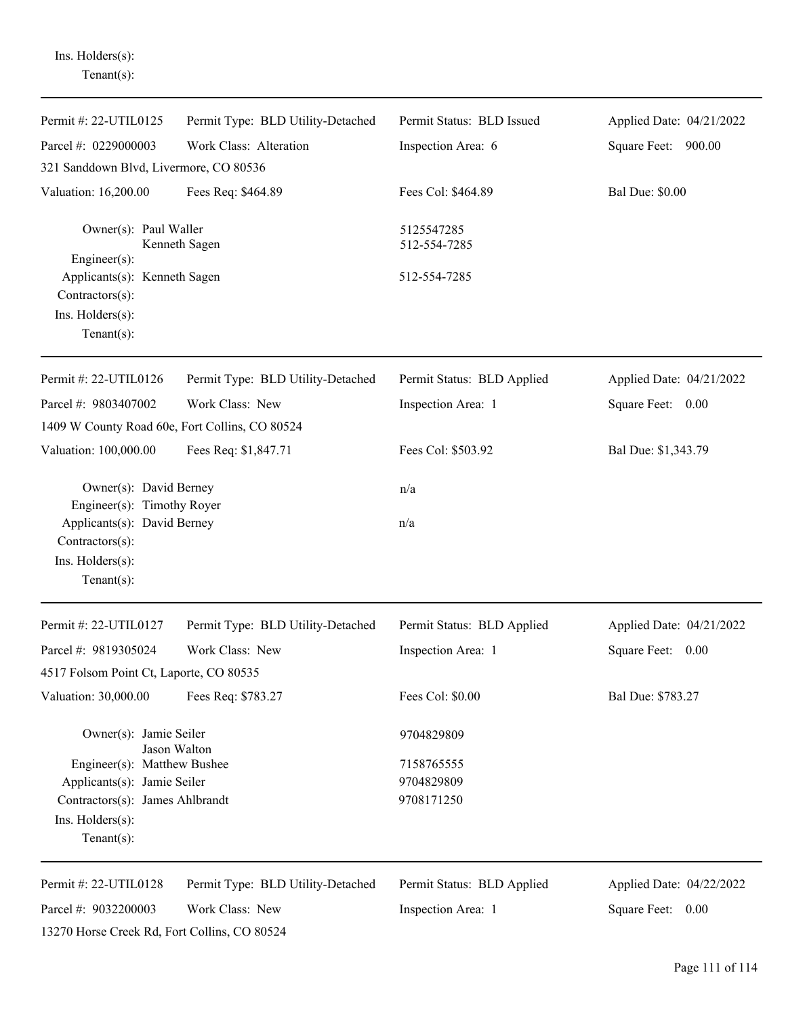Ins. Holders(s): Tenant(s):

| Permit #: 22-UTIL0125                                                                                         | Permit Type: BLD Utility-Detached | Permit Status: BLD Issued  | Applied Date: 04/21/2022 |
|---------------------------------------------------------------------------------------------------------------|-----------------------------------|----------------------------|--------------------------|
| Parcel #: 0229000003                                                                                          | Work Class: Alteration            | Inspection Area: 6         | Square Feet:<br>900.00   |
| 321 Sanddown Blvd, Livermore, CO 80536                                                                        |                                   |                            |                          |
| Valuation: 16,200.00                                                                                          | Fees Req: \$464.89                | Fees Col: \$464.89         | <b>Bal Due: \$0.00</b>   |
| Owner(s): Paul Waller<br>Engineer(s):                                                                         | Kenneth Sagen                     | 5125547285<br>512-554-7285 |                          |
| Applicants(s): Kenneth Sagen<br>Contractors(s):<br>Ins. Holders(s):<br>Tenant $(s)$ :                         |                                   | 512-554-7285               |                          |
| Permit #: 22-UTIL0126                                                                                         | Permit Type: BLD Utility-Detached | Permit Status: BLD Applied | Applied Date: 04/21/2022 |
| Parcel #: 9803407002<br>1409 W County Road 60e, Fort Collins, CO 80524                                        | Work Class: New                   | Inspection Area: 1         | Square Feet:<br>0.00     |
| Valuation: 100,000.00                                                                                         | Fees Req: \$1,847.71              | Fees Col: \$503.92         | Bal Due: \$1,343.79      |
| Owner(s): David Berney<br>Engineer(s): Timothy Royer                                                          |                                   | n/a                        |                          |
| Applicants(s): David Berney<br>Contractors(s):<br>Ins. Holders(s):<br>$Tenant(s)$ :                           |                                   | n/a                        |                          |
| Permit #: 22-UTIL0127                                                                                         | Permit Type: BLD Utility-Detached | Permit Status: BLD Applied | Applied Date: 04/21/2022 |
| Parcel #: 9819305024                                                                                          | Work Class: New                   | Inspection Area: 1         | Square Feet:<br>0.00     |
| 4517 Folsom Point Ct, Laporte, CO 80535                                                                       |                                   |                            |                          |
| Valuation: 30,000.00                                                                                          | Fees Req: \$783.27                | Fees Col: \$0.00           | Bal Due: \$783.27        |
| Owner(s): Jamie Seiler                                                                                        |                                   | 9704829809                 |                          |
| Jason Walton<br>Engineer(s): Matthew Bushee<br>Applicants(s): Jamie Seiler<br>Contractors(s): James Ahlbrandt |                                   | 7158765555                 |                          |
|                                                                                                               |                                   | 9704829809                 |                          |
|                                                                                                               |                                   | 9708171250                 |                          |
| Ins. Holders(s):<br>Tenant $(s)$ :                                                                            |                                   |                            |                          |
| Permit #: 22-UTIL0128                                                                                         | Permit Type: BLD Utility-Detached | Permit Status: BLD Applied | Applied Date: 04/22/2022 |
| Parcel #: 9032200003                                                                                          | Work Class: New                   | Inspection Area: 1         | Square Feet: 0.00        |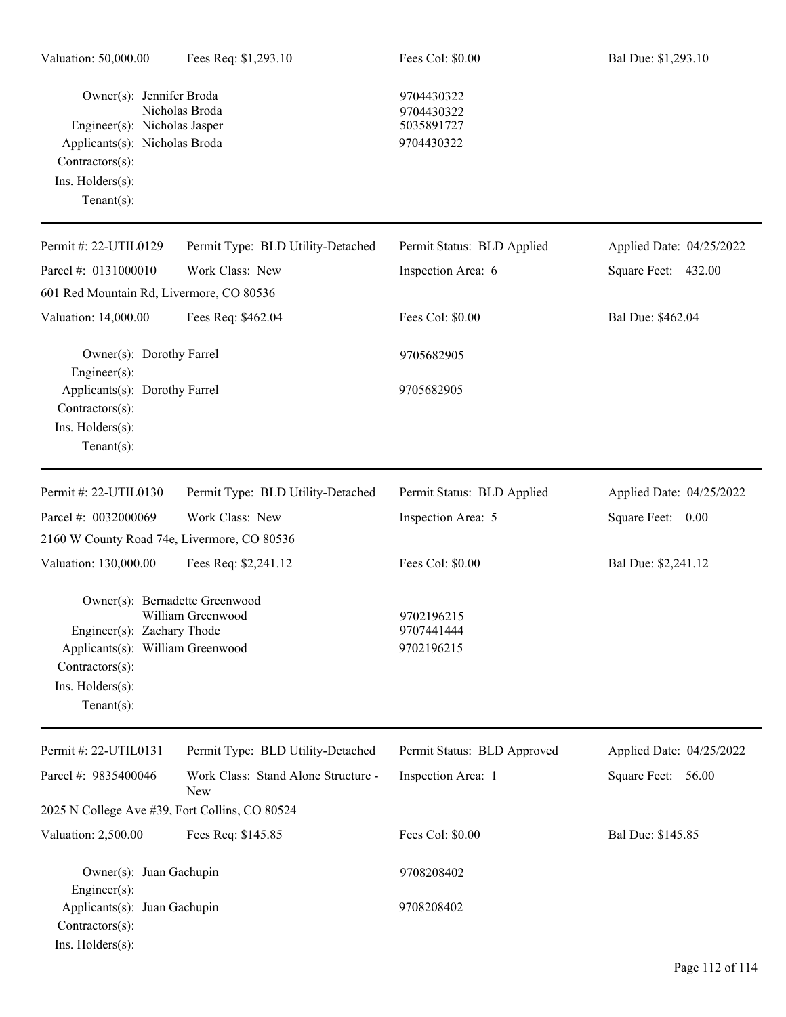Owner(s): Jennifer Broda 9704430322 Nicholas Broda 9704430322 Engineer(s): Nicholas Jasper Applicants(s): Nicholas Broda 9704430322 Contractors(s): Ins. Holders(s): Tenant(s):

| Permit #: 22-UTIL0129                                                                                                                                     | Permit Type: BLD Utility-Detached          | Permit Status: BLD Applied             | Applied Date: 04/25/2022 |
|-----------------------------------------------------------------------------------------------------------------------------------------------------------|--------------------------------------------|----------------------------------------|--------------------------|
| Parcel #: 0131000010                                                                                                                                      | Work Class: New                            | Inspection Area: 6                     | Square Feet: 432.00      |
| 601 Red Mountain Rd, Livermore, CO 80536                                                                                                                  |                                            |                                        |                          |
| Valuation: 14,000.00                                                                                                                                      | Fees Req: \$462.04                         | Fees Col: \$0.00                       | Bal Due: \$462.04        |
| Owner(s): Dorothy Farrel<br>Engineer(s):                                                                                                                  |                                            | 9705682905                             |                          |
| Applicants(s): Dorothy Farrel<br>Contractors(s):<br>Ins. Holders(s):<br>Tenant $(s)$ :                                                                    |                                            | 9705682905                             |                          |
| Permit #: 22-UTIL0130                                                                                                                                     | Permit Type: BLD Utility-Detached          | Permit Status: BLD Applied             | Applied Date: 04/25/2022 |
| Parcel #: 0032000069                                                                                                                                      | Work Class: New                            | Inspection Area: 5                     | Square Feet: 0.00        |
| 2160 W County Road 74e, Livermore, CO 80536                                                                                                               |                                            |                                        |                          |
| Valuation: 130,000.00                                                                                                                                     | Fees Req: \$2,241.12                       | Fees Col: \$0.00                       | Bal Due: \$2,241.12      |
| Owner(s): Bernadette Greenwood<br>Engineer(s): Zachary Thode<br>Applicants(s): William Greenwood<br>Contractors(s):<br>Ins. Holders(s):<br>Tenant $(s)$ : | William Greenwood                          | 9702196215<br>9707441444<br>9702196215 |                          |
| Permit #: 22-UTIL0131                                                                                                                                     | Permit Type: BLD Utility-Detached          | Permit Status: BLD Approved            | Applied Date: 04/25/2022 |
| Parcel #: 9835400046                                                                                                                                      | Work Class: Stand Alone Structure -<br>New | Inspection Area: 1                     | Square Feet: 56.00       |
| 2025 N College Ave #39, Fort Collins, CO 80524                                                                                                            |                                            |                                        |                          |
| Valuation: 2,500.00                                                                                                                                       | Fees Req: \$145.85                         | Fees Col: \$0.00                       | Bal Due: \$145.85        |
| Owner(s): Juan Gachupin<br>Engineer(s):                                                                                                                   |                                            | 9708208402                             |                          |
| Applicants(s): Juan Gachupin<br>Contractors(s):<br>Ins. Holders(s):                                                                                       |                                            | 9708208402                             |                          |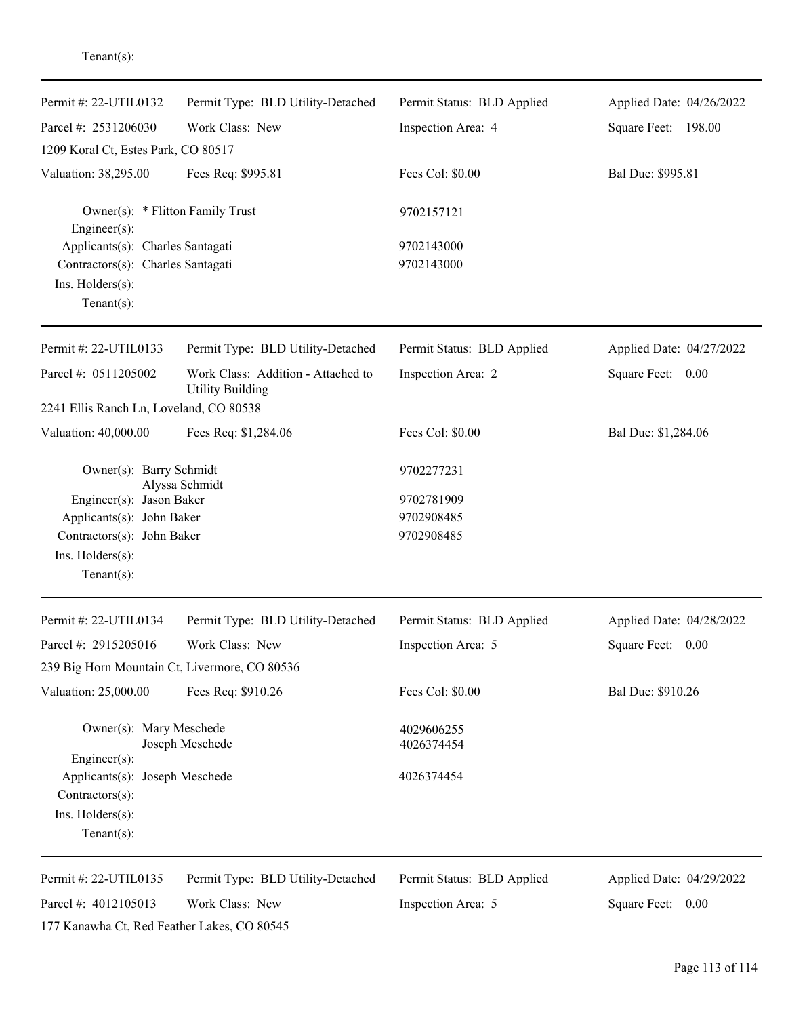| Permit #: 22-UTIL0132                                                                                      | Permit Type: BLD Utility-Detached                             | Permit Status: BLD Applied | Applied Date: 04/26/2022 |
|------------------------------------------------------------------------------------------------------------|---------------------------------------------------------------|----------------------------|--------------------------|
| Parcel #: 2531206030                                                                                       | Work Class: New                                               | Inspection Area: 4         | Square Feet: 198.00      |
| 1209 Koral Ct, Estes Park, CO 80517                                                                        |                                                               |                            |                          |
| Valuation: 38,295.00                                                                                       | Fees Req: \$995.81                                            | Fees Col: \$0.00           | Bal Due: \$995.81        |
| Owner(s): * Flitton Family Trust<br>Engineer(s):                                                           |                                                               | 9702157121                 |                          |
| Applicants(s): Charles Santagati<br>Contractors(s): Charles Santagati<br>Ins. Holders(s):<br>$Tenant(s)$ : |                                                               | 9702143000<br>9702143000   |                          |
| Permit #: 22-UTIL0133                                                                                      | Permit Type: BLD Utility-Detached                             | Permit Status: BLD Applied | Applied Date: 04/27/2022 |
| Parcel #: 0511205002                                                                                       | Work Class: Addition - Attached to<br><b>Utility Building</b> | Inspection Area: 2         | Square Feet: 0.00        |
| 2241 Ellis Ranch Ln, Loveland, CO 80538                                                                    |                                                               |                            |                          |
| Valuation: 40,000.00                                                                                       | Fees Req: \$1,284.06                                          | Fees Col: \$0.00           | Bal Due: \$1,284.06      |
| Owner(s): Barry Schmidt                                                                                    |                                                               | 9702277231                 |                          |
| Alyssa Schmidt<br>Engineer(s): Jason Baker<br>Applicants(s): John Baker                                    |                                                               | 9702781909                 |                          |
|                                                                                                            |                                                               | 9702908485                 |                          |
| Contractors(s): John Baker                                                                                 |                                                               | 9702908485                 |                          |
| Ins. Holders(s):<br>$Tenant(s)$ :                                                                          |                                                               |                            |                          |
| Permit #: 22-UTIL0134                                                                                      | Permit Type: BLD Utility-Detached                             | Permit Status: BLD Applied | Applied Date: 04/28/2022 |
| Parcel #: 2915205016                                                                                       | Work Class: New                                               | Inspection Area: 5         | Square Feet: 0.00        |
| 239 Big Horn Mountain Ct, Livermore, CO 80536                                                              |                                                               |                            |                          |
| Valuation: 25,000.00                                                                                       | Fees Req: \$910.26                                            | Fees Col: \$0.00           | Bal Due: \$910.26        |
| Owner(s): Mary Meschede<br>Joseph Meschede                                                                 |                                                               | 4029606255<br>4026374454   |                          |
| Engineer(s):<br>Applicants(s): Joseph Meschede<br>Contractors(s):<br>Ins. Holders(s):                      |                                                               | 4026374454                 |                          |
| $Tenant(s)$ :                                                                                              |                                                               |                            |                          |
| Permit #: 22-UTIL0135                                                                                      | Permit Type: BLD Utility-Detached                             | Permit Status: BLD Applied | Applied Date: 04/29/2022 |
| Parcel #: 4012105013                                                                                       | Work Class: New                                               | Inspection Area: 5         | Square Feet: 0.00        |
| 177 Kanawha Ct, Red Feather Lakes, CO 80545                                                                |                                                               |                            |                          |

Tenant(s):